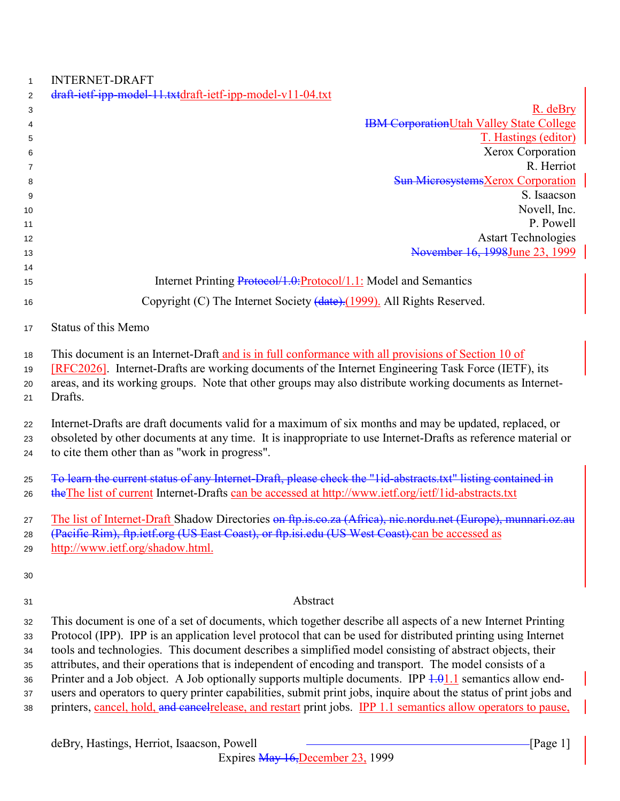| $\mathbf{1}$   | <b>INTERNET-DRAFT</b>                                                                                               |
|----------------|---------------------------------------------------------------------------------------------------------------------|
| $\overline{2}$ | draft-ietf-ipp-model-11.txtdraft-ietf-ipp-model-v11-04.txt                                                          |
| 3              | $R.$ deBry                                                                                                          |
| 4              | <b>IBM CorporationUtah Valley State College</b>                                                                     |
| 5              | T. Hastings (editor)                                                                                                |
| 6              | Xerox Corporation                                                                                                   |
| 7              | R. Herriot                                                                                                          |
| 8              | <b>Sun MicrosystemsXerox Corporation</b>                                                                            |
| 9              | S. Isaacson                                                                                                         |
| 10             | Novell, Inc.                                                                                                        |
| 11             | P. Powell                                                                                                           |
| 12             | <b>Astart Technologies</b>                                                                                          |
| 13             | November 16, 1998June 23, 1999                                                                                      |
| 14             | Internet Printing Protocol/1.0: Protocol/1.1: Model and Semantics                                                   |
| 15             |                                                                                                                     |
| 16             | Copyright (C) The Internet Society (date). (1999). All Rights Reserved.                                             |
| 17             | Status of this Memo                                                                                                 |
| 18             | This document is an Internet-Draft and is in full conformance with all provisions of Section 10 of                  |
| 19             | [RFC2026]. Internet-Drafts are working documents of the Internet Engineering Task Force (IETF), its                 |
| 20             | areas, and its working groups. Note that other groups may also distribute working documents as Internet-            |
| 21             | Drafts.                                                                                                             |
|                |                                                                                                                     |
| 22             | Internet-Drafts are draft documents valid for a maximum of six months and may be updated, replaced, or              |
| 23             | obsoleted by other documents at any time. It is inappropriate to use Internet-Drafts as reference material or       |
| 24             | to cite them other than as "work in progress".                                                                      |
| 25             | To learn the current status of any Internet-Draft, please check the "1id-abstracts.txt" listing contained in        |
| 26             | the The list of current Internet-Drafts can be accessed at http://www.ietf.org/ietf/1id-abstracts.txt               |
|                |                                                                                                                     |
| 27             | The list of Internet-Draft Shadow Directories on ftp.is.co.za (Africa), nic.nordu.net (Europe), munnari.oz.au       |
| 28             | (Pacific Rim), ftp.ietf.org (US East Coast), or ftp.isi.edu (US West Coast).can be accessed as                      |
| 29             | http://www.ietf.org/shadow.html.                                                                                    |
| 30             |                                                                                                                     |
|                |                                                                                                                     |
| 31             | Abstract                                                                                                            |
| 32             | This document is one of a set of documents, which together describe all aspects of a new Internet Printing          |
| 33             | Protocol (IPP). IPP is an application level protocol that can be used for distributed printing using Internet       |
| 34             | tools and technologies. This document describes a simplified model consisting of abstract objects, their            |
| 35             | attributes, and their operations that is independent of encoding and transport. The model consists of a             |
| 36             | Printer and a Job object. A Job optionally supports multiple documents. IPP $\frac{1.01}{1.1}$ semantics allow end- |
| 37             | users and operators to query printer capabilities, submit print jobs, inquire about the status of print jobs and    |
| 38             | printers, cancel, hold, and cancel release, and restart print jobs. IPP 1.1 semantics allow operators to pause,     |
|                |                                                                                                                     |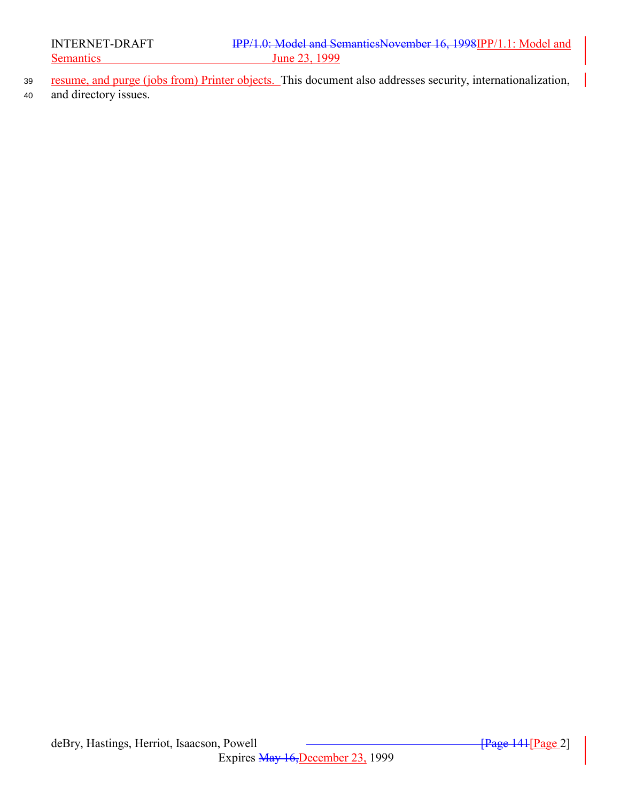- <sup>39</sup> resume, and purge (jobs from) Printer objects. This document also addresses security, internationalization,
- <sup>40</sup> and directory issues.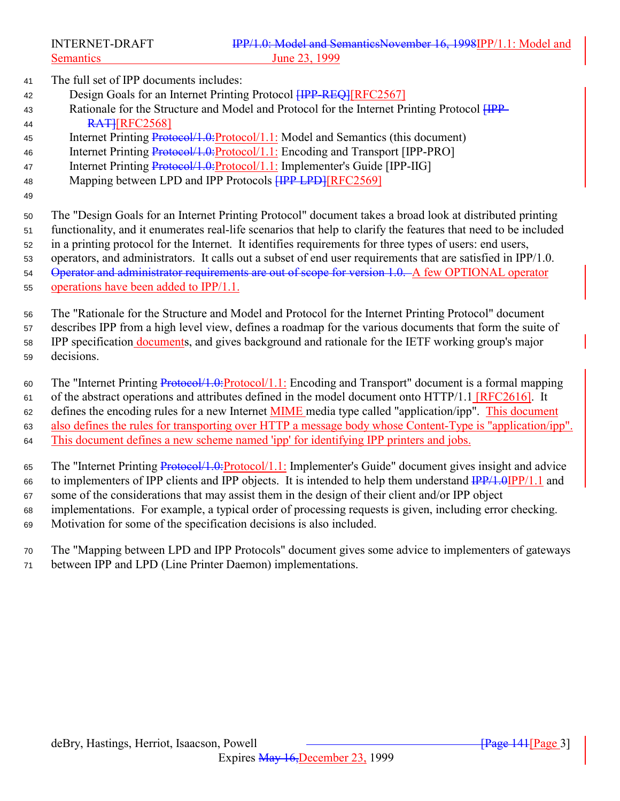The full set of IPP documents includes:

- 42 Design Goals for an Internet Printing Protocol **[IPP-REQ]**[RFC2567]
- 43 Rationale for the Structure and Model and Protocol for the Internet Printing Protocol  $\overline{HPP}$ -**RATIREC2568**
- Internet Printing Protocol/1.0:Protocol/1.1: Model and Semantics (this document)
- Internet Printing Protocol/1.0:Protocol/1.1: Encoding and Transport [IPP-PRO]
- Internet Printing Protocol/1.0:Protocol/1.1: Implementer's Guide [IPP-IIG]
- 48 Mapping between LPD and IPP Protocols **[IPP LPD]**[RFC2569]
- 

 The "Design Goals for an Internet Printing Protocol" document takes a broad look at distributed printing functionality, and it enumerates real-life scenarios that help to clarify the features that need to be included in a printing protocol for the Internet. It identifies requirements for three types of users: end users,

 operators, and administrators. It calls out a subset of end user requirements that are satisfied in IPP/1.0. 54 Operator and administrator requirements are out of scope for version 1.0. A few OPTIONAL operator

operations have been added to IPP/1.1.

The "Rationale for the Structure and Model and Protocol for the Internet Printing Protocol" document

 describes IPP from a high level view, defines a roadmap for the various documents that form the suite of IPP specification documents, and gives background and rationale for the IETF working group's major

decisions.

The "Internet Printing Protocol/1.0:Protocol/1.1: Encoding and Transport" document is a formal mapping

of the abstract operations and attributes defined in the model document onto HTTP/1.1 [RFC2616]. It

62 defines the encoding rules for a new Internet **MIME** media type called "application/ipp". This document

also defines the rules for transporting over HTTP a message body whose Content-Type is "application/ipp".

This document defines a new scheme named 'ipp' for identifying IPP printers and jobs.

The "Internet Printing Protocol/1.0:Protocol/1.1: Implementer's Guide" document gives insight and advice

- 66 to implementers of IPP clients and IPP objects. It is intended to help them understand  $\frac{IPP}{1.0}IPP/1.1$  and
- some of the considerations that may assist them in the design of their client and/or IPP object
- implementations. For example, a typical order of processing requests is given, including error checking.

Motivation for some of the specification decisions is also included.

 The "Mapping between LPD and IPP Protocols" document gives some advice to implementers of gateways between IPP and LPD (Line Printer Daemon) implementations.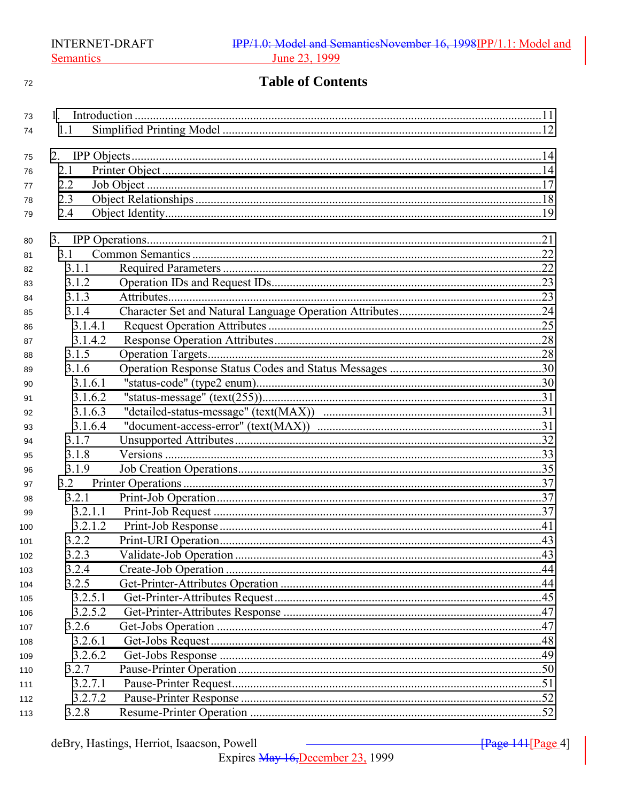#### $72\,$

# **Table of Contents**

| 73  |         |  |  |
|-----|---------|--|--|
| 74  | 1.1     |  |  |
|     |         |  |  |
| 75  |         |  |  |
| 76  | 2.1     |  |  |
| 77  | 2.2     |  |  |
| 78  | 2.3     |  |  |
| 79  | 2.4     |  |  |
| 80  |         |  |  |
| 81  | 3.1     |  |  |
| 82  | 3.1.1   |  |  |
| 83  | 3.1.2   |  |  |
| 84  | 3.1.3   |  |  |
| 85  | 3.1.4   |  |  |
| 86  | 3.1.4.1 |  |  |
| 87  | 3.1.4.2 |  |  |
| 88  | 3.1.5   |  |  |
| 89  | 3.1.6   |  |  |
| 90  | 3.1.6.1 |  |  |
| 91  | 3.1.6.2 |  |  |
| 92  | 3.1.6.3 |  |  |
| 93  | 3.1.6.4 |  |  |
| 94  | 3.1.7   |  |  |
| 95  | 3.1.8   |  |  |
| 96  | 3.1.9   |  |  |
| 97  | 3.2     |  |  |
| 98  | 3.2.1   |  |  |
| 99  | 3.2.1.1 |  |  |
| 100 | 3.2.1.2 |  |  |
| 101 | 3.2.2   |  |  |
| 102 | 3.2.3   |  |  |
| 103 | 3.2.4   |  |  |
| 104 | 3.2.5   |  |  |
| 105 | 3.2.5.1 |  |  |
| 106 | 3.2.5.2 |  |  |
| 107 | 3.2.6   |  |  |
| 108 | 3.2.6.1 |  |  |
| 109 | 3.2.6.2 |  |  |
| 110 | 3.2.7   |  |  |
| 111 | 3.2.7.1 |  |  |
| 112 | 3.2.7.2 |  |  |
| 113 | 3.2.8   |  |  |

 $\sqrt{Page 144}$ [Page 4]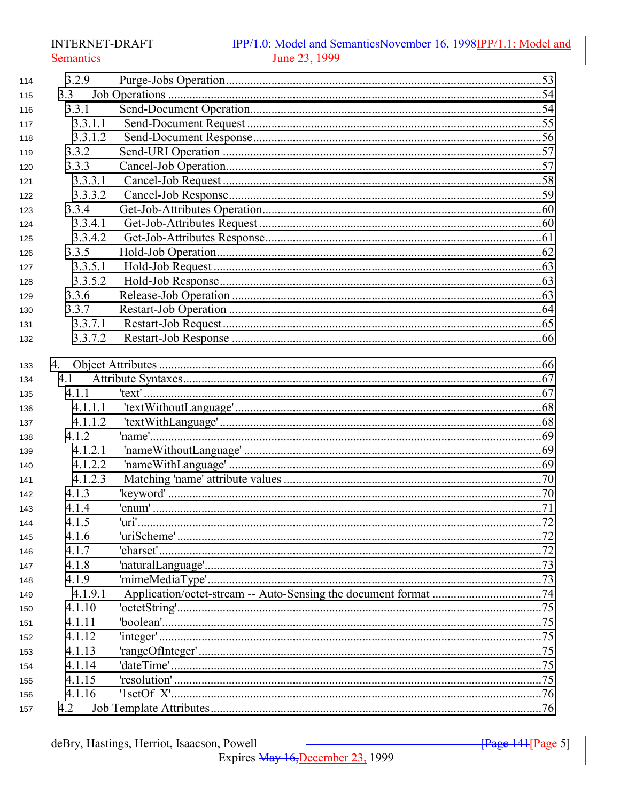**INTERNET-DRAFT Semantics** 

## IPP/1.0: Model and SemanticsNovember 16, 1998IPP/1.1: Model and June 23, 1999

| 114 | 3.2.9   |       |     |
|-----|---------|-------|-----|
| 115 | 3.3     |       |     |
| 116 | 3.3.1   |       |     |
| 117 | 3.3.1.1 |       |     |
| 118 | 3.3.1.2 |       |     |
| 119 | 3.3.2   |       |     |
| 120 | 3.3.3   |       |     |
| 121 | 3.3.3.1 |       |     |
| 122 | 3.3.3.2 |       |     |
| 123 | 3.3.4   |       |     |
| 124 | 3.3.4.1 |       |     |
| 125 | 3.3.4.2 |       |     |
| 126 | 3.3.5   |       |     |
| 127 | 3.3.5.1 |       |     |
| 128 | 3.3.5.2 |       |     |
| 129 | 3.3.6   |       |     |
| 130 | 3.3.7   |       |     |
| 131 | 3.3.7.1 |       |     |
| 132 | 3.3.7.2 |       |     |
|     |         |       |     |
| 133 | 4.      |       |     |
| 134 | 4.1     |       |     |
| 135 | 4.1.1   |       |     |
| 136 | 4.1.1.1 |       |     |
| 137 | 4.1.1.2 |       |     |
| 138 | 4.1.2   |       |     |
| 139 | 4.1.2.1 |       |     |
| 140 | 4.1.2.2 |       |     |
| 141 | 4.1.2.3 |       |     |
| 142 | 4.1.3   |       |     |
| 143 | 4.1.4   |       |     |
| 144 | 415     | 'uri' | .72 |
| 145 | 4.1.6   |       |     |
| 146 | 4.1.7   |       |     |
| 147 | 4.1.8   |       |     |
| 148 | 4.1.9   |       |     |
| 149 | 4.1.9.1 |       |     |
| 150 | 4.1.10  |       |     |
| 151 | 4.1.11  |       |     |
| 152 | 4.1.12  |       |     |
| 153 | 4.1.13  |       |     |
| 154 | 4.1.14  |       |     |
| 155 | 4.1.15  |       |     |
| 156 | 4.1.16  |       |     |
| 157 | 4.2     |       |     |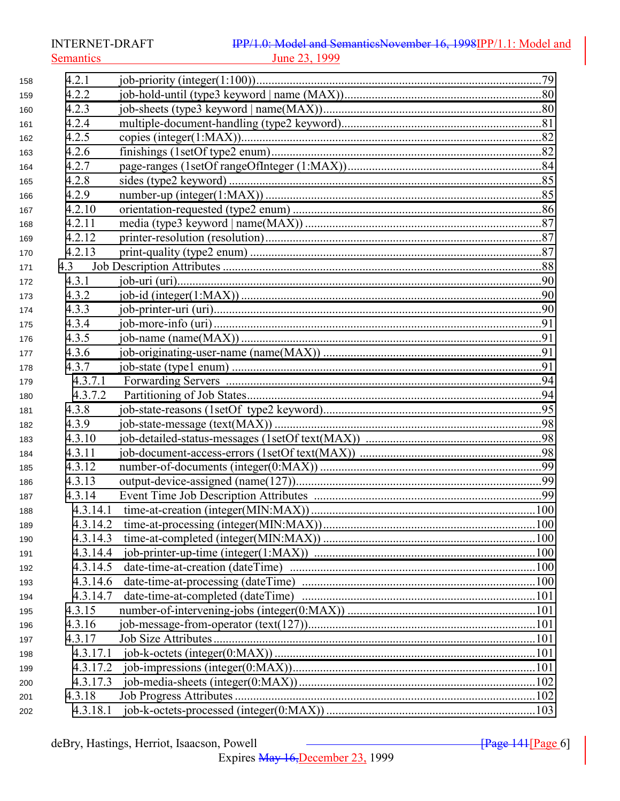**INTERNET-DRAFT Semantics** 

## IPP/1.0: Model and SemanticsNovember 16, 1998IPP/1.1: Model and June 23, 1999

| 158 | 4.2.1    |  |
|-----|----------|--|
| 159 | 4.2.2    |  |
| 160 | 4.2.3    |  |
| 161 | 4.2.4    |  |
| 162 | 4.2.5    |  |
| 163 | 4.2.6    |  |
| 164 | 4.2.7    |  |
| 165 | 4.2.8    |  |
| 166 | 4.2.9    |  |
| 167 | 4.2.10   |  |
| 168 | 4.2.11   |  |
| 169 | 4.2.12   |  |
| 170 | 4.2.13   |  |
| 171 | 4.3      |  |
| 172 | 4.3.1    |  |
| 173 | 4.3.2    |  |
| 174 | 4.3.3    |  |
| 175 | 4.3.4    |  |
| 176 | 4.3.5    |  |
| 177 | 4.3.6    |  |
| 178 | 4.3.7    |  |
| 179 | 4.3.7.1  |  |
| 180 | 4.3.7.2  |  |
| 181 | 4.3.8    |  |
| 182 | 4.3.9    |  |
| 183 | 4.3.10   |  |
| 184 | 4.3.11   |  |
| 185 | 4.3.12   |  |
| 186 | 4.3.13   |  |
| 187 | 4.3.14   |  |
| 188 | 4.3.14.1 |  |
| 189 | 4.3.14.2 |  |
| 190 | 4.3.14.3 |  |
| 191 | 4.3.14.4 |  |
| 192 | 4.3.14.5 |  |
| 193 | 4.3.14.6 |  |
| 194 | 4.3.14.7 |  |
| 195 | 4.3.15   |  |
| 196 | 4.3.16   |  |
| 197 | 4.3.17   |  |
| 198 | 4.3.17.1 |  |
| 199 | 4.3.17.2 |  |
| 200 | 4.3.17.3 |  |
| 201 | 4.3.18   |  |
| 202 | 4.3.18.1 |  |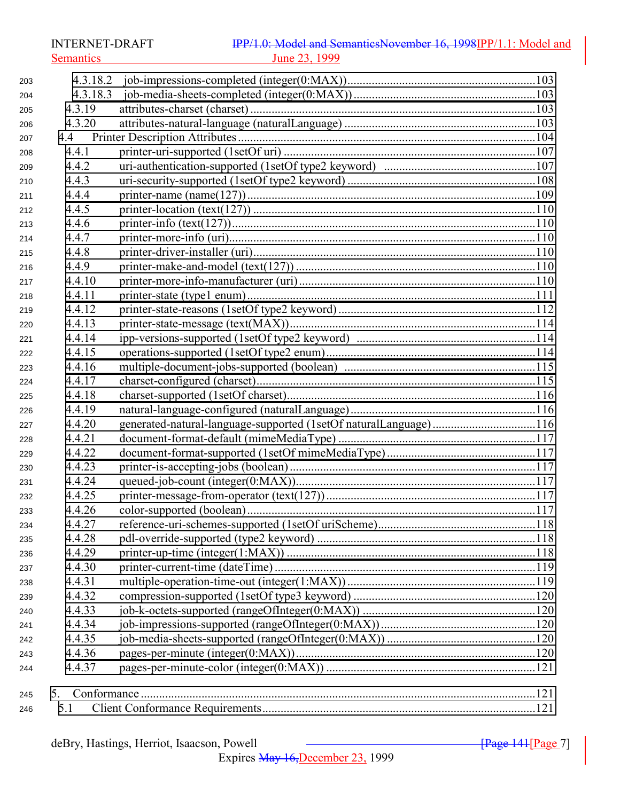Semantics 23, 1999

| 203 | 4.3.18.2 |                                                                  |  |
|-----|----------|------------------------------------------------------------------|--|
| 204 | 4.3.18.3 |                                                                  |  |
| 205 | 4.3.19   |                                                                  |  |
| 206 | 4.3.20   |                                                                  |  |
| 207 |          |                                                                  |  |
| 208 | 4.4.1    |                                                                  |  |
| 209 | 4.4.2    |                                                                  |  |
| 210 | 4.4.3    |                                                                  |  |
| 211 | 4.4.4    |                                                                  |  |
| 212 | 4.4.5    |                                                                  |  |
| 213 | 4.4.6    |                                                                  |  |
| 214 | 4.4.7    |                                                                  |  |
| 215 | 4.4.8    |                                                                  |  |
| 216 | 4.4.9    |                                                                  |  |
| 217 | 4.4.10   |                                                                  |  |
| 218 | 4.4.11   |                                                                  |  |
| 219 | 4.4.12   |                                                                  |  |
| 220 | 4.4.13   |                                                                  |  |
| 221 | 4.4.14   |                                                                  |  |
| 222 | 4.4.15   |                                                                  |  |
| 223 | 4.4.16   |                                                                  |  |
| 224 | 4.4.17   |                                                                  |  |
| 225 | 4.4.18   |                                                                  |  |
| 226 | 4.4.19   |                                                                  |  |
| 227 | 4.4.20   | generated-natural-language-supported (1setOf naturalLanguage)116 |  |
| 228 | 4.4.21   |                                                                  |  |
| 229 | 4.4.22   |                                                                  |  |
| 230 | 4.4.23   |                                                                  |  |
| 231 | 4.4.24   |                                                                  |  |
| 232 | 4.4.25   |                                                                  |  |
| 233 | 4.4.26   |                                                                  |  |
| 234 | 4.4.27   |                                                                  |  |
| 235 | 4.4.28   |                                                                  |  |
| 236 | 4.4.29   |                                                                  |  |
| 237 | 4.4.30   |                                                                  |  |
| 238 | 4.4.31   |                                                                  |  |
| 239 | 4.4.32   |                                                                  |  |
| 240 | 4.4.33   |                                                                  |  |
| 241 | 4.4.34   |                                                                  |  |
| 242 | 4.4.35   |                                                                  |  |
| 243 | 4.4.36   |                                                                  |  |
| 244 | 4.4.37   |                                                                  |  |
|     |          |                                                                  |  |
| 245 | 5.       |                                                                  |  |
| 246 | 5.1      |                                                                  |  |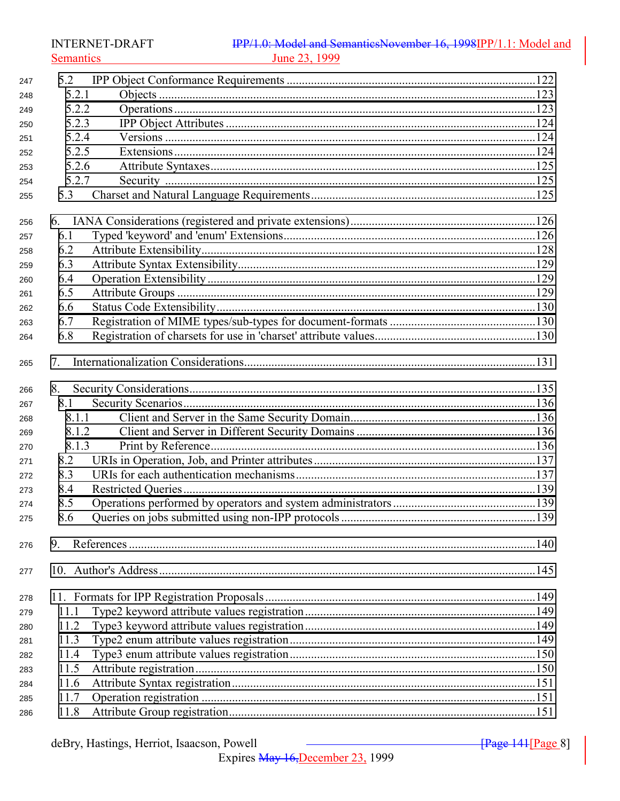**INTERNET-DRAFT Semantics** 

#### IPP/1.0: Model and SemanticsNovember 16, 1998IPP/1.1: Model and June 23, 1999

| 247 | 5.2   |       |  |
|-----|-------|-------|--|
| 248 | 5.2.1 |       |  |
| 249 | 5.2.2 |       |  |
| 250 | 5.2.3 |       |  |
| 251 | 5.2.4 |       |  |
| 252 | 5.2.5 |       |  |
| 253 | 5.2.6 |       |  |
| 254 | 5.2.7 |       |  |
| 255 | 5.3   |       |  |
| 256 | 6.    |       |  |
| 257 | 6.1   |       |  |
| 258 | 6.2   |       |  |
| 259 | 6.3   |       |  |
| 260 | 6.4   |       |  |
| 261 | 6.5   |       |  |
| 262 | 6.6   |       |  |
| 263 | 6.7   |       |  |
| 264 | 6.8   |       |  |
| 265 | 7.    |       |  |
| 266 | 8.    |       |  |
| 267 | 8.1   |       |  |
| 268 |       | 8.1.1 |  |
| 269 | 8.1.2 |       |  |
| 270 | 8.1.3 |       |  |
| 271 | 8.2   |       |  |
| 272 | 8.3   |       |  |
| 273 | 8.4   |       |  |
| 274 | 8.5   |       |  |
| 275 | 8.6   |       |  |
| 276 | 9.    |       |  |
| 277 |       |       |  |
| 278 |       |       |  |
| 279 | 11.1  |       |  |
| 280 | 11.2  |       |  |
| 281 | 11.3  |       |  |
| 282 | 11.4  |       |  |
| 283 | 11.5  |       |  |
| 284 | 11.6  |       |  |
| 285 | 11.7  |       |  |
| 286 | 11.8  |       |  |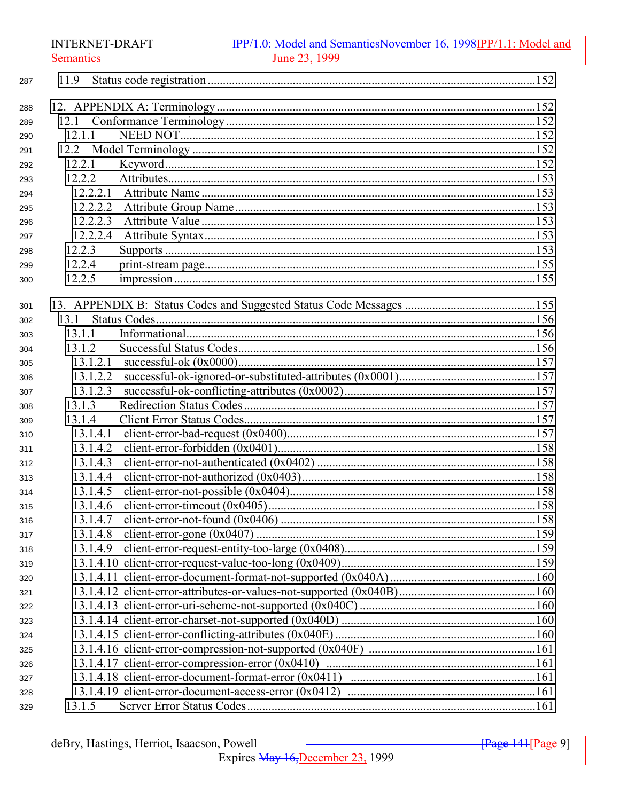**INTERNET-DRAFT** 

**Semantics** 

## IPP/1.0: Model and SemanticsNovember 16, 1998IPP/1.1: Model and June 23, 1999

| 287 | 11.9     |  |
|-----|----------|--|
| 288 |          |  |
| 289 |          |  |
| 290 | 12.1.1   |  |
| 291 |          |  |
| 292 | 12.2.1   |  |
| 293 | 12.2.2   |  |
| 294 | 12.2.2.1 |  |
| 295 | 12.2.2.2 |  |
| 296 | 12.2.2.3 |  |
| 297 | 12.2.2.4 |  |
| 298 | 12.2.3   |  |
| 299 | 12.2.4   |  |
| 300 | 12.2.5   |  |
| 301 |          |  |
| 302 | 13.1     |  |
| 303 | 13.1.1   |  |
| 304 | 13.1.2   |  |
| 305 | 13.1.2.1 |  |
| 306 | 13.1.2.2 |  |
| 307 | 13.1.2.3 |  |
| 308 | 13.1.3   |  |
| 309 | 13.1.4   |  |
| 310 | 13.1.4.1 |  |
| 311 | 13.1.4.2 |  |
| 312 | 13.1.4.3 |  |
| 313 | 13.1.4.4 |  |
| 314 | 13.1.4.5 |  |
| 315 | 13.1.4.6 |  |
| 316 | 13.1.4.7 |  |
| 317 | 13.1.4.8 |  |
| 318 |          |  |
| 319 |          |  |
| 320 |          |  |
| 321 |          |  |
| 322 |          |  |
| 323 |          |  |
| 324 |          |  |
| 325 |          |  |
| 326 |          |  |
| 327 |          |  |
| 328 |          |  |
| 329 |          |  |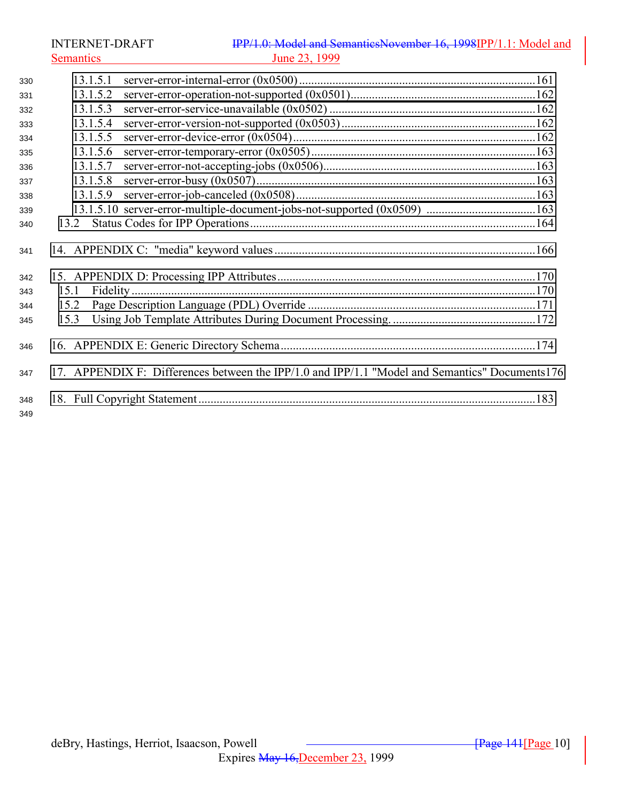INTERNET-DRAFT **IPP/1.0:** Model and SemanticsNovember 16, 1998IPP/1.1: Model and Semantics June 23, 1999 [13.1.5.1 server-error-internal-error \(0x0500\) ..............................................................................161](#page-160-0) [13.1.5.2 server-error-operation-not-supported \(0x0501\).............................................................162](#page-161-0) [13.1.5.3 server-error-service-unavailable \(0x0502\) ....................................................................162](#page-161-0) [13.1.5.4 server-error-version-not-supported \(0x0503\)................................................................162](#page-161-0) [13.1.5.5 server-error-device-error \(0x0504\)................................................................................162](#page-161-0) [13.1.5.6 server-error-temporary-error \(0x0505\)..........................................................................163](#page-162-0) [13.1.5.7 server-error-not-accepting-jobs \(0x0506\)......................................................................163](#page-162-0) [13.1.5.8 server-error-busy \(0x0507\)............................................................................................163](#page-162-0) [13.1.5.9 server-error-job-canceled \(0x0508\)...............................................................................163](#page-162-0) [13.1.5.10 server-error-multiple-document-jobs-not-supported \(0x0509\) ....................................163](#page-162-0) [13.2 Status Codes for IPP Operations..............................................................................................164](#page-163-0) [14. APPENDIX C: "media" keyword values ......................................................................................166](#page-165-0) [15. APPENDIX D: Processing IPP Attributes.....................................................................................170](#page-169-0) [15.1 Fidelity .....................................................................................................................................170](#page-169-0) [15.2 Page Description Language \(PDL\) Override ...........................................................................171](#page-170-0) [15.3 Using Job Template Attributes During Document Processing. ...............................................172](#page-171-0) [16. APPENDIX E: Generic Directory Schema....................................................................................174](#page-173-0) [17. APPENDIX F: Differences between the IPP/1.0 and IPP/1.1 "Model and Semantics" Documents176](#page-175-0) [18. Full Copyright Statement...............................................................................................................183](#page-182-0)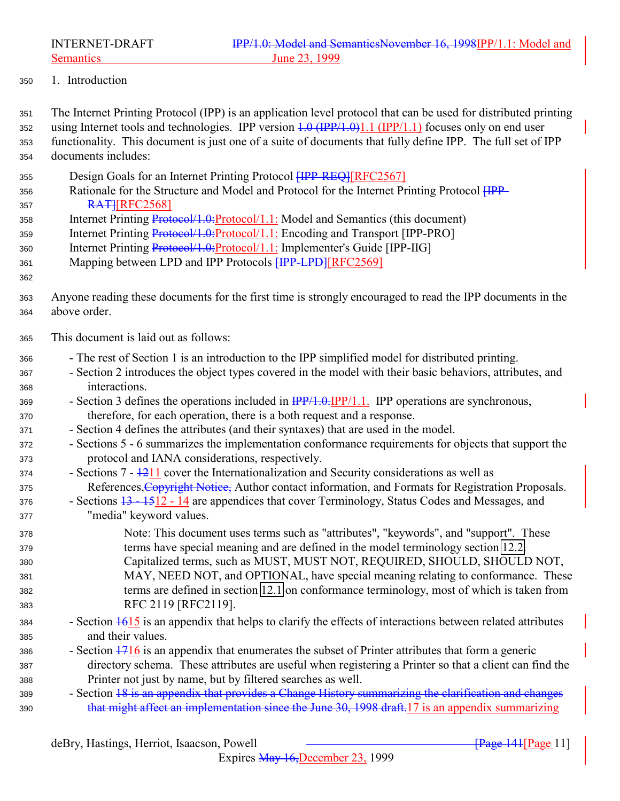<span id="page-10-0"></span>

1. Introduction

 The Internet Printing Protocol (IPP) is an application level protocol that can be used for distributed printing 352 using Internet tools and technologies. IPP version  $1.0 \text{ (IPP/1.0)}1.1 \text{ (IPP/1.1)}$  focuses only on end user functionality. This document is just one of a suite of documents that fully define IPP. The full set of IPP documents includes:

- 355 Design Goals for an Internet Printing Protocol **HPP-REQ1**[RFC2567]
- 356 Rationale for the Structure and Model and Protocol for the Internet Printing Protocol  $\overline{HPP}$ -**RATIFINE 2568**
- 358 Internet Printing Protocol/1.0: Protocol/1.1: Model and Semantics (this document)
- 359 Internet Printing Protocol/1.0: Protocol/1.1: Encoding and Transport [IPP-PRO]
- Internet Printing Protocol/1.0:Protocol/1.1: Implementer's Guide [IPP-IIG]
- 361 Mapping between LPD and IPP Protocols **[IPP-LPD]**[RFC2569]
- Anyone reading these documents for the first time is strongly encouraged to read the IPP documents in the above order.
- This document is laid out as follows:
- The rest of Section 1 is an introduction to the IPP simplified model for distributed printing.
- Section 2 introduces the object types covered in the model with their basic behaviors, attributes, and interactions.
- 369 Section 3 defines the operations included in  $\frac{IPP}{1.0}$ . IPP operations are synchronous, therefore, for each operation, there is a both request and a response.
- Section 4 defines the attributes (and their syntaxes) that are used in the model.
- Sections 5 6 summarizes the implementation conformance requirements for objects that support the protocol and IANA considerations, respectively.
- Sections  $7 1211$  cover the Internationalization and Security considerations as well as 375 References, Copyright Notice, Author contact information, and Formats for Registration Proposals.
- Sections 13 1512 14 are appendices that cover Terminology, Status Codes and Messages, and "media" keyword values.
- Note: This document uses terms such as "attributes", "keywords", and "support". These terms have special meaning and are defined in the model terminology section [12.2.](#page-151-0) Capitalized terms, such as MUST, MUST NOT, REQUIRED, SHOULD, SHOULD NOT, MAY, NEED NOT, and OPTIONAL, have special meaning relating to conformance. These terms are defined in section [12.1](#page-151-0) on conformance terminology, most of which is taken from RFC 2119 [RFC2119].
- 384 Section  $\frac{1615}{16}$  is an appendix that helps to clarify the effects of interactions between related attributes and their values.
- Section  $\frac{1716}{1716}$  is an appendix that enumerates the subset of Printer attributes that form a generic directory schema. These attributes are useful when registering a Printer so that a client can find the Printer not just by name, but by filtered searches as well.
- 389 Section 18 is an appendix that provides a Change History summarizing the clarification and changes that might affect an implementation since the June 30, 1998 draft.17 is an appendix summarizing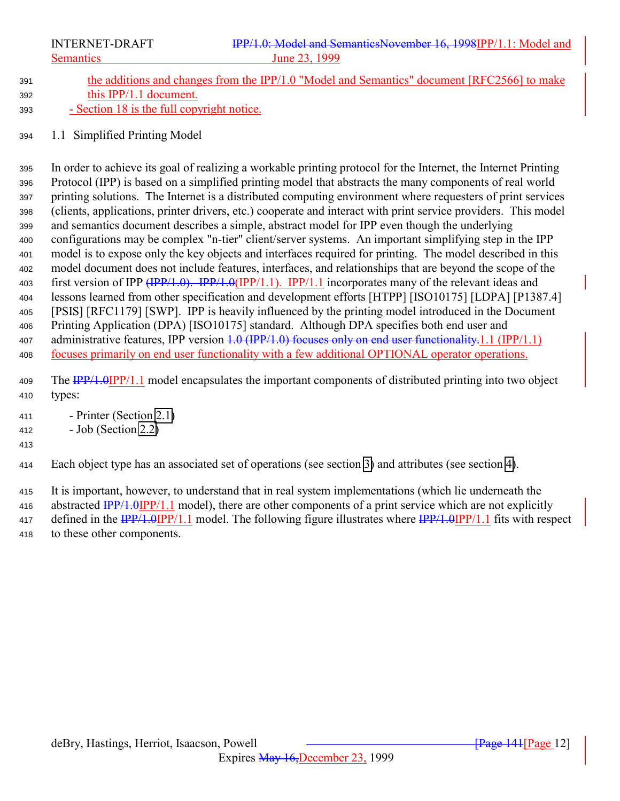<span id="page-11-0"></span>

- 391 the additions and changes from the IPP/1.0 "Model and Semantics" document [RFC2566] to make this IPP/1.1 document.
- Section 18 is the full copyright notice.
- 1.1 Simplified Printing Model

 In order to achieve its goal of realizing a workable printing protocol for the Internet, the Internet Printing Protocol (IPP) is based on a simplified printing model that abstracts the many components of real world printing solutions. The Internet is a distributed computing environment where requesters of print services (clients, applications, printer drivers, etc.) cooperate and interact with print service providers. This model and semantics document describes a simple, abstract model for IPP even though the underlying configurations may be complex "n-tier" client/server systems. An important simplifying step in the IPP model is to expose only the key objects and interfaces required for printing. The model described in this model document does not include features, interfaces, and relationships that are beyond the scope of the 403 first version of IPP (IPP/1.0). IPP/1.0(IPP/1.1). IPP/1.1 incorporates many of the relevant ideas and lessons learned from other specification and development efforts [HTPP] [ISO10175] [LDPA] [P1387.4] [PSIS] [RFC1179] [SWP]. IPP is heavily influenced by the printing model introduced in the Document Printing Application (DPA) [ISO10175] standard. Although DPA specifies both end user and 407 administrative features, IPP version 1.0 (IPP/1.0) focuses only on end user functionality.1.1 (IPP/1.1) focuses primarily on end user functionality with a few additional OPTIONAL operator operations.

- 409 The IPP/1.0IPP/1.1 model encapsulates the important components of distributed printing into two object types:
- Printer (Section [2.1\)](#page-13-0)

#### - Job (Section [2.2\)](#page-16-0)

Each object type has an associated set of operations (see section [3\)](#page-20-0) and attributes (see section [4\)](#page-65-0).

It is important, however, to understand that in real system implementations (which lie underneath the

416 abstracted  $\frac{\text{IPP}}{1.1}$  model), there are other components of a print service which are not explicitly

417 defined in the  $\frac{IPP}{1.0}IPP/1.1$  model. The following figure illustrates where  $\frac{IPP}{1.0}IPP/1.1$  fits with respect to these other components.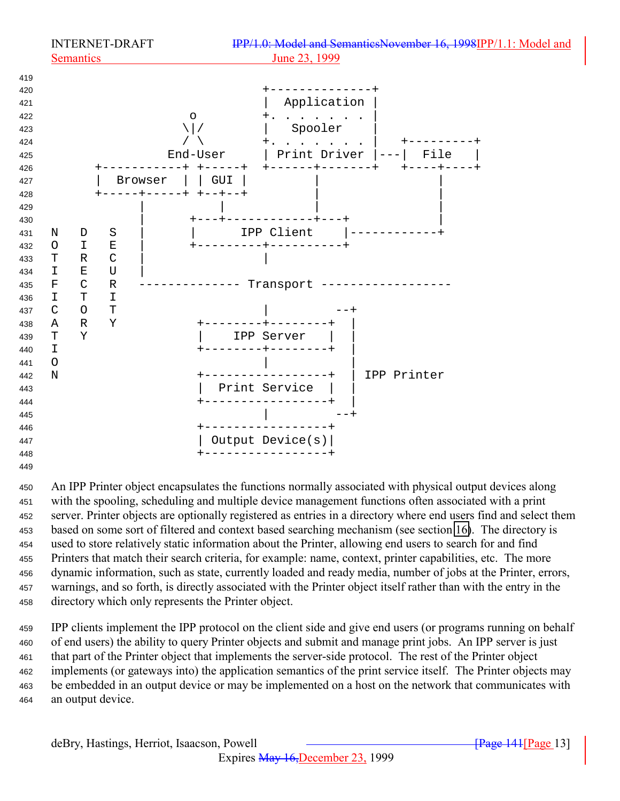

 An IPP Printer object encapsulates the functions normally associated with physical output devices along with the spooling, scheduling and multiple device management functions often associated with a print server. Printer objects are optionally registered as entries in a directory where end users find and select them based on some sort of filtered and context based searching mechanism (see section [16\)](#page-173-0). The directory is used to store relatively static information about the Printer, allowing end users to search for and find Printers that match their search criteria, for example: name, context, printer capabilities, etc. The more dynamic information, such as state, currently loaded and ready media, number of jobs at the Printer, errors, warnings, and so forth, is directly associated with the Printer object itself rather than with the entry in the directory which only represents the Printer object.

 IPP clients implement the IPP protocol on the client side and give end users (or programs running on behalf of end users) the ability to query Printer objects and submit and manage print jobs. An IPP server is just that part of the Printer object that implements the server-side protocol. The rest of the Printer object implements (or gateways into) the application semantics of the print service itself. The Printer objects may be embedded in an output device or may be implemented on a host on the network that communicates with an output device.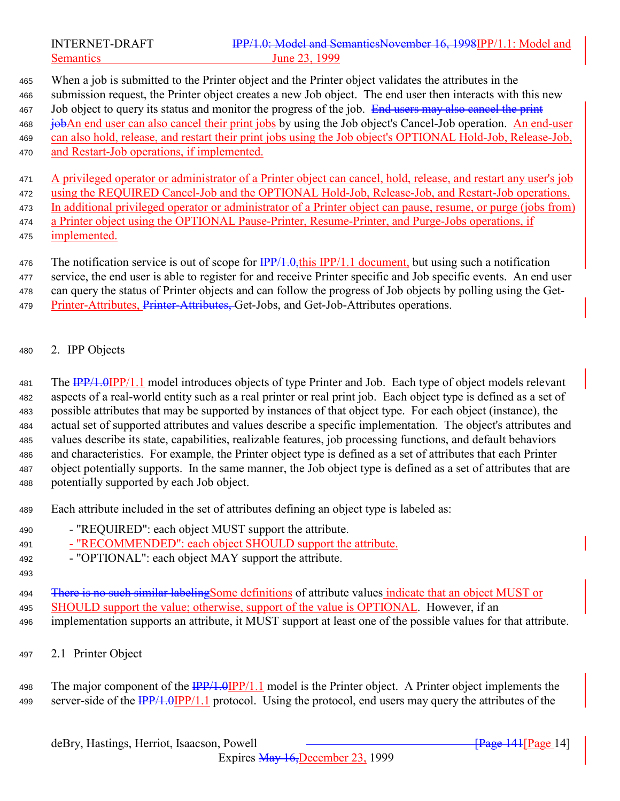<span id="page-13-0"></span>

# INTERNET-DRAFT **IPP/1.0: Model and SemanticsNovember 16, 1998IPP/1.1: Model and** Semantics June 23, 1999

 When a job is submitted to the Printer object and the Printer object validates the attributes in the submission request, the Printer object creates a new Job object. The end user then interacts with this new 467 Job object to query its status and monitor the progress of the job. End users may also cancel the print jobAn end user can also cancel their print jobs by using the Job object's Cancel-Job operation. An end-user can also hold, release, and restart their print jobs using the Job object's OPTIONAL Hold-Job, Release-Job, and Restart-Job operations, if implemented.

 A privileged operator or administrator of a Printer object can cancel, hold, release, and restart any user's job using the REQUIRED Cancel-Job and the OPTIONAL Hold-Job, Release-Job, and Restart-Job operations. In additional privileged operator or administrator of a Printer object can pause, resume, or purge (jobs from) a Printer object using the OPTIONAL Pause-Printer, Resume-Printer, and Purge-Jobs operations, if implemented.

476 The notification service is out of scope for  $\frac{IPP}{1.0}$ , this IPP/1.1 document, but using such a notification service, the end user is able to register for and receive Printer specific and Job specific events. An end user can query the status of Printer objects and can follow the progress of Job objects by polling using the Get-479 Printer-Attributes, Printer-Attributes, Get-Jobs, and Get-Job-Attributes operations.

2. IPP Objects

481 The IPP/1.0IPP/1.1 model introduces objects of type Printer and Job. Each type of object models relevant aspects of a real-world entity such as a real printer or real print job. Each object type is defined as a set of possible attributes that may be supported by instances of that object type. For each object (instance), the actual set of supported attributes and values describe a specific implementation. The object's attributes and values describe its state, capabilities, realizable features, job processing functions, and default behaviors and characteristics. For example, the Printer object type is defined as a set of attributes that each Printer object potentially supports. In the same manner, the Job object type is defined as a set of attributes that are potentially supported by each Job object.

Each attribute included in the set of attributes defining an object type is labeled as:

- "REQUIRED": each object MUST support the attribute.

491 - "RECOMMENDED": each object SHOULD support the attribute.

- "OPTIONAL": each object MAY support the attribute.
- 

494 There is no such similar labeling Some definitions of attribute values indicate that an object MUST or SHOULD support the value; otherwise, support of the value is OPTIONAL. However, if an implementation supports an attribute, it MUST support at least one of the possible values for that attribute.

2.1 Printer Object

498 The major component of the  $\frac{IPP/1.0IPP/1.1}{IPP}$  model is the Printer object. A Printer object implements the 499 server-side of the  $\frac{IPP}{1.0}$   $IPP/1.1$  protocol. Using the protocol, end users may query the attributes of the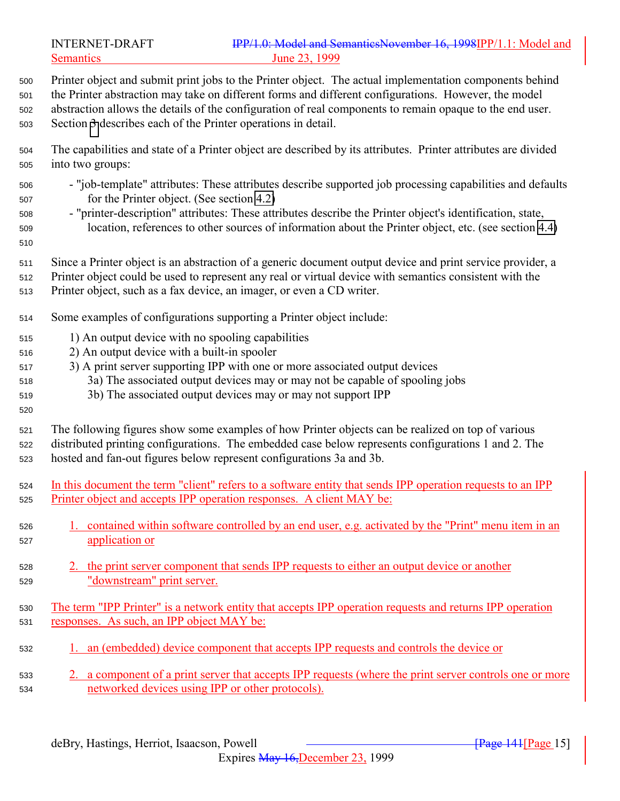- Printer object and submit print jobs to the Printer object. The actual implementation components behind
- the Printer abstraction may take on different forms and different configurations. However, the model
- abstraction allows the details of the configuration of real components to remain opaque to the end user.
- Section [3](#page-20-0) describes each of the Printer operations in detail.
- The capabilities and state of a Printer object are described by its attributes. Printer attributes are divided into two groups:
- "job-template" attributes: These attributes describe supported job processing capabilities and defaults for the Printer object. (See section [4.2\)](#page-75-0)
- "printer-description" attributes: These attributes describe the Printer object's identification, state, location, references to other sources of information about the Printer object, etc. (see section [4.4\)](#page-103-0)
- 
- Since a Printer object is an abstraction of a generic document output device and print service provider, a
- Printer object could be used to represent any real or virtual device with semantics consistent with the
- Printer object, such as a fax device, an imager, or even a CD writer.
- Some examples of configurations supporting a Printer object include:
- 1) An output device with no spooling capabilities
- 2) An output device with a built-in spooler
- 3) A print server supporting IPP with one or more associated output devices
- 3a) The associated output devices may or may not be capable of spooling jobs
- 3b) The associated output devices may or may not support IPP
- 
- 
- The following figures show some examples of how Printer objects can be realized on top of various distributed printing configurations. The embedded case below represents configurations 1 and 2. The hosted and fan-out figures below represent configurations 3a and 3b.
- In this document the term "client" refers to a software entity that sends IPP operation requests to an IPP Printer object and accepts IPP operation responses. A client MAY be:
- 1. contained within software controlled by an end user, e.g. activated by the "Print" menu item in an application or
- 2. the print server component that sends IPP requests to either an output device or another "downstream" print server.
- The term "IPP Printer" is a network entity that accepts IPP operation requests and returns IPP operation responses. As such, an IPP object MAY be:
- 1. an (embedded) device component that accepts IPP requests and controls the device or
- 2. a component of a print server that accepts IPP requests (where the print server controls one or more networked devices using IPP or other protocols).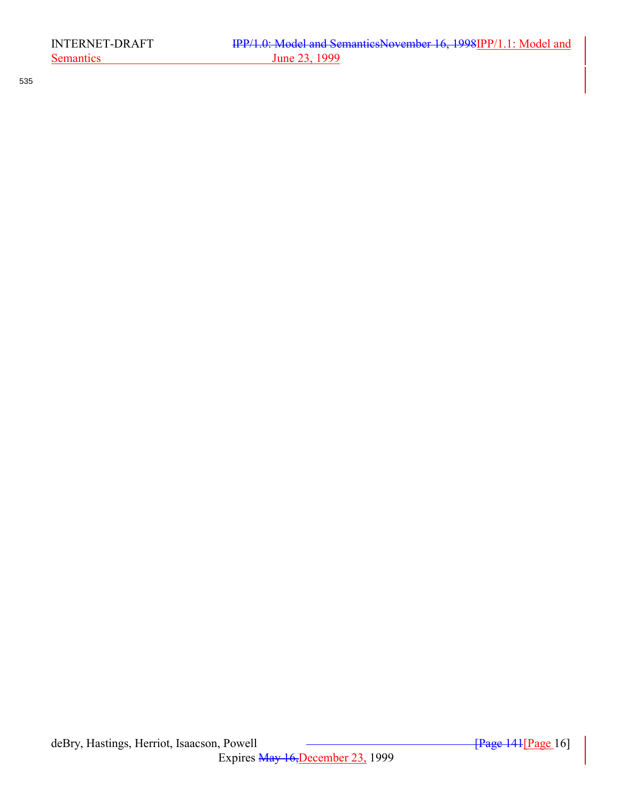535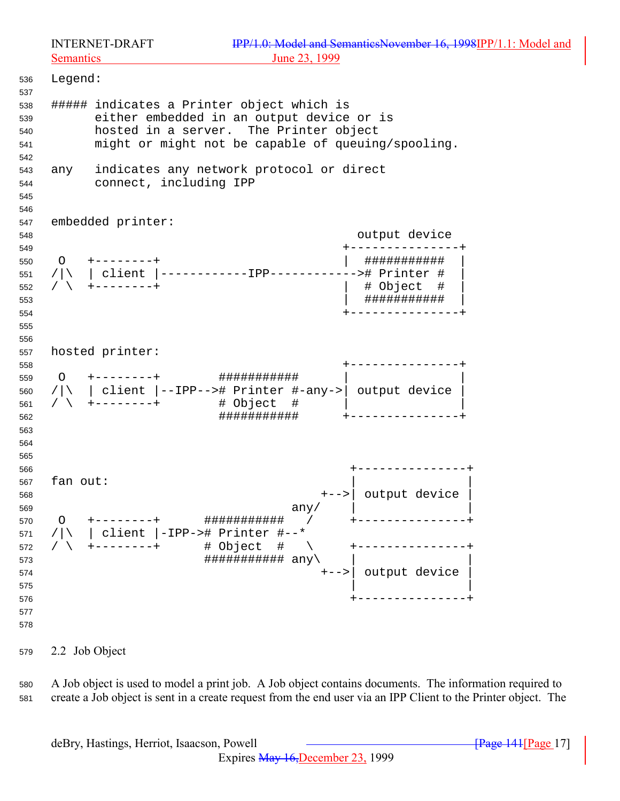<span id="page-16-0"></span>

 Legend: ##### indicates a Printer object which is either embedded in an output device or is hosted in a server. The Printer object might or might not be capable of queuing/spooling. any indicates any network protocol or direct connect, including IPP embedded printer: output device +---------------+ O +--------+ | ########### | /|\ | client |------------IPP------------># Printer # | / \ +--------+ | # Object # | | ########### | +---------------+ hosted printer: +---------------+ 559 〇 +--------- + ############### /|\ | client |--IPP--># Printer #-any->| output device | / \ +--------+ # Object # | | ########### +---------------+ +---------------+ 567 fan out: +-->| output device | any/  $\vert$  O +--------+ ########### / +---------------+ 571 / $|\rangle$  | client |-IPP-># Printer #--\* / \ +--------+ # Object # \ +---------------+  $\# \# \# \# \# \# \# \# \# \# \# \# \text{ any } \setminus$  +-->| output device |  $\vert$  +---------------+ 

2.2 Job Object

 A Job object is used to model a print job. A Job object contains documents. The information required to create a Job object is sent in a create request from the end user via an IPP Client to the Printer object. The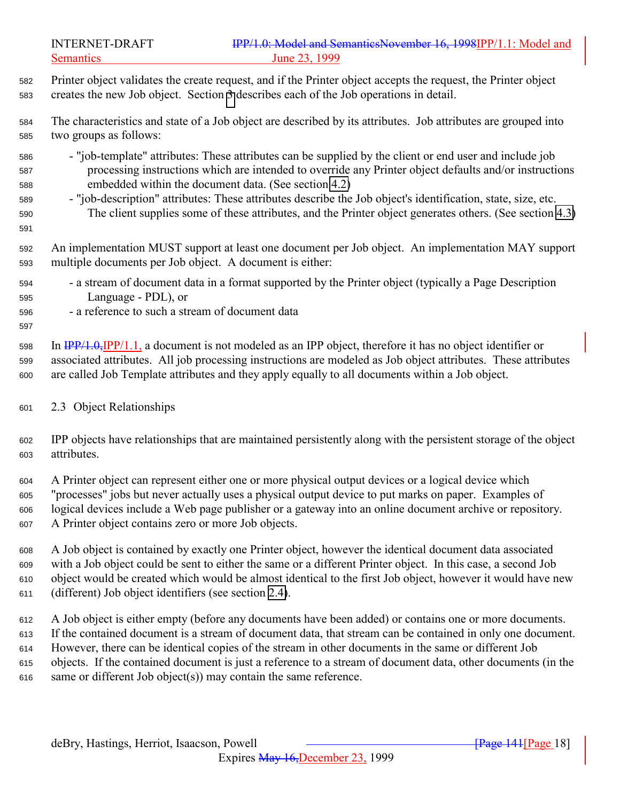<span id="page-17-0"></span>

| 582 Printer object validates the create request, and if the Printer object accepts the request, the Printer object |
|--------------------------------------------------------------------------------------------------------------------|
| sas creates the new Job object. Section 3 describes each of the Job operations in detail.                          |

 The characteristics and state of a Job object are described by its attributes. Job attributes are grouped into two groups as follows:

- "job-template" attributes: These attributes can be supplied by the client or end user and include job processing instructions which are intended to override any Printer object defaults and/or instructions embedded within the document data. (See section [4.2\)](#page-75-0)
- "job-description" attributes: These attributes describe the Job object's identification, state, size, etc. The client supplies some of these attributes, and the Printer object generates others. (See section [4.3\)](#page-87-0)

 An implementation MUST support at least one document per Job object. An implementation MAY support multiple documents per Job object. A document is either:

- a stream of document data in a format supported by the Printer object (typically a Page Description Language - PDL), or
- a reference to such a stream of document data

 In IPP/1.0,IPP/1.1, a document is not modeled as an IPP object, therefore it has no object identifier or associated attributes. All job processing instructions are modeled as Job object attributes. These attributes are called Job Template attributes and they apply equally to all documents within a Job object.

2.3 Object Relationships

 IPP objects have relationships that are maintained persistently along with the persistent storage of the object attributes.

 A Printer object can represent either one or more physical output devices or a logical device which "processes" jobs but never actually uses a physical output device to put marks on paper. Examples of logical devices include a Web page publisher or a gateway into an online document archive or repository. A Printer object contains zero or more Job objects.

 A Job object is contained by exactly one Printer object, however the identical document data associated with a Job object could be sent to either the same or a different Printer object. In this case, a second Job object would be created which would be almost identical to the first Job object, however it would have new (different) Job object identifiers (see section [2.4\)](#page-18-0).

 A Job object is either empty (before any documents have been added) or contains one or more documents. If the contained document is a stream of document data, that stream can be contained in only one document. However, there can be identical copies of the stream in other documents in the same or different Job objects. If the contained document is just a reference to a stream of document data, other documents (in the same or different Job object(s)) may contain the same reference.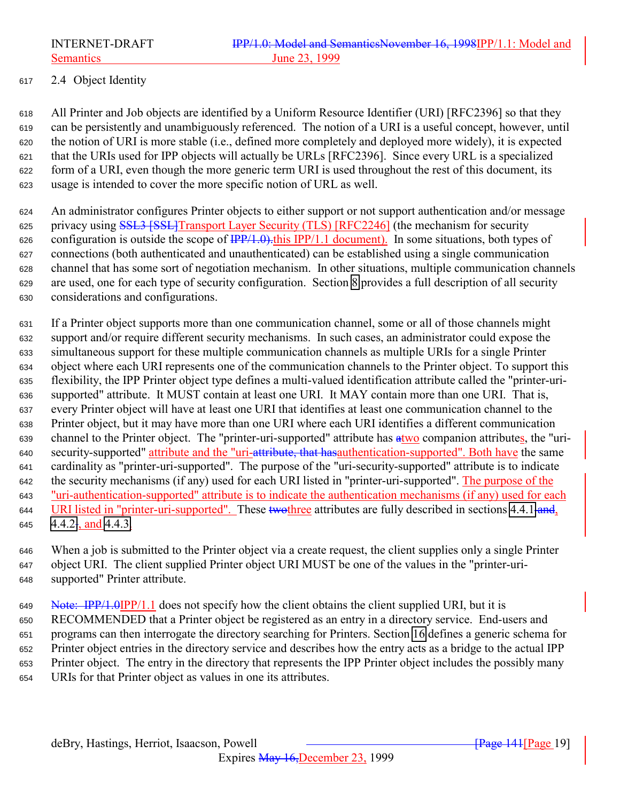<span id="page-18-0"></span>

# 2.4 Object Identity

 All Printer and Job objects are identified by a Uniform Resource Identifier (URI) [RFC2396] so that they can be persistently and unambiguously referenced. The notion of a URI is a useful concept, however, until the notion of URI is more stable (i.e., defined more completely and deployed more widely), it is expected that the URIs used for IPP objects will actually be URLs [RFC2396]. Since every URL is a specialized form of a URI, even though the more generic term URI is used throughout the rest of this document, its usage is intended to cover the more specific notion of URL as well.

 An administrator configures Printer objects to either support or not support authentication and/or message 625 privacy using SSL3 [SSL]Transport Layer Security (TLS) [RFC2246] (the mechanism for security 626 configuration is outside the scope of  $\frac{IPP}{1.0}$ . This IPP/1.1 document). In some situations, both types of connections (both authenticated and unauthenticated) can be established using a single communication channel that has some sort of negotiation mechanism. In other situations, multiple communication channels are used, one for each type of security configuration. Section [8](#page-134-0) provides a full description of all security considerations and configurations.

 If a Printer object supports more than one communication channel, some or all of those channels might support and/or require different security mechanisms. In such cases, an administrator could expose the simultaneous support for these multiple communication channels as multiple URIs for a single Printer object where each URI represents one of the communication channels to the Printer object. To support this flexibility, the IPP Printer object type defines a multi-valued identification attribute called the "printer-uri- supported" attribute. It MUST contain at least one URI. It MAY contain more than one URI. That is, every Printer object will have at least one URI that identifies at least one communication channel to the Printer object, but it may have more than one URI where each URI identifies a different communication 639 channel to the Printer object. The "printer-uri-supported" attribute has  $\frac{a}{i}$ two companion attributes, the "uri-640 security-supported" attribute and the "uri-attribute, that has authentication-supported". Both have the same cardinality as "printer-uri-supported". The purpose of the "uri-security-supported" attribute is to indicate 642 the security mechanisms (if any) used for each URI listed in "printer-uri-supported". The purpose of the "uri-authentication-supported" attribute is to indicate the authentication mechanisms (if any) used for each 644 URI listed in "printer-uri-supported". These two three attributes are fully described in sections [4.4.1](#page-106-0) and,  $4.4.2$ , and [4.4.3.](#page-107-0)

 When a job is submitted to the Printer object via a create request, the client supplies only a single Printer object URI. The client supplied Printer object URI MUST be one of the values in the "printer-uri-supported" Printer attribute.

649 Note: IPP/1.0IPP/1.1 does not specify how the client obtains the client supplied URI, but it is RECOMMENDED that a Printer object be registered as an entry in a directory service. End-users and programs can then interrogate the directory searching for Printers. Section [16](#page-173-0) defines a generic schema for Printer object entries in the directory service and describes how the entry acts as a bridge to the actual IPP Printer object. The entry in the directory that represents the IPP Printer object includes the possibly many URIs for that Printer object as values in one its attributes.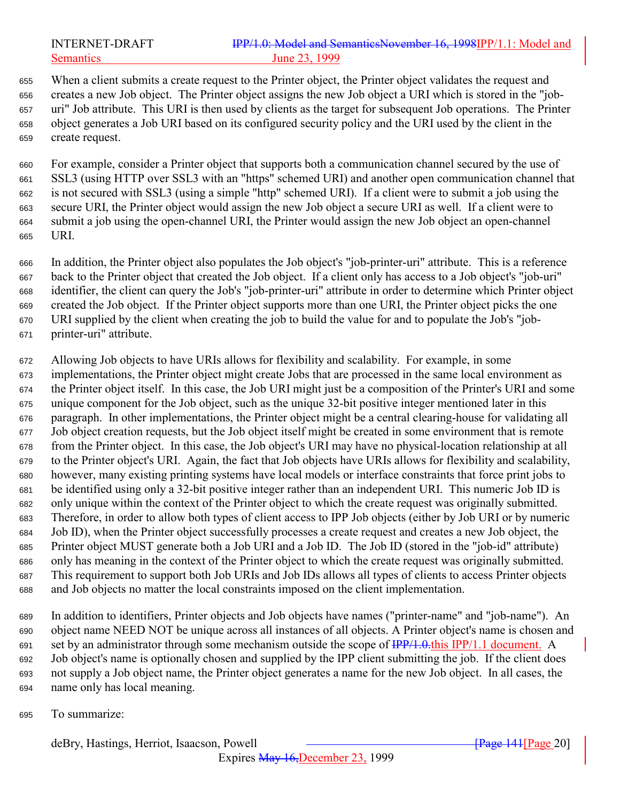## INTERNET-DRAFT IPP/1.0: Model and SemanticsNovember 16, 1998IPP/1.1: Model and Semantics June 23, 1999

 When a client submits a create request to the Printer object, the Printer object validates the request and creates a new Job object. The Printer object assigns the new Job object a URI which is stored in the "job- uri" Job attribute. This URI is then used by clients as the target for subsequent Job operations. The Printer object generates a Job URI based on its configured security policy and the URI used by the client in the create request.

 For example, consider a Printer object that supports both a communication channel secured by the use of SSL3 (using HTTP over SSL3 with an "https" schemed URI) and another open communication channel that is not secured with SSL3 (using a simple "http" schemed URI). If a client were to submit a job using the secure URI, the Printer object would assign the new Job object a secure URI as well. If a client were to submit a job using the open-channel URI, the Printer would assign the new Job object an open-channel URI.

 In addition, the Printer object also populates the Job object's "job-printer-uri" attribute. This is a reference back to the Printer object that created the Job object. If a client only has access to a Job object's "job-uri" identifier, the client can query the Job's "job-printer-uri" attribute in order to determine which Printer object created the Job object. If the Printer object supports more than one URI, the Printer object picks the one URI supplied by the client when creating the job to build the value for and to populate the Job's "job-printer-uri" attribute.

 Allowing Job objects to have URIs allows for flexibility and scalability. For example, in some implementations, the Printer object might create Jobs that are processed in the same local environment as the Printer object itself. In this case, the Job URI might just be a composition of the Printer's URI and some unique component for the Job object, such as the unique 32-bit positive integer mentioned later in this paragraph. In other implementations, the Printer object might be a central clearing-house for validating all Job object creation requests, but the Job object itself might be created in some environment that is remote from the Printer object. In this case, the Job object's URI may have no physical-location relationship at all to the Printer object's URI. Again, the fact that Job objects have URIs allows for flexibility and scalability, however, many existing printing systems have local models or interface constraints that force print jobs to be identified using only a 32-bit positive integer rather than an independent URI. This numeric Job ID is only unique within the context of the Printer object to which the create request was originally submitted. Therefore, in order to allow both types of client access to IPP Job objects (either by Job URI or by numeric Job ID), when the Printer object successfully processes a create request and creates a new Job object, the Printer object MUST generate both a Job URI and a Job ID. The Job ID (stored in the "job-id" attribute) only has meaning in the context of the Printer object to which the create request was originally submitted. This requirement to support both Job URIs and Job IDs allows all types of clients to access Printer objects and Job objects no matter the local constraints imposed on the client implementation.

 In addition to identifiers, Printer objects and Job objects have names ("printer-name" and "job-name"). An object name NEED NOT be unique across all instances of all objects. A Printer object's name is chosen and 691 set by an administrator through some mechanism outside the scope of  $\frac{IPP}{1.0.0}$ this IPP/1.1 document. A Job object's name is optionally chosen and supplied by the IPP client submitting the job. If the client does not supply a Job object name, the Printer object generates a name for the new Job object. In all cases, the name only has local meaning.

To summarize: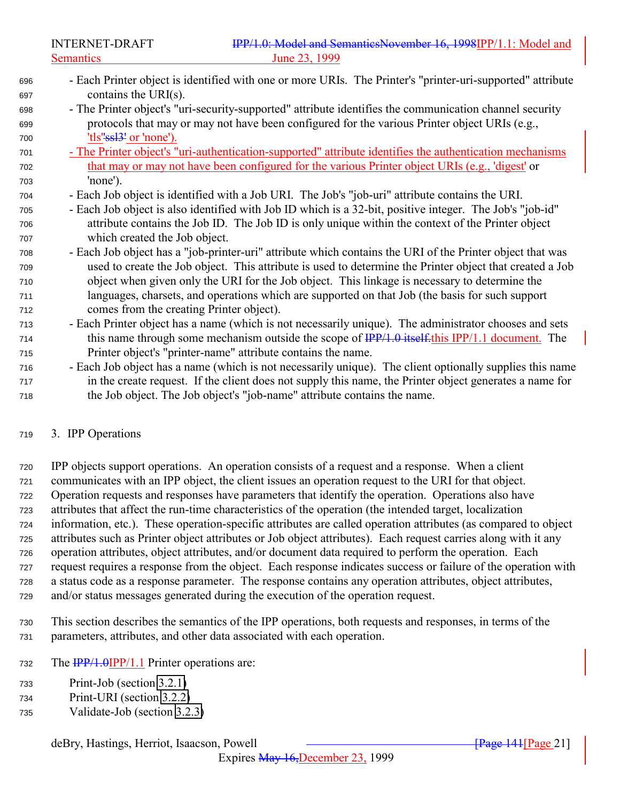<span id="page-20-0"></span>

- Each Printer object is identified with one or more URIs. The Printer's "printer-uri-supported" attribute contains the URI(s). - The Printer object's "uri-security-supported" attribute identifies the communication channel security
- protocols that may or may not have been configured for the various Printer object URIs (e.g., 700 'tls"<del>ssl<sup>3'</sup></del> or 'none').
- The Printer object's "uri-authentication-supported" attribute identifies the authentication mechanisms that may or may not have been configured for the various Printer object URIs (e.g., 'digest' or 'none').
- Each Job object is identified with a Job URI. The Job's "job-uri" attribute contains the URI.
- Each Job object is also identified with Job ID which is a 32-bit, positive integer. The Job's "job-id" attribute contains the Job ID. The Job ID is only unique within the context of the Printer object which created the Job object.
- Each Job object has a "job-printer-uri" attribute which contains the URI of the Printer object that was used to create the Job object. This attribute is used to determine the Printer object that created a Job object when given only the URI for the Job object. This linkage is necessary to determine the languages, charsets, and operations which are supported on that Job (the basis for such support comes from the creating Printer object).
- Each Printer object has a name (which is not necessarily unique). The administrator chooses and sets 714 this name through some mechanism outside the scope of  $\frac{IPP}{1.0}$  itself. this IPP/1.1 document. The Printer object's "printer-name" attribute contains the name.
- Each Job object has a name (which is not necessarily unique). The client optionally supplies this name in the create request. If the client does not supply this name, the Printer object generates a name for the Job object. The Job object's "job-name" attribute contains the name.

#### 3. IPP Operations

 IPP objects support operations. An operation consists of a request and a response. When a client communicates with an IPP object, the client issues an operation request to the URI for that object. Operation requests and responses have parameters that identify the operation. Operations also have attributes that affect the run-time characteristics of the operation (the intended target, localization information, etc.). These operation-specific attributes are called operation attributes (as compared to object attributes such as Printer object attributes or Job object attributes). Each request carries along with it any operation attributes, object attributes, and/or document data required to perform the operation. Each request requires a response from the object. Each response indicates success or failure of the operation with a status code as a response parameter. The response contains any operation attributes, object attributes, and/or status messages generated during the execution of the operation request.

 This section describes the semantics of the IPP operations, both requests and responses, in terms of the parameters, attributes, and other data associated with each operation.

- 732 The  $\frac{IPP}{1.0}$   $IPP/1.1$  Printer operations are:
- Print-Job (section [3.2.1\)](#page-36-0)
- Print-URI (section [3.2.2\)](#page-42-0)
- Validate-Job (section [3.2.3\)](#page-42-0)

#### deBry, Hastings, Herriot, Isaacson, Powell **Commence** and *Examplement Community Resent Page 21*]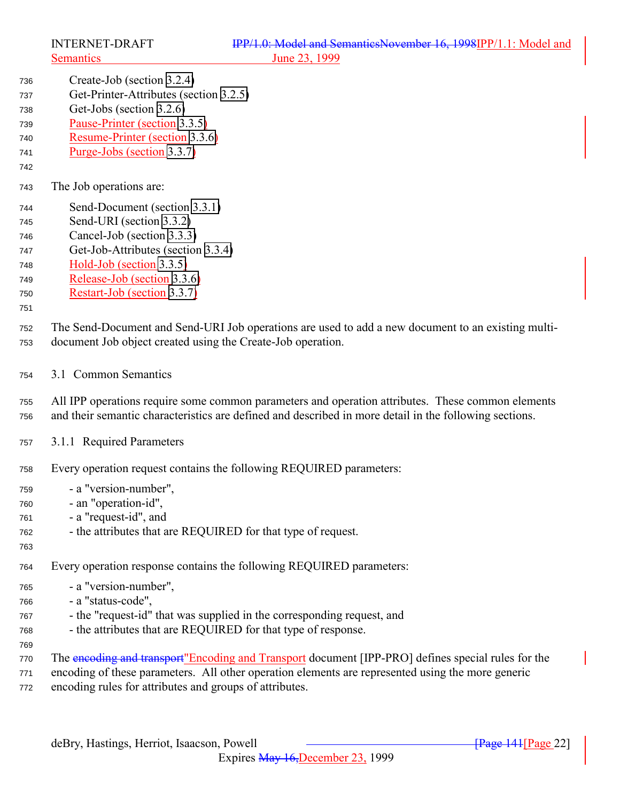<span id="page-21-0"></span>

- Create-Job (section [3.2.4\)](#page-43-0)
- Get-Printer-Attributes (section [3.2.5\)](#page-43-0)
- Get-Jobs (section [3.2.6\)](#page-46-0)
- Pause-Printer (section [3.3.5\)](#page-61-0)
- Resume-Printer (section [3.3.6\)](#page-62-0)
- Purge-Jobs (section [3.3.7\)](#page-63-0)
- The Job operations are:
- Send-Document (section [3.3.1\)](#page-53-0)
- Send-URI (section [3.3.2\)](#page-56-0)
- Cancel-Job (section [3.3.3\)](#page-56-0)
- Get-Job-Attributes (section [3.3.4\)](#page-59-0)
- Hold-Job (section [3.3.5\)](#page-61-0)
- Release-Job (section [3.3.6\)](#page-62-0)
- Restart-Job (section [3.3.7\)](#page-63-0)
- 

 The Send-Document and Send-URI Job operations are used to add a new document to an existing multi-document Job object created using the Create-Job operation.

3.1 Common Semantics

 All IPP operations require some common parameters and operation attributes. These common elements and their semantic characteristics are defined and described in more detail in the following sections.

- 3.1.1 Required Parameters
- Every operation request contains the following REQUIRED parameters:
- a "version-number",
- an "operation-id",
- a "request-id", and
- the attributes that are REQUIRED for that type of request.
- Every operation response contains the following REQUIRED parameters:
- a "version-number",
- a "status-code",
- the "request-id" that was supplied in the corresponding request, and
- the attributes that are REQUIRED for that type of response.
- 

- The encoding and transport"Encoding and Transport document [IPP-PRO] defines special rules for the encoding of these parameters. All other operation elements are represented using the more generic
- encoding rules for attributes and groups of attributes.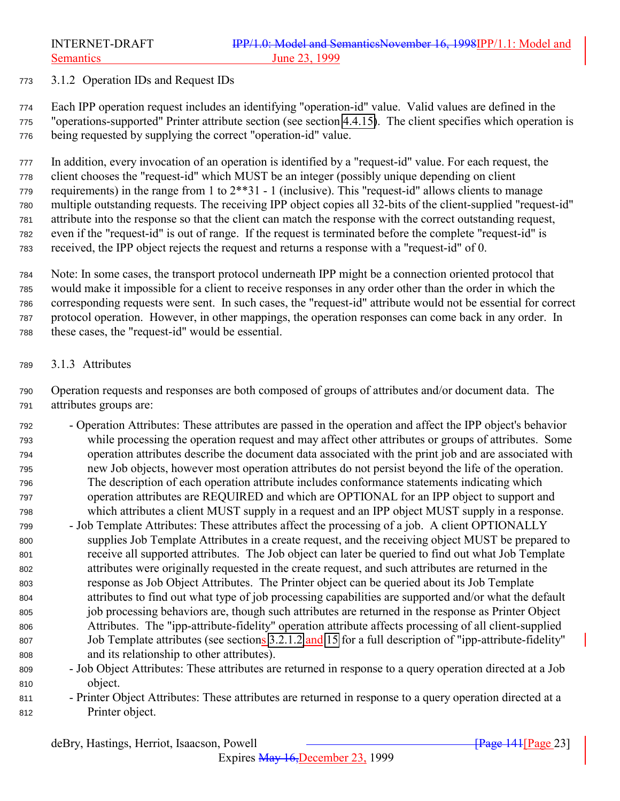#### <span id="page-22-0"></span>3.1.2 Operation IDs and Request IDs

 Each IPP operation request includes an identifying "operation-id" value. Valid values are defined in the "operations-supported" Printer attribute section (see section [4.4.15\)](#page-113-0). The client specifies which operation is being requested by supplying the correct "operation-id" value.

 In addition, every invocation of an operation is identified by a "request-id" value. For each request, the client chooses the "request-id" which MUST be an integer (possibly unique depending on client requirements) in the range from 1 to 2\*\*31 - 1 (inclusive). This "request-id" allows clients to manage multiple outstanding requests. The receiving IPP object copies all 32-bits of the client-supplied "request-id" attribute into the response so that the client can match the response with the correct outstanding request, even if the "request-id" is out of range. If the request is terminated before the complete "request-id" is received, the IPP object rejects the request and returns a response with a "request-id" of 0.

 Note: In some cases, the transport protocol underneath IPP might be a connection oriented protocol that would make it impossible for a client to receive responses in any order other than the order in which the corresponding requests were sent. In such cases, the "request-id" attribute would not be essential for correct protocol operation. However, in other mappings, the operation responses can come back in any order. In these cases, the "request-id" would be essential.

#### 3.1.3 Attributes

 Operation requests and responses are both composed of groups of attributes and/or document data. The attributes groups are:

- Operation Attributes: These attributes are passed in the operation and affect the IPP object's behavior while processing the operation request and may affect other attributes or groups of attributes. Some operation attributes describe the document data associated with the print job and are associated with new Job objects, however most operation attributes do not persist beyond the life of the operation. The description of each operation attribute includes conformance statements indicating which operation attributes are REQUIRED and which are OPTIONAL for an IPP object to support and which attributes a client MUST supply in a request and an IPP object MUST supply in a response.
- Job Template Attributes: These attributes affect the processing of a job. A client OPTIONALLY supplies Job Template Attributes in a create request, and the receiving object MUST be prepared to receive all supported attributes. The Job object can later be queried to find out what Job Template attributes were originally requested in the create request, and such attributes are returned in the response as Job Object Attributes. The Printer object can be queried about its Job Template attributes to find out what type of job processing capabilities are supported and/or what the default job processing behaviors are, though such attributes are returned in the response as Printer Object Attributes. The "ipp-attribute-fidelity" operation attribute affects processing of all client-supplied 807 Job Template attributes (see sections [3.2.1.2](#page-40-0) and [15](#page-169-0) for a full description of "ipp-attribute-fidelity" and its relationship to other attributes).
- Job Object Attributes: These attributes are returned in response to a query operation directed at a Job object.
- Printer Object Attributes: These attributes are returned in response to a query operation directed at a Printer object.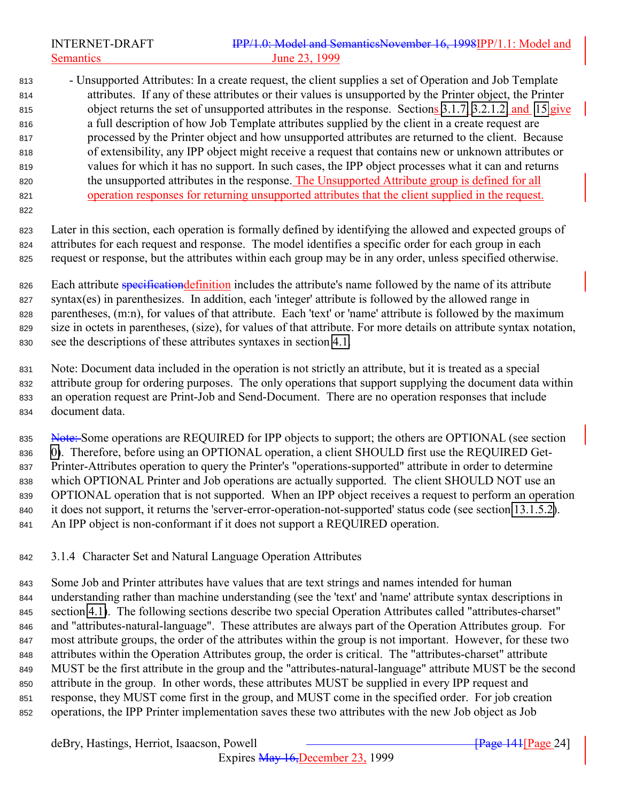# <span id="page-23-0"></span>INTERNET-DRAFT **IPP/1.0: Model and SemanticsNovember 16, 1998IPP/1.1: Model and** Semantics June 23, 1999

 - Unsupported Attributes: In a create request, the client supplies a set of Operation and Job Template attributes. If any of these attributes or their values is unsupported by the Printer object, the Printer object returns the set of unsupported attributes in the response. Sections [3.1.7,](#page-31-0) [3.2.1.2,](#page-40-0) and [15](#page-169-0) give a full description of how Job Template attributes supplied by the client in a create request are processed by the Printer object and how unsupported attributes are returned to the client. Because of extensibility, any IPP object might receive a request that contains new or unknown attributes or values for which it has no support. In such cases, the IPP object processes what it can and returns the unsupported attributes in the response. The Unsupported Attribute group is defined for all operation responses for returning unsupported attributes that the client supplied in the request.

 Later in this section, each operation is formally defined by identifying the allowed and expected groups of attributes for each request and response. The model identifies a specific order for each group in each request or response, but the attributes within each group may be in any order, unless specified otherwise.

826 Each attribute specification definition includes the attribute's name followed by the name of its attribute syntax(es) in parenthesizes. In addition, each 'integer' attribute is followed by the allowed range in parentheses, (m:n), for values of that attribute. Each 'text' or 'name' attribute is followed by the maximum size in octets in parentheses, (size), for values of that attribute. For more details on attribute syntax notation, see the descriptions of these attributes syntaxes in section [4.1.](#page-66-0)

 Note: Document data included in the operation is not strictly an attribute, but it is treated as a special attribute group for ordering purposes. The only operations that support supplying the document data within an operation request are Print-Job and Send-Document. There are no operation responses that include document data.

835 Note: Some operations are REQUIRED for IPP objects to support; the others are OPTIONAL (see section [0\)](#page-122-0). Therefore, before using an OPTIONAL operation, a client SHOULD first use the REQUIRED Get- Printer-Attributes operation to query the Printer's "operations-supported" attribute in order to determine which OPTIONAL Printer and Job operations are actually supported. The client SHOULD NOT use an OPTIONAL operation that is not supported. When an IPP object receives a request to perform an operation it does not support, it returns the 'server-error-operation-not-supported' status code (see section [13.1.5.2\)](#page-161-0). An IPP object is non-conformant if it does not support a REQUIRED operation.

# 3.1.4 Character Set and Natural Language Operation Attributes

 Some Job and Printer attributes have values that are text strings and names intended for human understanding rather than machine understanding (see the 'text' and 'name' attribute syntax descriptions in section [4.1\)](#page-66-0). The following sections describe two special Operation Attributes called "attributes-charset" and "attributes-natural-language". These attributes are always part of the Operation Attributes group. For most attribute groups, the order of the attributes within the group is not important. However, for these two attributes within the Operation Attributes group, the order is critical. The "attributes-charset" attribute MUST be the first attribute in the group and the "attributes-natural-language" attribute MUST be the second attribute in the group. In other words, these attributes MUST be supplied in every IPP request and response, they MUST come first in the group, and MUST come in the specified order. For job creation operations, the IPP Printer implementation saves these two attributes with the new Job object as Job

#### deBry, Hastings, Herriot, Isaacson, Powell **Commence 14th and Communist** Research and Transacter 241<sup>-141</sup> (Page 241<sup>-141</sup>)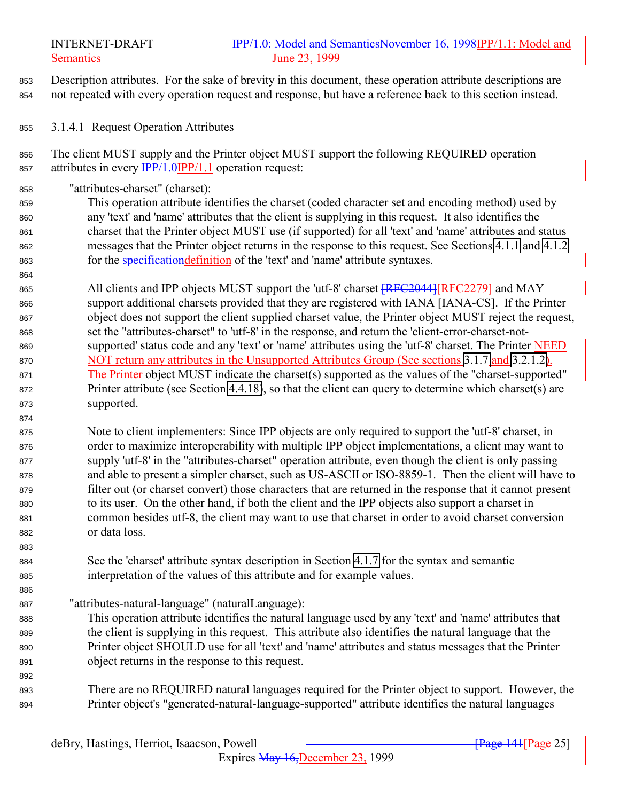<span id="page-24-0"></span>

 Description attributes. For the sake of brevity in this document, these operation attribute descriptions are not repeated with every operation request and response, but have a reference back to this section instead.

- 3.1.4.1 Request Operation Attributes
- The client MUST supply and the Printer object MUST support the following REQUIRED operation 857 attributes in every  $\frac{IPP}{1.0}$  (IPP/1.1 operation request:
- "attributes-charset" (charset):

 This operation attribute identifies the charset (coded character set and encoding method) used by any 'text' and 'name' attributes that the client is supplying in this request. It also identifies the charset that the Printer object MUST use (if supported) for all 'text' and 'name' attributes and status messages that the Printer object returns in the response to this request. See Sections [4.1.1](#page-66-0) and [4.1.2](#page-68-0) 863 for the *specification definition* of the 'text' and 'name' attribute syntaxes.

865 All clients and IPP objects MUST support the 'utf-8' charset  $\sqrt{\text{RFC2044}}$  [RFC2279] and MAY support additional charsets provided that they are registered with IANA [IANA-CS]. If the Printer object does not support the client supplied charset value, the Printer object MUST reject the request, set the "attributes-charset" to 'utf-8' in the response, and return the 'client-error-charset-not- supported' status code and any 'text' or 'name' attributes using the 'utf-8' charset. The Printer NEED 870 NOT return any attributes in the Unsupported Attributes Group (See sections [3.1.7](#page-31-0) and [3.2.1.2\)](#page-40-0). The Printer object MUST indicate the charset(s) supported as the values of the "charset-supported" 872 Printer attribute (see Section [4.4.18\)](#page-115-0), so that the client can query to determine which charset(s) are supported.

 Note to client implementers: Since IPP objects are only required to support the 'utf-8' charset, in order to maximize interoperability with multiple IPP object implementations, a client may want to supply 'utf-8' in the "attributes-charset" operation attribute, even though the client is only passing and able to present a simpler charset, such as US-ASCII or ISO-8859-1. Then the client will have to filter out (or charset convert) those characters that are returned in the response that it cannot present to its user. On the other hand, if both the client and the IPP objects also support a charset in common besides utf-8, the client may want to use that charset in order to avoid charset conversion or data loss.

 See the 'charset' attribute syntax description in Section [4.1.7](#page-71-0) for the syntax and semantic interpretation of the values of this attribute and for example values.

"attributes-natural-language" (naturalLanguage):

- This operation attribute identifies the natural language used by any 'text' and 'name' attributes that the client is supplying in this request. This attribute also identifies the natural language that the Printer object SHOULD use for all 'text' and 'name' attributes and status messages that the Printer object returns in the response to this request.
- There are no REQUIRED natural languages required for the Printer object to support. However, the Printer object's "generated-natural-language-supported" attribute identifies the natural languages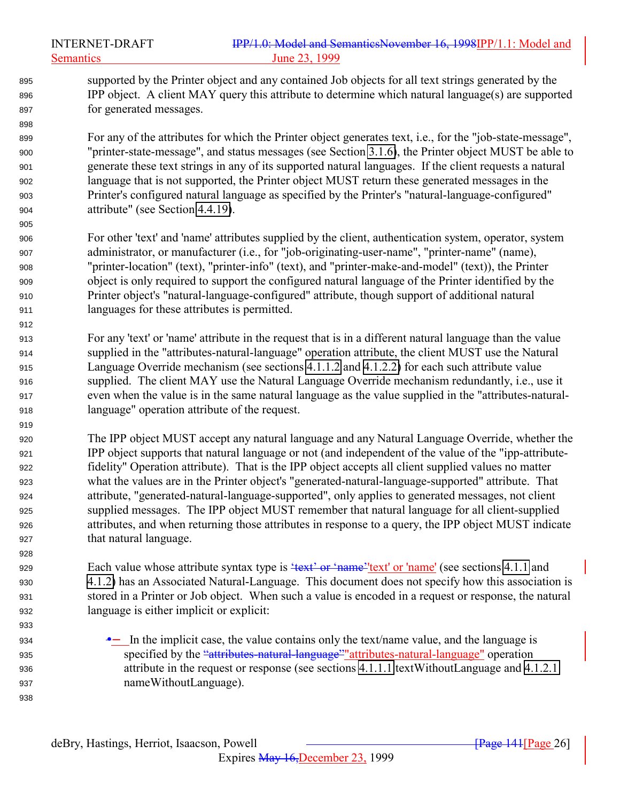supported by the Printer object and any contained Job objects for all text strings generated by the IPP object. A client MAY query this attribute to determine which natural language(s) are supported for generated messages.

 For any of the attributes for which the Printer object generates text, i.e., for the "job-state-message", "printer-state-message", and status messages (see Section [3.1.6\)](#page-29-0), the Printer object MUST be able to generate these text strings in any of its supported natural languages. If the client requests a natural language that is not supported, the Printer object MUST return these generated messages in the Printer's configured natural language as specified by the Printer's "natural-language-configured" attribute" (see Section [4.4.19\)](#page-115-0).

- For other 'text' and 'name' attributes supplied by the client, authentication system, operator, system administrator, or manufacturer (i.e., for "job-originating-user-name", "printer-name" (name), "printer-location" (text), "printer-info" (text), and "printer-make-and-model" (text)), the Printer object is only required to support the configured natural language of the Printer identified by the Printer object's "natural-language-configured" attribute, though support of additional natural languages for these attributes is permitted.
- For any 'text' or 'name' attribute in the request that is in a different natural language than the value supplied in the "attributes-natural-language" operation attribute, the client MUST use the Natural Language Override mechanism (see sections [4.1.1.2](#page-67-0) and [4.1.2.2\)](#page-68-0) for each such attribute value supplied. The client MAY use the Natural Language Override mechanism redundantly, i.e., use it even when the value is in the same natural language as the value supplied in the "attributes-natural-language" operation attribute of the request.
- The IPP object MUST accept any natural language and any Natural Language Override, whether the IPP object supports that natural language or not (and independent of the value of the "ipp-attribute- fidelity" Operation attribute). That is the IPP object accepts all client supplied values no matter what the values are in the Printer object's "generated-natural-language-supported" attribute. That attribute, "generated-natural-language-supported", only applies to generated messages, not client supplied messages. The IPP object MUST remember that natural language for all client-supplied attributes, and when returning those attributes in response to a query, the IPP object MUST indicate that natural language.

929 Each value whose attribute syntax type is  $\frac{4\pi x}{x}$  or  $\frac{4\pi}{x}$  or 'name' (see sections [4.1.1](#page-66-0) and [4.1.2\)](#page-68-0) has an Associated Natural-Language. This document does not specify how this association is stored in a Printer or Job object. When such a value is encoded in a request or response, the natural language is either implicit or explicit:

 •− In the implicit case, the value contains only the text/name value, and the language is 935 specified by the "attributes-natural-language" attributes-natural-language" operation attribute in the request or response (see sections [4.1.1.1](#page-67-0) textWithoutLanguage and [4.1.2.1](#page-68-0) nameWithoutLanguage).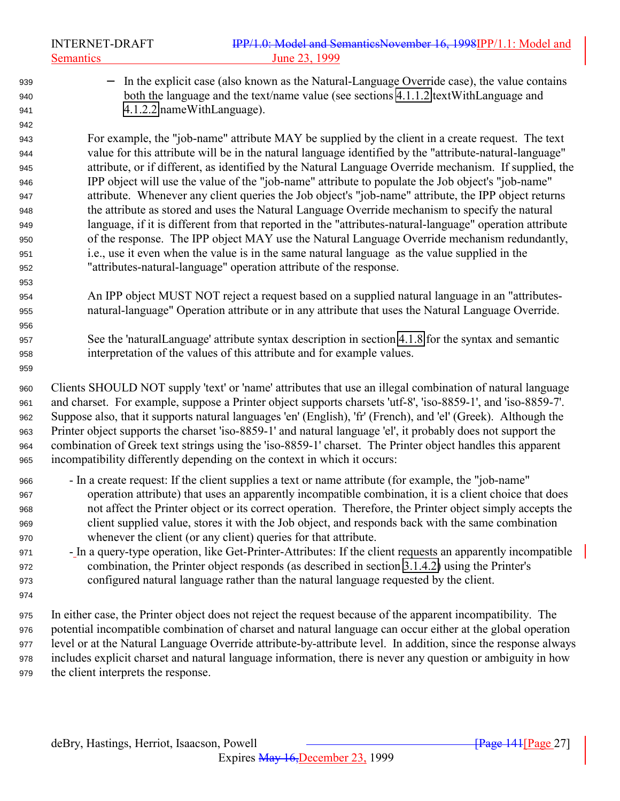|     | <b>INTERNET-DRAFT</b><br><b>Semantics</b> | IPP/1.0: Model and SemanticsNovember 16, 1998IPP/1.1: Model and<br>June 23, 1999                         |
|-----|-------------------------------------------|----------------------------------------------------------------------------------------------------------|
| 939 |                                           | - In the explicit case (also known as the Natural-Language Override case), the value contains            |
| 940 |                                           | both the language and the text/name value (see sections 4.1.1.2 textWithLanguage and                     |
| 941 |                                           | 4.1.2.2 nameWithLanguage).                                                                               |
| 942 |                                           |                                                                                                          |
| 943 |                                           | For example, the "job-name" attribute MAY be supplied by the client in a create request. The text        |
| 944 |                                           | value for this attribute will be in the natural language identified by the "attribute-natural-language"  |
| 945 |                                           | attribute, or if different, as identified by the Natural Language Override mechanism. If supplied, the   |
| 946 |                                           | IPP object will use the value of the "job-name" attribute to populate the Job object's "job-name"        |
| 947 |                                           | attribute. Whenever any client queries the Job object's "job-name" attribute, the IPP object returns     |
| 948 |                                           | the attribute as stored and uses the Natural Language Override mechanism to specify the natural          |
| 949 |                                           | language, if it is different from that reported in the "attributes-natural-language" operation attribute |
| 950 |                                           | of the response. The IPP object MAY use the Natural Language Override mechanism redundantly,             |
| 951 |                                           | i.e., use it even when the value is in the same natural language as the value supplied in the            |
| 952 |                                           | "attributes-natural-language" operation attribute of the response.                                       |
| 953 |                                           |                                                                                                          |
| 954 |                                           | An IPP object MUST NOT reject a request based on a supplied natural language in an "attributes-          |
| 955 |                                           | natural-language" Operation attribute or in any attribute that uses the Natural Language Override.       |
| 956 |                                           |                                                                                                          |
| 957 |                                           | See the 'naturalLanguage' attribute syntax description in section 4.1.8 for the syntax and semantic      |
| 958 |                                           | interpretation of the values of this attribute and for example values.                                   |

 Clients SHOULD NOT supply 'text' or 'name' attributes that use an illegal combination of natural language and charset. For example, suppose a Printer object supports charsets 'utf-8', 'iso-8859-1', and 'iso-8859-7'. Suppose also, that it supports natural languages 'en' (English), 'fr' (French), and 'el' (Greek). Although the Printer object supports the charset 'iso-8859-1' and natural language 'el', it probably does not support the combination of Greek text strings using the 'iso-8859-1' charset. The Printer object handles this apparent incompatibility differently depending on the context in which it occurs:

- In a create request: If the client supplies a text or name attribute (for example, the "job-name" operation attribute) that uses an apparently incompatible combination, it is a client choice that does not affect the Printer object or its correct operation. Therefore, the Printer object simply accepts the client supplied value, stores it with the Job object, and responds back with the same combination whenever the client (or any client) queries for that attribute.
- In a query-type operation, like Get-Printer-Attributes: If the client requests an apparently incompatible combination, the Printer object responds (as described in section [3.1.4.2\)](#page-27-0) using the Printer's configured natural language rather than the natural language requested by the client.
- 

 In either case, the Printer object does not reject the request because of the apparent incompatibility. The potential incompatible combination of charset and natural language can occur either at the global operation level or at the Natural Language Override attribute-by-attribute level. In addition, since the response always includes explicit charset and natural language information, there is never any question or ambiguity in how the client interprets the response.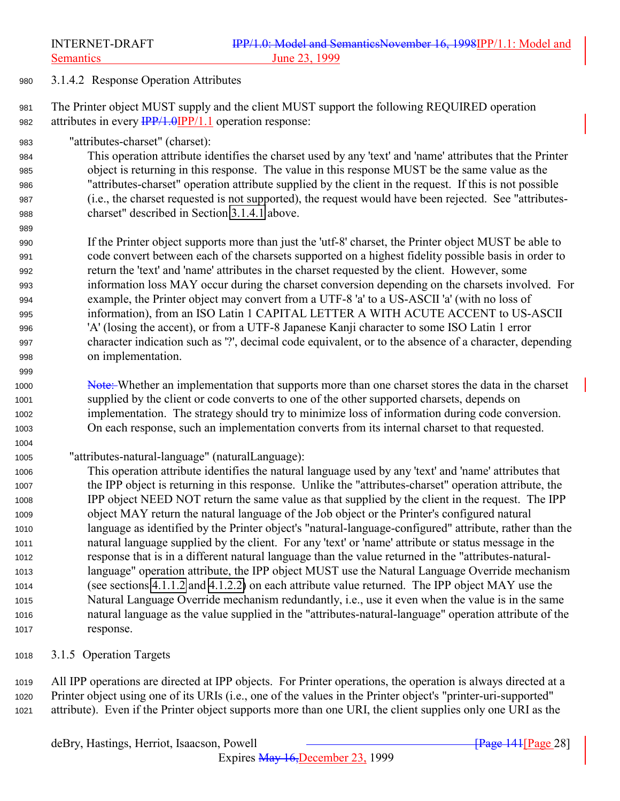<span id="page-27-0"></span>3.1.4.2 Response Operation Attributes

 The Printer object MUST supply and the client MUST support the following REQUIRED operation 982 attributes in every  $\frac{IPP}{1.0}$  (PP/1.1 operation response:

"attributes-charset" (charset):

 This operation attribute identifies the charset used by any 'text' and 'name' attributes that the Printer object is returning in this response. The value in this response MUST be the same value as the "attributes-charset" operation attribute supplied by the client in the request. If this is not possible (i.e., the charset requested is not supported), the request would have been rejected. See "attributes-charset" described in Section [3.1.4.1](#page-24-0) above.

 If the Printer object supports more than just the 'utf-8' charset, the Printer object MUST be able to code convert between each of the charsets supported on a highest fidelity possible basis in order to return the 'text' and 'name' attributes in the charset requested by the client. However, some information loss MAY occur during the charset conversion depending on the charsets involved. For example, the Printer object may convert from a UTF-8 'a' to a US-ASCII 'a' (with no loss of information), from an ISO Latin 1 CAPITAL LETTER A WITH ACUTE ACCENT to US-ASCII 'A' (losing the accent), or from a UTF-8 Japanese Kanji character to some ISO Latin 1 error character indication such as '?', decimal code equivalent, or to the absence of a character, depending on implementation.

- 1000 Note: Whether an implementation that supports more than one charset stores the data in the charset supplied by the client or code converts to one of the other supported charsets, depends on implementation. The strategy should try to minimize loss of information during code conversion. On each response, such an implementation converts from its internal charset to that requested.
- "attributes-natural-language" (naturalLanguage):

 This operation attribute identifies the natural language used by any 'text' and 'name' attributes that the IPP object is returning in this response. Unlike the "attributes-charset" operation attribute, the IPP object NEED NOT return the same value as that supplied by the client in the request. The IPP object MAY return the natural language of the Job object or the Printer's configured natural language as identified by the Printer object's "natural-language-configured" attribute, rather than the natural language supplied by the client. For any 'text' or 'name' attribute or status message in the response that is in a different natural language than the value returned in the "attributes-natural- language" operation attribute, the IPP object MUST use the Natural Language Override mechanism (see sections [4.1.1.2](#page-67-0) and [4.1.2.2\)](#page-68-0) on each attribute value returned. The IPP object MAY use the Natural Language Override mechanism redundantly, i.e., use it even when the value is in the same natural language as the value supplied in the "attributes-natural-language" operation attribute of the response.

3.1.5 Operation Targets

 All IPP operations are directed at IPP objects. For Printer operations, the operation is always directed at a Printer object using one of its URIs (i.e., one of the values in the Printer object's "printer-uri-supported" attribute). Even if the Printer object supports more than one URI, the client supplies only one URI as the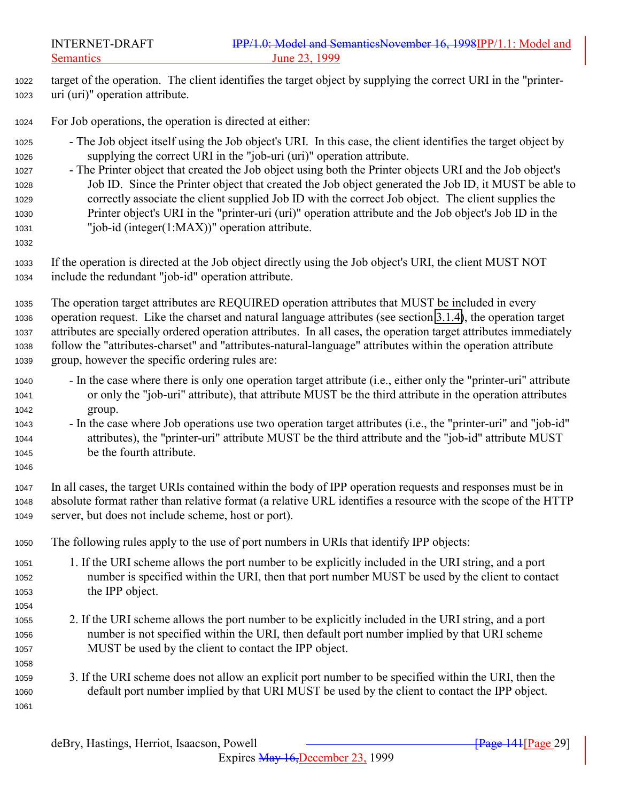target of the operation. The client identifies the target object by supplying the correct URI in the "printer-uri (uri)" operation attribute.

For Job operations, the operation is directed at either:

- The Job object itself using the Job object's URI. In this case, the client identifies the target object by supplying the correct URI in the "job-uri (uri)" operation attribute.
- The Printer object that created the Job object using both the Printer objects URI and the Job object's Job ID. Since the Printer object that created the Job object generated the Job ID, it MUST be able to correctly associate the client supplied Job ID with the correct Job object. The client supplies the Printer object's URI in the "printer-uri (uri)" operation attribute and the Job object's Job ID in the "job-id (integer(1:MAX))" operation attribute.
- 

 If the operation is directed at the Job object directly using the Job object's URI, the client MUST NOT include the redundant "job-id" operation attribute.

 The operation target attributes are REQUIRED operation attributes that MUST be included in every operation request. Like the charset and natural language attributes (see section [3.1.4\)](#page-23-0), the operation target attributes are specially ordered operation attributes. In all cases, the operation target attributes immediately follow the "attributes-charset" and "attributes-natural-language" attributes within the operation attribute group, however the specific ordering rules are:

- In the case where there is only one operation target attribute (i.e., either only the "printer-uri" attribute or only the "job-uri" attribute), that attribute MUST be the third attribute in the operation attributes group.
- In the case where Job operations use two operation target attributes (i.e., the "printer-uri" and "job-id" attributes), the "printer-uri" attribute MUST be the third attribute and the "job-id" attribute MUST be the fourth attribute.
- In all cases, the target URIs contained within the body of IPP operation requests and responses must be in absolute format rather than relative format (a relative URL identifies a resource with the scope of the HTTP server, but does not include scheme, host or port).

The following rules apply to the use of port numbers in URIs that identify IPP objects:

- 1. If the URI scheme allows the port number to be explicitly included in the URI string, and a port number is specified within the URI, then that port number MUST be used by the client to contact the IPP object.
- 2. If the URI scheme allows the port number to be explicitly included in the URI string, and a port number is not specified within the URI, then default port number implied by that URI scheme MUST be used by the client to contact the IPP object.
- 3. If the URI scheme does not allow an explicit port number to be specified within the URI, then the default port number implied by that URI MUST be used by the client to contact the IPP object.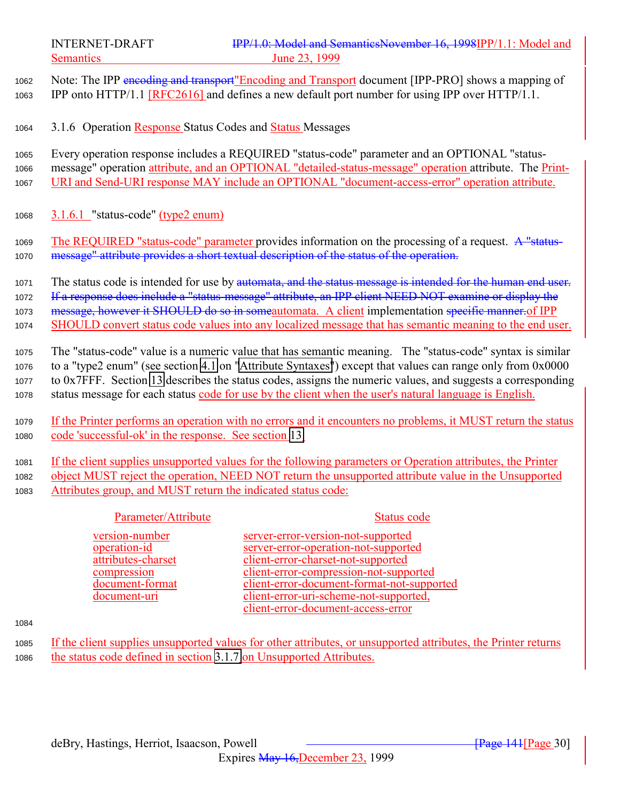<span id="page-29-0"></span>

<sup>1062</sup> Note: The IPP encoding and transport"Encoding and Transport document [IPP-PRO] shows a mapping of <sup>1063</sup> IPP onto HTTP/1.1 [RFC2616] and defines a new default port number for using IPP over HTTP/1.1.

<sup>1064</sup> 3.1.6 Operation Response Status Codes and Status Messages

<sup>1065</sup> Every operation response includes a REQUIRED "status-code" parameter and an OPTIONAL "status-<sup>1066</sup> message" operation attribute, and an OPTIONAL "detailed-status-message" operation attribute. The Print-<sup>1067</sup> URI and Send-URI response MAY include an OPTIONAL "document-access-error" operation attribute.

<sup>1068</sup> 3.1.6.1 "status-code" (type2 enum)

<sup>1069</sup> The REQUIRED "status-code" parameter provides information on the processing of a request. A "status-1070 message" attribute provides a short textual description of the status of the operation.

1071 The status code is intended for use by automata, and the status message is intended for the human end user.

1072 If a response does include a "status-message" attribute, an IPP client NEED NOT examine or display the

1073 message, however it SHOULD do so in someautomata. A client implementation specific manner of IPP

<sup>1074</sup> SHOULD convert status code values into any localized message that has semantic meaning to the end user.

 The "status-code" value is a numeric value that has semantic meaning. The "status-code" syntax is similar to a "type2 enum" (see section [4.1](#page-66-0) on ["Attribute Syntaxes"](#page-66-0)) except that values can range only from 0x0000 to 0x7FFF. Section [13](#page-154-0) describes the status codes, assigns the numeric values, and suggests a corresponding status message for each status code for use by the client when the user's natural language is English.

<sup>1079</sup> If the Printer performs an operation with no errors and it encounters no problems, it MUST return the status <sup>1080</sup> code 'successful-ok' in the response. See section [13.](#page-154-0)

<sup>1081</sup> If the client supplies unsupported values for the following parameters or Operation attributes, the Printer <sup>1082</sup> object MUST reject the operation, NEED NOT return the unsupported attribute value in the Unsupported <sup>1083</sup> Attributes group, and MUST return the indicated status code:

#### Parameter/Attribute Status code

version-number server-error-version-not-supported operation-id server-error-operation-not-supported attributes-charset client-error-charset-not-supported compression client-error-compression-not-supported<br>document-format client-error-document-format-not-suppo document-format<br>document-uri<br>document-uri<br>client-error-uri-scheme-not-supported, client-error-uri-scheme-not-supported, client-error-document-access-error

#### 1084

<sup>1085</sup> If the client supplies unsupported values for other attributes, or unsupported attributes, the Printer returns <sup>1086</sup> the status code defined in section [3.1.7](#page-31-0) on Unsupported Attributes.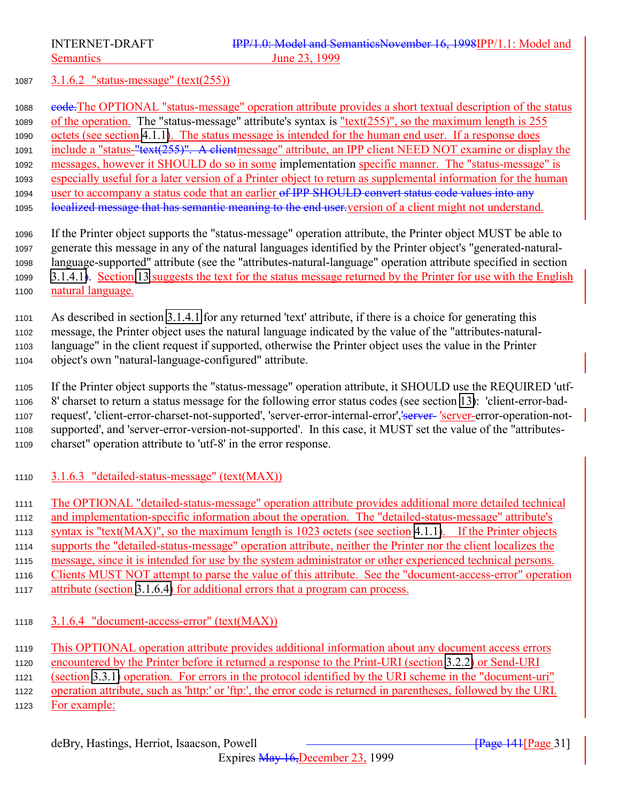<span id="page-30-0"></span>

# 3.1.6.2 "status-message" (text(255))

1088 e<del>ode.</del>The OPTIONAL "status-message" operation attribute provides a short textual description of the status of the operation. The "status-message" attribute's syntax is "text(255)", so the maximum length is 255 octets (see section [4.1.1\)](#page-66-0). The status message is intended for the human end user. If a response does 1091 include a "status-"text(255)". A clientmessage" attribute, an IPP client NEED NOT examine or display the messages, however it SHOULD do so in some implementation specific manner. The "status-message" is especially useful for a later version of a Printer object to return as supplemental information for the human 1094 user to accompany a status code that an earlier of IPP SHOULD convert status code values into any 1095 localized message that has semantic meaning to the end user version of a client might not understand.

 If the Printer object supports the "status-message" operation attribute, the Printer object MUST be able to generate this message in any of the natural languages identified by the Printer object's "generated-natural- language-supported" attribute (see the "attributes-natural-language" operation attribute specified in section [3.1.4.1\)](#page-24-0). Section [13](#page-154-0) suggests the text for the status message returned by the Printer for use with the English natural language.

 As described in section [3.1.4.1](#page-154-0) for any returned 'text' attribute, if there is a choice for generating this message, the Printer object uses the natural language indicated by the value of the "attributes-natural- language" in the client request if supported, otherwise the Printer object uses the value in the Printer object's own "natural-language-configured" attribute.

 If the Printer object supports the "status-message" operation attribute, it SHOULD use the REQUIRED 'utf- 8' charset to return a status message for the following error status codes (see section [13\)](#page-154-0): 'client-error-bad-1107 request', 'client-error-charset-not-supported', 'server-error-internal-error', 'server-'server-error-operation-not- supported', and 'server-error-version-not-supported'. In this case, it MUST set the value of the "attributes-charset" operation attribute to 'utf-8' in the error response.

- 3.1.6.3 "detailed-status-message" (text(MAX))
- The OPTIONAL "detailed-status-message" operation attribute provides additional more detailed technical
- and implementation-specific information about the operation. The "detailed-status-message" attribute's
- syntax is "text(MAX)", so the maximum length is 1023 octets (see section [4.1.1\)](#page-66-0). If the Printer objects
- supports the "detailed-status-message" operation attribute, neither the Printer nor the client localizes the
- message, since it is intended for use by the system administrator or other experienced technical persons.
- Clients MUST NOT attempt to parse the value of this attribute. See the "document-access-error" operation
- attribute (section 3.1.6.4) for additional errors that a program can process.
- 3.1.6.4 "document-access-error" (text(MAX))
- This OPTIONAL operation attribute provides additional information about any document access errors
- encountered by the Printer before it returned a response to the Print-URI (section [3.2.2\)](#page-42-0) or Send-URI (section [3.3.1\)](#page-53-0) operation. For errors in the protocol identified by the URI scheme in the "document-uri"

operation attribute, such as 'http:' or 'ftp:', the error code is returned in parentheses, followed by the URI.

1123 For example: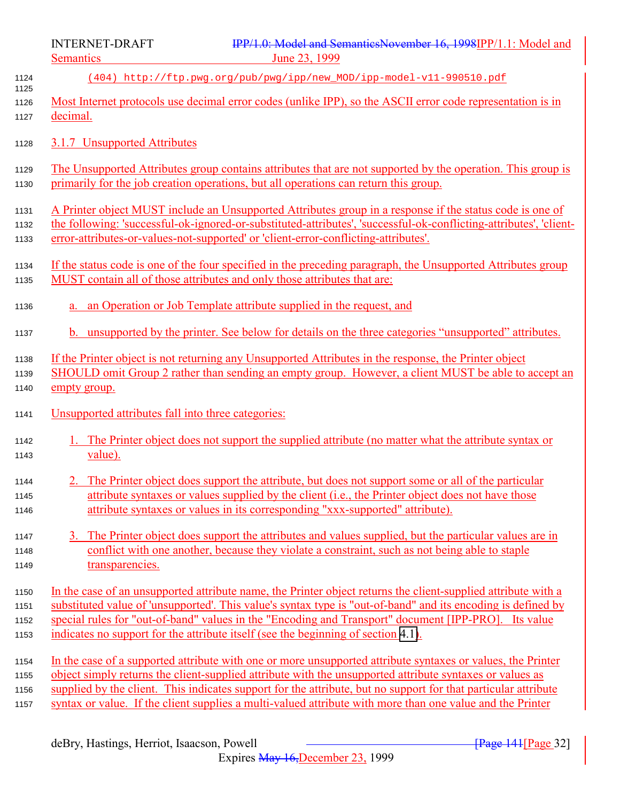<span id="page-31-0"></span>

- (404) http://ftp.pwg.org/pub/pwg/ipp/new\_MOD/ipp-model-v11-990510.pdf Most Internet protocols use decimal error codes (unlike IPP), so the ASCII error code representation is in
- decimal.
- 3.1.7 Unsupported Attributes
- The Unsupported Attributes group contains attributes that are not supported by the operation. This group is primarily for the job creation operations, but all operations can return this group.
- A Printer object MUST include an Unsupported Attributes group in a response if the status code is one of
- the following: 'successful-ok-ignored-or-substituted-attributes', 'successful-ok-conflicting-attributes', 'client-
- error-attributes-or-values-not-supported' or 'client-error-conflicting-attributes'.
- If the status code is one of the four specified in the preceding paragraph, the Unsupported Attributes group MUST contain all of those attributes and only those attributes that are:
- a. an Operation or Job Template attribute supplied in the request, and
- b. unsupported by the printer. See below for details on the three categories "unsupported" attributes.
- If the Printer object is not returning any Unsupported Attributes in the response, the Printer object
- SHOULD omit Group 2 rather than sending an empty group. However, a client MUST be able to accept an 1140 empty group.
- Unsupported attributes fall into three categories:
- 1. The Printer object does not support the supplied attribute (no matter what the attribute syntax or value).
- 2. The Printer object does support the attribute, but does not support some or all of the particular 1145 attribute syntaxes or values supplied by the client (i.e., the Printer object does not have those attribute syntaxes or values in its corresponding "xxx-supported" attribute).
- 3. The Printer object does support the attributes and values supplied, but the particular values are in conflict with one another, because they violate a constraint, such as not being able to staple transparencies.
- In the case of an unsupported attribute name, the Printer object returns the client-supplied attribute with a substituted value of 'unsupported'. This value's syntax type is "out-of-band" and its encoding is defined by special rules for "out-of-band" values in the "Encoding and Transport" document [IPP-PRO]. Its value indicates no support for the attribute itself (see the beginning of section [4.1\)](#page-66-0).
- In the case of a supported attribute with one or more unsupported attribute syntaxes or values, the Printer object simply returns the client-supplied attribute with the unsupported attribute syntaxes or values as supplied by the client. This indicates support for the attribute, but no support for that particular attribute syntax or value. If the client supplies a multi-valued attribute with more than one value and the Printer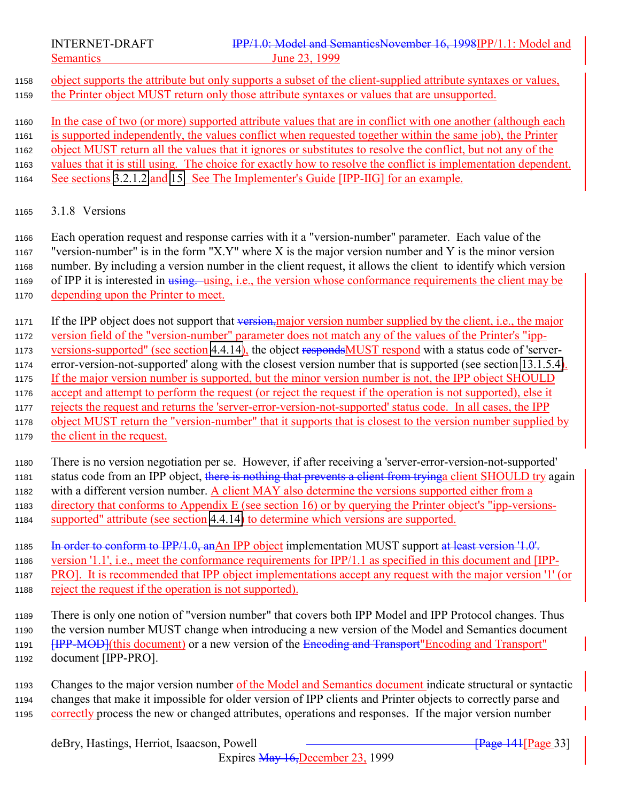<span id="page-32-0"></span>

 object supports the attribute but only supports a subset of the client-supplied attribute syntaxes or values, the Printer object MUST return only those attribute syntaxes or values that are unsupported.

 In the case of two (or more) supported attribute values that are in conflict with one another (although each is supported independently, the values conflict when requested together within the same job), the Printer object MUST return all the values that it ignores or substitutes to resolve the conflict, but not any of the values that it is still using. The choice for exactly how to resolve the conflict is implementation dependent. See sections [3.2.1.2](#page-40-0) and [15.](#page-169-0) See The Implementer's Guide [IPP-IIG] for an example.

#### 3.1.8 Versions

 Each operation request and response carries with it a "version-number" parameter. Each value of the "version-number" is in the form "X.Y" where X is the major version number and Y is the minor version number. By including a version number in the client request, it allows the client to identify which version 1169 of IPP it is interested in using. using, i.e., the version whose conformance requirements the client may be depending upon the Printer to meet.

1171 If the IPP object does not support that version,major version number supplied by the client, i.e., the major version field of the "version-number" parameter does not match any of the values of the Printer's "ipp-1173 versions-supported" (see section [4.4.14\)](#page-113-0), the object respondsMUST respond with a status code of 'server- error-version-not-supported' along with the closest version number that is supported (see section [13.1.5.4\)](#page-161-0). If the major version number is supported, but the minor version number is not, the IPP object SHOULD accept and attempt to perform the request (or reject the request if the operation is not supported), else it rejects the request and returns the 'server-error-version-not-supported' status code. In all cases, the IPP object MUST return the "version-number" that it supports that is closest to the version number supplied by 1179 the client in the request.

 There is no version negotiation per se. However, if after receiving a 'server-error-version-not-supported' 1181 status code from an IPP object, there is nothing that prevents a client from tryinga client SHOULD try again with a different version number. A client MAY also determine the versions supported either from a directory that conforms to Appendix E (see section 16) or by querying the Printer object's "ipp-versions-1184 supported" attribute (see section [4.4.14\)](#page-113-0) to determine which versions are supported.

1185 In order to conform to IPP/1.0, anAn IPP object implementation MUST support at least version '1.0'.

version '1.1', i.e., meet the conformance requirements for IPP/1.1 as specified in this document and [IPP-

PRO]. It is recommended that IPP object implementations accept any request with the major version '1' (or

reject the request if the operation is not supported).

 There is only one notion of "version number" that covers both IPP Model and IPP Protocol changes. Thus the version number MUST change when introducing a new version of the Model and Semantics document **[IPP-MOD](this document)** or a new version of the Encoding and Transport" Encoding and Transport" document [IPP-PRO].

 Changes to the major version number of the Model and Semantics document indicate structural or syntactic changes that make it impossible for older version of IPP clients and Printer objects to correctly parse and correctly process the new or changed attributes, operations and responses. If the major version number

Expires May 16,December 23, 1999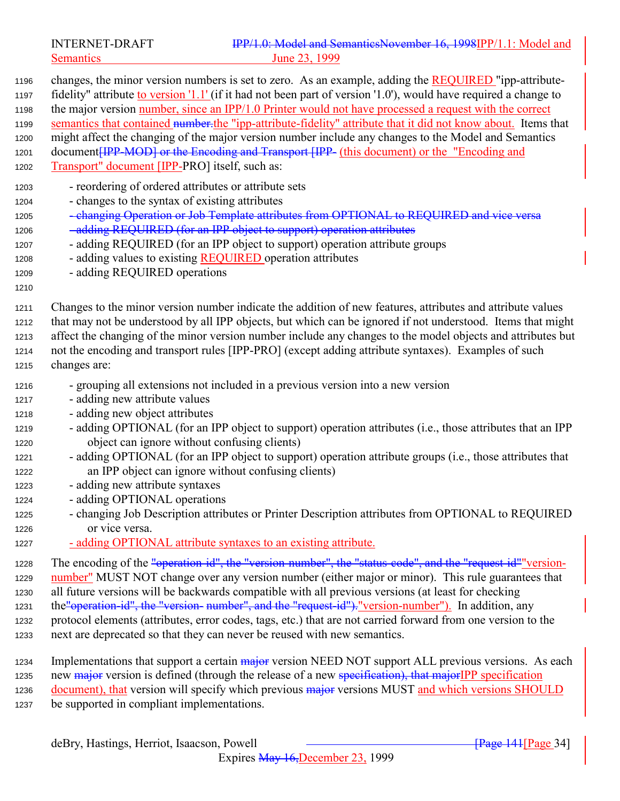Semantics 23, 1999

| 1196                                                         | changes, the minor version numbers is set to zero. As an example, adding the <b>REQUIRED</b> "ipp-attribute-                                                                                                                                                                                                                                                                                                                                                  |
|--------------------------------------------------------------|---------------------------------------------------------------------------------------------------------------------------------------------------------------------------------------------------------------------------------------------------------------------------------------------------------------------------------------------------------------------------------------------------------------------------------------------------------------|
| 1197                                                         | fidelity" attribute to version '1.1' (if it had not been part of version '1.0'), would have required a change to                                                                                                                                                                                                                                                                                                                                              |
| 1198                                                         | the major version number, since an IPP/1.0 Printer would not have processed a request with the correct                                                                                                                                                                                                                                                                                                                                                        |
| 1199                                                         | semantics that contained number-the "ipp-attribute-fidelity" attribute that it did not know about. Items that                                                                                                                                                                                                                                                                                                                                                 |
| 1200                                                         | might affect the changing of the major version number include any changes to the Model and Semantics                                                                                                                                                                                                                                                                                                                                                          |
| 1201                                                         | document[IPP-MOD] or the Encoding and Transport [IPP- (this document) or the "Encoding and                                                                                                                                                                                                                                                                                                                                                                    |
| 1202                                                         | Transport" document [IPP-PRO] itself, such as:                                                                                                                                                                                                                                                                                                                                                                                                                |
| 1203<br>1204<br>1205<br>1206<br>1207<br>1208<br>1209<br>1210 | - reordering of ordered attributes or attribute sets<br>- changes to the syntax of existing attributes<br>- changing Operation or Job Template attributes from OPTIONAL to REQUIRED and vice versa<br>-adding REQUIRED (for an IPP object to support) operation attributes<br>- adding REQUIRED (for an IPP object to support) operation attribute groups<br>- adding values to existing <b>REQUIRED</b> operation attributes<br>- adding REQUIRED operations |
| 1211                                                         | Changes to the minor version number indicate the addition of new features, attributes and attribute values                                                                                                                                                                                                                                                                                                                                                    |
| 1212                                                         | that may not be understood by all IPP objects, but which can be ignored if not understood. Items that might                                                                                                                                                                                                                                                                                                                                                   |
| 1213                                                         | affect the changing of the minor version number include any changes to the model objects and attributes but                                                                                                                                                                                                                                                                                                                                                   |
| 1214                                                         | not the encoding and transport rules [IPP-PRO] (except adding attribute syntaxes). Examples of such                                                                                                                                                                                                                                                                                                                                                           |
| 1215                                                         | changes are:                                                                                                                                                                                                                                                                                                                                                                                                                                                  |
| 1216                                                         | - grouping all extensions not included in a previous version into a new version                                                                                                                                                                                                                                                                                                                                                                               |
| 1217                                                         | - adding new attribute values                                                                                                                                                                                                                                                                                                                                                                                                                                 |
| 1218                                                         | - adding new object attributes                                                                                                                                                                                                                                                                                                                                                                                                                                |
| 1219                                                         | - adding OPTIONAL (for an IPP object to support) operation attributes (i.e., those attributes that an IPP                                                                                                                                                                                                                                                                                                                                                     |
| 1220                                                         | object can ignore without confusing clients)                                                                                                                                                                                                                                                                                                                                                                                                                  |
| 1221                                                         | - adding OPTIONAL (for an IPP object to support) operation attribute groups (i.e., those attributes that                                                                                                                                                                                                                                                                                                                                                      |
| 1222                                                         | an IPP object can ignore without confusing clients)                                                                                                                                                                                                                                                                                                                                                                                                           |
| 1223                                                         | - adding new attribute syntaxes                                                                                                                                                                                                                                                                                                                                                                                                                               |
| 1224                                                         | - adding OPTIONAL operations                                                                                                                                                                                                                                                                                                                                                                                                                                  |
| 1225                                                         | - changing Job Description attributes or Printer Description attributes from OPTIONAL to REQUIRED                                                                                                                                                                                                                                                                                                                                                             |
| 1226                                                         | or vice versa.                                                                                                                                                                                                                                                                                                                                                                                                                                                |
| 1227                                                         | - adding OPTIONAL attribute syntaxes to an existing attribute.                                                                                                                                                                                                                                                                                                                                                                                                |
| 1228                                                         | The encoding of the "operation-id", the "version-number", the "status-code", and the "request-id" version-                                                                                                                                                                                                                                                                                                                                                    |
| 1229                                                         | number" MUST NOT change over any version number (either major or minor). This rule guarantees that                                                                                                                                                                                                                                                                                                                                                            |
| 1230                                                         | all future versions will be backwards compatible with all previous versions (at least for checking                                                                                                                                                                                                                                                                                                                                                            |
| 1231                                                         | the "operation-id", the "version- number", and the "request-id"). "version-number"). In addition, any                                                                                                                                                                                                                                                                                                                                                         |
| 1232                                                         | protocol elements (attributes, error codes, tags, etc.) that are not carried forward from one version to the                                                                                                                                                                                                                                                                                                                                                  |
| 1233                                                         | next are deprecated so that they can never be reused with new semantics.                                                                                                                                                                                                                                                                                                                                                                                      |
| 1234                                                         | Implementations that support a certain major version NEED NOT support ALL previous versions. As each                                                                                                                                                                                                                                                                                                                                                          |
| 1235                                                         | new major version is defined (through the release of a new specification), that major IPP specification                                                                                                                                                                                                                                                                                                                                                       |
| 1236                                                         | document), that version will specify which previous major versions MUST and which versions SHOULD                                                                                                                                                                                                                                                                                                                                                             |
| 1237                                                         | be supported in compliant implementations.                                                                                                                                                                                                                                                                                                                                                                                                                    |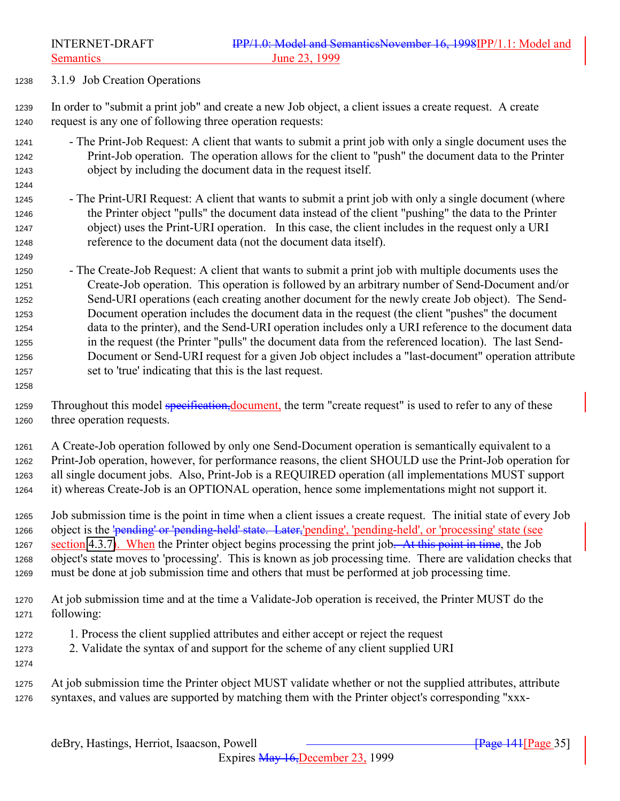<span id="page-34-0"></span>3.1.9 Job Creation Operations

 In order to "submit a print job" and create a new Job object, a client issues a create request. A create request is any one of following three operation requests:

- The Print-Job Request: A client that wants to submit a print job with only a single document uses the Print-Job operation. The operation allows for the client to "push" the document data to the Printer object by including the document data in the request itself.
- The Print-URI Request: A client that wants to submit a print job with only a single document (where the Printer object "pulls" the document data instead of the client "pushing" the data to the Printer object) uses the Print-URI operation. In this case, the client includes in the request only a URI reference to the document data (not the document data itself).
- The Create-Job Request: A client that wants to submit a print job with multiple documents uses the Create-Job operation. This operation is followed by an arbitrary number of Send-Document and/or Send-URI operations (each creating another document for the newly create Job object). The Send- Document operation includes the document data in the request (the client "pushes" the document data to the printer), and the Send-URI operation includes only a URI reference to the document data in the request (the Printer "pulls" the document data from the referenced location). The last Send- Document or Send-URI request for a given Job object includes a "last-document" operation attribute set to 'true' indicating that this is the last request.
- 1259 Throughout this model specification, document, the term "create request" is used to refer to any of these three operation requests.
- A Create-Job operation followed by only one Send-Document operation is semantically equivalent to a Print-Job operation, however, for performance reasons, the client SHOULD use the Print-Job operation for all single document jobs. Also, Print-Job is a REQUIRED operation (all implementations MUST support it) whereas Create-Job is an OPTIONAL operation, hence some implementations might not support it.
- Job submission time is the point in time when a client issues a create request. The initial state of every Job 1266 object is the 'pending' or 'pending-held' state. Later, 'pending', 'pending-held', or 'processing' state (see 1267 section [4.3.7\)](#page-90-0). When the Printer object begins processing the print job. At this point in time, the Job object's state moves to 'processing'. This is known as job processing time. There are validation checks that must be done at job submission time and others that must be performed at job processing time.
- At job submission time and at the time a Validate-Job operation is received, the Printer MUST do the following:
- 1. Process the client supplied attributes and either accept or reject the request
- 2. Validate the syntax of and support for the scheme of any client supplied URI

 At job submission time the Printer object MUST validate whether or not the supplied attributes, attribute syntaxes, and values are supported by matching them with the Printer object's corresponding "xxx-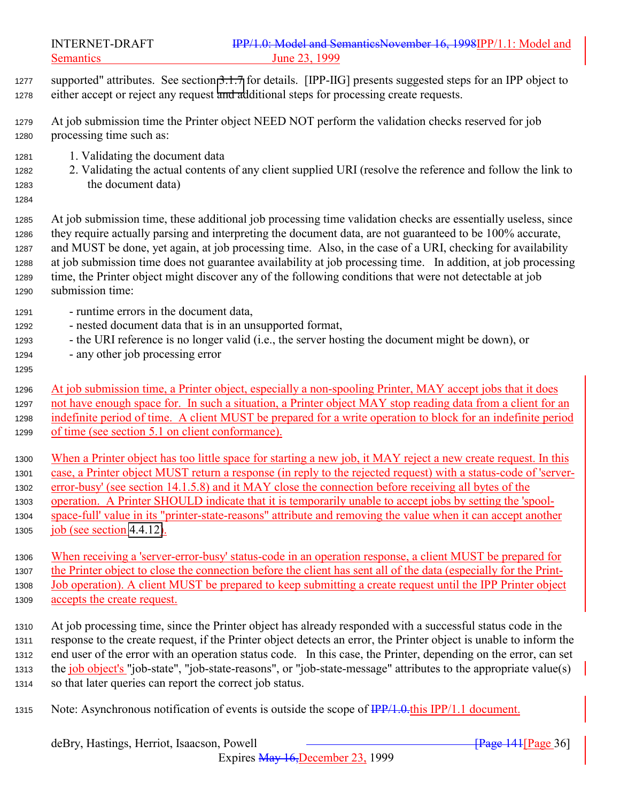- supported" attributes. See section [3.1.7](#page-40-0) for details. [IPP-IIG] presents suggested steps for an IPP object to either accept or reject any request and additional steps for processing create requests.
- At job submission time the Printer object NEED NOT perform the validation checks reserved for job processing time such as:
- 1. Validating the document data
- 2. Validating the actual contents of any client supplied URI (resolve the reference and follow the link to the document data)
- 

 At job submission time, these additional job processing time validation checks are essentially useless, since they require actually parsing and interpreting the document data, are not guaranteed to be 100% accurate, and MUST be done, yet again, at job processing time. Also, in the case of a URI, checking for availability at job submission time does not guarantee availability at job processing time. In addition, at job processing time, the Printer object might discover any of the following conditions that were not detectable at job submission time:

- runtime errors in the document data,
- nested document data that is in an unsupported format,
- the URI reference is no longer valid (i.e., the server hosting the document might be down), or
- any other job processing error
- 

 At job submission time, a Printer object, especially a non-spooling Printer, MAY accept jobs that it does not have enough space for. In such a situation, a Printer object MAY stop reading data from a client for an indefinite period of time. A client MUST be prepared for a write operation to block for an indefinite period of time (see section 5.1 on client conformance).

 When a Printer object has too little space for starting a new job, it MAY reject a new create request. In this case, a Printer object MUST return a response (in reply to the rejected request) with a status-code of 'server- error-busy' (see section 14.1.5.8) and it MAY close the connection before receiving all bytes of the operation. A Printer SHOULD indicate that it is temporarily unable to accept jobs by setting the 'spool- space-full' value in its "printer-state-reasons" attribute and removing the value when it can accept another job (see section [4.4.12\)](#page-111-0).

 When receiving a 'server-error-busy' status-code in an operation response, a client MUST be prepared for the Printer object to close the connection before the client has sent all of the data (especially for the Print- Job operation). A client MUST be prepared to keep submitting a create request until the IPP Printer object accepts the create request.

- At job processing time, since the Printer object has already responded with a successful status code in the response to the create request, if the Printer object detects an error, the Printer object is unable to inform the end user of the error with an operation status code. In this case, the Printer, depending on the error, can set 1313 the job object's "job-state", "job-state-reasons", or "job-state-message" attributes to the appropriate value(s) so that later queries can report the correct job status.
- 1315 Note: Asynchronous notification of events is outside the scope of  $\frac{IPP}{1.0}$ . this IPP/1.1 document.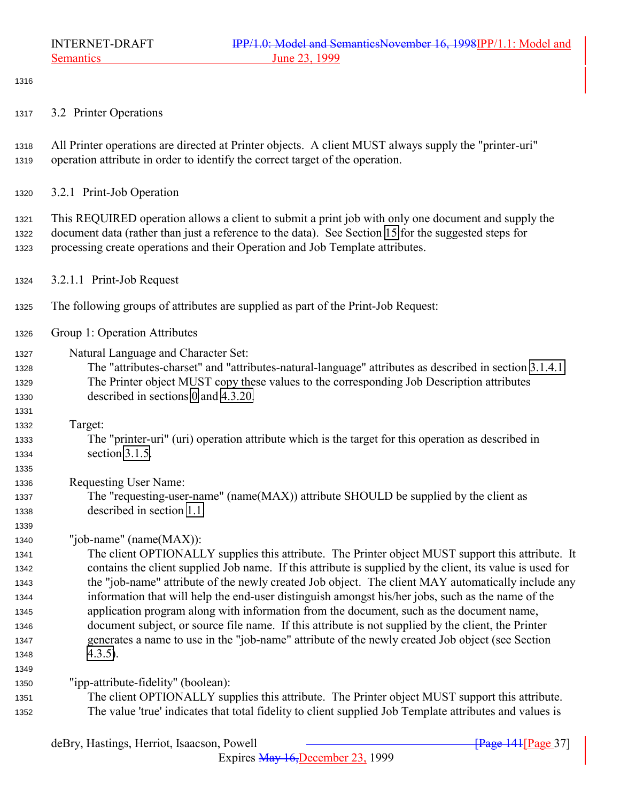<span id="page-36-0"></span>

3.2 Printer Operations

 All Printer operations are directed at Printer objects. A client MUST always supply the "printer-uri" operation attribute in order to identify the correct target of the operation.

3.2.1 Print-Job Operation

 This REQUIRED operation allows a client to submit a print job with only one document and supply the document data (rather than just a reference to the data). See Section [15](#page-169-0) for the suggested steps for processing create operations and their Operation and Job Template attributes.

- 3.2.1.1 Print-Job Request
- The following groups of attributes are supplied as part of the Print-Job Request:
- Group 1: Operation Attributes

Natural Language and Character Set:

 The "attributes-charset" and "attributes-natural-language" attributes as described in section [3.1.4.1.](#page-24-0) The Printer object MUST copy these values to the corresponding Job Description attributes described in sections [0](#page-102-0) and [4.3.20.](#page-102-0)

Target:

 The "printer-uri" (uri) operation attribute which is the target for this operation as described in section [3.1.5.](#page-27-0)

Requesting User Name:

 The "requesting-user-name" (name(MAX)) attribute SHOULD be supplied by the client as described in section [1.1.](#page-138-0)

"job-name" (name(MAX)):

 The client OPTIONALLY supplies this attribute. The Printer object MUST support this attribute. It contains the client supplied Job name. If this attribute is supplied by the client, its value is used for the "job-name" attribute of the newly created Job object. The client MAY automatically include any information that will help the end-user distinguish amongst his/her jobs, such as the name of the application program along with information from the document, such as the document name, document subject, or source file name. If this attribute is not supplied by the client, the Printer generates a name to use in the "job-name" attribute of the newly created Job object (see Section [4.3.5\)](#page-90-0).

"ipp-attribute-fidelity" (boolean):

 The client OPTIONALLY supplies this attribute. The Printer object MUST support this attribute. The value 'true' indicates that total fidelity to client supplied Job Template attributes and values is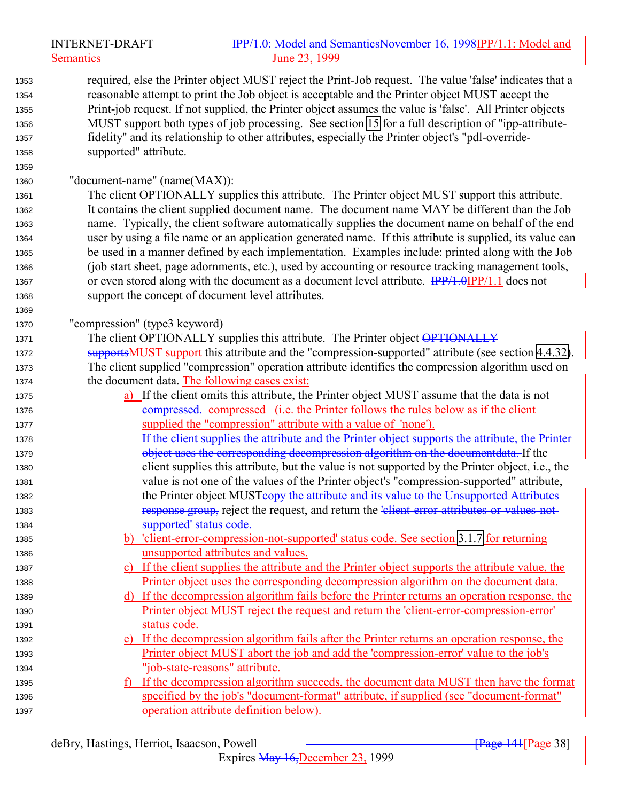|              | <b>INTERNET-DRAFT</b>         | IPP/1.0: Model and SemanticsNovember 16, 1998IPP/1.1: Model and                                                                                                                         |
|--------------|-------------------------------|-----------------------------------------------------------------------------------------------------------------------------------------------------------------------------------------|
|              | <b>Semantics</b>              | June 23, 1999                                                                                                                                                                           |
| 1353         |                               | required, else the Printer object MUST reject the Print-Job request. The value 'false' indicates that a                                                                                 |
| 1354         |                               | reasonable attempt to print the Job object is acceptable and the Printer object MUST accept the                                                                                         |
| 1355         |                               | Print-job request. If not supplied, the Printer object assumes the value is 'false'. All Printer objects                                                                                |
| 1356         |                               | MUST support both types of job processing. See section 15 for a full description of "ipp-attribute-                                                                                     |
| 1357         |                               | fidelity" and its relationship to other attributes, especially the Printer object's "pdl-override-                                                                                      |
| 1358         | supported" attribute.         |                                                                                                                                                                                         |
| 1359         |                               |                                                                                                                                                                                         |
| 1360         | "document-name" (name(MAX)):  |                                                                                                                                                                                         |
| 1361         |                               | The client OPTIONALLY supplies this attribute. The Printer object MUST support this attribute.                                                                                          |
| 1362         |                               | It contains the client supplied document name. The document name MAY be different than the Job                                                                                          |
| 1363         |                               | name. Typically, the client software automatically supplies the document name on behalf of the end                                                                                      |
| 1364         |                               | user by using a file name or an application generated name. If this attribute is supplied, its value can                                                                                |
| 1365         |                               | be used in a manner defined by each implementation. Examples include: printed along with the Job                                                                                        |
| 1366         |                               | (job start sheet, page adornments, etc.), used by accounting or resource tracking management tools,                                                                                     |
| 1367         |                               | or even stored along with the document as a document level attribute. IPP/1.0IPP/1.1 does not                                                                                           |
| 1368         |                               | support the concept of document level attributes.                                                                                                                                       |
| 1369         |                               |                                                                                                                                                                                         |
| 1370         | "compression" (type3 keyword) |                                                                                                                                                                                         |
| 1371         |                               | The client OPTIONALLY supplies this attribute. The Printer object OPTIONALLY                                                                                                            |
| 1372         |                               | supportsMUST support this attribute and the "compression-supported" attribute (see section 4.4.32).                                                                                     |
| 1373         |                               | The client supplied "compression" operation attribute identifies the compression algorithm used on                                                                                      |
| 1374         |                               | the document data. The following cases exist:                                                                                                                                           |
| 1375         |                               | a) If the client omits this attribute, the Printer object MUST assume that the data is not                                                                                              |
| 1376         |                               | <b>examplement</b> examplement compressed (i.e. the Printer follows the rules below as if the client                                                                                    |
| 1377         |                               | supplied the "compression" attribute with a value of 'none').                                                                                                                           |
| 1378         |                               | If the client supplies the attribute and the Printer object supports the attribute, the Printer                                                                                         |
| 1379         |                               | object uses the corresponding decompression algorithm on the documentdata. If the                                                                                                       |
| 1380         |                               | client supplies this attribute, but the value is not supported by the Printer object, i.e., the                                                                                         |
| 1381         |                               | value is not one of the values of the Printer object's "compression-supported" attribute,                                                                                               |
| 1382         |                               | the Printer object MUSTeopy the attribute and its value to the Unsupported Attributes                                                                                                   |
| 1383         |                               | response group, reject the request, and return the 'elient-error-attributes-or-values-not-                                                                                              |
| 1384         |                               | supported' status code.                                                                                                                                                                 |
| 1385         |                               | b) 'client-error-compression-not-supported' status code. See section 3.1.7 for returning                                                                                                |
| 1386         |                               | unsupported attributes and values.                                                                                                                                                      |
| 1387         |                               | c) If the client supplies the attribute and the Printer object supports the attribute value, the<br>Printer object uses the corresponding decompression algorithm on the document data. |
| 1388<br>1389 |                               | d) If the decompression algorithm fails before the Printer returns an operation response, the                                                                                           |
| 1390         |                               | Printer object MUST reject the request and return the 'client-error-compression-error'                                                                                                  |
| 1391         | status code.                  |                                                                                                                                                                                         |
| 1392         |                               | e) If the decompression algorithm fails after the Printer returns an operation response, the                                                                                            |
| 1393         |                               | Printer object MUST abort the job and add the 'compression-error' value to the job's                                                                                                    |
| 1394         |                               | "job-state-reasons" attribute.                                                                                                                                                          |
| 1395         |                               | If the decompression algorithm succeeds, the document data MUST then have the format                                                                                                    |
| 1396         |                               | specified by the job's "document-format" attribute, if supplied (see "document-format"                                                                                                  |
| 1397         |                               | operation attribute definition below).                                                                                                                                                  |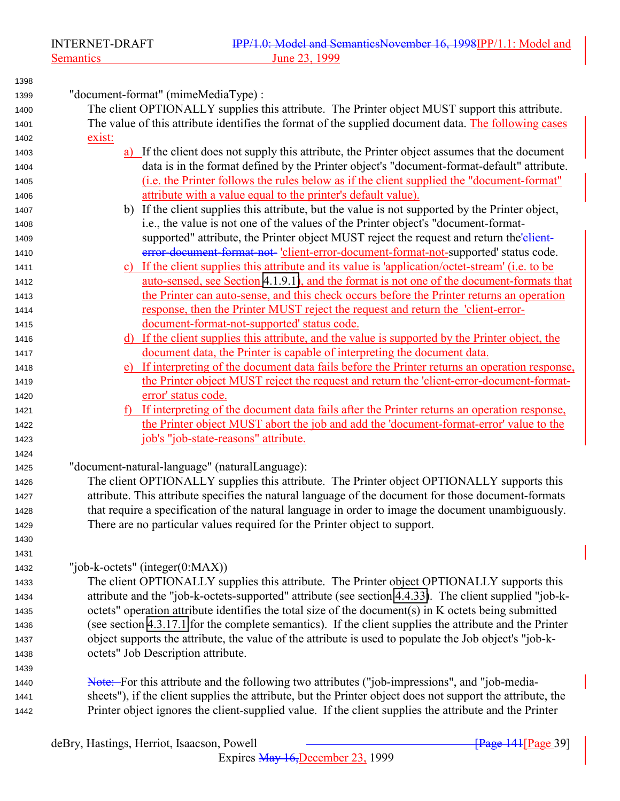"document-format" (mimeMediaType) : The client OPTIONALLY supplies this attribute. The Printer object MUST support this attribute. The value of this attribute identifies the format of the supplied document data. The following cases exist: a) If the client does not supply this attribute, the Printer object assumes that the document data is in the format defined by the Printer object's "document-format-default" attribute. (i.e. the Printer follows the rules below as if the client supplied the "document-format" **attribute with a value equal to the printer's default value)**. b) If the client supplies this attribute, but the value is not supported by the Printer object, i.e., the value is not one of the values of the Printer object's "document-format-1409 supported" attribute, the Printer object MUST reject the request and return the elient- error-document-format-not- 'client-error-document-format-not-supported' status code. c) If the client supplies this attribute and its value is 'application/octet-stream' (i.e. to be auto-sensed, see Section [4.1.9.1\)](#page-73-0), and the format is not one of the document-formats that the Printer can auto-sense, and this check occurs before the Printer returns an operation response, then the Printer MUST reject the request and return the 'client-error- document-format-not-supported' status code. d) If the client supplies this attribute, and the value is supported by the Printer object, the document data, the Printer is capable of interpreting the document data. e) If interpreting of the document data fails before the Printer returns an operation response, the Printer object MUST reject the request and return the 'client-error-document-format- error' status code. 1421 f) If interpreting of the document data fails after the Printer returns an operation response, the Printer object MUST abort the job and add the 'document-format-error' value to the job's "job-state-reasons" attribute. "document-natural-language" (naturalLanguage): The client OPTIONALLY supplies this attribute. The Printer object OPTIONALLY supports this attribute. This attribute specifies the natural language of the document for those document-formats that require a specification of the natural language in order to image the document unambiguously. There are no particular values required for the Printer object to support. "job-k-octets" (integer(0:MAX)) The client OPTIONALLY supplies this attribute. The Printer object OPTIONALLY supports this attribute and the "job-k-octets-supported" attribute (see section [4.4.33\)](#page-119-0). The client supplied "job-k- octets" operation attribute identifies the total size of the document(s) in K octets being submitted (see section [4.3.17.1](#page-100-0) for the complete semantics). If the client supplies the attribute and the Printer object supports the attribute, the value of the attribute is used to populate the Job object's "job-k- octets" Job Description attribute. Note: For this attribute and the following two attributes ("job-impressions", and "job-media- sheets"), if the client supplies the attribute, but the Printer object does not support the attribute, the Printer object ignores the client-supplied value. If the client supplies the attribute and the Printer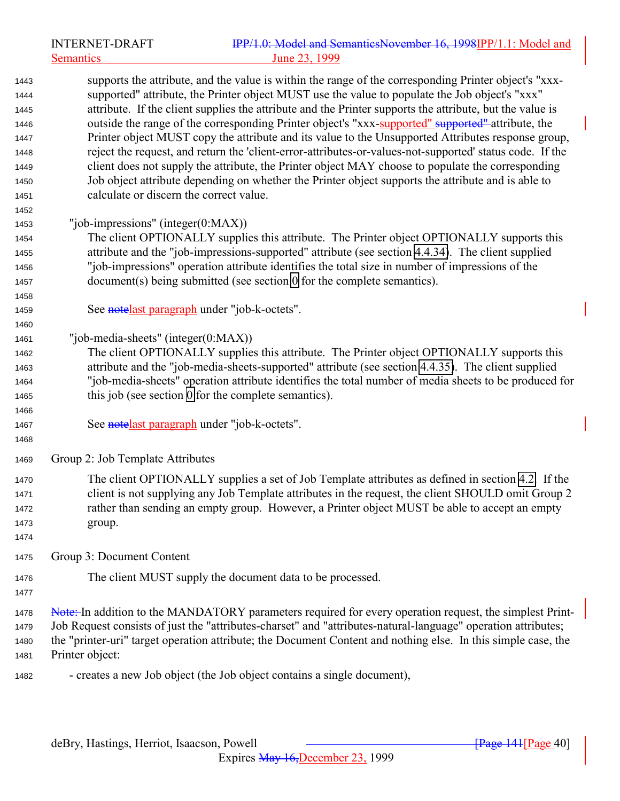|              | <b>INTERNET-DRAFT</b>                   | IPP/1.0: Model and SemanticsNovember 16, 1998IPP/1.1: Model and                                               |
|--------------|-----------------------------------------|---------------------------------------------------------------------------------------------------------------|
|              | <b>Semantics</b>                        | June 23, 1999                                                                                                 |
| 1443         |                                         | supports the attribute, and the value is within the range of the corresponding Printer object's "xxx-         |
| 1444         |                                         | supported" attribute, the Printer object MUST use the value to populate the Job object's "xxx"                |
| 1445         |                                         | attribute. If the client supplies the attribute and the Printer supports the attribute, but the value is      |
| 1446         |                                         | outside the range of the corresponding Printer object's "xxx-supported" supported attribute, the              |
| 1447         |                                         | Printer object MUST copy the attribute and its value to the Unsupported Attributes response group,            |
| 1448         |                                         | reject the request, and return the 'client-error-attributes-or-values-not-supported' status code. If the      |
| 1449         |                                         | client does not supply the attribute, the Printer object MAY choose to populate the corresponding             |
| 1450         | calculate or discern the correct value. | Job object attribute depending on whether the Printer object supports the attribute and is able to            |
| 1451<br>1452 |                                         |                                                                                                               |
| 1453         | "job-impressions" (integer(0:MAX))      |                                                                                                               |
| 1454         |                                         | The client OPTIONALLY supplies this attribute. The Printer object OPTIONALLY supports this                    |
| 1455         |                                         | attribute and the "job-impressions-supported" attribute (see section 4.4.34). The client supplied             |
| 1456         |                                         | "job-impressions" operation attribute identifies the total size in number of impressions of the               |
| 1457         |                                         | document(s) being submitted (see section 0 for the complete semantics).                                       |
| 1458         |                                         |                                                                                                               |
| 1459         |                                         | See notelast paragraph under "job-k-octets".                                                                  |
| 1460         |                                         |                                                                                                               |
| 1461         | "job-media-sheets" (integer $(0:MAX)$ ) |                                                                                                               |
| 1462         |                                         | The client OPTIONALLY supplies this attribute. The Printer object OPTIONALLY supports this                    |
| 1463         |                                         | attribute and the "job-media-sheets-supported" attribute (see section 4.4.35). The client supplied            |
| 1464         |                                         | "job-media-sheets" operation attribute identifies the total number of media sheets to be produced for         |
| 1465         |                                         | this job (see section 0 for the complete semantics).                                                          |
| 1466         |                                         |                                                                                                               |
| 1467         |                                         | See notelast paragraph under "job-k-octets".                                                                  |
| 1468         |                                         |                                                                                                               |
| 1469         | Group 2: Job Template Attributes        |                                                                                                               |
| 1470         |                                         | The client OPTIONALLY supplies a set of Job Template attributes as defined in section 4.2. If the             |
| 1471         |                                         | client is not supplying any Job Template attributes in the request, the client SHOULD omit Group 2            |
| 1472         |                                         | rather than sending an empty group. However, a Printer object MUST be able to accept an empty                 |
| 1473         | group.                                  |                                                                                                               |
| 1474         |                                         |                                                                                                               |
| 1475         | Group 3: Document Content               |                                                                                                               |
| 1476         |                                         | The client MUST supply the document data to be processed.                                                     |
| 1477         |                                         |                                                                                                               |
| 1478         |                                         | Note: In addition to the MANDATORY parameters required for every operation request, the simplest Print-       |
| 1479         |                                         | Job Request consists of just the "attributes-charset" and "attributes-natural-language" operation attributes; |
| 1480         |                                         | the "printer-uri" target operation attribute; the Document Content and nothing else. In this simple case, the |
| 1481         | Printer object:                         |                                                                                                               |
| 1482         |                                         | - creates a new Job object (the Job object contains a single document),                                       |
|              |                                         |                                                                                                               |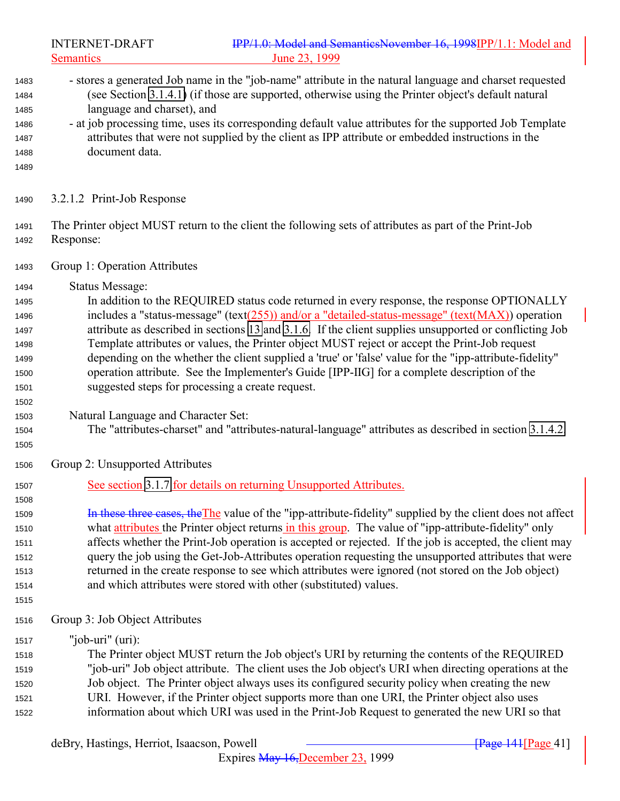<span id="page-40-0"></span>INTERNET-DRAFT **IPP/1.0: Model and SemanticsNovember 16, 1998IPP/1.1: Model and** Semantics June 23, 1999 - stores a generated Job name in the "job-name" attribute in the natural language and charset requested (see Section [3.1.4.1\)](#page-24-0) (if those are supported, otherwise using the Printer object's default natural language and charset), and - at job processing time, uses its corresponding default value attributes for the supported Job Template attributes that were not supplied by the client as IPP attribute or embedded instructions in the document data. 3.2.1.2 Print-Job Response The Printer object MUST return to the client the following sets of attributes as part of the Print-Job Response: Group 1: Operation Attributes Status Message: In addition to the REQUIRED status code returned in every response, the response OPTIONALLY includes a "status-message" (text(255)) and/or a "detailed-status-message" (text(MAX)) operation attribute as described in sections [13](#page-154-0) and [3.1.6.](#page-29-0) If the client supplies unsupported or conflicting Job Template attributes or values, the Printer object MUST reject or accept the Print-Job request depending on the whether the client supplied a 'true' or 'false' value for the "ipp-attribute-fidelity" operation attribute. See the Implementer's Guide [IPP-IIG] for a complete description of the suggested steps for processing a create request. Natural Language and Character Set: The "attributes-charset" and "attributes-natural-language" attributes as described in section [3.1.4.2.](#page-27-0) Group 2: Unsupported Attributes See section [3.1.7](#page-31-0) for details on returning Unsupported Attributes. 1509 In these three cases, the The value of the "ipp-attribute-fidelity" supplied by the client does not affect 1510 what attributes the Printer object returns in this group. The value of "ipp-attribute-fidelity" only affects whether the Print-Job operation is accepted or rejected. If the job is accepted, the client may query the job using the Get-Job-Attributes operation requesting the unsupported attributes that were returned in the create response to see which attributes were ignored (not stored on the Job object) and which attributes were stored with other (substituted) values. Group 3: Job Object Attributes "job-uri" (uri): The Printer object MUST return the Job object's URI by returning the contents of the REQUIRED "job-uri" Job object attribute. The client uses the Job object's URI when directing operations at the Job object. The Printer object always uses its configured security policy when creating the new URI. However, if the Printer object supports more than one URI, the Printer object also uses information about which URI was used in the Print-Job Request to generated the new URI so that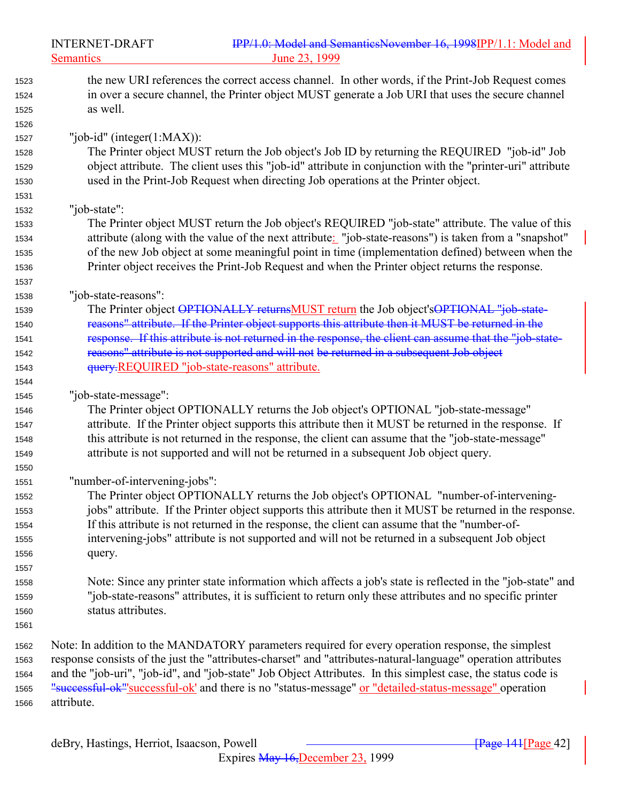Semantics 23, 1999

| 1523 | the new URI references the correct access channel. In other words, if the Print-Job Request comes             |
|------|---------------------------------------------------------------------------------------------------------------|
| 1524 | in over a secure channel, the Printer object MUST generate a Job URI that uses the secure channel             |
| 1525 | as well.                                                                                                      |
| 1526 |                                                                                                               |
| 1527 | "job-id" (integer $(1:MAX)$ ):                                                                                |
| 1528 | The Printer object MUST return the Job object's Job ID by returning the REQUIRED "job-id" Job                 |
| 1529 | object attribute. The client uses this "job-id" attribute in conjunction with the "printer-uri" attribute     |
| 1530 | used in the Print-Job Request when directing Job operations at the Printer object.                            |
| 1531 |                                                                                                               |
| 1532 | "job-state":                                                                                                  |
| 1533 | The Printer object MUST return the Job object's REQUIRED "job-state" attribute. The value of this             |
| 1534 | attribute (along with the value of the next attribute: "job-state-reasons") is taken from a "snapshot"        |
| 1535 | of the new Job object at some meaningful point in time (implementation defined) between when the              |
| 1536 | Printer object receives the Print-Job Request and when the Printer object returns the response.               |
| 1537 |                                                                                                               |
| 1538 | "job-state-reasons":                                                                                          |
| 1539 | The Printer object OPTIONALLY returnsMUST return the Job object'sOPTIONAL "job-state-                         |
| 1540 | reasons" attribute. If the Printer object supports this attribute then it MUST be returned in the             |
| 1541 | response. If this attribute is not returned in the response, the client can assume that the "job-state-       |
| 1542 | reasons" attribute is not supported and will not be returned in a subsequent Job object                       |
| 1543 | query.REQUIRED "job-state-reasons" attribute.                                                                 |
| 1544 |                                                                                                               |
| 1545 | "job-state-message":                                                                                          |
| 1546 | The Printer object OPTIONALLY returns the Job object's OPTIONAL "job-state-message"                           |
| 1547 | attribute. If the Printer object supports this attribute then it MUST be returned in the response. If         |
| 1548 | this attribute is not returned in the response, the client can assume that the "job-state-message"            |
| 1549 | attribute is not supported and will not be returned in a subsequent Job object query.                         |
| 1550 |                                                                                                               |
| 1551 | "number-of-intervening-jobs":                                                                                 |
| 1552 | The Printer object OPTIONALLY returns the Job object's OPTIONAL "number-of-intervening-                       |
| 1553 | jobs" attribute. If the Printer object supports this attribute then it MUST be returned in the response.      |
| 1554 | If this attribute is not returned in the response, the client can assume that the "number-of-                 |
| 1555 | intervening-jobs" attribute is not supported and will not be returned in a subsequent Job object              |
| 1556 | query.                                                                                                        |
| 1557 |                                                                                                               |
| 1558 | Note: Since any printer state information which affects a job's state is reflected in the "job-state" and     |
| 1559 | "job-state-reasons" attributes, it is sufficient to return only these attributes and no specific printer      |
| 1560 | status attributes.                                                                                            |
| 1561 |                                                                                                               |
| 1562 | Note: In addition to the MANDATORY parameters required for every operation response, the simplest             |
| 1563 | response consists of the just the "attributes-charset" and "attributes-natural-language" operation attributes |
| 1564 | and the "job-uri", "job-id", and "job-state" Job Object Attributes. In this simplest case, the status code is |
| 1565 | "successful-ok"'successful-ok' and there is no "status-message" or "detailed-status-message" operation        |
| 1566 | attribute.                                                                                                    |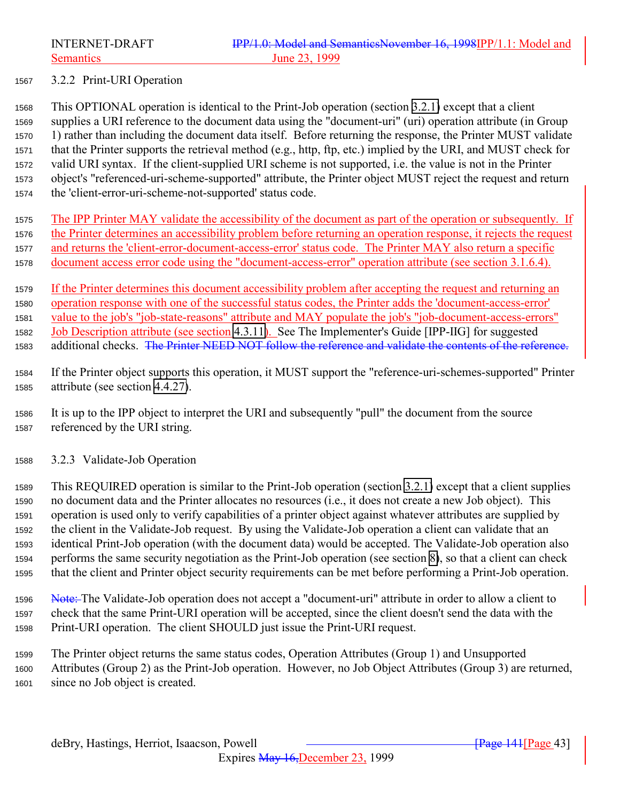<span id="page-42-0"></span>

#### 3.2.2 Print-URI Operation

 This OPTIONAL operation is identical to the Print-Job operation (section [3.2.1\)](#page-36-0) except that a client supplies a URI reference to the document data using the "document-uri" (uri) operation attribute (in Group 1) rather than including the document data itself. Before returning the response, the Printer MUST validate that the Printer supports the retrieval method (e.g., http, ftp, etc.) implied by the URI, and MUST check for valid URI syntax. If the client-supplied URI scheme is not supported, i.e. the value is not in the Printer object's "referenced-uri-scheme-supported" attribute, the Printer object MUST reject the request and return the 'client-error-uri-scheme-not-supported' status code.

 The IPP Printer MAY validate the accessibility of the document as part of the operation or subsequently. If the Printer determines an accessibility problem before returning an operation response, it rejects the request and returns the 'client-error-document-access-error' status code. The Printer MAY also return a specific document access error code using the "document-access-error" operation attribute (see section 3.1.6.4).

 If the Printer determines this document accessibility problem after accepting the request and returning an operation response with one of the successful status codes, the Printer adds the 'document-access-error' value to the job's "job-state-reasons" attribute and MAY populate the job's "job-document-access-errors" Job Description attribute (see section [4.3.11\)](#page-97-0). See The Implementer's Guide [IPP-IIG] for suggested 1583 additional checks. The Printer NEED NOT follow the reference and validate the contents of the reference.

- If the Printer object supports this operation, it MUST support the "reference-uri-schemes-supported" Printer attribute (see section [4.4.27\)](#page-117-0).
- It is up to the IPP object to interpret the URI and subsequently "pull" the document from the source referenced by the URI string.
- 3.2.3 Validate-Job Operation

 This REQUIRED operation is similar to the Print-Job operation (section [3.2.1\)](#page-36-0) except that a client supplies no document data and the Printer allocates no resources (i.e., it does not create a new Job object). This operation is used only to verify capabilities of a printer object against whatever attributes are supplied by the client in the Validate-Job request. By using the Validate-Job operation a client can validate that an identical Print-Job operation (with the document data) would be accepted. The Validate-Job operation also performs the same security negotiation as the Print-Job operation (see section [8\)](#page-134-0), so that a client can check that the client and Printer object security requirements can be met before performing a Print-Job operation.

- 1596 Note: The Validate-Job operation does not accept a "document-uri" attribute in order to allow a client to check that the same Print-URI operation will be accepted, since the client doesn't send the data with the Print-URI operation. The client SHOULD just issue the Print-URI request.
- The Printer object returns the same status codes, Operation Attributes (Group 1) and Unsupported Attributes (Group 2) as the Print-Job operation. However, no Job Object Attributes (Group 3) are returned, since no Job object is created.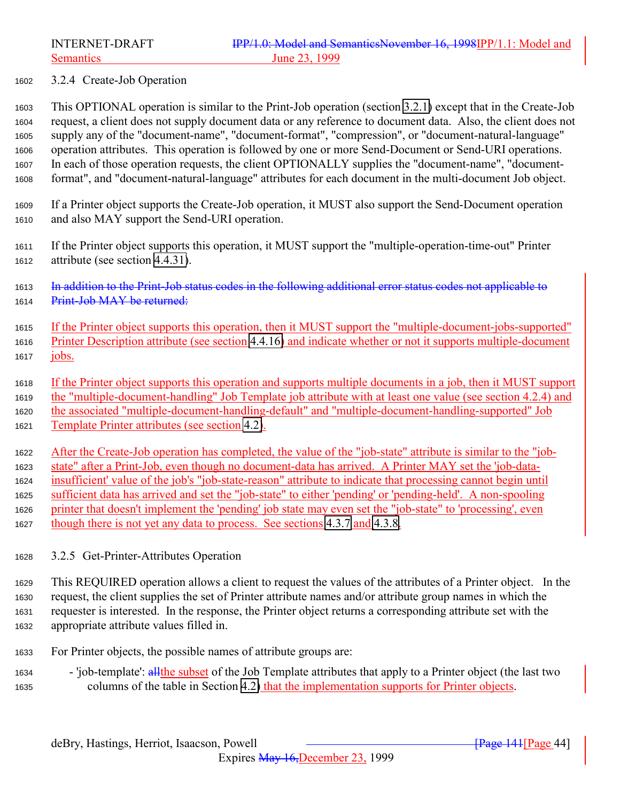<span id="page-43-0"></span>

#### 3.2.4 Create-Job Operation

 This OPTIONAL operation is similar to the Print-Job operation (section [3.2.1\)](#page-36-0) except that in the Create-Job request, a client does not supply document data or any reference to document data. Also, the client does not supply any of the "document-name", "document-format", "compression", or "document-natural-language" operation attributes. This operation is followed by one or more Send-Document or Send-URI operations. In each of those operation requests, the client OPTIONALLY supplies the "document-name", "document-format", and "document-natural-language" attributes for each document in the multi-document Job object.

 If a Printer object supports the Create-Job operation, it MUST also support the Send-Document operation and also MAY support the Send-URI operation.

- If the Printer object supports this operation, it MUST support the "multiple-operation-time-out" Printer attribute (see section [4.4.31\)](#page-118-0).
- In addition to the Print-Job status codes in the following additional error status codes not applicable to 1614 Print-Job MAY be returned:
- If the Printer object supports this operation, then it MUST support the "multiple-document-jobs-supported" Printer Description attribute (see section [4.4.16\)](#page-114-0) and indicate whether or not it supports multiple-document jobs.
- If the Printer object supports this operation and supports multiple documents in a job, then it MUST support the "multiple-document-handling" Job Template job attribute with at least one value (see section 4.2.4) and
- the associated "multiple-document-handling-default" and "multiple-document-handling-supported" Job
- Template Printer attributes (see section [4.2\)](#page-75-0).

 After the Create-Job operation has completed, the value of the "job-state" attribute is similar to the "job- state" after a Print-Job, even though no document-data has arrived. A Printer MAY set the 'job-data- insufficient' value of the job's "job-state-reason" attribute to indicate that processing cannot begin until sufficient data has arrived and set the "job-state" to either 'pending' or 'pending-held'. A non-spooling printer that doesn't implement the 'pending' job state may even set the "job-state" to 'processing', even though there is not yet any data to process. See sections [4.3.7](#page-90-0) and [4.3.8.](#page-94-0)

- 3.2.5 Get-Printer-Attributes Operation
- This REQUIRED operation allows a client to request the values of the attributes of a Printer object. In the request, the client supplies the set of Printer attribute names and/or attribute group names in which the requester is interested. In the response, the Printer object returns a corresponding attribute set with the appropriate attribute values filled in.
- For Printer objects, the possible names of attribute groups are:
- 'job-template': allthe subset of the Job Template attributes that apply to a Printer object (the last two columns of the table in Section [4.2\)](#page-75-0) that the implementation supports for Printer objects.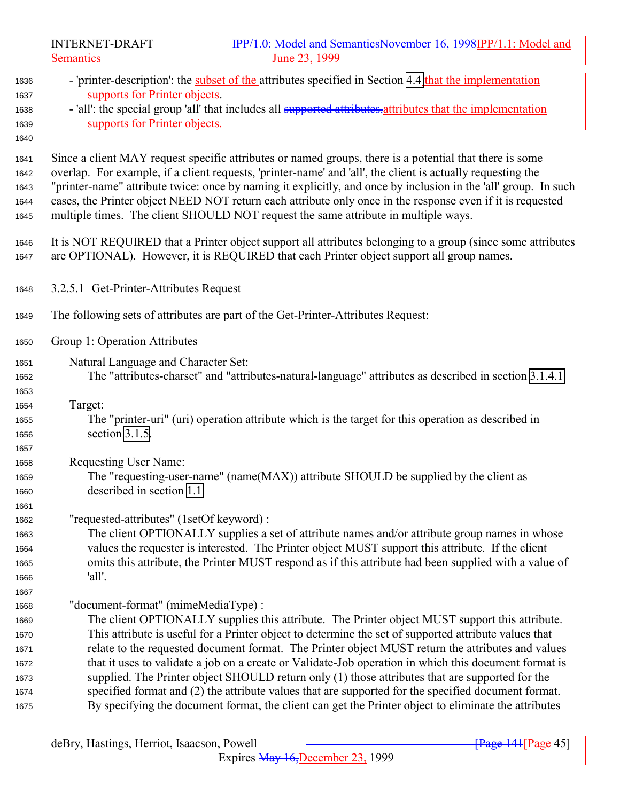Semantics 23, 1999

| 1636<br>1637<br>1638<br>1639<br>1640                         | - 'printer-description': the subset of the attributes specified in Section 4.4 that the implementation<br>supports for Printer objects.<br>- 'all': the special group 'all' that includes all supported attributes attributes that the implementation<br>supports for Printer objects.                                                                                                                                                                                                                                                                                                                                                                                 |
|--------------------------------------------------------------|------------------------------------------------------------------------------------------------------------------------------------------------------------------------------------------------------------------------------------------------------------------------------------------------------------------------------------------------------------------------------------------------------------------------------------------------------------------------------------------------------------------------------------------------------------------------------------------------------------------------------------------------------------------------|
| 1641<br>1642<br>1643<br>1644<br>1645                         | Since a client MAY request specific attributes or named groups, there is a potential that there is some<br>overlap. For example, if a client requests, 'printer-name' and 'all', the client is actually requesting the<br>"printer-name" attribute twice: once by naming it explicitly, and once by inclusion in the 'all' group. In such<br>cases, the Printer object NEED NOT return each attribute only once in the response even if it is requested<br>multiple times. The client SHOULD NOT request the same attribute in multiple ways.                                                                                                                          |
| 1646<br>1647                                                 | It is NOT REQUIRED that a Printer object support all attributes belonging to a group (since some attributes<br>are OPTIONAL). However, it is REQUIRED that each Printer object support all group names.                                                                                                                                                                                                                                                                                                                                                                                                                                                                |
| 1648                                                         | 3.2.5.1 Get-Printer-Attributes Request                                                                                                                                                                                                                                                                                                                                                                                                                                                                                                                                                                                                                                 |
| 1649                                                         | The following sets of attributes are part of the Get-Printer-Attributes Request:                                                                                                                                                                                                                                                                                                                                                                                                                                                                                                                                                                                       |
| 1650                                                         | Group 1: Operation Attributes                                                                                                                                                                                                                                                                                                                                                                                                                                                                                                                                                                                                                                          |
| 1651<br>1652                                                 | Natural Language and Character Set:<br>The "attributes-charset" and "attributes-natural-language" attributes as described in section 3.1.4.1.                                                                                                                                                                                                                                                                                                                                                                                                                                                                                                                          |
| 1653<br>1654<br>1655<br>1656                                 | Target:<br>The "printer-uri" (uri) operation attribute which is the target for this operation as described in<br>section 3.1.5.                                                                                                                                                                                                                                                                                                                                                                                                                                                                                                                                        |
| 1657<br>1658<br>1659<br>1660<br>1661                         | Requesting User Name:<br>The "requesting-user-name" (name(MAX)) attribute SHOULD be supplied by the client as<br>described in section 1.1.                                                                                                                                                                                                                                                                                                                                                                                                                                                                                                                             |
| 1662<br>1663<br>1664<br>1665<br>1666                         | "requested-attributes" (1setOf keyword) :<br>The client OPTIONALLY supplies a set of attribute names and/or attribute group names in whose<br>values the requester is interested. The Printer object MUST support this attribute. If the client<br>omits this attribute, the Printer MUST respond as if this attribute had been supplied with a value of<br>'all'.                                                                                                                                                                                                                                                                                                     |
| 1667<br>1668<br>1669<br>1670<br>1671<br>1672<br>1673<br>1674 | "document-format" (mimeMediaType) :<br>The client OPTIONALLY supplies this attribute. The Printer object MUST support this attribute.<br>This attribute is useful for a Printer object to determine the set of supported attribute values that<br>relate to the requested document format. The Printer object MUST return the attributes and values<br>that it uses to validate a job on a create or Validate-Job operation in which this document format is<br>supplied. The Printer object SHOULD return only (1) those attributes that are supported for the<br>specified format and (2) the attribute values that are supported for the specified document format. |
| 1675                                                         | By specifying the document format, the client can get the Printer object to eliminate the attributes                                                                                                                                                                                                                                                                                                                                                                                                                                                                                                                                                                   |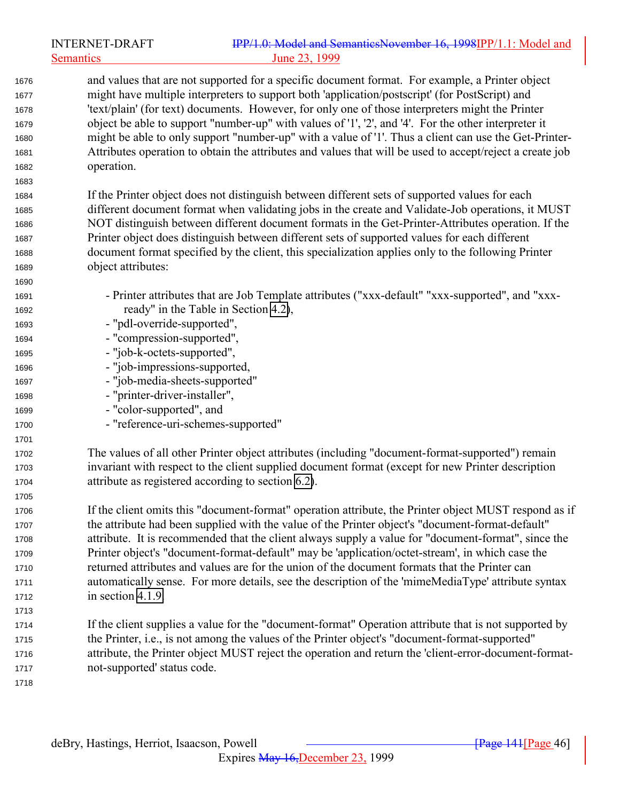|      | <b>INTERNET-DRAFT</b>          | IPP/1.0: Model and SemanticsNovember 16, 1998IPP/1.1: Model and                                          |
|------|--------------------------------|----------------------------------------------------------------------------------------------------------|
|      | <b>Semantics</b>               | June 23, 1999                                                                                            |
| 1676 |                                | and values that are not supported for a specific document format. For example, a Printer object          |
| 1677 |                                | might have multiple interpreters to support both 'application/postscript' (for PostScript) and           |
| 1678 |                                | 'text/plain' (for text) documents. However, for only one of those interpreters might the Printer         |
| 1679 |                                | object be able to support "number-up" with values of '1', '2', and '4'. For the other interpreter it     |
| 1680 |                                | might be able to only support "number-up" with a value of '1'. Thus a client can use the Get-Printer-    |
| 1681 |                                | Attributes operation to obtain the attributes and values that will be used to accept/reject a create job |
| 1682 | operation.                     |                                                                                                          |
| 1683 |                                |                                                                                                          |
| 1684 |                                | If the Printer object does not distinguish between different sets of supported values for each           |
| 1685 |                                | different document format when validating jobs in the create and Validate-Job operations, it MUST        |
| 1686 |                                | NOT distinguish between different document formats in the Get-Printer-Attributes operation. If the       |
| 1687 |                                | Printer object does distinguish between different sets of supported values for each different            |
| 1688 |                                | document format specified by the client, this specialization applies only to the following Printer       |
| 1689 | object attributes:             |                                                                                                          |
| 1690 |                                |                                                                                                          |
| 1691 |                                | - Printer attributes that are Job Template attributes ("xxx-default" "xxx-supported", and "xxx-          |
| 1692 |                                | ready" in the Table in Section 4.2),                                                                     |
| 1693 | - "pdl-override-supported",    |                                                                                                          |
| 1694 | - "compression-supported",     |                                                                                                          |
| 1695 | - "job-k-octets-supported",    |                                                                                                          |
| 1696 | - "job-impressions-supported,  |                                                                                                          |
| 1697 | - "job-media-sheets-supported" |                                                                                                          |
| 1698 | - "printer-driver-installer",  |                                                                                                          |
| 1699 | - "color-supported", and       |                                                                                                          |
| 1700 |                                | - "reference-uri-schemes-supported"                                                                      |
| 1701 |                                |                                                                                                          |
| 1702 |                                | The values of all other Printer object attributes (including "document-format-supported") remain         |
| 1703 |                                | invariant with respect to the client supplied document format (except for new Printer description        |
| 1704 |                                | attribute as registered according to section 6.2).                                                       |
| 1705 |                                |                                                                                                          |
| 1706 |                                | If the client omits this "document-format" operation attribute, the Printer object MUST respond as if    |
| 1707 |                                | the attribute had been supplied with the value of the Printer object's "document-format-default"         |
| 1708 |                                | attribute. It is recommended that the client always supply a value for "document-format", since the      |
| 1709 |                                | Printer object's "document-format-default" may be 'application/octet-stream', in which case the          |
| 1710 |                                | returned attributes and values are for the union of the document formats that the Printer can            |
| 1711 |                                | automatically sense. For more details, see the description of the 'mimeMediaType' attribute syntax       |
| 1712 | in section 4.1.9.              |                                                                                                          |
| 1713 |                                |                                                                                                          |
| 1714 |                                | If the client supplies a value for the "document-format" Operation attribute that is not supported by    |
| 1715 |                                | the Printer, i.e., is not among the values of the Printer object's "document-format-supported"           |
| 1716 |                                | attribute, the Printer object MUST reject the operation and return the 'client-error-document-format-    |
| 1717 | not-supported' status code.    |                                                                                                          |
| 1718 |                                |                                                                                                          |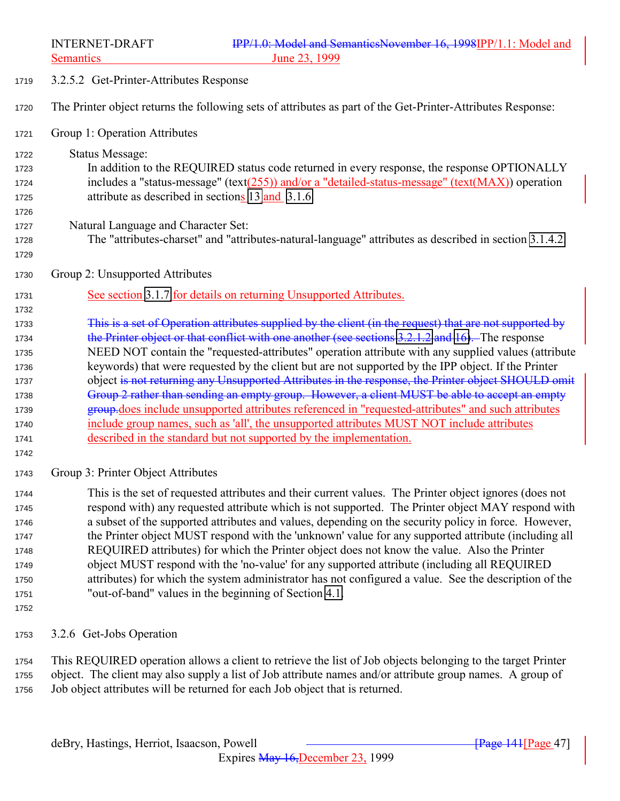3.2.5.2 Get-Printer-Attributes Response

The Printer object returns the following sets of attributes as part of the Get-Printer-Attributes Response:

- Group 1: Operation Attributes
- Status Message: In addition to the REQUIRED status code returned in every response, the response OPTIONALLY includes a "status-message" (text(255)) and/or a "detailed-status-message" (text(MAX)) operation 1725 attribute as described in sections [13](#page-154-0) and [3.1.6.](#page-29-0)
- Natural Language and Character Set:
- The "attributes-charset" and "attributes-natural-language" attributes as described in section [3.1.4.2.](#page-27-0)
- Group 2: Unsupported Attributes
- 1731 See section [3.1.7](#page-31-0) for details on returning Unsupported Attributes.
- This is a set of Operation attributes supplied by the client (in the request) that are not supported by 1734 the Printer object or that conflict with one another (see sections [3.2.1.2](#page-40-0) and [16\)](#page-169-0). The response NEED NOT contain the "requested-attributes" operation attribute with any supplied values (attribute keywords) that were requested by the client but are not supported by the IPP object. If the Printer 1737 object is not returning any Unsupported Attributes in the response, the Printer object SHOULD omit 1738 Group 2 rather than sending an empty group. However, a client MUST be able to accept an empty group.does include unsupported attributes referenced in "requested-attributes" and such attributes include group names, such as 'all', the unsupported attributes MUST NOT include attributes described in the standard but not supported by the implementation.
- 

- Group 3: Printer Object Attributes
- This is the set of requested attributes and their current values. The Printer object ignores (does not respond with) any requested attribute which is not supported. The Printer object MAY respond with a subset of the supported attributes and values, depending on the security policy in force. However, the Printer object MUST respond with the 'unknown' value for any supported attribute (including all REQUIRED attributes) for which the Printer object does not know the value. Also the Printer object MUST respond with the 'no-value' for any supported attribute (including all REQUIRED attributes) for which the system administrator has not configured a value. See the description of the "out-of-band" values in the beginning of Section [4.1.](#page-66-0)
- 
- 3.2.6 Get-Jobs Operation

 This REQUIRED operation allows a client to retrieve the list of Job objects belonging to the target Printer object. The client may also supply a list of Job attribute names and/or attribute group names. A group of Job object attributes will be returned for each Job object that is returned.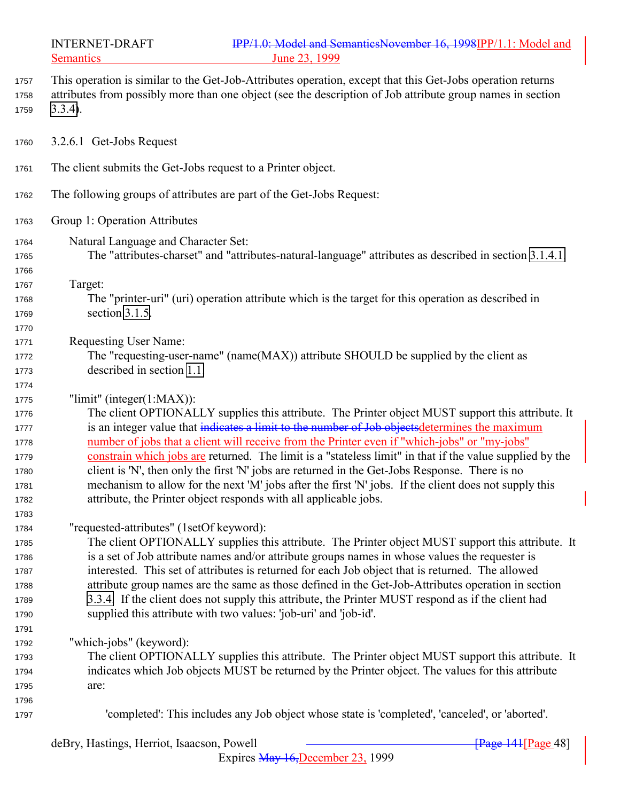| 1757<br>1758<br>1759                                                 | This operation is similar to the Get-Job-Attributes operation, except that this Get-Jobs operation returns<br>attributes from possibly more than one object (see the description of Job attribute group names in section<br>$3.3.4$ ).                                                                                                                                                                                                                                                                                                                                                                                                                                                                  |
|----------------------------------------------------------------------|---------------------------------------------------------------------------------------------------------------------------------------------------------------------------------------------------------------------------------------------------------------------------------------------------------------------------------------------------------------------------------------------------------------------------------------------------------------------------------------------------------------------------------------------------------------------------------------------------------------------------------------------------------------------------------------------------------|
| 1760                                                                 | 3.2.6.1 Get-Jobs Request                                                                                                                                                                                                                                                                                                                                                                                                                                                                                                                                                                                                                                                                                |
| 1761                                                                 | The client submits the Get-Jobs request to a Printer object.                                                                                                                                                                                                                                                                                                                                                                                                                                                                                                                                                                                                                                            |
| 1762                                                                 | The following groups of attributes are part of the Get-Jobs Request:                                                                                                                                                                                                                                                                                                                                                                                                                                                                                                                                                                                                                                    |
| 1763                                                                 | Group 1: Operation Attributes                                                                                                                                                                                                                                                                                                                                                                                                                                                                                                                                                                                                                                                                           |
| 1764<br>1765<br>1766                                                 | Natural Language and Character Set:<br>The "attributes-charset" and "attributes-natural-language" attributes as described in section 3.1.4.1.                                                                                                                                                                                                                                                                                                                                                                                                                                                                                                                                                           |
| 1767<br>1768<br>1769<br>1770                                         | Target:<br>The "printer-uri" (uri) operation attribute which is the target for this operation as described in<br>section 3.1.5.                                                                                                                                                                                                                                                                                                                                                                                                                                                                                                                                                                         |
| 1771<br>1772<br>1773<br>1774                                         | Requesting User Name:<br>The "requesting-user-name" (name(MAX)) attribute SHOULD be supplied by the client as<br>described in section 1.1.                                                                                                                                                                                                                                                                                                                                                                                                                                                                                                                                                              |
| 1775<br>1776<br>1777<br>1778<br>1779<br>1780<br>1781                 | "limit" (integer $(1:MAX)$ ):<br>The client OPTIONALLY supplies this attribute. The Printer object MUST support this attribute. It<br>is an integer value that indicates a limit to the number of Job objects determines the maximum<br>number of jobs that a client will receive from the Printer even if "which-jobs" or "my-jobs"<br>constrain which jobs are returned. The limit is a "stateless limit" in that if the value supplied by the<br>client is 'N', then only the first 'N' jobs are returned in the Get-Jobs Response. There is no<br>mechanism to allow for the next 'M' jobs after the first 'N' jobs. If the client does not supply this                                             |
| 1782<br>1783<br>1784<br>1785<br>1786<br>1787<br>1788<br>1789<br>1790 | attribute, the Printer object responds with all applicable jobs.<br>"requested-attributes" (1setOf keyword):<br>The client OPTIONALLY supplies this attribute. The Printer object MUST support this attribute. It<br>is a set of Job attribute names and/or attribute groups names in whose values the requester is<br>interested. This set of attributes is returned for each Job object that is returned. The allowed<br>attribute group names are the same as those defined in the Get-Job-Attributes operation in section<br>3.3.4. If the client does not supply this attribute, the Printer MUST respond as if the client had<br>supplied this attribute with two values: 'job-uri' and 'job-id'. |
| 1791<br>1792<br>1793<br>1794<br>1795<br>1796                         | "which-jobs" (keyword):<br>The client OPTIONALLY supplies this attribute. The Printer object MUST support this attribute. It<br>indicates which Job objects MUST be returned by the Printer object. The values for this attribute<br>are:                                                                                                                                                                                                                                                                                                                                                                                                                                                               |
| 1797                                                                 | 'completed': This includes any Job object whose state is 'completed', 'canceled', or 'aborted'.                                                                                                                                                                                                                                                                                                                                                                                                                                                                                                                                                                                                         |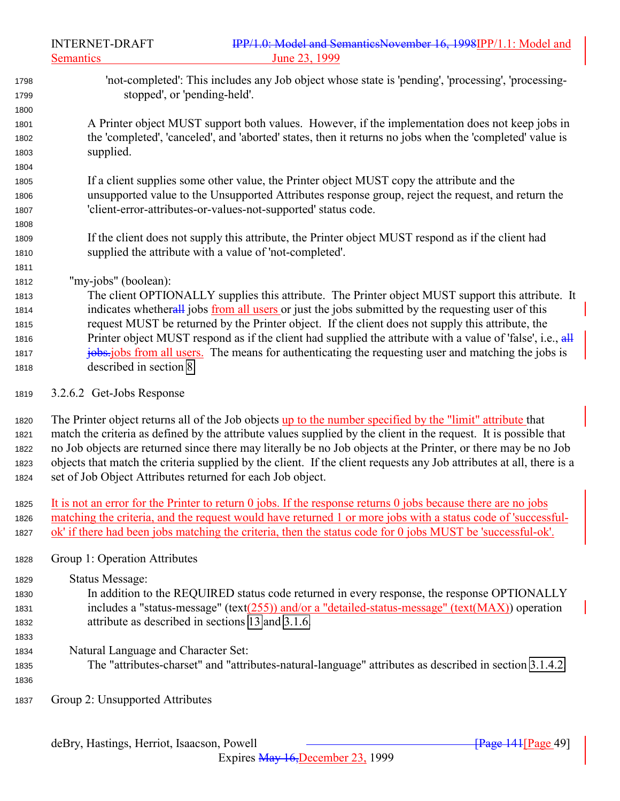- 'not-completed': This includes any Job object whose state is 'pending', 'processing', 'processing- stopped', or 'pending-held'. A Printer object MUST support both values. However, if the implementation does not keep jobs in the 'completed', 'canceled', and 'aborted' states, then it returns no jobs when the 'completed' value is supplied. If a client supplies some other value, the Printer object MUST copy the attribute and the unsupported value to the Unsupported Attributes response group, reject the request, and return the 'client-error-attributes-or-values-not-supported' status code. If the client does not supply this attribute, the Printer object MUST respond as if the client had supplied the attribute with a value of 'not-completed'. "my-jobs" (boolean): The client OPTIONALLY supplies this attribute. The Printer object MUST support this attribute. It indicates whetherall jobs from all users or just the jobs submitted by the requesting user of this request MUST be returned by the Printer object. If the client does not supply this attribute, the 1816 Printer object MUST respond as if the client had supplied the attribute with a value of 'false', i.e.,  $\frac{dH}{dt}$ **jobs.** jobs from all users. The means for authenticating the requesting user and matching the jobs is described in section [8.](#page-134-0)
- 3.2.6.2 Get-Jobs Response

 The Printer object returns all of the Job objects up to the number specified by the "limit" attribute that match the criteria as defined by the attribute values supplied by the client in the request. It is possible that no Job objects are returned since there may literally be no Job objects at the Printer, or there may be no Job objects that match the criteria supplied by the client. If the client requests any Job attributes at all, there is a set of Job Object Attributes returned for each Job object.

- It is not an error for the Printer to return 0 jobs. If the response returns 0 jobs because there are no jobs matching the criteria, and the request would have returned 1 or more jobs with a status code of 'successful-ok' if there had been jobs matching the criteria, then the status code for 0 jobs MUST be 'successful-ok'.
- Group 1: Operation Attributes

Status Message:

- In addition to the REQUIRED status code returned in every response, the response OPTIONALLY includes a "status-message" (text(255)) and/or a "detailed-status-message" (text(MAX)) operation attribute as described in sections [13](#page-154-0) and [3.1.6.](#page-29-0)
- 

- Natural Language and Character Set:
- The "attributes-charset" and "attributes-natural-language" attributes as described in section [3.1.4.2.](#page-27-0)
- Group 2: Unsupported Attributes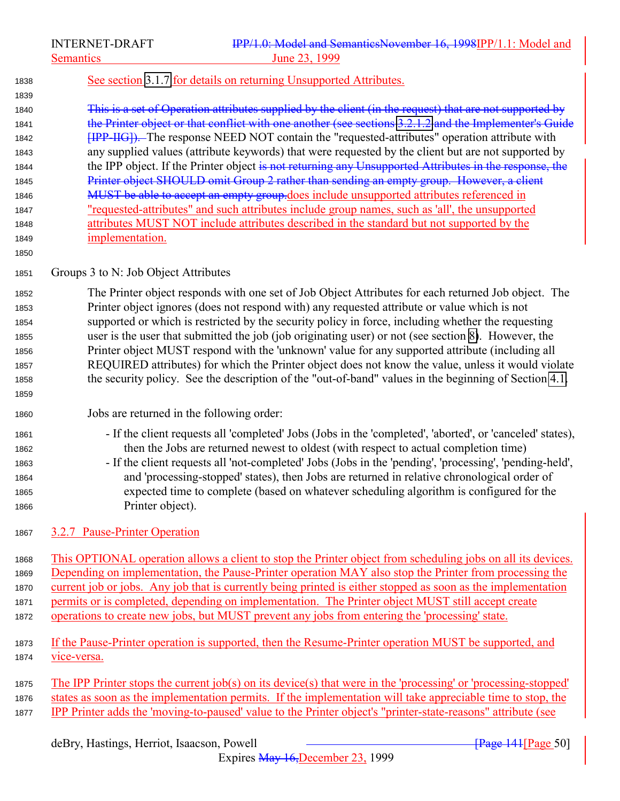INTERNET-DRAFT **IPP/1.0: Model and SemanticsNovember 16, 1998IPP/1.1: Model and** Semantics June 23, 1999

## See section [3.1.7](#page-31-0) for details on returning Unsupported Attributes.

 This is a set of Operation attributes supplied by the client (in the request) that are not supported by 1841 the Printer object or that conflict with one another (see sections [3.2.1.2](#page-40-0) and the Implementer's Guide **EUPP-IIG**). The response NEED NOT contain the "requested-attributes" operation attribute with any supplied values (attribute keywords) that were requested by the client but are not supported by 1844 the IPP object. If the Printer object is not returning any Unsupported Attributes in the response, the 1845 Printer object SHOULD omit Group 2 rather than sending an empty group. However, a client 1846 MUST be able to accept an empty group.does include unsupported attributes referenced in "requested-attributes" and such attributes include group names, such as 'all', the unsupported attributes MUST NOT include attributes described in the standard but not supported by the implementation.

# Groups 3 to N: Job Object Attributes

 The Printer object responds with one set of Job Object Attributes for each returned Job object. The Printer object ignores (does not respond with) any requested attribute or value which is not supported or which is restricted by the security policy in force, including whether the requesting user is the user that submitted the job (job originating user) or not (see section [8\)](#page-134-0). However, the Printer object MUST respond with the 'unknown' value for any supported attribute (including all REQUIRED attributes) for which the Printer object does not know the value, unless it would violate the security policy. See the description of the "out-of-band" values in the beginning of Section [4.1.](#page-66-0) 

# Jobs are returned in the following order:

- If the client requests all 'completed' Jobs (Jobs in the 'completed', 'aborted', or 'canceled' states), then the Jobs are returned newest to oldest (with respect to actual completion time)
- If the client requests all 'not-completed' Jobs (Jobs in the 'pending', 'processing', 'pending-held', and 'processing-stopped' states), then Jobs are returned in relative chronological order of expected time to complete (based on whatever scheduling algorithm is configured for the Printer object).
- 3.2.7 Pause-Printer Operation

 This OPTIONAL operation allows a client to stop the Printer object from scheduling jobs on all its devices. Depending on implementation, the Pause-Printer operation MAY also stop the Printer from processing the current job or jobs. Any job that is currently being printed is either stopped as soon as the implementation permits or is completed, depending on implementation. The Printer object MUST still accept create operations to create new jobs, but MUST prevent any jobs from entering the 'processing' state.

# If the Pause-Printer operation is supported, then the Resume-Printer operation MUST be supported, and vice-versa.

 The IPP Printer stops the current job(s) on its device(s) that were in the 'processing' or 'processing-stopped' states as soon as the implementation permits. If the implementation will take appreciable time to stop, the IPP Printer adds the 'moving-to-paused' value to the Printer object's "printer-state-reasons" attribute (see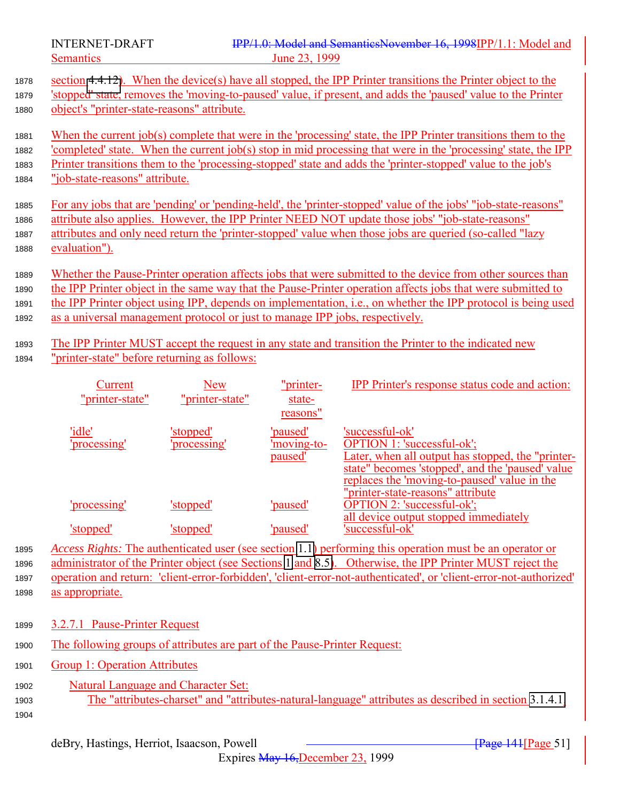<span id="page-50-0"></span>

| 1878<br>1879<br>1880 | section 4.4.12). When the device(s) have all stopped, the IPP Printer transitions the Printer object to the<br>'stopped' state, removes the 'moving-to-paused' value, if present, and adds the 'paused' value to the Printer<br>object's "printer-state-reasons" attribute. |
|----------------------|-----------------------------------------------------------------------------------------------------------------------------------------------------------------------------------------------------------------------------------------------------------------------------|
| 1881<br>1882         | When the current job(s) complete that were in the 'processing' state, the IPP Printer transitions them to the<br>completed' state. When the current job(s) stop in mid processing that were in the 'processing' state, the IPP                                              |
| 1883                 | Printer transitions them to the 'processing-stopped' state and adds the 'printer-stopped' value to the job's                                                                                                                                                                |
| 1884                 | "job-state-reasons" attribute.                                                                                                                                                                                                                                              |
|                      |                                                                                                                                                                                                                                                                             |
| 1885                 | For any jobs that are 'pending' or 'pending-held', the 'printer-stopped' value of the jobs' "job-state-reasons"                                                                                                                                                             |
| 1886                 | attribute also applies. However, the IPP Printer NEED NOT update those jobs' "job-state-reasons"                                                                                                                                                                            |
| 1887                 | attributes and only need return the 'printer-stopped' value when those jobs are queried (so-called "lazy                                                                                                                                                                    |
| 1888                 | evaluation").                                                                                                                                                                                                                                                               |
|                      |                                                                                                                                                                                                                                                                             |
| 1889                 | Whether the Pause-Printer operation affects jobs that were submitted to the device from other sources than                                                                                                                                                                  |
| 1890                 | the IPP Printer object in the same way that the Pause-Printer operation affects jobs that were submitted to                                                                                                                                                                 |
| 1891                 | the IPP Printer object using IPP, depends on implementation, <i>i.e.</i> , on whether the IPP protocol is being used                                                                                                                                                        |
|                      | as a universal management protocol or just to manage IPP jobs, respectively.                                                                                                                                                                                                |
| 1892                 |                                                                                                                                                                                                                                                                             |
| 1893                 | The IPP Printer MUST accept the request in any state and transition the Printer to the indicated new                                                                                                                                                                        |

<sup>1894</sup> "printer-state" before returning as follows:

| Current<br>"printer-state" | New<br>"printer-state"          | "printer-<br>state-<br>reasons"           | <b>IPP</b> Printer's response status code and action:                                                                                                                                                                                       |
|----------------------------|---------------------------------|-------------------------------------------|---------------------------------------------------------------------------------------------------------------------------------------------------------------------------------------------------------------------------------------------|
| 'idle'<br>'processing'     | <u>stopped'</u><br>'processing' | 'paused'<br>'moving-to-<br><u>paused'</u> | 'successful-ok'<br>OPTION 1: 'successful-ok';<br>Later, when all output has stopped, the "printer-<br>state" becomes 'stopped', and the 'paused' value<br>replaces the 'moving-to-paused' value in the<br>"printer-state-reasons" attribute |
| 'processing'               | 'stopped'                       | <u>'paused'</u>                           | <b>OPTION 2: 'successful-ok';</b>                                                                                                                                                                                                           |
| 'stopped                   | 'stopped                        | 'paused'                                  | all device output stopped immediately<br>'successful-ok'                                                                                                                                                                                    |

 *Access Rights:* The authenticated user (see section [1.1\)](#page-138-0) performing this operation must be an operator or administrator of the Printer object (see Sections [1](#page-10-0) and [8.5\)](#page-138-0). Otherwise, the IPP Printer MUST reject the operation and return: 'client-error-forbidden', 'client-error-not-authenticated', or 'client-error-not-authorized' as appropriate.

- <sup>1899</sup> 3.2.7.1 Pause-Printer Request
- <sup>1900</sup> The following groups of attributes are part of the Pause-Printer Request:
- 1901 Group 1: Operation Attributes
- <sup>1902</sup> Natural Language and Character Set: 1903 The "attributes-charset" and "attr<u>ibutes-natural-language" attributes as described in section</u> [3.1.4.1.](#page-24-0) 1904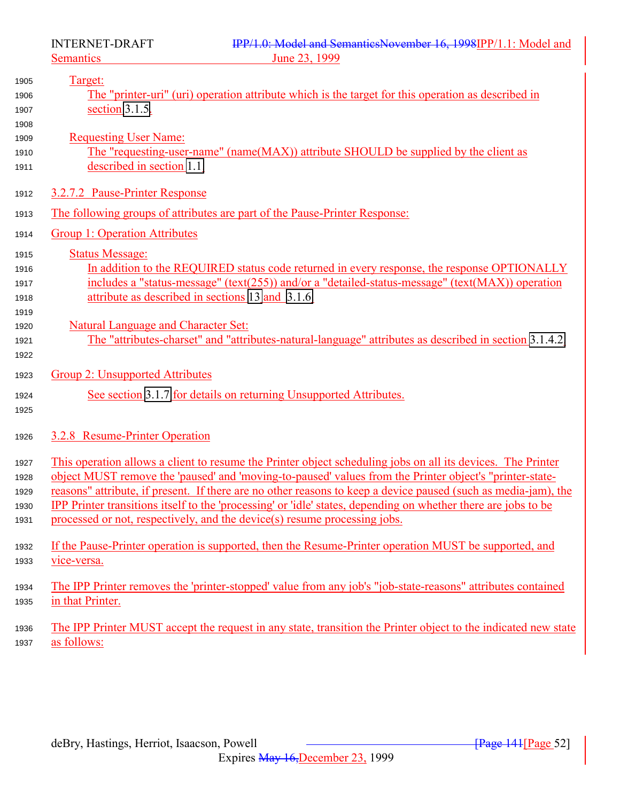<span id="page-51-0"></span>

| 1905 | Target:                                                                                                        |
|------|----------------------------------------------------------------------------------------------------------------|
| 1906 | The "printer-uri" (uri) operation attribute which is the target for this operation as described in             |
| 1907 | section $3.1.5$ .                                                                                              |
| 1908 |                                                                                                                |
| 1909 | <b>Requesting User Name:</b>                                                                                   |
| 1910 | The "requesting-user-name" (name(MAX)) attribute SHOULD be supplied by the client as                           |
| 1911 | described in section 1.1.                                                                                      |
| 1912 | 3.2.7.2 Pause-Printer Response                                                                                 |
| 1913 | The following groups of attributes are part of the Pause-Printer Response:                                     |
| 1914 | <b>Group 1: Operation Attributes</b>                                                                           |
| 1915 | <b>Status Message:</b>                                                                                         |
| 1916 | In addition to the REQUIRED status code returned in every response, the response OPTIONALLY                    |
| 1917 | includes a "status-message" (text(255)) and/or a "detailed-status-message" (text(MAX)) operation               |
| 1918 | attribute as described in sections 13 and 3.1.6.                                                               |
| 1919 |                                                                                                                |
| 1920 | <b>Natural Language and Character Set:</b>                                                                     |
| 1921 | The "attributes-charset" and "attributes-natural-language" attributes as described in section 3.1.4.2.         |
| 1922 |                                                                                                                |
| 1923 | Group 2: Unsupported Attributes                                                                                |
| 1924 | See section 3.1.7 for details on returning Unsupported Attributes.                                             |
| 1925 |                                                                                                                |
| 1926 | 3.2.8 Resume-Printer Operation                                                                                 |
| 1927 | This operation allows a client to resume the Printer object scheduling jobs on all its devices. The Printer    |
| 1928 | object MUST remove the 'paused' and 'moving-to-paused' values from the Printer object's "printer-state-        |
| 1929 | reasons" attribute, if present. If there are no other reasons to keep a device paused (such as media-jam), the |
| 1930 | IPP Printer transitions itself to the 'processing' or 'idle' states, depending on whether there are jobs to be |
| 1931 | processed or not, respectively, and the device(s) resume processing jobs.                                      |
| 1932 | If the Pause-Printer operation is supported, then the Resume-Printer operation MUST be supported, and          |
| 1933 | vice-versa.                                                                                                    |
| 1934 | The IPP Printer removes the 'printer-stopped' value from any job's "job-state-reasons" attributes contained    |
| 1935 | in that Printer.                                                                                               |
| 1936 | The IPP Printer MUST accept the request in any state, transition the Printer object to the indicated new state |
| 1937 | as follows:                                                                                                    |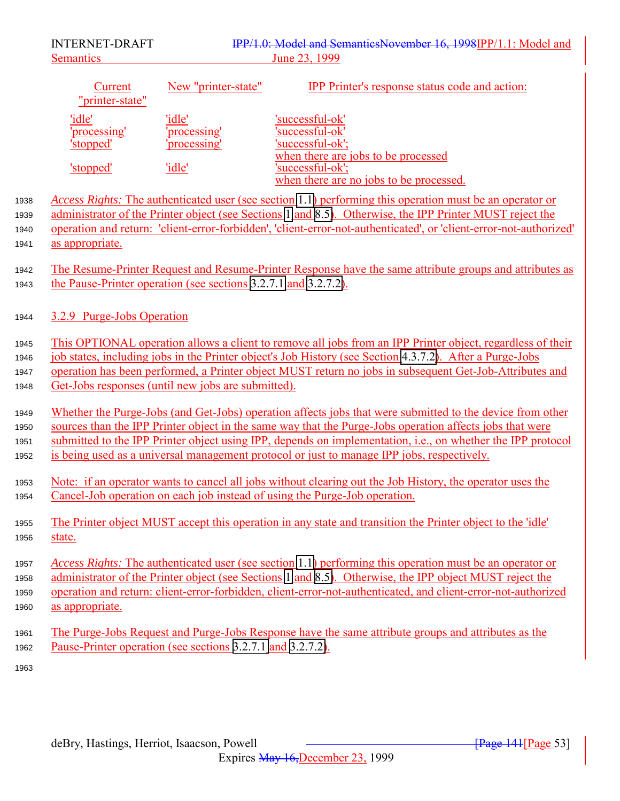|                              | <b>INTERNET-DRAFT</b>              |                                                                 | IPP/1.0: Model and SemanticsNovember 16, 1998IPP/1.1: Model and<br>June 23, 1999                                                                                                                                                                                                                                                                                                                                                           |  |
|------------------------------|------------------------------------|-----------------------------------------------------------------|--------------------------------------------------------------------------------------------------------------------------------------------------------------------------------------------------------------------------------------------------------------------------------------------------------------------------------------------------------------------------------------------------------------------------------------------|--|
|                              | <b>Semantics</b>                   |                                                                 |                                                                                                                                                                                                                                                                                                                                                                                                                                            |  |
|                              | <b>Current</b><br>"printer-state"  | New "printer-state"                                             | <b>IPP</b> Printer's response status code and action:                                                                                                                                                                                                                                                                                                                                                                                      |  |
|                              | 'idle'<br>processing'<br>'stopped' | 'idle'<br>'processing'<br>processing'                           | 'successful-ok'<br>'successful-ok'<br>'successful-ok';                                                                                                                                                                                                                                                                                                                                                                                     |  |
|                              | 'stopped'                          | 'idle'                                                          | when there are jobs to be processed<br>'successful-ok';<br>when there are no jobs to be processed.                                                                                                                                                                                                                                                                                                                                         |  |
| 1938<br>1939<br>1940<br>1941 | as appropriate.                    |                                                                 | Access Rights: The authenticated user (see section 1.1) performing this operation must be an operator or<br>administrator of the Printer object (see Sections 1 and 8.5). Otherwise, the IPP Printer MUST reject the<br>operation and return: 'client-error-forbidden', 'client-error-not-authenticated', or 'client-error-not-authorized'                                                                                                 |  |
| 1942<br>1943                 |                                    | the Pause-Printer operation (see sections 3.2.7.1 and 3.2.7.2). | The Resume-Printer Request and Resume-Printer Response have the same attribute groups and attributes as                                                                                                                                                                                                                                                                                                                                    |  |
| 1944                         | 3.2.9 Purge-Jobs Operation         |                                                                 |                                                                                                                                                                                                                                                                                                                                                                                                                                            |  |
| 1945<br>1946<br>1947<br>1948 |                                    | Get-Jobs responses (until new jobs are submitted).              | This OPTIONAL operation allows a client to remove all jobs from an IPP Printer object, regardless of their<br>job states, including jobs in the Printer object's Job History (see Section 4.3.7.2). After a Purge-Jobs<br>operation has been performed, a Printer object MUST return no jobs in subsequent Get-Job-Attributes and                                                                                                          |  |
| 1949<br>1950<br>1951<br>1952 |                                    |                                                                 | Whether the Purge-Jobs (and Get-Jobs) operation affects jobs that were submitted to the device from other<br>sources than the IPP Printer object in the same way that the Purge-Jobs operation affects jobs that were<br>submitted to the IPP Printer object using IPP, depends on implementation, <i>i.e.</i> , on whether the IPP protocol<br>is being used as a universal management protocol or just to manage IPP jobs, respectively. |  |
| 1953<br>1954                 |                                    |                                                                 | Note: if an operator wants to cancel all jobs without clearing out the Job History, the operator uses the<br>Cancel-Job operation on each job instead of using the Purge-Job operation.                                                                                                                                                                                                                                                    |  |
| 1955<br>1956                 | state.                             |                                                                 | The Printer object MUST accept this operation in any state and transition the Printer object to the 'idle'                                                                                                                                                                                                                                                                                                                                 |  |
| 1957<br>1958<br>1959<br>1960 | as appropriate.                    |                                                                 | Access Rights: The authenticated user (see section 1.1) performing this operation must be an operator or<br>administrator of the Printer object (see Sections 1 and 8.5). Otherwise, the IPP object MUST reject the<br>operation and return: client-error-forbidden, client-error-not-authenticated, and client-error-not-authorized                                                                                                       |  |
| 1961<br>1962                 |                                    | Pause-Printer operation (see sections 3.2.7.1 and 3.2.7.2).     | The Purge-Jobs Request and Purge-Jobs Response have the same attribute groups and attributes as the                                                                                                                                                                                                                                                                                                                                        |  |
| 1963                         |                                    |                                                                 |                                                                                                                                                                                                                                                                                                                                                                                                                                            |  |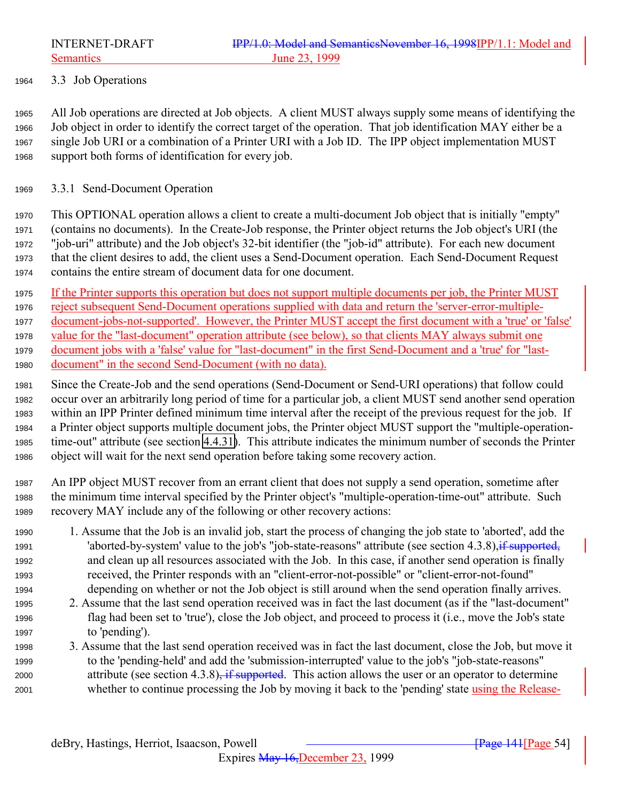<span id="page-53-0"></span>

3.3 Job Operations

 All Job operations are directed at Job objects. A client MUST always supply some means of identifying the Job object in order to identify the correct target of the operation. That job identification MAY either be a single Job URI or a combination of a Printer URI with a Job ID. The IPP object implementation MUST support both forms of identification for every job.

#### 3.3.1 Send-Document Operation

 This OPTIONAL operation allows a client to create a multi-document Job object that is initially "empty" (contains no documents). In the Create-Job response, the Printer object returns the Job object's URI (the "job-uri" attribute) and the Job object's 32-bit identifier (the "job-id" attribute). For each new document that the client desires to add, the client uses a Send-Document operation. Each Send-Document Request contains the entire stream of document data for one document.

 If the Printer supports this operation but does not support multiple documents per job, the Printer MUST reject subsequent Send-Document operations supplied with data and return the 'server-error-multiple- document-jobs-not-supported'. However, the Printer MUST accept the first document with a 'true' or 'false' value for the "last-document" operation attribute (see below), so that clients MAY always submit one document jobs with a 'false' value for "last-document" in the first Send-Document and a 'true' for "last-

document" in the second Send-Document (with no data).

 Since the Create-Job and the send operations (Send-Document or Send-URI operations) that follow could occur over an arbitrarily long period of time for a particular job, a client MUST send another send operation within an IPP Printer defined minimum time interval after the receipt of the previous request for the job. If a Printer object supports multiple document jobs, the Printer object MUST support the "multiple-operation- time-out" attribute (see section [4.4.31\)](#page-118-0). This attribute indicates the minimum number of seconds the Printer object will wait for the next send operation before taking some recovery action.

 An IPP object MUST recover from an errant client that does not supply a send operation, sometime after the minimum time interval specified by the Printer object's "multiple-operation-time-out" attribute. Such recovery MAY include any of the following or other recovery actions:

- 1. Assume that the Job is an invalid job, start the process of changing the job state to 'aborted', add the 1991 'aborted-by-system' value to the job's "job-state-reasons" attribute (see section 4.3.8), if supported, and clean up all resources associated with the Job. In this case, if another send operation is finally received, the Printer responds with an "client-error-not-possible" or "client-error-not-found" depending on whether or not the Job object is still around when the send operation finally arrives.
- 2. Assume that the last send operation received was in fact the last document (as if the "last-document" flag had been set to 'true'), close the Job object, and proceed to process it (i.e., move the Job's state to 'pending').
- 3. Assume that the last send operation received was in fact the last document, close the Job, but move it to the 'pending-held' and add the 'submission-interrupted' value to the job's "job-state-reasons" 2000 attribute (see section 4.3.8), if supported. This action allows the user or an operator to determine whether to continue processing the Job by moving it back to the 'pending' state using the Release-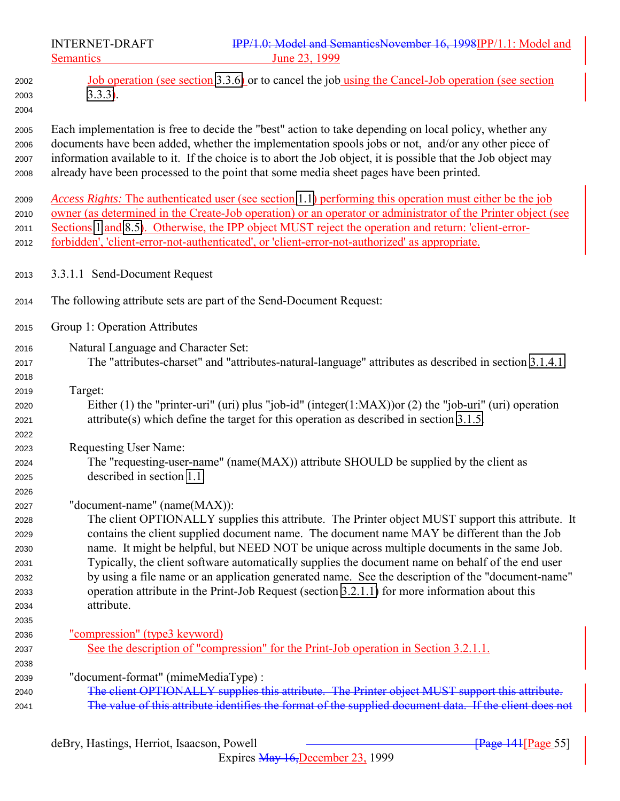INTERNET-DRAFT **IPP/1.0: Model and SemanticsNovember 16, 1998IPP/1.1: Model and** Semantics June 23, 1999 Job operation (see section [3.3.6\)](#page-62-0) or to cancel the job using the Cancel-Job operation (see section [3.3.3\)](#page-56-0). Each implementation is free to decide the "best" action to take depending on local policy, whether any documents have been added, whether the implementation spools jobs or not, and/or any other piece of information available to it. If the choice is to abort the Job object, it is possible that the Job object may already have been processed to the point that some media sheet pages have been printed. *Access Rights:* The authenticated user (see section [1.1\)](#page-138-0) performing this operation must either be the job owner (as determined in the Create-Job operation) or an operator or administrator of the Printer object (see 2011 Sections [1](#page-10-0) and [8.5\)](#page-138-0). Otherwise, the IPP object MUST reject the operation and return: 'client-error- forbidden', 'client-error-not-authenticated', or 'client-error-not-authorized' as appropriate. 3.3.1.1 Send-Document Request The following attribute sets are part of the Send-Document Request: Group 1: Operation Attributes Natural Language and Character Set: The "attributes-charset" and "attributes-natural-language" attributes as described in section [3.1.4.1.](#page-24-0) Target: Either (1) the "printer-uri" (uri) plus "job-id" (integer(1:MAX))or (2) the "job-uri" (uri) operation attribute(s) which define the target for this operation as described in section [3.1.5.](#page-27-0) Requesting User Name: The "requesting-user-name" (name(MAX)) attribute SHOULD be supplied by the client as described in section [1.1.](#page-138-0) "document-name" (name(MAX)): The client OPTIONALLY supplies this attribute. The Printer object MUST support this attribute. It contains the client supplied document name. The document name MAY be different than the Job name. It might be helpful, but NEED NOT be unique across multiple documents in the same Job. Typically, the client software automatically supplies the document name on behalf of the end user by using a file name or an application generated name. See the description of the "document-name" operation attribute in the Print-Job Request (section [3.2.1.1\)](#page-36-0) for more information about this attribute. "compression" (type3 keyword) See the description of "compression" for the Print-Job operation in Section 3.2.1.1. "document-format" (mimeMediaType) : The client OPTIONALLY supplies this attribute. The Printer object MUST support this attribute. The value of this attribute identifies the format of the supplied document data. If the client does not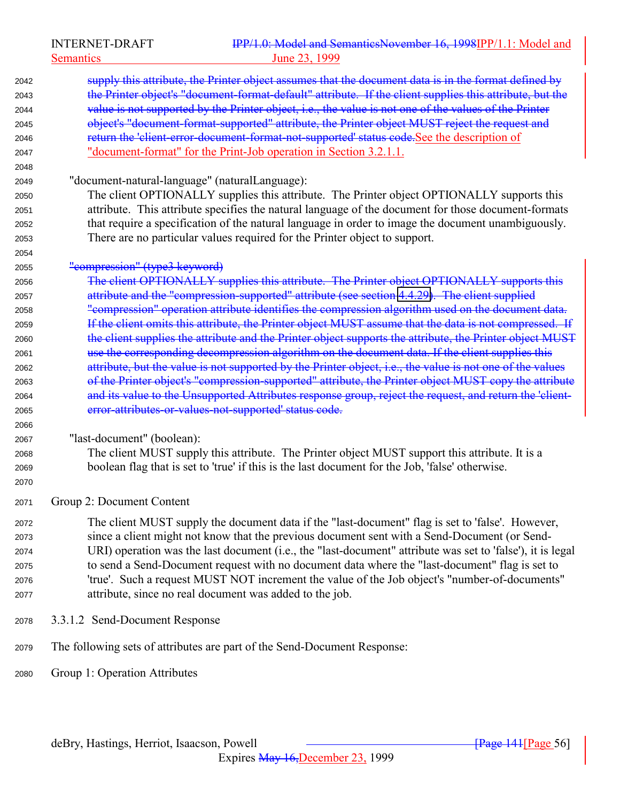Semantics 23, 1999

| 2042 | supply this attribute, the Printer object assumes that the document data is in the format defined by       |
|------|------------------------------------------------------------------------------------------------------------|
| 2043 | the Printer object's "document-format-default" attribute. If the client supplies this attribute, but the   |
| 2044 | value is not supported by the Printer object, i.e., the value is not one of the values of the Printer      |
| 2045 | object's "document-format-supported" attribute, the Printer object MUST reject the request and             |
| 2046 | return the 'client-error-document-format-not-supported' status code. See the description of                |
| 2047 | "document-format" for the Print-Job operation in Section 3.2.1.1.                                          |
| 2048 |                                                                                                            |
| 2049 | "document-natural-language" (naturalLanguage):                                                             |
| 2050 | The client OPTIONALLY supplies this attribute. The Printer object OPTIONALLY supports this                 |
| 2051 | attribute. This attribute specifies the natural language of the document for those document-formats        |
| 2052 | that require a specification of the natural language in order to image the document unambiguously.         |
| 2053 | There are no particular values required for the Printer object to support.                                 |
| 2054 |                                                                                                            |
| 2055 | "compression" (type3 keyword)                                                                              |
| 2056 | The client OPTIONALLY supplies this attribute. The Printer object OPTIONALLY supports this                 |
| 2057 | attribute and the "compression-supported" attribute (see section 4.4.29). The client supplied              |
| 2058 | "compression" operation attribute identifies the compression algorithm used on the document data.          |
| 2059 | If the client omits this attribute, the Printer object MUST assume that the data is not compressed. If     |
| 2060 | the client supplies the attribute and the Printer object supports the attribute, the Printer object MUST   |
| 2061 | use the corresponding decompression algorithm on the document data. If the client supplies this            |
| 2062 | attribute, but the value is not supported by the Printer object, i.e., the value is not one of the values  |
| 2063 | of the Printer object's "compression-supported" attribute, the Printer object MUST copy the attribute      |
| 2064 | and its value to the Unsupported Attributes response group, reject the request, and return the 'client-    |
| 2065 | error-attributes-or-values-not-supported' status code.                                                     |
| 2066 |                                                                                                            |
| 2067 | "last-document" (boolean):                                                                                 |
| 2068 | The client MUST supply this attribute. The Printer object MUST support this attribute. It is a             |
| 2069 | boolean flag that is set to 'true' if this is the last document for the Job, 'false' otherwise.            |
| 2070 |                                                                                                            |
|      |                                                                                                            |
| 2071 | Group 2: Document Content                                                                                  |
| 2072 | The client MUST supply the document data if the "last-document" flag is set to 'false'. However,           |
| 2073 | since a client might not know that the previous document sent with a Send-Document (or Send-               |
| 2074 | URI) operation was the last document (i.e., the "last-document" attribute was set to 'false'), it is legal |
| 2075 | to send a Send-Document request with no document data where the "last-document" flag is set to             |
| 2076 | 'true'. Such a request MUST NOT increment the value of the Job object's "number-of-documents"              |
| 2077 | attribute, since no real document was added to the job.                                                    |
| 2078 | 3.3.1.2 Send-Document Response                                                                             |
| 2079 | The following sets of attributes are part of the Send-Document Response:                                   |
| 2080 | Group 1: Operation Attributes                                                                              |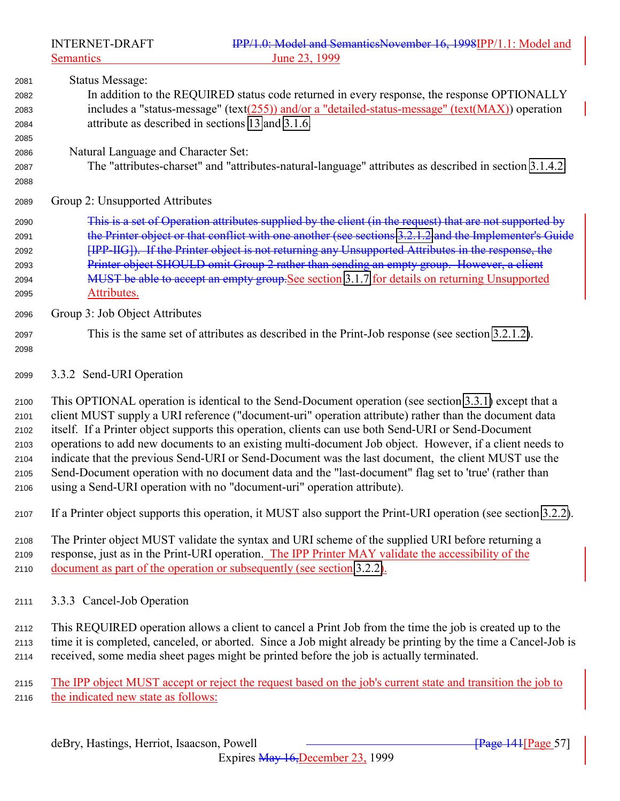<span id="page-56-0"></span>

| 2081 | Status Message:                                                                                        |
|------|--------------------------------------------------------------------------------------------------------|
| 2082 | In addition to the REQUIRED status code returned in every response, the response OPTIONALLY            |
| 2083 | includes a "status-message" (text(255)) and/or a "detailed-status-message" (text( $MAX$ )) operation   |
| 2084 | attribute as described in sections 13 and 3.1.6.                                                       |
| 2085 |                                                                                                        |
| 2086 | Natural Language and Character Set:                                                                    |
| 2087 | The "attributes-charset" and "attributes-natural-language" attributes as described in section 3.1.4.2. |
| 2088 |                                                                                                        |
|      |                                                                                                        |

- Group 2: Unsupported Attributes
- This is a set of Operation attributes supplied by the client (in the request) that are not supported by the Printer object or that conflict with one another (see sections [3.2.1.2](#page-40-0) and the Implementer's Guide [IPP-IIG]). If the Printer object is not returning any Unsupported Attributes in the response, the 2093 Printer object SHOULD omit Group 2 rather than sending an empty group. However, a client 2094 MUST be able to accept an empty group. See section [3.1.7](#page-31-0) for details on returning Unsupported Attributes.
- Group 3: Job Object Attributes
- This is the same set of attributes as described in the Print-Job response (see section [3.2.1.2\)](#page-40-0).
- 

3.3.2 Send-URI Operation

 This OPTIONAL operation is identical to the Send-Document operation (see section [3.3.1\)](#page-53-0) except that a client MUST supply a URI reference ("document-uri" operation attribute) rather than the document data itself. If a Printer object supports this operation, clients can use both Send-URI or Send-Document operations to add new documents to an existing multi-document Job object. However, if a client needs to indicate that the previous Send-URI or Send-Document was the last document, the client MUST use the Send-Document operation with no document data and the "last-document" flag set to 'true' (rather than using a Send-URI operation with no "document-uri" operation attribute).

If a Printer object supports this operation, it MUST also support the Print-URI operation (see section [3.2.2\)](#page-42-0).

 The Printer object MUST validate the syntax and URI scheme of the supplied URI before returning a response, just as in the Print-URI operation. The IPP Printer MAY validate the accessibility of the document as part of the operation or subsequently (see section [3.2.2\)](#page-42-0).

3.3.3 Cancel-Job Operation

 This REQUIRED operation allows a client to cancel a Print Job from the time the job is created up to the time it is completed, canceled, or aborted. Since a Job might already be printing by the time a Cancel-Job is received, some media sheet pages might be printed before the job is actually terminated.

2115 The IPP object MUST accept or reject the request based on the job's current state and transition the job to the indicated new state as follows: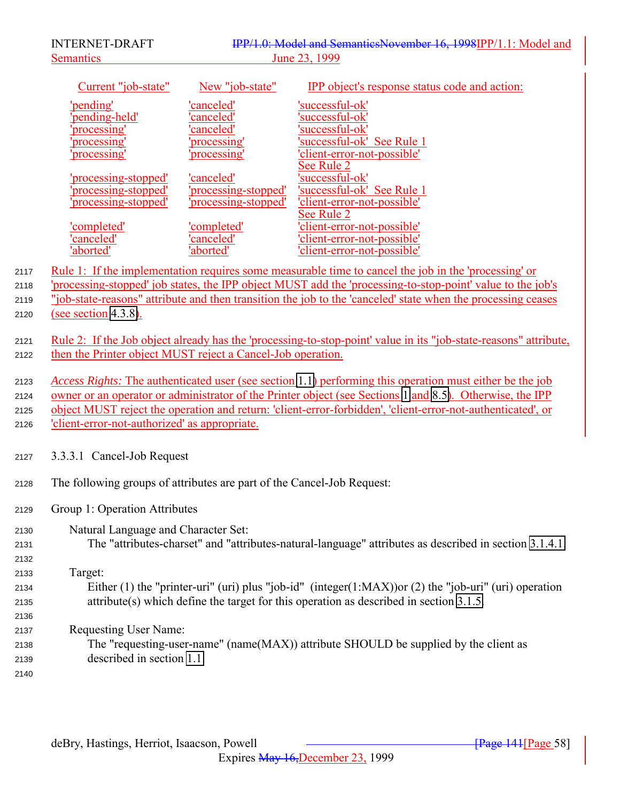<span id="page-57-0"></span>

|      | <b>INTERNET-DRAFT</b>                                                  | IPP/1.0: Model and SemanticsNovember 16, 1998IPP/1.1: Model and                                             |                                                                                                                  |  |
|------|------------------------------------------------------------------------|-------------------------------------------------------------------------------------------------------------|------------------------------------------------------------------------------------------------------------------|--|
|      | <b>Semantics</b>                                                       | June 23, 1999                                                                                               |                                                                                                                  |  |
|      | Current "job-state"                                                    | New "job-state"                                                                                             | <b>IPP</b> object's response status code and action:                                                             |  |
|      | 'pending'                                                              | 'canceled'                                                                                                  | 'successful-ok'                                                                                                  |  |
|      | pending-held'                                                          | canceled'                                                                                                   | successful-ok                                                                                                    |  |
|      | processing'                                                            | 'canceled'                                                                                                  | successful-ok'                                                                                                   |  |
|      | processing                                                             | processing'                                                                                                 | successful-ok' See Rule 1                                                                                        |  |
|      | 'processing'                                                           | processing                                                                                                  | 'client-error-not-possible'                                                                                      |  |
|      | 'processing-stopped'                                                   | 'canceled'                                                                                                  | See Rule 2<br>successful-ok'                                                                                     |  |
|      | processing-stopped'                                                    | 'processing-stopped'                                                                                        | 'successful-ok' See Rule 1                                                                                       |  |
|      | 'processing-stopped'                                                   | 'processing-stopped'                                                                                        | 'client-error-not-possible'                                                                                      |  |
|      |                                                                        |                                                                                                             | See Rule 2                                                                                                       |  |
|      | <u>'completed'</u>                                                     | 'completed'                                                                                                 | 'client-error-not-possible'                                                                                      |  |
|      | canceled'                                                              | 'canceled'                                                                                                  | 'client-error-not-possible'                                                                                      |  |
|      | 'aborted'                                                              | 'aborted'                                                                                                   | 'client-error-not-possible'                                                                                      |  |
| 2117 |                                                                        |                                                                                                             | <u>Rule 1: If the implementation requires some measurable time to cancel the job in the 'processing' or</u>      |  |
| 2118 |                                                                        |                                                                                                             | 'processing-stopped' job states, the IPP object MUST add the 'processing-to-stop-point' value to the job's       |  |
| 2119 |                                                                        |                                                                                                             | "job-state-reasons" attribute and then transition the job to the 'canceled' state when the processing ceases     |  |
| 2120 | (see section $4.3.8$ ).                                                |                                                                                                             |                                                                                                                  |  |
| 2121 |                                                                        |                                                                                                             | Rule 2: If the Job object already has the 'processing-to-stop-point' value in its "job-state-reasons" attribute, |  |
| 2122 | then the Printer object MUST reject a Cancel-Job operation.            |                                                                                                             |                                                                                                                  |  |
|      |                                                                        |                                                                                                             |                                                                                                                  |  |
| 2123 |                                                                        |                                                                                                             | <i>Access Rights:</i> The authenticated user (see section 1.1) performing this operation must either be the job  |  |
| 2124 |                                                                        |                                                                                                             | owner or an operator or administrator of the Printer object (see Sections 1 and 8.5). Otherwise, the IPP         |  |
| 2125 |                                                                        | object MUST reject the operation and return: 'client-error-forbidden', 'client-error-not-authenticated', or |                                                                                                                  |  |
| 2126 | 'client-error-not-authorized' as appropriate.                          |                                                                                                             |                                                                                                                  |  |
| 2127 | 3.3.3.1 Cancel-Job Request                                             |                                                                                                             |                                                                                                                  |  |
| 2128 | The following groups of attributes are part of the Cancel-Job Request: |                                                                                                             |                                                                                                                  |  |
| 2129 | Group 1: Operation Attributes                                          |                                                                                                             |                                                                                                                  |  |
| 2130 | Natural Language and Character Set:                                    |                                                                                                             |                                                                                                                  |  |
| 2131 |                                                                        |                                                                                                             | The "attributes-charset" and "attributes-natural-language" attributes as described in section 3.1.4.1.           |  |
| 2132 |                                                                        |                                                                                                             |                                                                                                                  |  |
| 2133 | Target:                                                                |                                                                                                             |                                                                                                                  |  |
| 2134 |                                                                        |                                                                                                             | Either (1) the "printer-uri" (uri) plus "job-id" (integer(1:MAX)) or (2) the "job-uri" (uri) operation           |  |
| 2135 |                                                                        |                                                                                                             | $attribute(s)$ which define the target for this operation as described in section 3.1.5.                         |  |
| 2136 |                                                                        |                                                                                                             |                                                                                                                  |  |
| 2137 | <b>Requesting User Name:</b>                                           |                                                                                                             |                                                                                                                  |  |
| 2138 |                                                                        |                                                                                                             | The "requesting-user-name" (name(MAX)) attribute SHOULD be supplied by the client as                             |  |
| 2139 | described in section 1.1.                                              |                                                                                                             |                                                                                                                  |  |
| 2140 |                                                                        |                                                                                                             |                                                                                                                  |  |
|      |                                                                        |                                                                                                             |                                                                                                                  |  |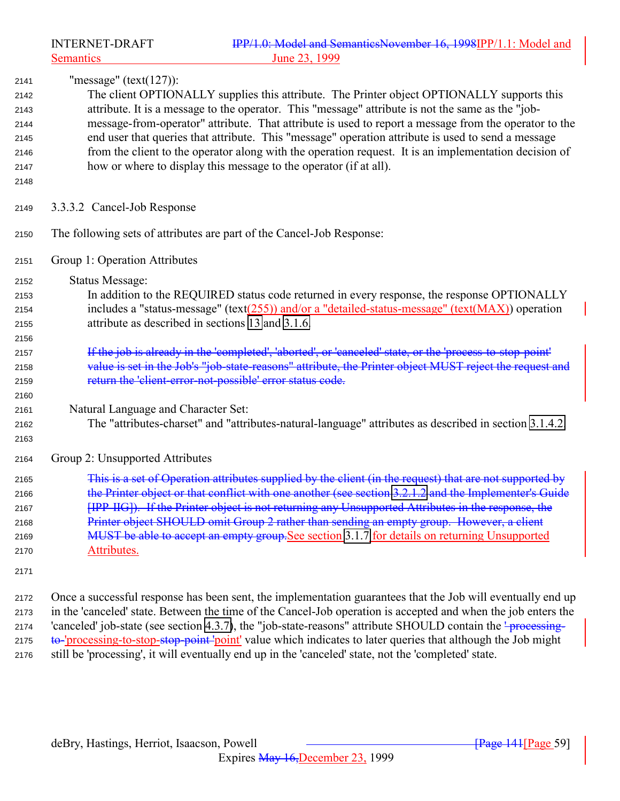<span id="page-58-0"></span>

"message" (text(127)):

- The client OPTIONALLY supplies this attribute. The Printer object OPTIONALLY supports this attribute. It is a message to the operator. This "message" attribute is not the same as the "job- message-from-operator" attribute. That attribute is used to report a message from the operator to the end user that queries that attribute. This "message" operation attribute is used to send a message from the client to the operator along with the operation request. It is an implementation decision of how or where to display this message to the operator (if at all).
- 
- 3.3.3.2 Cancel-Job Response
- The following sets of attributes are part of the Cancel-Job Response:
- Group 1: Operation Attributes
- Status Message:
- In addition to the REQUIRED status code returned in every response, the response OPTIONALLY 2154 includes a "status-message" (text()) and/or a "detailed-status-message" (text( $MAX$ )) operation attribute as described in sections [13](#page-154-0) and [3.1.6.](#page-29-0)
- 2157 If the job is already in the 'completed', 'aborted', or 'canceled' state, or the 'process-to-stop-point' 2158 value is set in the Job's "job-state-reasons" attribute, the Printer object MUST reject the request and return the 'client-error-not-possible' error status code.
- Natural Language and Character Set:
- The "attributes-charset" and "attributes-natural-language" attributes as described in section [3.1.4.2.](#page-27-0)
- 

- Group 2: Unsupported Attributes
- This is a set of Operation attributes supplied by the client (in the request) that are not supported by 2166 the Printer object or that conflict with one another (see section [3.2.1.2](#page-40-0) and the Implementer's Guide [IPP-IIG]). If the Printer object is not returning any Unsupported Attributes in the response, the 2168 Printer object SHOULD omit Group 2 rather than sending an empty group. However, a client 2169 MUST be able to accept an empty group. See section [3.1.7](#page-31-0) for details on returning Unsupported Attributes.
- 

 Once a successful response has been sent, the implementation guarantees that the Job will eventually end up in the 'canceled' state. Between the time of the Cancel-Job operation is accepted and when the job enters the 2174 'canceled' job-state (see section [4.3.7\)](#page-90-0), the "job-state-reasons" attribute SHOULD contain the <del>' processing-</del> 2175 to-'processing-to-stop-stop-point' value which indicates to later queries that although the Job might still be 'processing', it will eventually end up in the 'canceled' state, not the 'completed' state.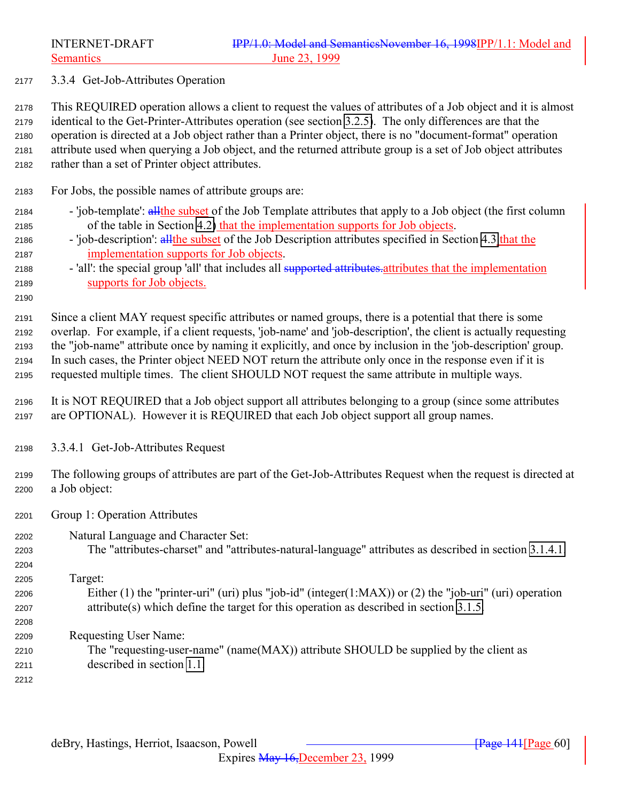<span id="page-59-0"></span>Semantics June 23, 1999

3.3.4 Get-Job-Attributes Operation

 This REQUIRED operation allows a client to request the values of attributes of a Job object and it is almost identical to the Get-Printer-Attributes operation (see section [3.2.5\)](#page-43-0). The only differences are that the operation is directed at a Job object rather than a Printer object, there is no "document-format" operation attribute used when querying a Job object, and the returned attribute group is a set of Job object attributes rather than a set of Printer object attributes.

- For Jobs, the possible names of attribute groups are:
- 2184 'job-template': all the subset of the Job Template attributes that apply to a Job object (the first column of the table in Section [4.2\)](#page-75-0) that the implementation supports for Job objects.
- 2186 'job-description': all the subset of the Job Description attributes specified in Section [4.3](#page-87-0) that the implementation supports for Job objects.
- 2188 'all': the special group 'all' that includes all supported attributes attributes that the implementation supports for Job objects.
- 

 Since a client MAY request specific attributes or named groups, there is a potential that there is some overlap. For example, if a client requests, 'job-name' and 'job-description', the client is actually requesting the "job-name" attribute once by naming it explicitly, and once by inclusion in the 'job-description' group. In such cases, the Printer object NEED NOT return the attribute only once in the response even if it is requested multiple times. The client SHOULD NOT request the same attribute in multiple ways.

- It is NOT REQUIRED that a Job object support all attributes belonging to a group (since some attributes are OPTIONAL). However it is REQUIRED that each Job object support all group names.
- 3.3.4.1 Get-Job-Attributes Request
- The following groups of attributes are part of the Get-Job-Attributes Request when the request is directed at a Job object:
- Group 1: Operation Attributes
- Natural Language and Character Set:
- The "attributes-charset" and "attributes-natural-language" attributes as described in section [3.1.4.1.](#page-24-0)

## Target:

- Either (1) the "printer-uri" (uri) plus "job-id" (integer(1:MAX)) or (2) the "job-uri" (uri) operation attribute(s) which define the target for this operation as described in section [3.1.5.](#page-27-0)
- Requesting User Name:
- The "requesting-user-name" (name(MAX)) attribute SHOULD be supplied by the client as described in section [1.1.](#page-138-0)
-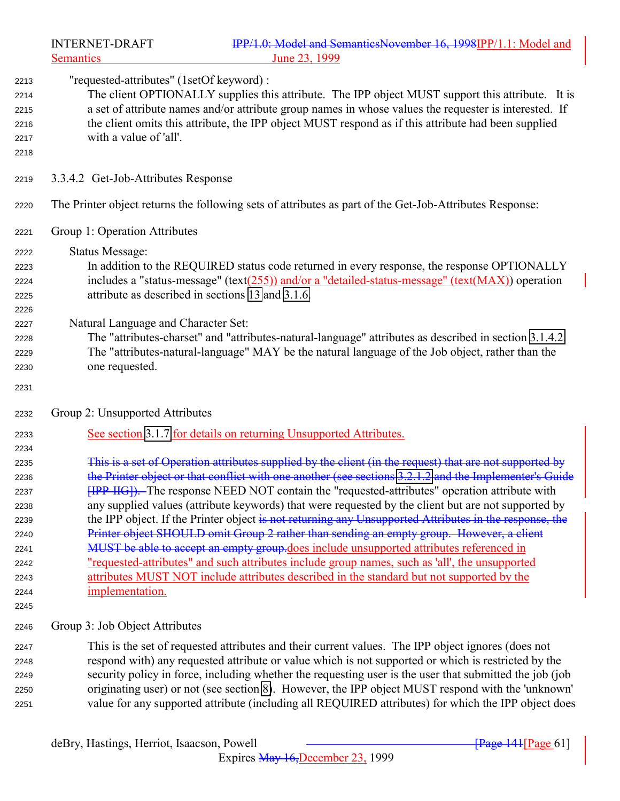|              | <b>INTERNET-DRAFT</b><br><b>Semantics</b>                                                              | IPP/1.0: Model and SemanticsNovember 16, 1998IPP/1.1: Model and<br>June 23, 1999                        |  |
|--------------|--------------------------------------------------------------------------------------------------------|---------------------------------------------------------------------------------------------------------|--|
|              | "requested-attributes" (1setOf keyword) :                                                              |                                                                                                         |  |
| 2213<br>2214 |                                                                                                        | The client OPTIONALLY supplies this attribute. The IPP object MUST support this attribute. It is        |  |
| 2215         | a set of attribute names and/or attribute group names in whose values the requester is interested. If  |                                                                                                         |  |
| 2216         | the client omits this attribute, the IPP object MUST respond as if this attribute had been supplied    |                                                                                                         |  |
| 2217         | with a value of 'all'.                                                                                 |                                                                                                         |  |
| 2218         |                                                                                                        |                                                                                                         |  |
| 2219         | 3.3.4.2 Get-Job-Attributes Response                                                                    |                                                                                                         |  |
| 2220         |                                                                                                        | The Printer object returns the following sets of attributes as part of the Get-Job-Attributes Response: |  |
| 2221         | Group 1: Operation Attributes                                                                          |                                                                                                         |  |
| 2222         | <b>Status Message:</b>                                                                                 |                                                                                                         |  |
| 2223         |                                                                                                        | In addition to the REQUIRED status code returned in every response, the response OPTIONALLY             |  |
| 2224         |                                                                                                        | includes a "status-message" (text(255)) and/or a "detailed-status-message" (text( $MAX$ )) operation    |  |
| 2225         | attribute as described in sections 13 and 3.1.6.                                                       |                                                                                                         |  |
| 2226         |                                                                                                        |                                                                                                         |  |
| 2227         | Natural Language and Character Set:                                                                    |                                                                                                         |  |
| 2228         | The "attributes-charset" and "attributes-natural-language" attributes as described in section 3.1.4.2. |                                                                                                         |  |
| 2229         |                                                                                                        | The "attributes-natural-language" MAY be the natural language of the Job object, rather than the        |  |
| 2230         | one requested.                                                                                         |                                                                                                         |  |
| 2231         |                                                                                                        |                                                                                                         |  |
| 2232         | Group 2: Unsupported Attributes                                                                        |                                                                                                         |  |
| 2233         |                                                                                                        | See section 3.1.7 for details on returning Unsupported Attributes.                                      |  |
| 2234         |                                                                                                        |                                                                                                         |  |
| 2235         |                                                                                                        | This is a set of Operation attributes supplied by the client (in the request) that are not supported by |  |
| 2236         |                                                                                                        | the Printer object or that conflict with one another (see sections 3.2.1.2 and the Implementer's Guide  |  |
| 2237         |                                                                                                        | <b>[IPP-IIG]</b> ). The response NEED NOT contain the "requested-attributes" operation attribute with   |  |
| 2238         |                                                                                                        | any supplied values (attribute keywords) that were requested by the client but are not supported by     |  |
| 2239         |                                                                                                        | the IPP object. If the Printer object is not returning any Unsupported Attributes in the response, the  |  |
| 2240         |                                                                                                        | Printer object SHOULD omit Group 2 rather than sending an empty group. However, a client                |  |
| 2241         |                                                                                                        | MUST be able to accept an empty group does include unsupported attributes referenced in                 |  |
| 2242         |                                                                                                        | <u>"requested-attributes" and such attributes include group names, such as 'all', the unsupported</u>   |  |
| 2243         |                                                                                                        | attributes MUST NOT include attributes described in the standard but not supported by the               |  |
| 2244<br>2245 | implementation.                                                                                        |                                                                                                         |  |
| 2246         | Group 3: Job Object Attributes                                                                         |                                                                                                         |  |
|              |                                                                                                        | This is the set of requested attributes and their current values. The IPP object ignores (does not      |  |
| 2247<br>2248 |                                                                                                        | respond with) any requested attribute or value which is not supported or which is restricted by the     |  |
| 2249         |                                                                                                        | security policy in force, including whether the requesting user is the user that submitted the job (job |  |
| 2250         |                                                                                                        | originating user) or not (see section 8). However, the IPP object MUST respond with the 'unknown'       |  |
| 2251         |                                                                                                        | value for any supported attribute (including all REQUIRED attributes) for which the IPP object does     |  |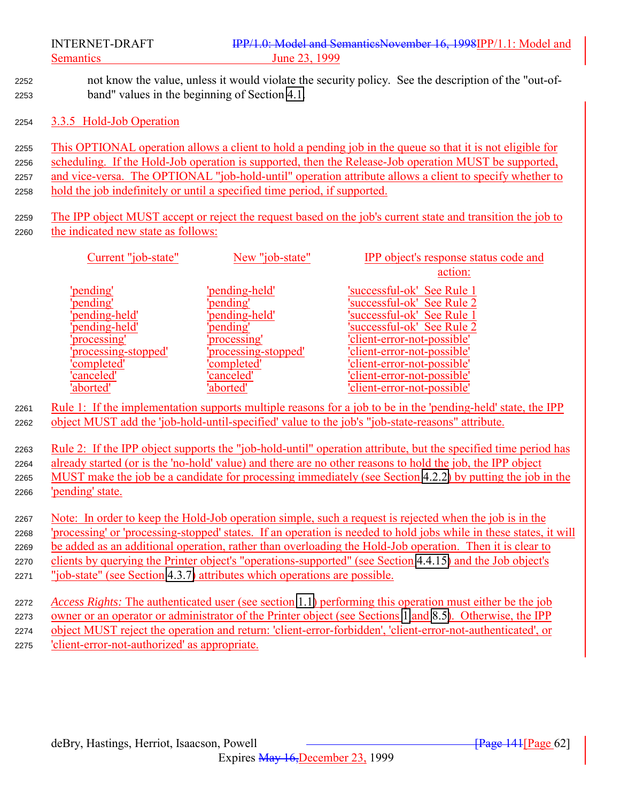not know the value, unless it would violate the security policy. See the description of the "out-of-band" values in the beginning of Section [4.1.](#page-66-0)

#### 3.3.5 Hold-Job Operation

 This OPTIONAL operation allows a client to hold a pending job in the queue so that it is not eligible for scheduling. If the Hold-Job operation is supported, then the Release-Job operation MUST be supported, and vice-versa. The OPTIONAL "job-hold-until" operation attribute allows a client to specify whether to hold the job indefinitely or until a specified time period, if supported.

 The IPP object MUST accept or reject the request based on the job's current state and transition the job to the indicated new state as follows:

| Current "job-state"  | New "job-state"     | <b>IPP</b> object's response status code and |
|----------------------|---------------------|----------------------------------------------|
|                      |                     | action:                                      |
| 'pending'            | 'pending-held'      | 'successful-ok' See Rule 1                   |
| 'pending'            | 'pending'           | 'successful-ok' See Rule 2                   |
| 'pending-held'       | pending-held'       | 'successful-ok' See Rule 1                   |
| 'pending-held'       | pending'            | 'successful-ok' See Rule 2                   |
| 'processing'         | processing'         | 'client-error-not-possible'                  |
| 'processing-stopped' | processing-stopped' | 'client-error-not-possible'                  |
| 'completed'          | 'completed'         | 'client-error-not-possible'                  |
| 'canceled'           | 'canceled'          | 'client-error-not-possible'                  |
| 'aborted'            | 'aborted'           | 'client-error-not-possible'                  |

 Rule 1: If the implementation supports multiple reasons for a job to be in the 'pending-held' state, the IPP object MUST add the 'job-hold-until-specified' value to the job's "job-state-reasons" attribute.

 Rule 2: If the IPP object supports the "job-hold-until" operation attribute, but the specified time period has already started (or is the 'no-hold' value) and there are no other reasons to hold the job, the IPP object MUST make the job be a candidate for processing immediately (see Section [4.2.2\)](#page-79-0) by putting the job in the 'pending' state.

 Note: In order to keep the Hold-Job operation simple, such a request is rejected when the job is in the 'processing' or 'processing-stopped' states. If an operation is needed to hold jobs while in these states, it will be added as an additional operation, rather than overloading the Hold-Job operation. Then it is clear to clients by querying the Printer object's "operations-supported" (see Section [4.4.15\)](#page-113-0) and the Job object's

- "job-state" (see Section [4.3.7\)](#page-90-0) attributes which operations are possible.
- *Access Rights:* The authenticated user (see section [1.1\)](#page-138-0) performing this operation must either be the job owner or an operator or administrator of the Printer object (see Sections [1](#page-10-0) and [8.5\)](#page-138-0). Otherwise, the IPP object MUST reject the operation and return: 'client-error-forbidden', 'client-error-not-authenticated', or 'client-error-not-authorized' as appropriate.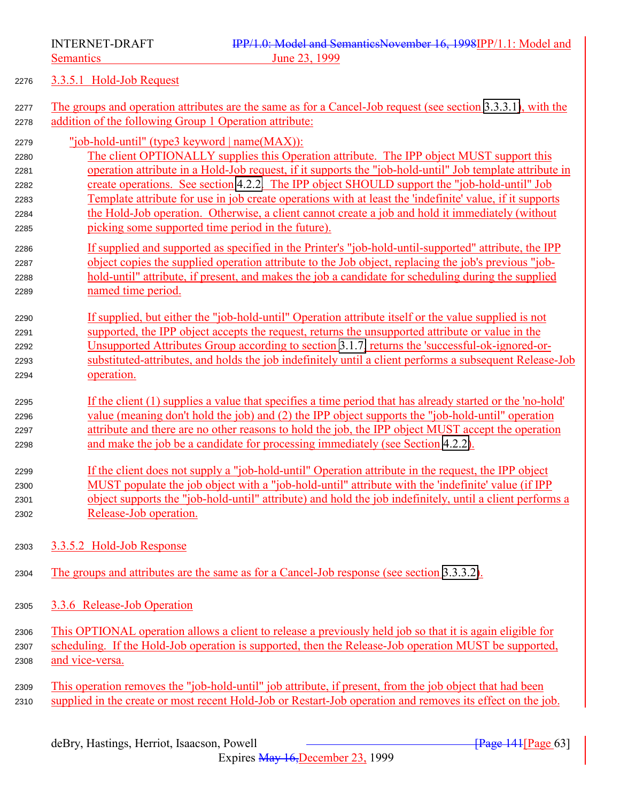<span id="page-62-0"></span>

#### 3.3.5.1 Hold-Job Request

- The groups and operation attributes are the same as for a Cancel-Job request (see section [3.3.3.1\)](#page-57-0), with the addition of the following Group 1 Operation attribute:
- "job-hold-until" (type3 keyword | name(MAX)):
- The client OPTIONALLY supplies this Operation attribute. The IPP object MUST support this operation attribute in a Hold-Job request, if it supports the "job-hold-until" Job template attribute in create operations. See section [4.2.2.](#page-79-0) The IPP object SHOULD support the "job-hold-until" Job Template attribute for use in job create operations with at least the 'indefinite' value, if it supports the Hold-Job operation. Otherwise, a client cannot create a job and hold it immediately (without picking some supported time period in the future).
- If supplied and supported as specified in the Printer's "job-hold-until-supported" attribute, the IPP object copies the supplied operation attribute to the Job object, replacing the job's previous "job- hold-until" attribute, if present, and makes the job a candidate for scheduling during the supplied named time period.
- If supplied, but either the "job-hold-until" Operation attribute itself or the value supplied is not supported, the IPP object accepts the request, returns the unsupported attribute or value in the Unsupported Attributes Group according to section [3.1.7,](#page-31-0) returns the 'successful-ok-ignored-or- substituted-attributes, and holds the job indefinitely until a client performs a subsequent Release-Job operation.
- If the client (1) supplies a value that specifies a time period that has already started or the 'no-hold' value (meaning don't hold the job) and (2) the IPP object supports the "job-hold-until" operation attribute and there are no other reasons to hold the job, the IPP object MUST accept the operation and make the job be a candidate for processing immediately (see Section [4.2.2\)](#page-79-0).
- If the client does not supply a "job-hold-until" Operation attribute in the request, the IPP object MUST populate the job object with a "job-hold-until" attribute with the 'indefinite' value (if IPP object supports the "job-hold-until" attribute) and hold the job indefinitely, until a client performs a Release-Job operation.
- 3.3.5.2 Hold-Job Response
- 2304 The groups and attributes are the same as for a Cancel-Job response (see section [3.3.3.2\)](#page-58-0).
- 3.3.6 Release-Job Operation
- This OPTIONAL operation allows a client to release a previously held job so that it is again eligible for scheduling. If the Hold-Job operation is supported, then the Release-Job operation MUST be supported, and vice-versa.
- This operation removes the "job-hold-until" job attribute, if present, from the job object that had been 2310 supplied in the create or most recent Hold-Job or Restart-Job operation and removes its effect on the job.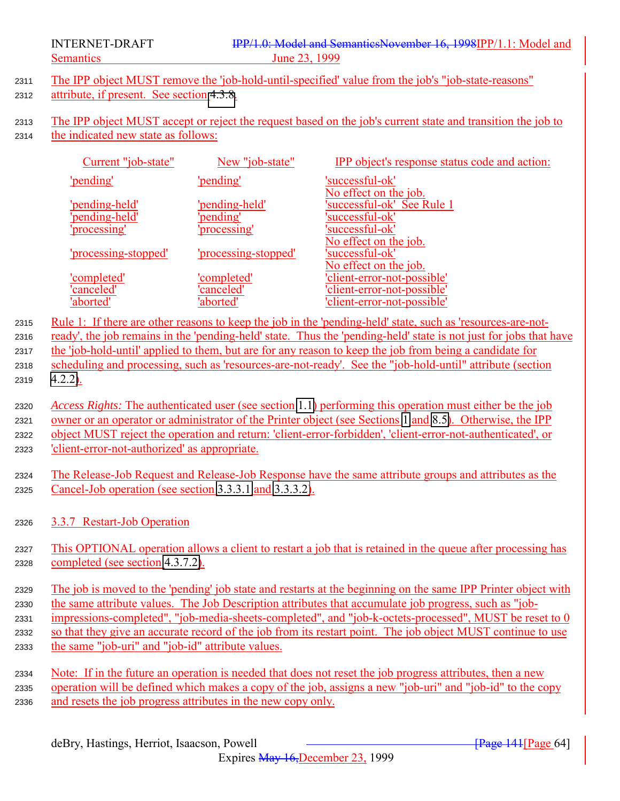- <sup>2311</sup> The IPP object MUST remove the 'job-hold-until-specified' value from the job's "job-state-reasons"
- 2312 attribute, if present. See section [4.3.8.](#page-94-0)
- <sup>2313</sup> The IPP object MUST accept or reject the request based on the job's current state and transition the job to <sup>2314</sup> the indicated new state as follows:

| Current "job-state"  | New "job-state"      | <b>IPP</b> object's response status code and action: |
|----------------------|----------------------|------------------------------------------------------|
| 'pending'            | 'pending'            | 'successful-ok'                                      |
|                      |                      | No effect on the job.                                |
| 'pending-held'       | 'pending-held'       | 'successful-ok' See Rule 1                           |
| 'pending-held'       | 'pending'            | 'successful-ok'                                      |
| 'processing'         | 'processing'         | 'successful-ok'                                      |
|                      |                      | No effect on the job.                                |
| 'processing-stopped' | 'processing-stopped' | 'successful-ok'                                      |
|                      |                      | No effect on the job.                                |
| 'completed'          | 'completed'          | 'client-error-not-possible'                          |
| 'canceled'           | 'canceled'           | 'client-error-not-possible'                          |
| 'aborted'            | 'aborted'            | 'client-error-not-possible'                          |

<sup>2315</sup> Rule 1: If there are other reasons to keep the job in the 'pending-held' state, such as 'resources-are-not-<sup>2316</sup> ready', the job remains in the 'pending-held' state. Thus the 'pending-held' state is not just for jobs that have <sup>2317</sup> the 'job-hold-until' applied to them, but are for any reason to keep the job from being a candidate for

<sup>2318</sup> scheduling and processing, such as 'resources-are-not-ready'. See the "job-hold-until" attribute (section <sup>2319</sup> [4.2.2\)](#page-79-0).

 *Access Rights:* The authenticated user (see section [1.1\)](#page-138-0) performing this operation must either be the job owner or an operator or administrator of the Printer object (see Sections [1](#page-10-0) and [8.5\)](#page-138-0). Otherwise, the IPP object MUST reject the operation and return: 'client-error-forbidden', 'client-error-not-authenticated', or 'client-error-not-authorized' as appropriate.

<sup>2324</sup> The Release-Job Request and Release-Job Response have the same attribute groups and attributes as the <sup>2325</sup> Cancel-Job operation (see section [3.3.3.1](#page-57-0) and [3.3.3.2\)](#page-58-0).

<sup>2326</sup> 3.3.7 Restart-Job Operation

<sup>2327</sup> This OPTIONAL operation allows a client to restart a job that is retained in the queue after processing has <sup>2328</sup> completed (see section [4.3.7.2\)](#page-93-0).

 The job is moved to the 'pending' job state and restarts at the beginning on the same IPP Printer object with the same attribute values. The Job Description attributes that accumulate job progress, such as "job- impressions-completed", "job-media-sheets-completed", and "job-k-octets-processed", MUST be reset to 0 so that they give an accurate record of the job from its restart point. The job object MUST continue to use the same "job-uri" and "job-id" attribute values.

<sup>2334</sup> Note: If in the future an operation is needed that does not reset the job progress attributes, then a new <sup>2335</sup> operation will be defined which makes a copy of the job, assigns a new "job-uri" and "job-id" to the copy <sup>2336</sup> and resets the job progress attributes in the new copy only.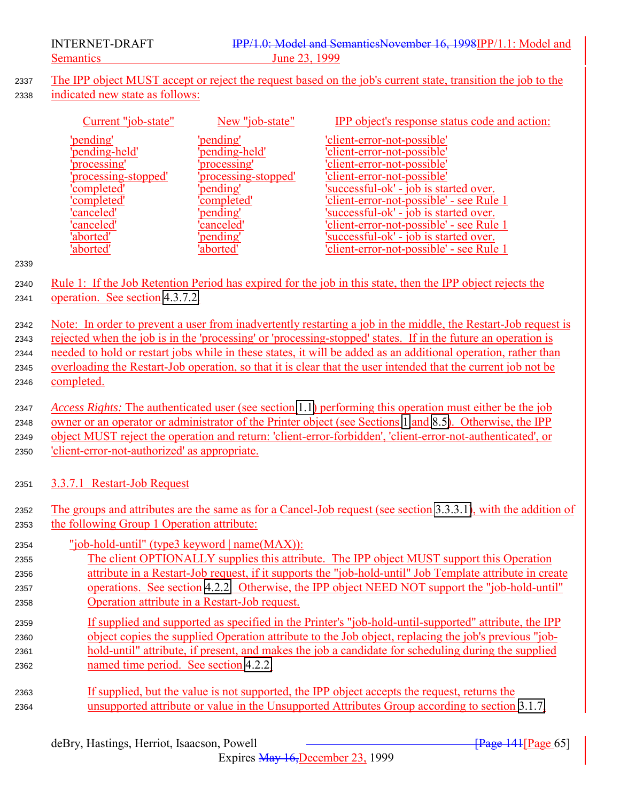The IPP object MUST accept or reject the request based on the job's current state, transition the job to the indicated new state as follows:

| Current "job-state"  | New "job-state"      | <b>IPP</b> object's response status code and action: |
|----------------------|----------------------|------------------------------------------------------|
| 'pending'            | 'pending'            | 'client-error-not-possible'                          |
| 'pending-held'       | 'pending-held'       | 'client-error-not-possible'                          |
| 'processing'         | processing'          | 'client-error-not-possible'                          |
| 'processing-stopped' | 'processing-stopped' | 'client-error-not-possible'                          |
| 'completed'          | 'pending'            | 'successful-ok' - job is started over.               |
| 'completed'          | 'completed'          | 'client-error-not-possible' - see Rule 1             |
| 'canceled'           | 'pending'            | 'successful-ok' - job is started over.               |
| 'canceled'           | 'canceled'           | 'client-error-not-possible' - see Rule 1             |
| 'aborted'            | 'pending'            | 'successful-ok' - job is started over.               |
| 'aborted'            | aborted              | 'client-error-not-possible' - see Rule 1             |

#### 

- 2340 Rule 1: If the Job Retention Period has expired for the job in this state, then the IPP object rejects the operation. See section [4.3.7.2.](#page-93-0)
- Note: In order to prevent a user from inadvertently restarting a job in the middle, the Restart-Job request is rejected when the job is in the 'processing' or 'processing-stopped' states. If in the future an operation is needed to hold or restart jobs while in these states, it will be added as an additional operation, rather than overloading the Restart-Job operation, so that it is clear that the user intended that the current job not be completed.

 *Access Rights:* The authenticated user (see section [1.1\)](#page-138-0) performing this operation must either be the job owner or an operator or administrator of the Printer object (see Sections [1](#page-10-0) and [8.5\)](#page-138-0). Otherwise, the IPP object MUST reject the operation and return: 'client-error-forbidden', 'client-error-not-authenticated', or 'client-error-not-authorized' as appropriate.

- 3.3.7.1 Restart-Job Request
- The groups and attributes are the same as for a Cancel-Job request (see section [3.3.3.1\)](#page-57-0), with the addition of the following Group 1 Operation attribute:
- "job-hold-until" (type3 keyword | name(MAX)):
- The client OPTIONALLY supplies this attribute. The IPP object MUST support this Operation attribute in a Restart-Job request, if it supports the "job-hold-until" Job Template attribute in create operations. See section [4.2.2.](#page-79-0) Otherwise, the IPP object NEED NOT support the "job-hold-until" Operation attribute in a Restart-Job request.
- If supplied and supported as specified in the Printer's "job-hold-until-supported" attribute, the IPP object copies the supplied Operation attribute to the Job object, replacing the job's previous "job- hold-until" attribute, if present, and makes the job a candidate for scheduling during the supplied named time period. See section [4.2.2.](#page-79-0)
- If supplied, but the value is not supported, the IPP object accepts the request, returns the unsupported attribute or value in the Unsupported Attributes Group according to section [3.1.7,](#page-31-0)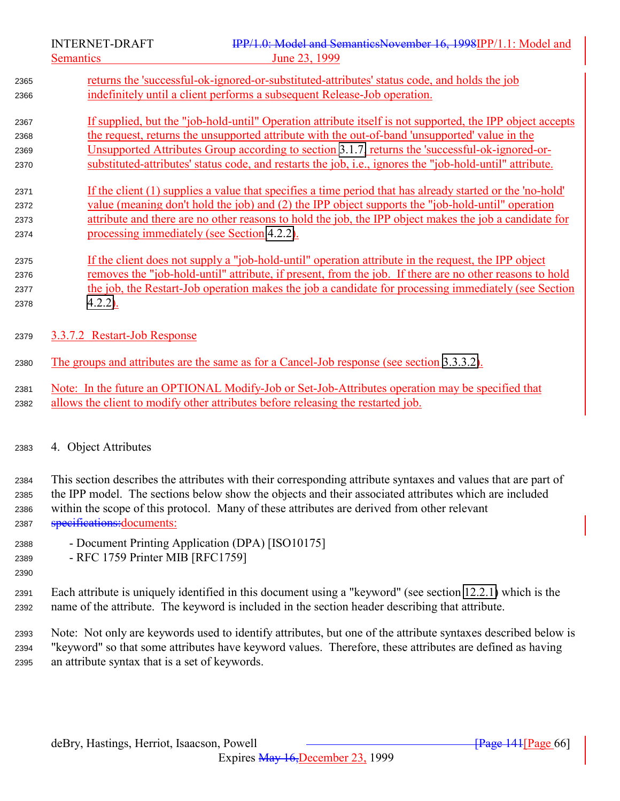<span id="page-65-0"></span>Semantics June 23, 1999 returns the 'successful-ok-ignored-or-substituted-attributes' status code, and holds the job indefinitely until a client performs a subsequent Release-Job operation. If supplied, but the "job-hold-until" Operation attribute itself is not supported, the IPP object accepts the request, returns the unsupported attribute with the out-of-band 'unsupported' value in the Unsupported Attributes Group according to section [3.1.7,](#page-31-0) returns the 'successful-ok-ignored-or- substituted-attributes' status code, and restarts the job, i.e., ignores the "job-hold-until" attribute. If the client (1) supplies a value that specifies a time period that has already started or the 'no-hold' value (meaning don't hold the job) and (2) the IPP object supports the "job-hold-until" operation attribute and there are no other reasons to hold the job, the IPP object makes the job a candidate for processing immediately (see Section [4.2.2\)](#page-79-0). If the client does not supply a "job-hold-until" operation attribute in the request, the IPP object removes the "job-hold-until" attribute, if present, from the job. If there are no other reasons to hold 2377 the job, the Restart-Job operation makes the job a candidate for processing immediately (see Section [4.2.2\)](#page-79-0). 3.3.7.2 Restart-Job Response The groups and attributes are the same as for a Cancel-Job response (see section [3.3.3.2\)](#page-58-0). Note: In the future an OPTIONAL Modify-Job or Set-Job-Attributes operation may be specified that allows the client to modify other attributes before releasing the restarted job.

### 4. Object Attributes

 This section describes the attributes with their corresponding attribute syntaxes and values that are part of the IPP model. The sections below show the objects and their associated attributes which are included within the scope of this protocol. Many of these attributes are derived from other relevant 2387 specifications: documents:

- Document Printing Application (DPA) [ISO10175]
- RFC 1759 Printer MIB [RFC1759]
- Each attribute is uniquely identified in this document using a "keyword" (see section [12.2.1\)](#page-151-0) which is the name of the attribute. The keyword is included in the section header describing that attribute.

 Note: Not only are keywords used to identify attributes, but one of the attribute syntaxes described below is "keyword" so that some attributes have keyword values. Therefore, these attributes are defined as having an attribute syntax that is a set of keywords.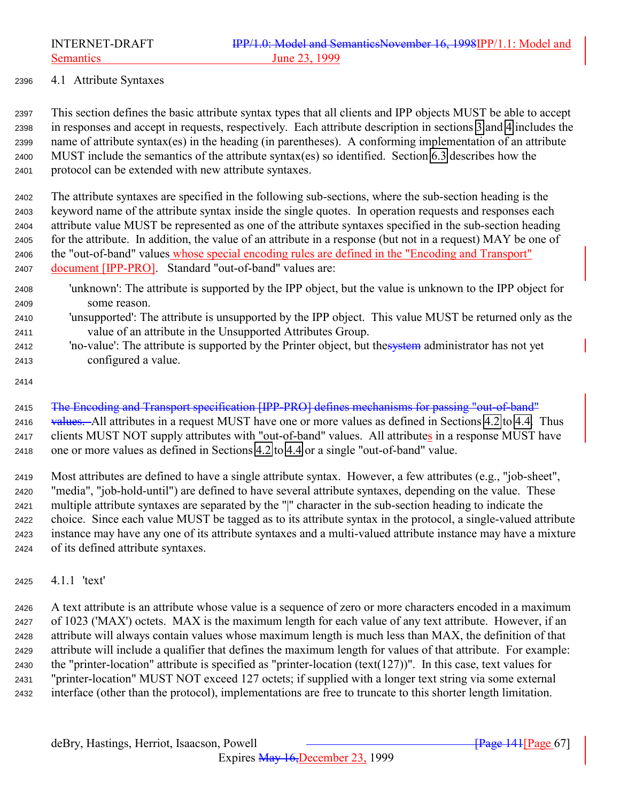<span id="page-66-0"></span>

#### 4.1 Attribute Syntaxes

 This section defines the basic attribute syntax types that all clients and IPP objects MUST be able to accept in responses and accept in requests, respectively. Each attribute description in sections [3](#page-20-0) and [4](#page-65-0) includes the name of attribute syntax(es) in the heading (in parentheses). A conforming implementation of an attribute MUST include the semantics of the attribute syntax(es) so identified. Section [6.3](#page-128-0) describes how the protocol can be extended with new attribute syntaxes.

 The attribute syntaxes are specified in the following sub-sections, where the sub-section heading is the keyword name of the attribute syntax inside the single quotes. In operation requests and responses each attribute value MUST be represented as one of the attribute syntaxes specified in the sub-section heading for the attribute. In addition, the value of an attribute in a response (but not in a request) MAY be one of the "out-of-band" values whose special encoding rules are defined in the "Encoding and Transport" document [IPP-PRO]. Standard "out-of-band" values are:

- 'unknown': The attribute is supported by the IPP object, but the value is unknown to the IPP object for some reason.
- 'unsupported': The attribute is unsupported by the IPP object. This value MUST be returned only as the value of an attribute in the Unsupported Attributes Group.
- 2412 'no-value': The attribute is supported by the Printer object, but the system administrator has not yet configured a value.
- 

2415 The Encoding and Transport specification [IPP-PRO] defines mechanisms for passing "out-of-band" 2416 values. All attributes in a request MUST have one or more values as defined in Sections [4.2](#page-75-0) to [4.4.](#page-103-0) Thus clients MUST NOT supply attributes with "out-of-band" values. All attributes in a response MUST have one or more values as defined in Sections [4.2](#page-75-0) to [4.4](#page-103-0) or a single "out-of-band" value.

 Most attributes are defined to have a single attribute syntax. However, a few attributes (e.g., "job-sheet", "media", "job-hold-until") are defined to have several attribute syntaxes, depending on the value. These multiple attribute syntaxes are separated by the "|" character in the sub-section heading to indicate the choice. Since each value MUST be tagged as to its attribute syntax in the protocol, a single-valued attribute instance may have any one of its attribute syntaxes and a multi-valued attribute instance may have a mixture of its defined attribute syntaxes.

4.1.1 'text'

 A text attribute is an attribute whose value is a sequence of zero or more characters encoded in a maximum of 1023 ('MAX') octets. MAX is the maximum length for each value of any text attribute. However, if an attribute will always contain values whose maximum length is much less than MAX, the definition of that attribute will include a qualifier that defines the maximum length for values of that attribute. For example: the "printer-location" attribute is specified as "printer-location (text(127))". In this case, text values for "printer-location" MUST NOT exceed 127 octets; if supplied with a longer text string via some external interface (other than the protocol), implementations are free to truncate to this shorter length limitation.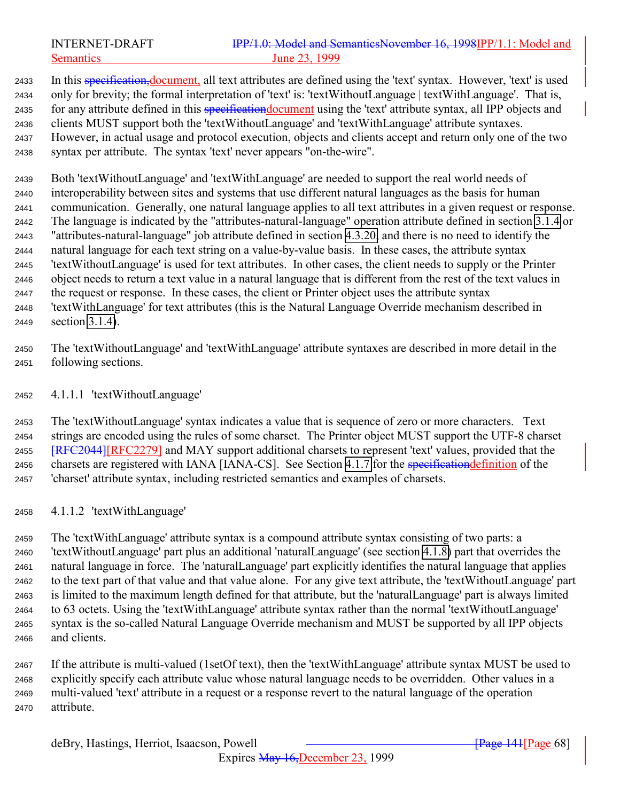## INTERNET-DRAFT **IPP/1.0:** Model and SemanticsNovember 16, 1998IPP/1.1: Model and Semantics June 23, 1999

2433 In this specification, document, all text attributes are defined using the 'text' syntax. However, 'text' is used only for brevity; the formal interpretation of 'text' is: 'textWithoutLanguage | textWithLanguage'. That is, 2435 for any attribute defined in this specification document using the 'text' attribute syntax, all IPP objects and clients MUST support both the 'textWithoutLanguage' and 'textWithLanguage' attribute syntaxes. However, in actual usage and protocol execution, objects and clients accept and return only one of the two syntax per attribute. The syntax 'text' never appears "on-the-wire".

 Both 'textWithoutLanguage' and 'textWithLanguage' are needed to support the real world needs of interoperability between sites and systems that use different natural languages as the basis for human communication. Generally, one natural language applies to all text attributes in a given request or response. The language is indicated by the "attributes-natural-language" operation attribute defined in section [3.1.4](#page-23-0) or "attributes-natural-language" job attribute defined in section [4.3.20,](#page-102-0) and there is no need to identify the natural language for each text string on a value-by-value basis. In these cases, the attribute syntax 'textWithoutLanguage' is used for text attributes. In other cases, the client needs to supply or the Printer object needs to return a text value in a natural language that is different from the rest of the text values in the request or response. In these cases, the client or Printer object uses the attribute syntax 'textWithLanguage' for text attributes (this is the Natural Language Override mechanism described in section [3.1.4\)](#page-23-0).

 The 'textWithoutLanguage' and 'textWithLanguage' attribute syntaxes are described in more detail in the following sections.

4.1.1.1 'textWithoutLanguage'

 The 'textWithoutLanguage' syntax indicates a value that is sequence of zero or more characters. Text strings are encoded using the rules of some charset. The Printer object MUST support the UTF-8 charset **[RFC2044]**[RFC2279] and MAY support additional charsets to represent 'text' values, provided that the 2456 charsets are registered with IANA [IANA-CS]. See Section [4.1.7](#page-71-0) for the specification definition of the 'charset' attribute syntax, including restricted semantics and examples of charsets.

4.1.1.2 'textWithLanguage'

 The 'textWithLanguage' attribute syntax is a compound attribute syntax consisting of two parts: a 'textWithoutLanguage' part plus an additional 'naturalLanguage' (see section [4.1.8\)](#page-72-0) part that overrides the natural language in force. The 'naturalLanguage' part explicitly identifies the natural language that applies to the text part of that value and that value alone. For any give text attribute, the 'textWithoutLanguage' part is limited to the maximum length defined for that attribute, but the 'naturalLanguage' part is always limited to 63 octets. Using the 'textWithLanguage' attribute syntax rather than the normal 'textWithoutLanguage' syntax is the so-called Natural Language Override mechanism and MUST be supported by all IPP objects and clients.

 If the attribute is multi-valued (1setOf text), then the 'textWithLanguage' attribute syntax MUST be used to explicitly specify each attribute value whose natural language needs to be overridden. Other values in a multi-valued 'text' attribute in a request or a response revert to the natural language of the operation attribute.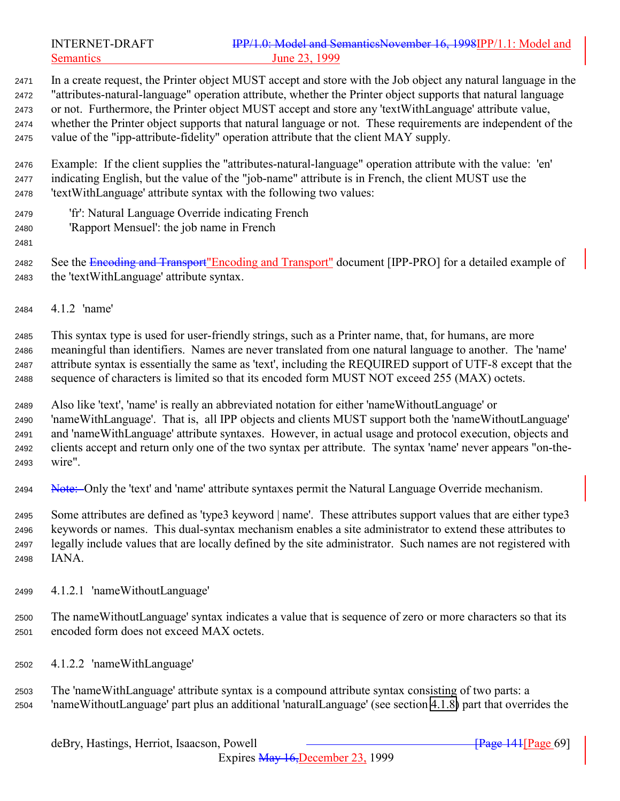# INTERNET-DRAFT IPP/1.0: Model and SemanticsNovember 16, 1998IPP/1.1: Model and Semantics June 23, 1999

 In a create request, the Printer object MUST accept and store with the Job object any natural language in the "attributes-natural-language" operation attribute, whether the Printer object supports that natural language or not. Furthermore, the Printer object MUST accept and store any 'textWithLanguage' attribute value, whether the Printer object supports that natural language or not. These requirements are independent of the value of the "ipp-attribute-fidelity" operation attribute that the client MAY supply.

 Example: If the client supplies the "attributes-natural-language" operation attribute with the value: 'en' indicating English, but the value of the "job-name" attribute is in French, the client MUST use the 'textWithLanguage' attribute syntax with the following two values:

- 'fr': Natural Language Override indicating French
- 'Rapport Mensuel': the job name in French
- 

2482 See the Encoding and Transport"Encoding and Transport" document [IPP-PRO] for a detailed example of the 'textWithLanguage' attribute syntax.

4.1.2 'name'

 This syntax type is used for user-friendly strings, such as a Printer name, that, for humans, are more meaningful than identifiers. Names are never translated from one natural language to another. The 'name' attribute syntax is essentially the same as 'text', including the REQUIRED support of UTF-8 except that the sequence of characters is limited so that its encoded form MUST NOT exceed 255 (MAX) octets.

 Also like 'text', 'name' is really an abbreviated notation for either 'nameWithoutLanguage' or 'nameWithLanguage'. That is, all IPP objects and clients MUST support both the 'nameWithoutLanguage' and 'nameWithLanguage' attribute syntaxes. However, in actual usage and protocol execution, objects and clients accept and return only one of the two syntax per attribute. The syntax 'name' never appears "on-the-wire".

2494 Note: Only the 'text' and 'name' attribute syntaxes permit the Natural Language Override mechanism.

 Some attributes are defined as 'type3 keyword | name'. These attributes support values that are either type3 keywords or names. This dual-syntax mechanism enables a site administrator to extend these attributes to legally include values that are locally defined by the site administrator. Such names are not registered with IANA.

- 4.1.2.1 'nameWithoutLanguage'
- The nameWithoutLanguage' syntax indicates a value that is sequence of zero or more characters so that its encoded form does not exceed MAX octets.
- 4.1.2.2 'nameWithLanguage'
- The 'nameWithLanguage' attribute syntax is a compound attribute syntax consisting of two parts: a 'nameWithoutLanguage' part plus an additional 'naturalLanguage' (see section [4.1.8\)](#page-72-0) part that overrides the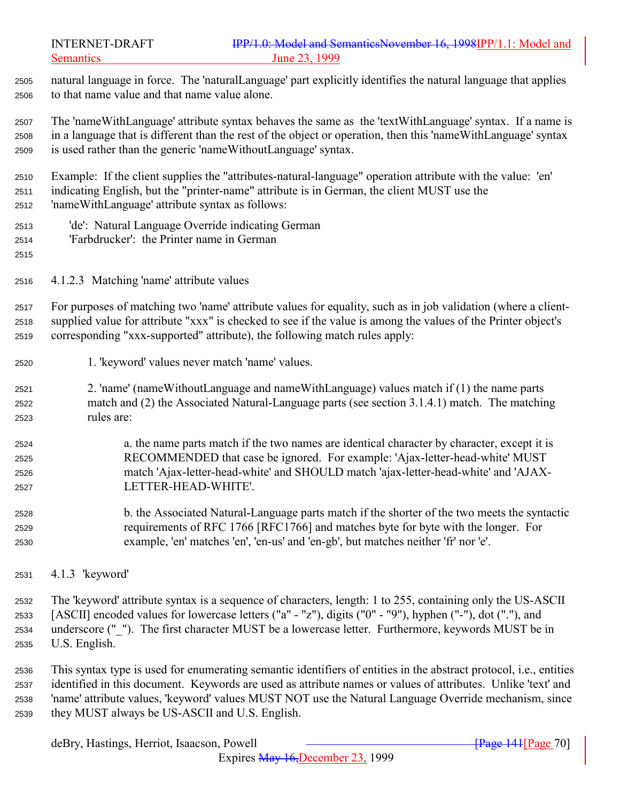natural language in force. The 'naturalLanguage' part explicitly identifies the natural language that applies to that name value and that name value alone.

 The 'nameWithLanguage' attribute syntax behaves the same as the 'textWithLanguage' syntax. If a name is in a language that is different than the rest of the object or operation, then this 'nameWithLanguage' syntax is used rather than the generic 'nameWithoutLanguage' syntax.

 Example: If the client supplies the "attributes-natural-language" operation attribute with the value: 'en' indicating English, but the "printer-name" attribute is in German, the client MUST use the 'nameWithLanguage' attribute syntax as follows:

- 'de': Natural Language Override indicating German
- 'Farbdrucker': the Printer name in German
- 
- 4.1.2.3 Matching 'name' attribute values

 For purposes of matching two 'name' attribute values for equality, such as in job validation (where a client- supplied value for attribute "xxx" is checked to see if the value is among the values of the Printer object's corresponding "xxx-supported" attribute), the following match rules apply:

- 1. 'keyword' values never match 'name' values.
- 2. 'name' (nameWithoutLanguage and nameWithLanguage) values match if (1) the name parts match and (2) the Associated Natural-Language parts (see section 3.1.4.1) match. The matching rules are:
- a. the name parts match if the two names are identical character by character, except it is RECOMMENDED that case be ignored. For example: 'Ajax-letter-head-white' MUST match 'Ajax-letter-head-white' and SHOULD match 'ajax-letter-head-white' and 'AJAX-LETTER-HEAD-WHITE'.
- b. the Associated Natural-Language parts match if the shorter of the two meets the syntactic requirements of RFC 1766 [RFC1766] and matches byte for byte with the longer. For example, 'en' matches 'en', 'en-us' and 'en-gb', but matches neither 'fr' nor 'e'.
- 4.1.3 'keyword'
- The 'keyword' attribute syntax is a sequence of characters, length: 1 to 255, containing only the US-ASCII [ASCII] encoded values for lowercase letters ("a" - "z"), digits ("0" - "9"), hyphen ("-"), dot ("."), and underscore ("\_"). The first character MUST be a lowercase letter. Furthermore, keywords MUST be in U.S. English.
- This syntax type is used for enumerating semantic identifiers of entities in the abstract protocol, i.e., entities identified in this document. Keywords are used as attribute names or values of attributes. Unlike 'text' and 'name' attribute values, 'keyword' values MUST NOT use the Natural Language Override mechanism, since they MUST always be US-ASCII and U.S. English.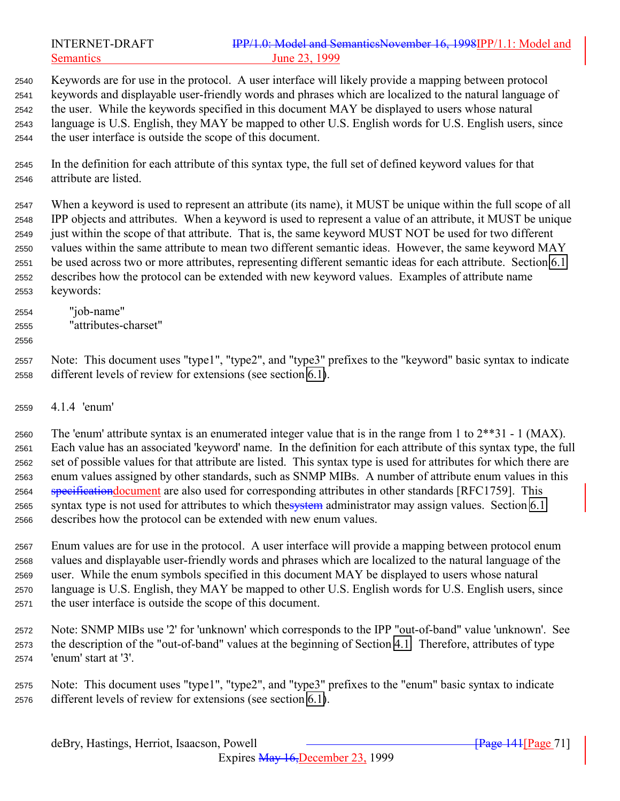| INTERNET-DRAFT   | IPP/1.0: Model and SemanticsNovember 16, 1998IPP/1.1: Model and |
|------------------|-----------------------------------------------------------------|
| <b>Semantics</b> | June 23, 1999                                                   |

 Keywords are for use in the protocol. A user interface will likely provide a mapping between protocol keywords and displayable user-friendly words and phrases which are localized to the natural language of the user. While the keywords specified in this document MAY be displayed to users whose natural language is U.S. English, they MAY be mapped to other U.S. English words for U.S. English users, since the user interface is outside the scope of this document.

 In the definition for each attribute of this syntax type, the full set of defined keyword values for that attribute are listed.

 When a keyword is used to represent an attribute (its name), it MUST be unique within the full scope of all IPP objects and attributes. When a keyword is used to represent a value of an attribute, it MUST be unique just within the scope of that attribute. That is, the same keyword MUST NOT be used for two different values within the same attribute to mean two different semantic ideas. However, the same keyword MAY be used across two or more attributes, representing different semantic ideas for each attribute. Section [6.1](#page-125-0) describes how the protocol can be extended with new keyword values. Examples of attribute name keywords:

- "job-name"
- "attributes-charset"
- 

 Note: This document uses "type1", "type2", and "type3" prefixes to the "keyword" basic syntax to indicate different levels of review for extensions (see section [6.1\)](#page-125-0).

4.1.4 'enum'

2560 The 'enum' attribute syntax is an enumerated integer value that is in the range from 1 to  $2^{**}31 - 1$  (MAX). Each value has an associated 'keyword' name. In the definition for each attribute of this syntax type, the full set of possible values for that attribute are listed. This syntax type is used for attributes for which there are enum values assigned by other standards, such as SNMP MIBs. A number of attribute enum values in this 2564 specification document are also used for corresponding attributes in other standards [RFC1759]. This 2565 syntax type is not used for attributes to which thesystem administrator may assign values. Section [6.1](#page-125-0) describes how the protocol can be extended with new enum values.

 Enum values are for use in the protocol. A user interface will provide a mapping between protocol enum values and displayable user-friendly words and phrases which are localized to the natural language of the user. While the enum symbols specified in this document MAY be displayed to users whose natural language is U.S. English, they MAY be mapped to other U.S. English words for U.S. English users, since the user interface is outside the scope of this document.

 Note: SNMP MIBs use '2' for 'unknown' which corresponds to the IPP "out-of-band" value 'unknown'. See the description of the "out-of-band" values at the beginning of Section [4.1.](#page-66-0) Therefore, attributes of type 'enum' start at '3'.

 Note: This document uses "type1", "type2", and "type3" prefixes to the "enum" basic syntax to indicate different levels of review for extensions (see section [6.1\)](#page-125-0).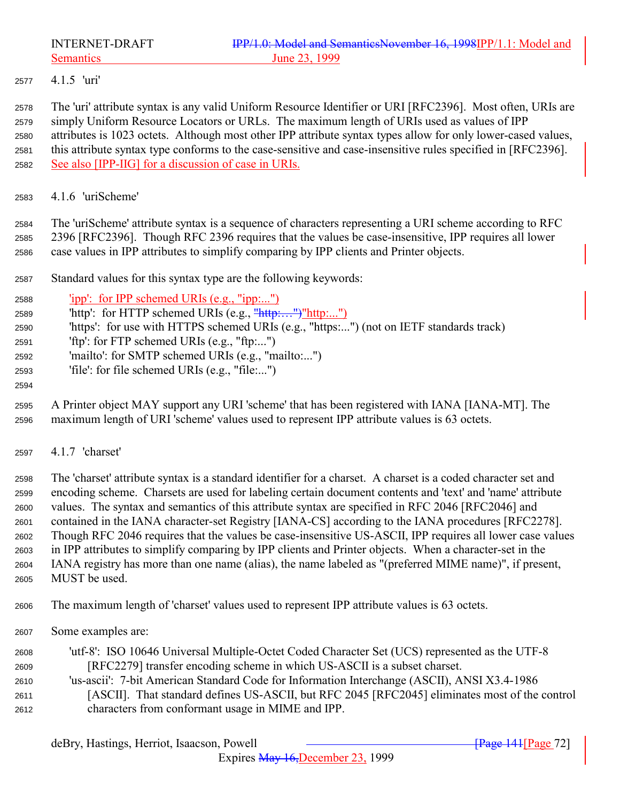<span id="page-71-0"></span>

4.1.5 'uri'

 The 'uri' attribute syntax is any valid Uniform Resource Identifier or URI [RFC2396]. Most often, URIs are simply Uniform Resource Locators or URLs. The maximum length of URIs used as values of IPP attributes is 1023 octets. Although most other IPP attribute syntax types allow for only lower-cased values, this attribute syntax type conforms to the case-sensitive and case-insensitive rules specified in [RFC2396]. See also [IPP-IIG] for a discussion of case in URIs.

4.1.6 'uriScheme'

 The 'uriScheme' attribute syntax is a sequence of characters representing a URI scheme according to RFC 2396 [RFC2396]. Though RFC 2396 requires that the values be case-insensitive, IPP requires all lower case values in IPP attributes to simplify comparing by IPP clients and Printer objects.

- Standard values for this syntax type are the following keywords:
- 'ipp': for IPP schemed URIs (e.g., "ipp:...")
- 'http': for HTTP schemed URIs (e.g., "http:…")"http:...")
- 'https': for use with HTTPS schemed URIs (e.g., "https:...") (not on IETF standards track)
- 'ftp': for FTP schemed URIs (e.g., "ftp:...")
- 'mailto': for SMTP schemed URIs (e.g., "mailto:...")
- 'file': for file schemed URIs (e.g., "file:...")
- 
- A Printer object MAY support any URI 'scheme' that has been registered with IANA [IANA-MT]. The maximum length of URI 'scheme' values used to represent IPP attribute values is 63 octets.
- 4.1.7 'charset'

 The 'charset' attribute syntax is a standard identifier for a charset. A charset is a coded character set and encoding scheme. Charsets are used for labeling certain document contents and 'text' and 'name' attribute values. The syntax and semantics of this attribute syntax are specified in RFC 2046 [RFC2046] and contained in the IANA character-set Registry [IANA-CS] according to the IANA procedures [RFC2278]. Though RFC 2046 requires that the values be case-insensitive US-ASCII, IPP requires all lower case values in IPP attributes to simplify comparing by IPP clients and Printer objects. When a character-set in the IANA registry has more than one name (alias), the name labeled as "(preferred MIME name)", if present, MUST be used.

The maximum length of 'charset' values used to represent IPP attribute values is 63 octets.

- Some examples are:
- 'utf-8': ISO 10646 Universal Multiple-Octet Coded Character Set (UCS) represented as the UTF-8 [RFC2279] transfer encoding scheme in which US-ASCII is a subset charset. 'us-ascii': 7-bit American Standard Code for Information Interchange (ASCII), ANSI X3.4-1986 [ASCII]. That standard defines US-ASCII, but RFC 2045 [RFC2045] eliminates most of the control characters from conformant usage in MIME and IPP.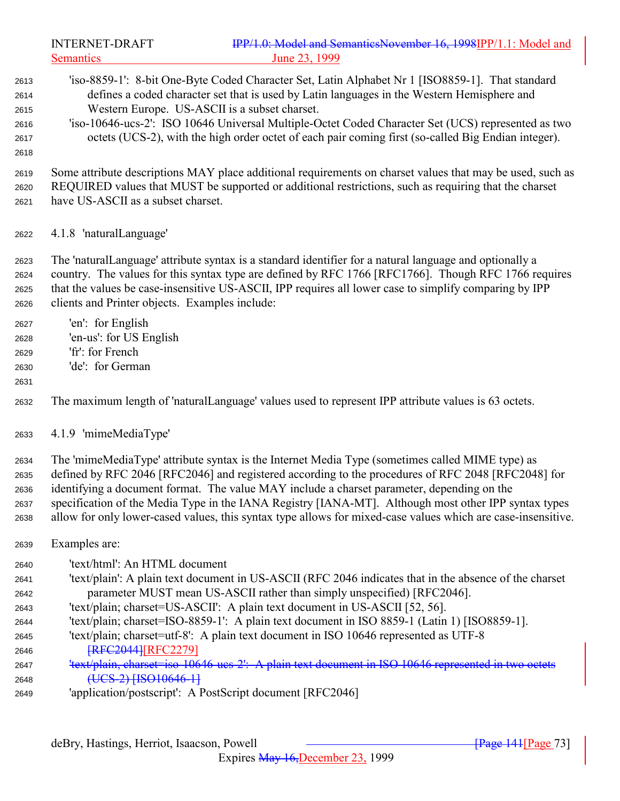INTERNET-DRAFT **IPP/1.0: Model and SemanticsNovember 16, 1998IPP/1.1: Model and** Semantics June 23, 1999 'iso-8859-1': 8-bit One-Byte Coded Character Set, Latin Alphabet Nr 1 [ISO8859-1]. That standard defines a coded character set that is used by Latin languages in the Western Hemisphere and Western Europe. US-ASCII is a subset charset. 'iso-10646-ucs-2': ISO 10646 Universal Multiple-Octet Coded Character Set (UCS) represented as two octets (UCS-2), with the high order octet of each pair coming first (so-called Big Endian integer). Some attribute descriptions MAY place additional requirements on charset values that may be used, such as REQUIRED values that MUST be supported or additional restrictions, such as requiring that the charset have US-ASCII as a subset charset. 4.1.8 'naturalLanguage' The 'naturalLanguage' attribute syntax is a standard identifier for a natural language and optionally a country. The values for this syntax type are defined by RFC 1766 [RFC1766]. Though RFC 1766 requires that the values be case-insensitive US-ASCII, IPP requires all lower case to simplify comparing by IPP clients and Printer objects. Examples include: 'en': for English 'en-us': for US English 'fr': for French 'de': for German The maximum length of 'naturalLanguage' values used to represent IPP attribute values is 63 octets. 4.1.9 'mimeMediaType' The 'mimeMediaType' attribute syntax is the Internet Media Type (sometimes called MIME type) as defined by RFC 2046 [RFC2046] and registered according to the procedures of RFC 2048 [RFC2048] for identifying a document format. The value MAY include a charset parameter, depending on the specification of the Media Type in the IANA Registry [IANA-MT]. Although most other IPP syntax types allow for only lower-cased values, this syntax type allows for mixed-case values which are case-insensitive. Examples are: 'text/html': An HTML document 'text/plain': A plain text document in US-ASCII (RFC 2046 indicates that in the absence of the charset parameter MUST mean US-ASCII rather than simply unspecified) [RFC2046]. 'text/plain; charset=US-ASCII': A plain text document in US-ASCII [52, 56]. 'text/plain; charset=ISO-8859-1': A plain text document in ISO 8859-1 (Latin 1) [ISO8859-1]. 'text/plain; charset=utf-8': A plain text document in ISO 10646 represented as UTF-8 **[RFC2044]**[RFC2279] 'text/plain, charset=iso-10646-ucs-2': A plain text document in ISO 10646 represented in two octets 2648 <del>(UCS-2) [ISO10646-1]</del> 'application/postscript': A PostScript document [RFC2046]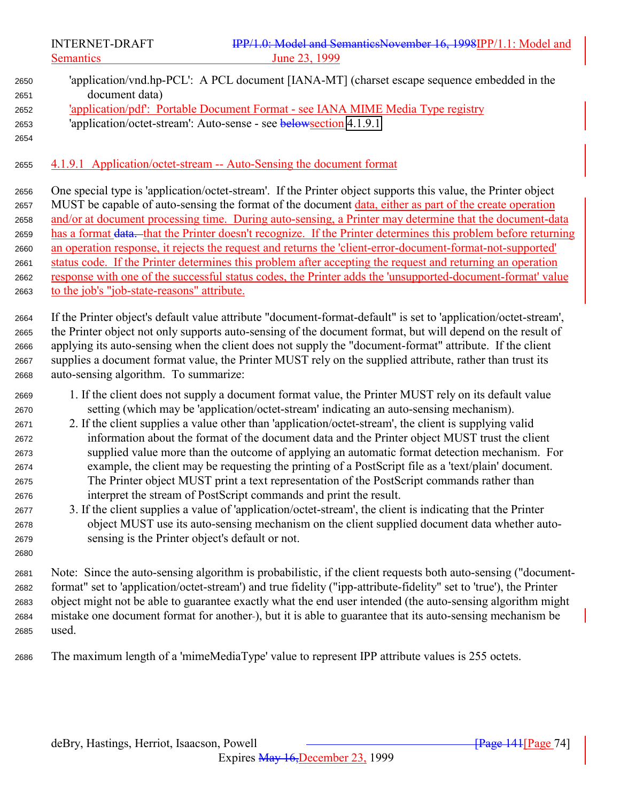'application/vnd.hp-PCL': A PCL document [IANA-MT] (charset escape sequence embedded in the document data) 'application/pdf': Portable Document Format - see IANA MIME Media Type registry 'application/octet-stream': Auto-sense - see belowsection 4.1.9.1 4.1.9.1 Application/octet-stream -- Auto-Sensing the document format One special type is 'application/octet-stream'. If the Printer object supports this value, the Printer object MUST be capable of auto-sensing the format of the document data, either as part of the create operation and/or at document processing time. During auto-sensing, a Printer may determine that the document-data has a format data. that the Printer doesn't recognize. If the Printer determines this problem before returning an operation response, it rejects the request and returns the 'client-error-document-format-not-supported' status code. If the Printer determines this problem after accepting the request and returning an operation response with one of the successful status codes, the Printer adds the 'unsupported-document-format' value to the job's "job-state-reasons" attribute. If the Printer object's default value attribute "document-format-default" is set to 'application/octet-stream', the Printer object not only supports auto-sensing of the document format, but will depend on the result of applying its auto-sensing when the client does not supply the "document-format" attribute. If the client supplies a document format value, the Printer MUST rely on the supplied attribute, rather than trust its auto-sensing algorithm. To summarize: 1. If the client does not supply a document format value, the Printer MUST rely on its default value setting (which may be 'application/octet-stream' indicating an auto-sensing mechanism). 2. If the client supplies a value other than 'application/octet-stream', the client is supplying valid information about the format of the document data and the Printer object MUST trust the client supplied value more than the outcome of applying an automatic format detection mechanism. For example, the client may be requesting the printing of a PostScript file as a 'text/plain' document. The Printer object MUST print a text representation of the PostScript commands rather than interpret the stream of PostScript commands and print the result. 3. If the client supplies a value of 'application/octet-stream', the client is indicating that the Printer object MUST use its auto-sensing mechanism on the client supplied document data whether auto- sensing is the Printer object's default or not. Note: Since the auto-sensing algorithm is probabilistic, if the client requests both auto-sensing ("document- format" set to 'application/octet-stream') and true fidelity ("ipp-attribute-fidelity" set to 'true'), the Printer object might not be able to guarantee exactly what the end user intended (the auto-sensing algorithm might mistake one document format for another ), but it is able to guarantee that its auto-sensing mechanism be used.

The maximum length of a 'mimeMediaType' value to represent IPP attribute values is 255 octets.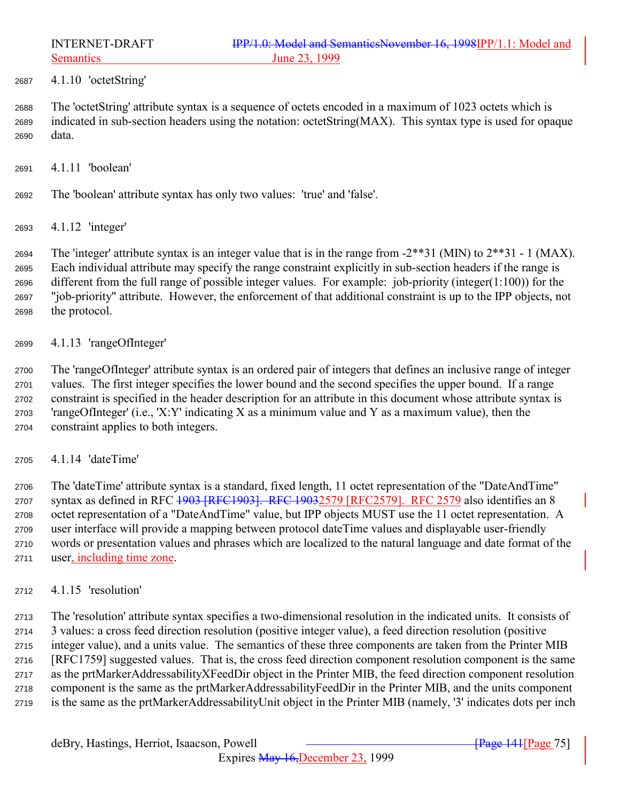4.1.10 'octetString'

 The 'octetString' attribute syntax is a sequence of octets encoded in a maximum of 1023 octets which is indicated in sub-section headers using the notation: octetString(MAX). This syntax type is used for opaque data.

- 4.1.11 'boolean'
- The 'boolean' attribute syntax has only two values: 'true' and 'false'.
- 4.1.12 'integer'

2694 The 'integer' attribute syntax is an integer value that is in the range from  $-2^{**}31$  (MIN) to  $2^{**}31 - 1$  (MAX). Each individual attribute may specify the range constraint explicitly in sub-section headers if the range is different from the full range of possible integer values. For example: job-priority (integer(1:100)) for the "job-priority" attribute. However, the enforcement of that additional constraint is up to the IPP objects, not the protocol.

4.1.13 'rangeOfInteger'

 The 'rangeOfInteger' attribute syntax is an ordered pair of integers that defines an inclusive range of integer values. The first integer specifies the lower bound and the second specifies the upper bound. If a range constraint is specified in the header description for an attribute in this document whose attribute syntax is 2703 'rangeOfInteger' (i.e., 'X:Y' indicating X as a minimum value and Y as a maximum value), then the constraint applies to both integers.

4.1.14 'dateTime'

 The 'dateTime' attribute syntax is a standard, fixed length, 11 octet representation of the "DateAndTime" 2707 syntax as defined in RFC 1903 [RFC1903]. RFC 19032579 [RFC2579]. RFC 2579 also identifies an 8 octet representation of a "DateAndTime" value, but IPP objects MUST use the 11 octet representation. A user interface will provide a mapping between protocol dateTime values and displayable user-friendly words or presentation values and phrases which are localized to the natural language and date format of the user, including time zone.

4.1.15 'resolution'

 The 'resolution' attribute syntax specifies a two-dimensional resolution in the indicated units. It consists of 3 values: a cross feed direction resolution (positive integer value), a feed direction resolution (positive integer value), and a units value. The semantics of these three components are taken from the Printer MIB [RFC1759] suggested values. That is, the cross feed direction component resolution component is the same as the prtMarkerAddressabilityXFeedDir object in the Printer MIB, the feed direction component resolution component is the same as the prtMarkerAddressabilityFeedDir in the Printer MIB, and the units component is the same as the prtMarkerAddressabilityUnit object in the Printer MIB (namely, '3' indicates dots per inch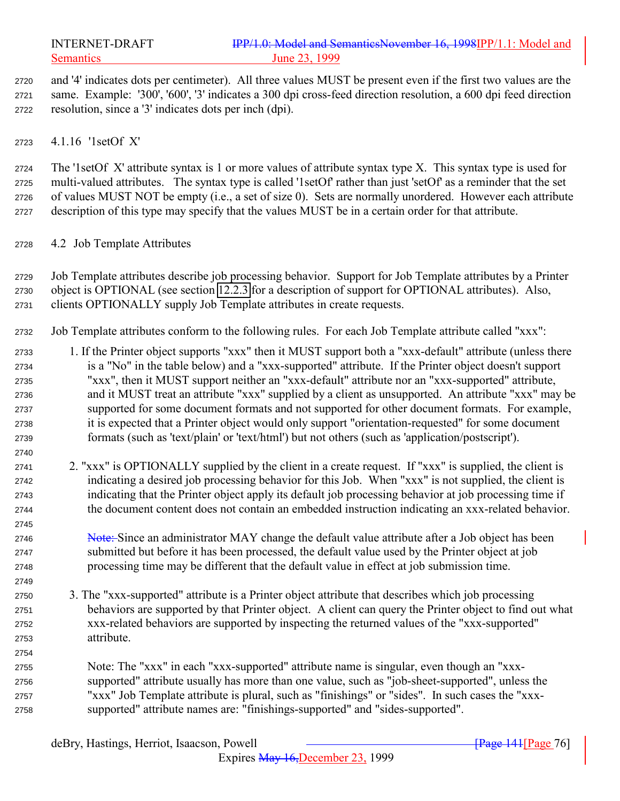<span id="page-75-0"></span>

 and '4' indicates dots per centimeter). All three values MUST be present even if the first two values are the same. Example: '300', '600', '3' indicates a 300 dpi cross-feed direction resolution, a 600 dpi feed direction resolution, since a '3' indicates dots per inch (dpi).

4.1.16 '1setOf X'

 The '1setOf X' attribute syntax is 1 or more values of attribute syntax type X. This syntax type is used for multi-valued attributes. The syntax type is called '1setOf' rather than just 'setOf' as a reminder that the set of values MUST NOT be empty (i.e., a set of size 0). Sets are normally unordered. However each attribute description of this type may specify that the values MUST be in a certain order for that attribute.

- 4.2 Job Template Attributes
- Job Template attributes describe job processing behavior. Support for Job Template attributes by a Printer object is OPTIONAL (see section [12.2.3](#page-152-0) for a description of support for OPTIONAL attributes). Also, clients OPTIONALLY supply Job Template attributes in create requests.
- Job Template attributes conform to the following rules. For each Job Template attribute called "xxx":
- 1. If the Printer object supports "xxx" then it MUST support both a "xxx-default" attribute (unless there is a "No" in the table below) and a "xxx-supported" attribute. If the Printer object doesn't support "xxx", then it MUST support neither an "xxx-default" attribute nor an "xxx-supported" attribute, and it MUST treat an attribute "xxx" supplied by a client as unsupported. An attribute "xxx" may be supported for some document formats and not supported for other document formats. For example, it is expected that a Printer object would only support "orientation-requested" for some document formats (such as 'text/plain' or 'text/html') but not others (such as 'application/postscript').
- 2. "xxx" is OPTIONALLY supplied by the client in a create request. If "xxx" is supplied, the client is indicating a desired job processing behavior for this Job. When "xxx" is not supplied, the client is indicating that the Printer object apply its default job processing behavior at job processing time if the document content does not contain an embedded instruction indicating an xxx-related behavior.
- 2746 Note: Since an administrator MAY change the default value attribute after a Job object has been submitted but before it has been processed, the default value used by the Printer object at job processing time may be different that the default value in effect at job submission time.
- 3. The "xxx-supported" attribute is a Printer object attribute that describes which job processing behaviors are supported by that Printer object. A client can query the Printer object to find out what xxx-related behaviors are supported by inspecting the returned values of the "xxx-supported" attribute.
- Note: The "xxx" in each "xxx-supported" attribute name is singular, even though an "xxx- supported" attribute usually has more than one value, such as "job-sheet-supported", unless the "xxx" Job Template attribute is plural, such as "finishings" or "sides". In such cases the "xxx-supported" attribute names are: "finishings-supported" and "sides-supported".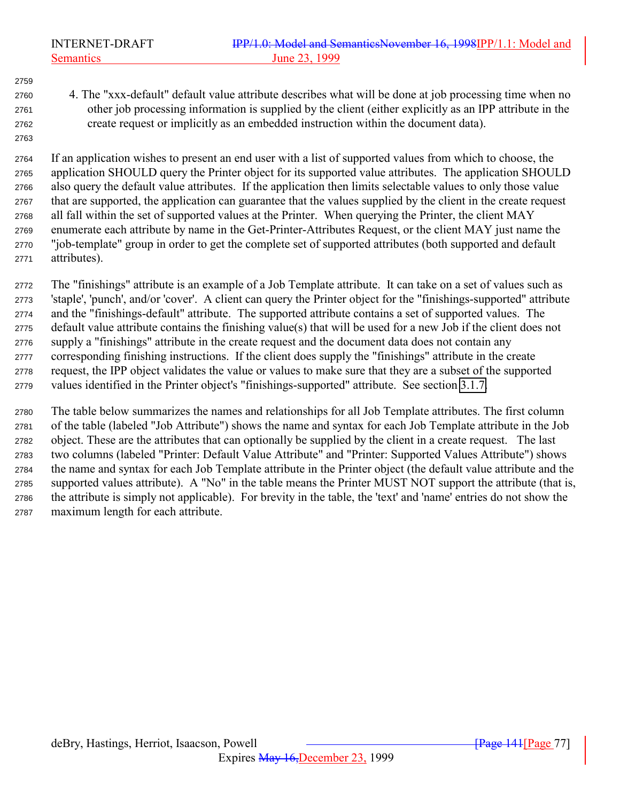4. The "xxx-default" default value attribute describes what will be done at job processing time when no other job processing information is supplied by the client (either explicitly as an IPP attribute in the create request or implicitly as an embedded instruction within the document data).

 If an application wishes to present an end user with a list of supported values from which to choose, the application SHOULD query the Printer object for its supported value attributes. The application SHOULD also query the default value attributes. If the application then limits selectable values to only those value that are supported, the application can guarantee that the values supplied by the client in the create request all fall within the set of supported values at the Printer. When querying the Printer, the client MAY enumerate each attribute by name in the Get-Printer-Attributes Request, or the client MAY just name the "job-template" group in order to get the complete set of supported attributes (both supported and default attributes).

 The "finishings" attribute is an example of a Job Template attribute. It can take on a set of values such as 'staple', 'punch', and/or 'cover'. A client can query the Printer object for the "finishings-supported" attribute and the "finishings-default" attribute. The supported attribute contains a set of supported values. The default value attribute contains the finishing value(s) that will be used for a new Job if the client does not supply a "finishings" attribute in the create request and the document data does not contain any corresponding finishing instructions. If the client does supply the "finishings" attribute in the create request, the IPP object validates the value or values to make sure that they are a subset of the supported values identified in the Printer object's "finishings-supported" attribute. See section [3.1.7.](#page-40-0)

 The table below summarizes the names and relationships for all Job Template attributes. The first column of the table (labeled "Job Attribute") shows the name and syntax for each Job Template attribute in the Job object. These are the attributes that can optionally be supplied by the client in a create request. The last two columns (labeled "Printer: Default Value Attribute" and "Printer: Supported Values Attribute") shows the name and syntax for each Job Template attribute in the Printer object (the default value attribute and the supported values attribute). A "No" in the table means the Printer MUST NOT support the attribute (that is, the attribute is simply not applicable). For brevity in the table, the 'text' and 'name' entries do not show the maximum length for each attribute.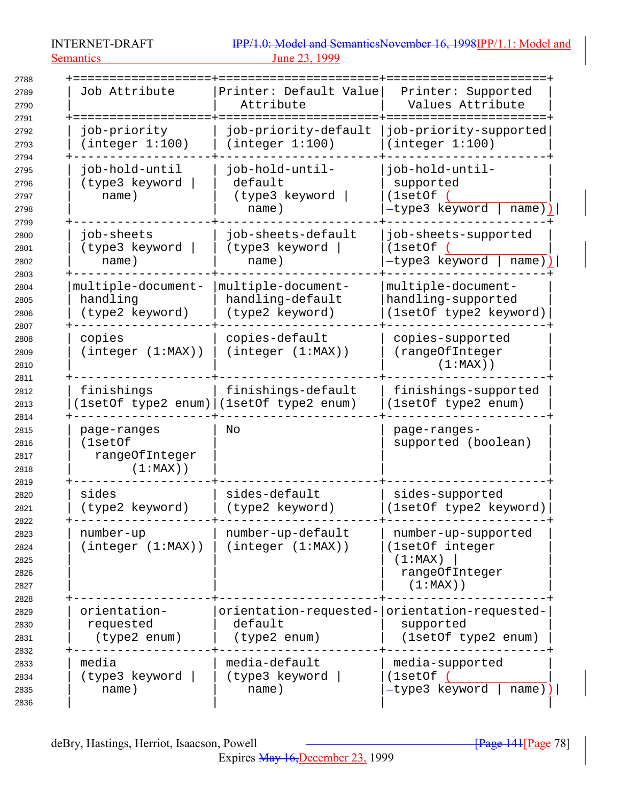INTERNET-DRAFT Semantics 23, 1999

| IPP/1.0: Model and SemanticsNovember 16, 1998IPP/1.1: Model and |  |  |  |
|-----------------------------------------------------------------|--|--|--|
| June 23, 1999                                                   |  |  |  |

| 2788                                         |                                                         |                                                           |                                                                                    |
|----------------------------------------------|---------------------------------------------------------|-----------------------------------------------------------|------------------------------------------------------------------------------------|
| 2789<br>2790                                 | Job Attribute                                           | Printer: Default Value<br>Attribute                       | Printer: Supported<br>Values Attribute                                             |
| 2791                                         |                                                         |                                                           |                                                                                    |
| 2792<br>2793                                 | job-priority<br>(integer 1:100)                         | job-priority-default<br>(integer 1:100)                   | job-priority-supported<br>(integer 1:100)                                          |
| 2794<br>2795<br>2796<br>2797<br>2798         | job-hold-until<br>(type3 keyword<br>name)               | job-hold-until-<br>default<br>(type3 keyword<br>name)     | job-hold-until-<br>supported<br>(1setOf<br>-type3 keyword<br>name                  |
| 2799<br>2800<br>2801<br>2802                 | job-sheets<br>(type3 keyword<br>name)                   | job-sheets-default<br>(type3 keyword<br>name)             | job-sheets-supported<br>(1setOf<br>-type3 keyword<br>name                          |
| 2803<br>2804<br>2805<br>2806<br>2807         | multiple-document-<br>handling<br>(type2 keyword)       | multiple-document-<br>handling-default<br>(type2 keyword) | multiple-document-<br>handling-supported<br>(1setOf type2 keyword)                 |
| 2808<br>2809<br>2810                         | copies<br>(integer (1:MAX))                             | copies-default<br>(integer (1:MAX))                       | copies-supported<br>(rangeOfInteger<br>$(1:MAX)$ )                                 |
| 2811<br>2812<br>2813                         | finishings<br>(lsetOf type2 enum)                       | finishings-default<br>(1setOf type2 enum)                 | finishings-supported<br>(1setOf type2 enum)                                        |
| 2814<br>2815<br>2816<br>2817<br>2818         | page-ranges<br>(1setOf<br>rangeOfInteger<br>$(1:MAX)$ ) | No                                                        | page-ranges-<br>supported (boolean)                                                |
| 2819<br>2820<br>2821                         | sides<br>(type2 keyword)                                | sides-default<br>(type2 keyword)                          | sides-supported<br>(1setOf type2 keyword)                                          |
| 2822<br>2823<br>2824<br>2825<br>2826<br>2827 | number-up<br>(integer (1:MAX))                          | number-up-default<br>(integer (1:MAX))                    | number-up-supported<br>(1setOf integer<br>(1:MAX)<br>rangeOfInteger<br>$(1:MAX)$ ) |
| 2828<br>2829<br>2830<br>2831                 | orientation-<br>requested<br>(type2 enum)               | default<br>(type2 enum)                                   | orientation-requested- orientation-requested-<br>supported<br>(1setOf type2 enum)  |
| 2832<br>2833<br>2834<br>2835<br>2836         | media<br>(type3 keyword<br>name)                        | media-default<br>(type3 keyword<br>name)                  | media-supported<br>(1setOf)<br>-type3 keyword<br>$name)$ )                         |

Expires May 16,December 23, 1999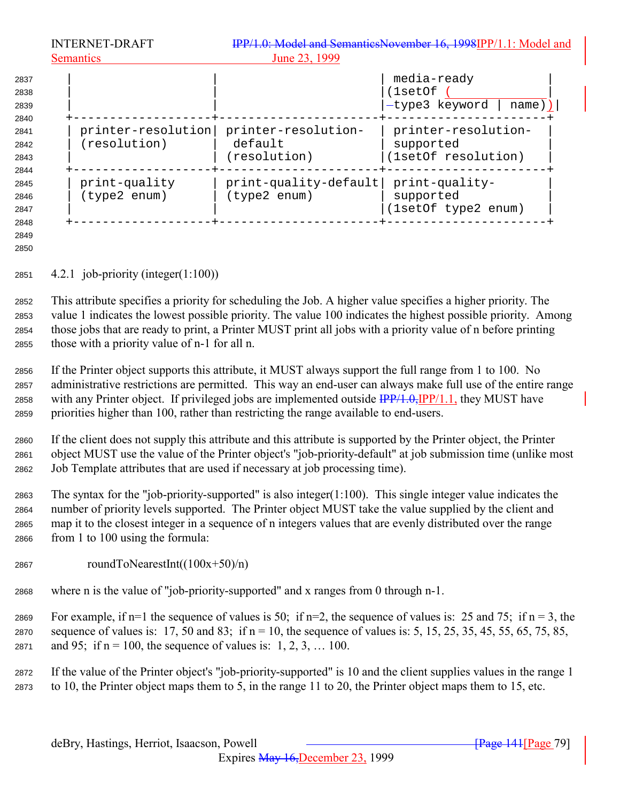|                                      | <b>INTERNET-DRAFT</b>              |                                                | IPP/1.0: Model and SemanticsNovember 16, 1998IPP/1.1: Model and |
|--------------------------------------|------------------------------------|------------------------------------------------|-----------------------------------------------------------------|
|                                      | <b>Semantics</b>                   | June 23, 1999                                  |                                                                 |
| 2837<br>2838<br>2839                 |                                    |                                                | media-ready<br>(1setOf<br>-type3 keyword<br>name))              |
| 2840<br>2841<br>2842<br>2843         | printer-resolution<br>(resolution) | printer-resolution-<br>default<br>(resolution) | printer-resolution-<br>supported<br>(1setOf resolution)         |
| 2844<br>2845<br>2846<br>2847<br>2848 | print-quality<br>(type2 enum)      | print-quality-default<br>(type2 enum)          | print-quality-<br>supported<br>(1setOf type2 enum)              |

 

4.2.1 job-priority (integer(1:100))

 This attribute specifies a priority for scheduling the Job. A higher value specifies a higher priority. The value 1 indicates the lowest possible priority. The value 100 indicates the highest possible priority. Among those jobs that are ready to print, a Printer MUST print all jobs with a priority value of n before printing those with a priority value of n-1 for all n.

 If the Printer object supports this attribute, it MUST always support the full range from 1 to 100. No administrative restrictions are permitted. This way an end-user can always make full use of the entire range 2858 with any Printer object. If privileged jobs are implemented outside  $\frac{IPP}{4.0}$ ,  $IPP/1.1$ , they MUST have priorities higher than 100, rather than restricting the range available to end-users.

 If the client does not supply this attribute and this attribute is supported by the Printer object, the Printer object MUST use the value of the Printer object's "job-priority-default" at job submission time (unlike most Job Template attributes that are used if necessary at job processing time).

 The syntax for the "job-priority-supported" is also integer(1:100). This single integer value indicates the number of priority levels supported. The Printer object MUST take the value supplied by the client and map it to the closest integer in a sequence of n integers values that are evenly distributed over the range from 1 to 100 using the formula:

- 2867 roundToNearestInt( $(100x+50)/n$ )
- where n is the value of "job-priority-supported" and x ranges from 0 through n-1.

2869 For example, if n=1 the sequence of values is 50; if n=2, the sequence of values is: 25 and 75; if n = 3, the 2870 sequence of values is: 17, 50 and 83; if  $n = 10$ , the sequence of values is: 5, 15, 25, 35, 45, 55, 65, 75, 85, 2871 and 95; if  $n = 100$ , the sequence of values is: 1, 2, 3, ... 100.

 If the value of the Printer object's "job-priority-supported" is 10 and the client supplies values in the range 1 to 10, the Printer object maps them to 5, in the range 11 to 20, the Printer object maps them to 15, etc.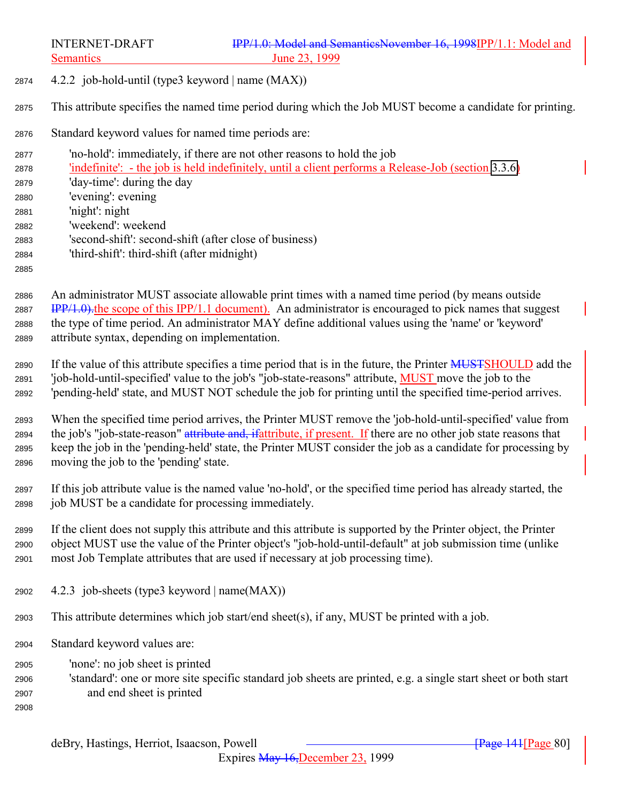4.2.2 job-hold-until (type3 keyword | name (MAX))

This attribute specifies the named time period during which the Job MUST become a candidate for printing.

- Standard keyword values for named time periods are:
- 'no-hold': immediately, if there are not other reasons to hold the job

 'indefinite': - the job is held indefinitely, until a client performs a Release-Job (section [3.3.6\)](#page-62-0) 'day-time': during the day 'evening': evening

'night': night

'weekend': weekend

- 
- 'second-shift': second-shift (after close of business) 'third-shift': third-shift (after midnight)

# 

 An administrator MUST associate allowable print times with a named time period (by means outside 2887 IPP/1.0), the scope of this IPP/1.1 document). An administrator is encouraged to pick names that suggest the type of time period. An administrator MAY define additional values using the 'name' or 'keyword' attribute syntax, depending on implementation.

2890 If the value of this attribute specifies a time period that is in the future, the Printer MUSTSHOULD add the 'job-hold-until-specified' value to the job's "job-state-reasons" attribute, MUST move the job to the 'pending-held' state, and MUST NOT schedule the job for printing until the specified time-period arrives.

 When the specified time period arrives, the Printer MUST remove the 'job-hold-until-specified' value from 2894 the job's "job-state-reason" attribute and, if attribute, if present. If there are no other job state reasons that keep the job in the 'pending-held' state, the Printer MUST consider the job as a candidate for processing by moving the job to the 'pending' state.

 If this job attribute value is the named value 'no-hold', or the specified time period has already started, the job MUST be a candidate for processing immediately.

 If the client does not supply this attribute and this attribute is supported by the Printer object, the Printer object MUST use the value of the Printer object's "job-hold-until-default" at job submission time (unlike most Job Template attributes that are used if necessary at job processing time).

- 4.2.3 job-sheets (type3 keyword | name(MAX))
- This attribute determines which job start/end sheet(s), if any, MUST be printed with a job.
- Standard keyword values are:
- 'none': no job sheet is printed
- 'standard': one or more site specific standard job sheets are printed, e.g. a single start sheet or both start and end sheet is printed
-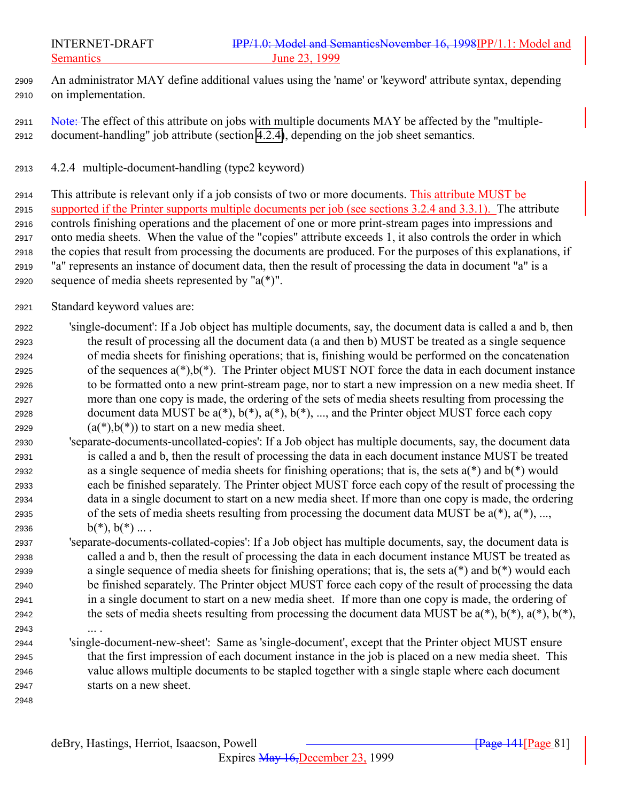- <span id="page-80-0"></span> An administrator MAY define additional values using the 'name' or 'keyword' attribute syntax, depending on implementation.
- 2911 Note: The effect of this attribute on jobs with multiple documents MAY be affected by the "multiple-document-handling" job attribute (section 4.2.4), depending on the job sheet semantics.
- 4.2.4 multiple-document-handling (type2 keyword)

 This attribute is relevant only if a job consists of two or more documents. This attribute MUST be supported if the Printer supports multiple documents per job (see sections 3.2.4 and 3.3.1). The attribute controls finishing operations and the placement of one or more print-stream pages into impressions and onto media sheets. When the value of the "copies" attribute exceeds 1, it also controls the order in which the copies that result from processing the documents are produced. For the purposes of this explanations, if "a" represents an instance of document data, then the result of processing the data in document "a" is a 2920 sequence of media sheets represented by " $a(*)$ ".

- Standard keyword values are:
- 'single-document': If a Job object has multiple documents, say, the document data is called a and b, then the result of processing all the document data (a and then b) MUST be treated as a single sequence of media sheets for finishing operations; that is, finishing would be performed on the concatenation 2925 of the sequences  $a(*)$ ,  $b(*)$ . The Printer object MUST NOT force the data in each document instance to be formatted onto a new print-stream page, nor to start a new impression on a new media sheet. If more than one copy is made, the ordering of the sets of media sheets resulting from processing the 2928 document data MUST be  $a(*)$ ,  $b(*)$ ,  $a(*)$ ,  $b(*)$ , ..., and the Printer object MUST force each copy 2929  $(a(*)$ ,  $b(*)$ ) to start on a new media sheet.
- 'separate-documents-uncollated-copies': If a Job object has multiple documents, say, the document data is called a and b, then the result of processing the data in each document instance MUST be treated 2932 as a single sequence of media sheets for finishing operations; that is, the sets  $a(*)$  and  $b(*)$  would each be finished separately. The Printer object MUST force each copy of the result of processing the data in a single document to start on a new media sheet. If more than one copy is made, the ordering 2935 of the sets of media sheets resulting from processing the document data MUST be  $a(*)$ ,  $a(*)$ , ..., 2936  $b(*)$ ,  $b(*)$  ....
- 'separate-documents-collated-copies': If a Job object has multiple documents, say, the document data is called a and b, then the result of processing the data in each document instance MUST be treated as a single sequence of media sheets for finishing operations; that is, the sets a(\*) and b(\*) would each be finished separately. The Printer object MUST force each copy of the result of processing the data in a single document to start on a new media sheet. If more than one copy is made, the ordering of 2942 the sets of media sheets resulting from processing the document data MUST be  $a(*)$ ,  $b(*)$ ,  $a(*)$ ,  $b(*)$ ,  $b(*)$ ,
- ... .
- 'single-document-new-sheet': Same as 'single-document', except that the Printer object MUST ensure that the first impression of each document instance in the job is placed on a new media sheet. This value allows multiple documents to be stapled together with a single staple where each document starts on a new sheet.
-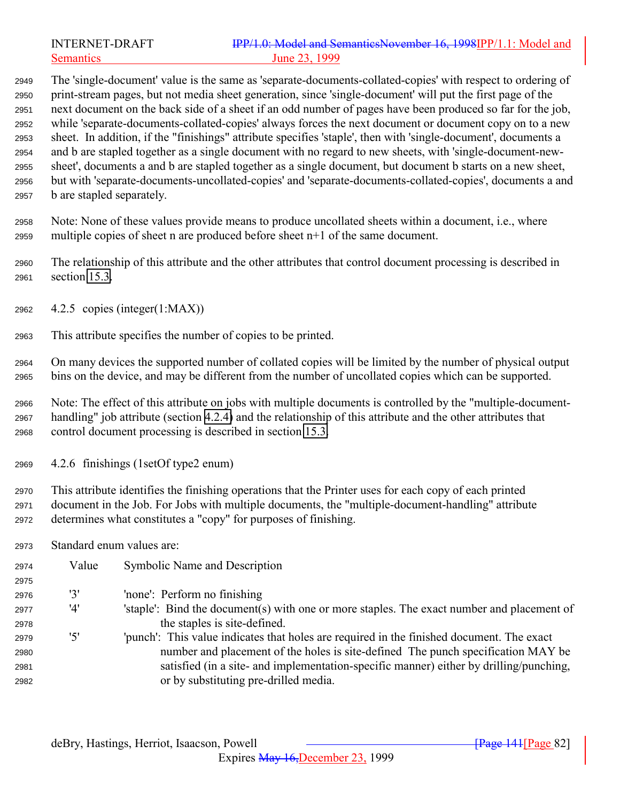The 'single-document' value is the same as 'separate-documents-collated-copies' with respect to ordering of print-stream pages, but not media sheet generation, since 'single-document' will put the first page of the next document on the back side of a sheet if an odd number of pages have been produced so far for the job, while 'separate-documents-collated-copies' always forces the next document or document copy on to a new sheet. In addition, if the "finishings" attribute specifies 'staple', then with 'single-document', documents a and b are stapled together as a single document with no regard to new sheets, with 'single-document-new- sheet', documents a and b are stapled together as a single document, but document b starts on a new sheet, but with 'separate-documents-uncollated-copies' and 'separate-documents-collated-copies', documents a and b are stapled separately.

 Note: None of these values provide means to produce uncollated sheets within a document, i.e., where multiple copies of sheet n are produced before sheet n+1 of the same document.

 The relationship of this attribute and the other attributes that control document processing is described in section [15.3.](#page-171-0)

- 4.2.5 copies (integer(1:MAX))
- This attribute specifies the number of copies to be printed.

 On many devices the supported number of collated copies will be limited by the number of physical output bins on the device, and may be different from the number of uncollated copies which can be supported.

 Note: The effect of this attribute on jobs with multiple documents is controlled by the "multiple-document- handling" job attribute (section [4.2.4\)](#page-80-0) and the relationship of this attribute and the other attributes that control document processing is described in section [15.3.](#page-171-0)

4.2.6 finishings (1setOf type2 enum)

 This attribute identifies the finishing operations that the Printer uses for each copy of each printed document in the Job. For Jobs with multiple documents, the "multiple-document-handling" attribute determines what constitutes a "copy" for purposes of finishing.

Standard enum values are:

| 2974 | Value | Symbolic Name and Description                                                              |
|------|-------|--------------------------------------------------------------------------------------------|
| 2975 |       |                                                                                            |
| 2976 | '3'   | 'none': Perform no finishing                                                               |
| 2977 | '4'   | 'staple': Bind the document(s) with one or more staples. The exact number and placement of |
| 2978 |       | the staples is site-defined.                                                               |
| 2979 | ידי   | "punch": This value indicates that holes are required in the finished document. The exact  |
| 2980 |       | number and placement of the holes is site-defined The punch specification MAY be           |
| 2981 |       | satisfied (in a site- and implementation-specific manner) either by drilling/punching,     |
| 2982 |       | or by substituting pre-drilled media.                                                      |
|      |       |                                                                                            |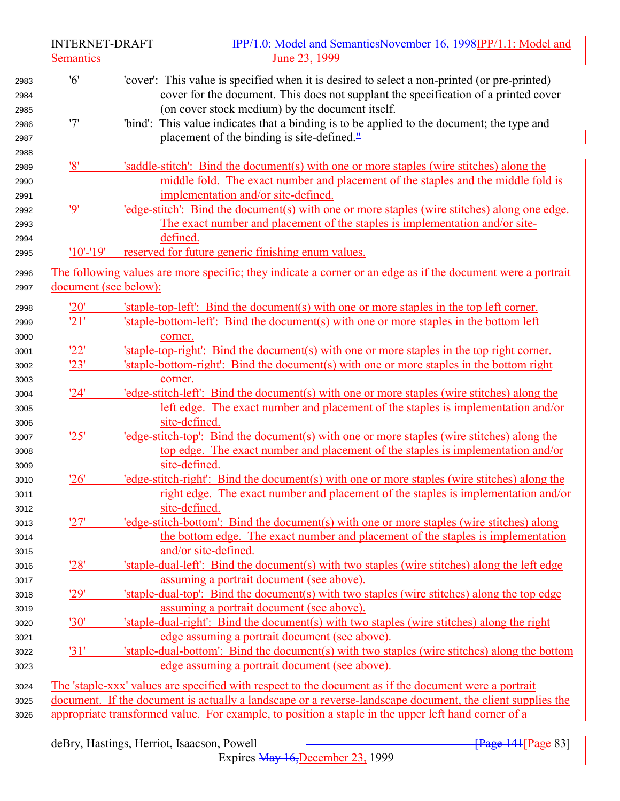| <b>Semantics</b><br>'6'<br>'cover': This value is specified when it is desired to select a non-printed (or pre-printed)<br>cover for the document. This does not supplant the specification of a printed cover<br>(on cover stock medium) by the document itself.<br>2985<br>'7'<br>'bind': This value indicates that a binding is to be applied to the document; the type and<br>placement of the binding is site-defined. <sup>11</sup><br>2988<br>'8'<br>'saddle-stitch': Bind the document(s) with one or more staples (wire stitches) along the<br>middle fold. The exact number and placement of the staples and the middle fold is<br>implementation and/or site-defined.<br>2991<br>'edge-stitch': Bind the document(s) with one or more staples (wire stitches) along one edge.<br>'9'<br>The exact number and placement of the staples is implementation and/or site-<br>defined.<br>2994<br>reserved for future generic finishing enum values.<br>$'10'$ -'19'<br>The following values are more specific; they indicate a corner or an edge as if the document were a portrait<br>document (see below):<br>'20'<br>'staple-top-left': Bind the document(s) with one or more staples in the top left corner.<br>'21'<br>'staple-bottom-left': Bind the document(s) with one or more staples in the bottom left<br>corner.<br>'22'<br>'staple-top-right': Bind the document(s) with one or more staples in the top right corner.<br>'23'<br>'staple-bottom-right': Bind the document(s) with one or more staples in the bottom right<br>corner.<br>3003<br>'24'<br>'edge-stitch-left': Bind the document(s) with one or more staples (wire stitches) along the<br>3004<br>left edge. The exact number and placement of the staples is implementation and/or<br>site-defined.<br>'25'<br>'edge-stitch-top': Bind the document(s) with one or more staples (wire stitches) along the<br>top edge. The exact number and placement of the staples is implementation and/or<br>site-defined.<br>'edge-stitch-right': Bind the document(s) with one or more staples (wire stitches) along the<br>'26'<br>right edge. The exact number and placement of the staples is implementation and/or<br>site-defined.<br>'27'<br>'edge-stitch-bottom': Bind the document(s) with one or more staples (wire stitches) along<br>3013<br>the bottom edge. The exact number and placement of the staples is implementation<br>and/or site-defined.<br>3015<br>'28'<br>'staple-dual-left': Bind the document(s) with two staples (wire stitches) along the left edge<br>assuming a portrait document (see above).<br>3017<br>'29'<br>'staple-dual-top': Bind the document(s) with two staples (wire stitches) along the top edge<br>assuming a portrait document (see above).<br>3019<br>'staple-dual-right': Bind the document(s) with two staples (wire stitches) along the right<br>'30'<br>edge assuming a portrait document (see above).<br>3021<br>'31'<br>'staple-dual-bottom': Bind the document(s) with two staples (wire stitches) along the bottom<br>edge assuming a portrait document (see above).<br>3023<br>The 'staple-xxx' values are specified with respect to the document as if the document were a portrait<br>3024<br>document. If the document is actually a landscape or a reverse-landscape document, the client supplies the<br>3025 |              | <b>INTERNET-DRAFT</b> | IPP/1.0: Model and SemanticsNovember 16, 1998IPP/1.1: Model and                                     |
|-----------------------------------------------------------------------------------------------------------------------------------------------------------------------------------------------------------------------------------------------------------------------------------------------------------------------------------------------------------------------------------------------------------------------------------------------------------------------------------------------------------------------------------------------------------------------------------------------------------------------------------------------------------------------------------------------------------------------------------------------------------------------------------------------------------------------------------------------------------------------------------------------------------------------------------------------------------------------------------------------------------------------------------------------------------------------------------------------------------------------------------------------------------------------------------------------------------------------------------------------------------------------------------------------------------------------------------------------------------------------------------------------------------------------------------------------------------------------------------------------------------------------------------------------------------------------------------------------------------------------------------------------------------------------------------------------------------------------------------------------------------------------------------------------------------------------------------------------------------------------------------------------------------------------------------------------------------------------------------------------------------------------------------------------------------------------------------------------------------------------------------------------------------------------------------------------------------------------------------------------------------------------------------------------------------------------------------------------------------------------------------------------------------------------------------------------------------------------------------------------------------------------------------------------------------------------------------------------------------------------------------------------------------------------------------------------------------------------------------------------------------------------------------------------------------------------------------------------------------------------------------------------------------------------------------------------------------------------------------------------------------------------------------------------------------------------------------------------------------------------------------------------------------------------------------------------------------------------------------------------------------------------------------------------------------------------------------------------------|--------------|-----------------------|-----------------------------------------------------------------------------------------------------|
|                                                                                                                                                                                                                                                                                                                                                                                                                                                                                                                                                                                                                                                                                                                                                                                                                                                                                                                                                                                                                                                                                                                                                                                                                                                                                                                                                                                                                                                                                                                                                                                                                                                                                                                                                                                                                                                                                                                                                                                                                                                                                                                                                                                                                                                                                                                                                                                                                                                                                                                                                                                                                                                                                                                                                                                                                                                                                                                                                                                                                                                                                                                                                                                                                                                                                                                                                     |              |                       | June 23, 1999                                                                                       |
|                                                                                                                                                                                                                                                                                                                                                                                                                                                                                                                                                                                                                                                                                                                                                                                                                                                                                                                                                                                                                                                                                                                                                                                                                                                                                                                                                                                                                                                                                                                                                                                                                                                                                                                                                                                                                                                                                                                                                                                                                                                                                                                                                                                                                                                                                                                                                                                                                                                                                                                                                                                                                                                                                                                                                                                                                                                                                                                                                                                                                                                                                                                                                                                                                                                                                                                                                     | 2983<br>2984 |                       |                                                                                                     |
|                                                                                                                                                                                                                                                                                                                                                                                                                                                                                                                                                                                                                                                                                                                                                                                                                                                                                                                                                                                                                                                                                                                                                                                                                                                                                                                                                                                                                                                                                                                                                                                                                                                                                                                                                                                                                                                                                                                                                                                                                                                                                                                                                                                                                                                                                                                                                                                                                                                                                                                                                                                                                                                                                                                                                                                                                                                                                                                                                                                                                                                                                                                                                                                                                                                                                                                                                     | 2986<br>2987 |                       |                                                                                                     |
|                                                                                                                                                                                                                                                                                                                                                                                                                                                                                                                                                                                                                                                                                                                                                                                                                                                                                                                                                                                                                                                                                                                                                                                                                                                                                                                                                                                                                                                                                                                                                                                                                                                                                                                                                                                                                                                                                                                                                                                                                                                                                                                                                                                                                                                                                                                                                                                                                                                                                                                                                                                                                                                                                                                                                                                                                                                                                                                                                                                                                                                                                                                                                                                                                                                                                                                                                     | 2989<br>2990 |                       |                                                                                                     |
|                                                                                                                                                                                                                                                                                                                                                                                                                                                                                                                                                                                                                                                                                                                                                                                                                                                                                                                                                                                                                                                                                                                                                                                                                                                                                                                                                                                                                                                                                                                                                                                                                                                                                                                                                                                                                                                                                                                                                                                                                                                                                                                                                                                                                                                                                                                                                                                                                                                                                                                                                                                                                                                                                                                                                                                                                                                                                                                                                                                                                                                                                                                                                                                                                                                                                                                                                     | 2992<br>2993 |                       |                                                                                                     |
|                                                                                                                                                                                                                                                                                                                                                                                                                                                                                                                                                                                                                                                                                                                                                                                                                                                                                                                                                                                                                                                                                                                                                                                                                                                                                                                                                                                                                                                                                                                                                                                                                                                                                                                                                                                                                                                                                                                                                                                                                                                                                                                                                                                                                                                                                                                                                                                                                                                                                                                                                                                                                                                                                                                                                                                                                                                                                                                                                                                                                                                                                                                                                                                                                                                                                                                                                     | 2995         |                       |                                                                                                     |
|                                                                                                                                                                                                                                                                                                                                                                                                                                                                                                                                                                                                                                                                                                                                                                                                                                                                                                                                                                                                                                                                                                                                                                                                                                                                                                                                                                                                                                                                                                                                                                                                                                                                                                                                                                                                                                                                                                                                                                                                                                                                                                                                                                                                                                                                                                                                                                                                                                                                                                                                                                                                                                                                                                                                                                                                                                                                                                                                                                                                                                                                                                                                                                                                                                                                                                                                                     | 2996<br>2997 |                       |                                                                                                     |
|                                                                                                                                                                                                                                                                                                                                                                                                                                                                                                                                                                                                                                                                                                                                                                                                                                                                                                                                                                                                                                                                                                                                                                                                                                                                                                                                                                                                                                                                                                                                                                                                                                                                                                                                                                                                                                                                                                                                                                                                                                                                                                                                                                                                                                                                                                                                                                                                                                                                                                                                                                                                                                                                                                                                                                                                                                                                                                                                                                                                                                                                                                                                                                                                                                                                                                                                                     | 2998         |                       |                                                                                                     |
|                                                                                                                                                                                                                                                                                                                                                                                                                                                                                                                                                                                                                                                                                                                                                                                                                                                                                                                                                                                                                                                                                                                                                                                                                                                                                                                                                                                                                                                                                                                                                                                                                                                                                                                                                                                                                                                                                                                                                                                                                                                                                                                                                                                                                                                                                                                                                                                                                                                                                                                                                                                                                                                                                                                                                                                                                                                                                                                                                                                                                                                                                                                                                                                                                                                                                                                                                     | 2999         |                       |                                                                                                     |
|                                                                                                                                                                                                                                                                                                                                                                                                                                                                                                                                                                                                                                                                                                                                                                                                                                                                                                                                                                                                                                                                                                                                                                                                                                                                                                                                                                                                                                                                                                                                                                                                                                                                                                                                                                                                                                                                                                                                                                                                                                                                                                                                                                                                                                                                                                                                                                                                                                                                                                                                                                                                                                                                                                                                                                                                                                                                                                                                                                                                                                                                                                                                                                                                                                                                                                                                                     | 3000         |                       |                                                                                                     |
|                                                                                                                                                                                                                                                                                                                                                                                                                                                                                                                                                                                                                                                                                                                                                                                                                                                                                                                                                                                                                                                                                                                                                                                                                                                                                                                                                                                                                                                                                                                                                                                                                                                                                                                                                                                                                                                                                                                                                                                                                                                                                                                                                                                                                                                                                                                                                                                                                                                                                                                                                                                                                                                                                                                                                                                                                                                                                                                                                                                                                                                                                                                                                                                                                                                                                                                                                     | 3001         |                       |                                                                                                     |
|                                                                                                                                                                                                                                                                                                                                                                                                                                                                                                                                                                                                                                                                                                                                                                                                                                                                                                                                                                                                                                                                                                                                                                                                                                                                                                                                                                                                                                                                                                                                                                                                                                                                                                                                                                                                                                                                                                                                                                                                                                                                                                                                                                                                                                                                                                                                                                                                                                                                                                                                                                                                                                                                                                                                                                                                                                                                                                                                                                                                                                                                                                                                                                                                                                                                                                                                                     | 3002         |                       |                                                                                                     |
|                                                                                                                                                                                                                                                                                                                                                                                                                                                                                                                                                                                                                                                                                                                                                                                                                                                                                                                                                                                                                                                                                                                                                                                                                                                                                                                                                                                                                                                                                                                                                                                                                                                                                                                                                                                                                                                                                                                                                                                                                                                                                                                                                                                                                                                                                                                                                                                                                                                                                                                                                                                                                                                                                                                                                                                                                                                                                                                                                                                                                                                                                                                                                                                                                                                                                                                                                     |              |                       |                                                                                                     |
|                                                                                                                                                                                                                                                                                                                                                                                                                                                                                                                                                                                                                                                                                                                                                                                                                                                                                                                                                                                                                                                                                                                                                                                                                                                                                                                                                                                                                                                                                                                                                                                                                                                                                                                                                                                                                                                                                                                                                                                                                                                                                                                                                                                                                                                                                                                                                                                                                                                                                                                                                                                                                                                                                                                                                                                                                                                                                                                                                                                                                                                                                                                                                                                                                                                                                                                                                     | 3005         |                       |                                                                                                     |
|                                                                                                                                                                                                                                                                                                                                                                                                                                                                                                                                                                                                                                                                                                                                                                                                                                                                                                                                                                                                                                                                                                                                                                                                                                                                                                                                                                                                                                                                                                                                                                                                                                                                                                                                                                                                                                                                                                                                                                                                                                                                                                                                                                                                                                                                                                                                                                                                                                                                                                                                                                                                                                                                                                                                                                                                                                                                                                                                                                                                                                                                                                                                                                                                                                                                                                                                                     | 3006         |                       |                                                                                                     |
|                                                                                                                                                                                                                                                                                                                                                                                                                                                                                                                                                                                                                                                                                                                                                                                                                                                                                                                                                                                                                                                                                                                                                                                                                                                                                                                                                                                                                                                                                                                                                                                                                                                                                                                                                                                                                                                                                                                                                                                                                                                                                                                                                                                                                                                                                                                                                                                                                                                                                                                                                                                                                                                                                                                                                                                                                                                                                                                                                                                                                                                                                                                                                                                                                                                                                                                                                     | 3007<br>3008 |                       |                                                                                                     |
|                                                                                                                                                                                                                                                                                                                                                                                                                                                                                                                                                                                                                                                                                                                                                                                                                                                                                                                                                                                                                                                                                                                                                                                                                                                                                                                                                                                                                                                                                                                                                                                                                                                                                                                                                                                                                                                                                                                                                                                                                                                                                                                                                                                                                                                                                                                                                                                                                                                                                                                                                                                                                                                                                                                                                                                                                                                                                                                                                                                                                                                                                                                                                                                                                                                                                                                                                     | 3009         |                       |                                                                                                     |
|                                                                                                                                                                                                                                                                                                                                                                                                                                                                                                                                                                                                                                                                                                                                                                                                                                                                                                                                                                                                                                                                                                                                                                                                                                                                                                                                                                                                                                                                                                                                                                                                                                                                                                                                                                                                                                                                                                                                                                                                                                                                                                                                                                                                                                                                                                                                                                                                                                                                                                                                                                                                                                                                                                                                                                                                                                                                                                                                                                                                                                                                                                                                                                                                                                                                                                                                                     | 3010<br>3011 |                       |                                                                                                     |
|                                                                                                                                                                                                                                                                                                                                                                                                                                                                                                                                                                                                                                                                                                                                                                                                                                                                                                                                                                                                                                                                                                                                                                                                                                                                                                                                                                                                                                                                                                                                                                                                                                                                                                                                                                                                                                                                                                                                                                                                                                                                                                                                                                                                                                                                                                                                                                                                                                                                                                                                                                                                                                                                                                                                                                                                                                                                                                                                                                                                                                                                                                                                                                                                                                                                                                                                                     | 3012         |                       |                                                                                                     |
|                                                                                                                                                                                                                                                                                                                                                                                                                                                                                                                                                                                                                                                                                                                                                                                                                                                                                                                                                                                                                                                                                                                                                                                                                                                                                                                                                                                                                                                                                                                                                                                                                                                                                                                                                                                                                                                                                                                                                                                                                                                                                                                                                                                                                                                                                                                                                                                                                                                                                                                                                                                                                                                                                                                                                                                                                                                                                                                                                                                                                                                                                                                                                                                                                                                                                                                                                     | 3014         |                       |                                                                                                     |
|                                                                                                                                                                                                                                                                                                                                                                                                                                                                                                                                                                                                                                                                                                                                                                                                                                                                                                                                                                                                                                                                                                                                                                                                                                                                                                                                                                                                                                                                                                                                                                                                                                                                                                                                                                                                                                                                                                                                                                                                                                                                                                                                                                                                                                                                                                                                                                                                                                                                                                                                                                                                                                                                                                                                                                                                                                                                                                                                                                                                                                                                                                                                                                                                                                                                                                                                                     | 3016         |                       |                                                                                                     |
|                                                                                                                                                                                                                                                                                                                                                                                                                                                                                                                                                                                                                                                                                                                                                                                                                                                                                                                                                                                                                                                                                                                                                                                                                                                                                                                                                                                                                                                                                                                                                                                                                                                                                                                                                                                                                                                                                                                                                                                                                                                                                                                                                                                                                                                                                                                                                                                                                                                                                                                                                                                                                                                                                                                                                                                                                                                                                                                                                                                                                                                                                                                                                                                                                                                                                                                                                     | 3018         |                       |                                                                                                     |
|                                                                                                                                                                                                                                                                                                                                                                                                                                                                                                                                                                                                                                                                                                                                                                                                                                                                                                                                                                                                                                                                                                                                                                                                                                                                                                                                                                                                                                                                                                                                                                                                                                                                                                                                                                                                                                                                                                                                                                                                                                                                                                                                                                                                                                                                                                                                                                                                                                                                                                                                                                                                                                                                                                                                                                                                                                                                                                                                                                                                                                                                                                                                                                                                                                                                                                                                                     | 3020         |                       |                                                                                                     |
|                                                                                                                                                                                                                                                                                                                                                                                                                                                                                                                                                                                                                                                                                                                                                                                                                                                                                                                                                                                                                                                                                                                                                                                                                                                                                                                                                                                                                                                                                                                                                                                                                                                                                                                                                                                                                                                                                                                                                                                                                                                                                                                                                                                                                                                                                                                                                                                                                                                                                                                                                                                                                                                                                                                                                                                                                                                                                                                                                                                                                                                                                                                                                                                                                                                                                                                                                     | 3022         |                       |                                                                                                     |
|                                                                                                                                                                                                                                                                                                                                                                                                                                                                                                                                                                                                                                                                                                                                                                                                                                                                                                                                                                                                                                                                                                                                                                                                                                                                                                                                                                                                                                                                                                                                                                                                                                                                                                                                                                                                                                                                                                                                                                                                                                                                                                                                                                                                                                                                                                                                                                                                                                                                                                                                                                                                                                                                                                                                                                                                                                                                                                                                                                                                                                                                                                                                                                                                                                                                                                                                                     |              |                       |                                                                                                     |
|                                                                                                                                                                                                                                                                                                                                                                                                                                                                                                                                                                                                                                                                                                                                                                                                                                                                                                                                                                                                                                                                                                                                                                                                                                                                                                                                                                                                                                                                                                                                                                                                                                                                                                                                                                                                                                                                                                                                                                                                                                                                                                                                                                                                                                                                                                                                                                                                                                                                                                                                                                                                                                                                                                                                                                                                                                                                                                                                                                                                                                                                                                                                                                                                                                                                                                                                                     |              |                       |                                                                                                     |
|                                                                                                                                                                                                                                                                                                                                                                                                                                                                                                                                                                                                                                                                                                                                                                                                                                                                                                                                                                                                                                                                                                                                                                                                                                                                                                                                                                                                                                                                                                                                                                                                                                                                                                                                                                                                                                                                                                                                                                                                                                                                                                                                                                                                                                                                                                                                                                                                                                                                                                                                                                                                                                                                                                                                                                                                                                                                                                                                                                                                                                                                                                                                                                                                                                                                                                                                                     | 3026         |                       | appropriate transformed value. For example, to position a staple in the upper left hand corner of a |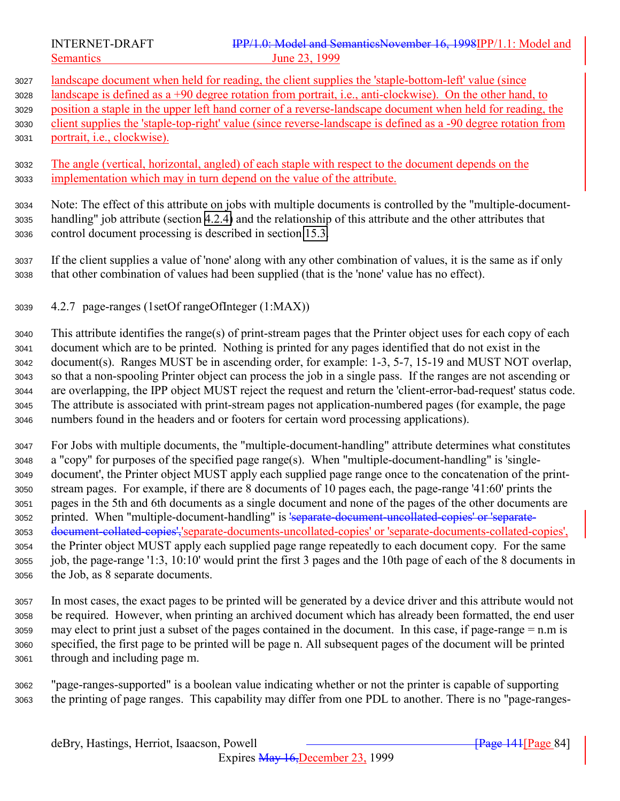landscape document when held for reading, the client supplies the 'staple-bottom-left' value (since landscape is defined as a +90 degree rotation from portrait, i.e., anti-clockwise). On the other hand, to position a staple in the upper left hand corner of a reverse-landscape document when held for reading, the client supplies the 'staple-top-right' value (since reverse-landscape is defined as a -90 degree rotation from portrait, i.e., clockwise).

 The angle (vertical, horizontal, angled) of each staple with respect to the document depends on the implementation which may in turn depend on the value of the attribute.

 Note: The effect of this attribute on jobs with multiple documents is controlled by the "multiple-document- handling" job attribute (section [4.2.4\)](#page-80-0) and the relationship of this attribute and the other attributes that control document processing is described in section [15.3.](#page-171-0)

 If the client supplies a value of 'none' along with any other combination of values, it is the same as if only that other combination of values had been supplied (that is the 'none' value has no effect).

4.2.7 page-ranges (1setOf rangeOfInteger (1:MAX))

 This attribute identifies the range(s) of print-stream pages that the Printer object uses for each copy of each document which are to be printed. Nothing is printed for any pages identified that do not exist in the document(s). Ranges MUST be in ascending order, for example: 1-3, 5-7, 15-19 and MUST NOT overlap, so that a non-spooling Printer object can process the job in a single pass. If the ranges are not ascending or are overlapping, the IPP object MUST reject the request and return the 'client-error-bad-request' status code. The attribute is associated with print-stream pages not application-numbered pages (for example, the page numbers found in the headers and or footers for certain word processing applications).

 For Jobs with multiple documents, the "multiple-document-handling" attribute determines what constitutes a "copy" for purposes of the specified page range(s). When "multiple-document-handling" is 'single- document', the Printer object MUST apply each supplied page range once to the concatenation of the print- stream pages. For example, if there are 8 documents of 10 pages each, the page-range '41:60' prints the pages in the 5th and 6th documents as a single document and none of the pages of the other documents are 3052 printed. When "multiple-document-handling" is 'separate-document-uncollated-copies' or 'separate- document-collated-copies','separate-documents-uncollated-copies' or 'separate-documents-collated-copies', the Printer object MUST apply each supplied page range repeatedly to each document copy. For the same job, the page-range '1:3, 10:10' would print the first 3 pages and the 10th page of each of the 8 documents in the Job, as 8 separate documents.

 In most cases, the exact pages to be printed will be generated by a device driver and this attribute would not be required. However, when printing an archived document which has already been formatted, the end user may elect to print just a subset of the pages contained in the document. In this case, if page-range = n.m is specified, the first page to be printed will be page n. All subsequent pages of the document will be printed through and including page m.

 "page-ranges-supported" is a boolean value indicating whether or not the printer is capable of supporting the printing of page ranges. This capability may differ from one PDL to another. There is no "page-ranges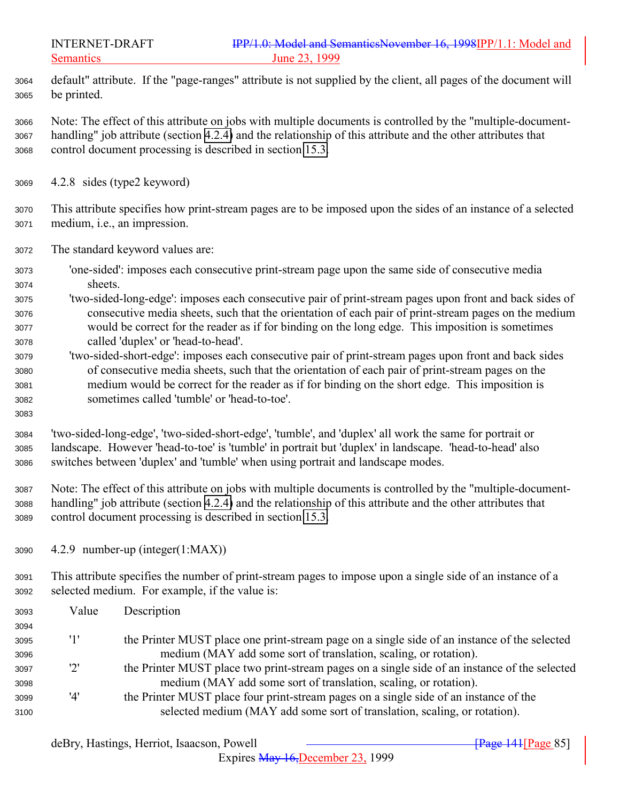default" attribute. If the "page-ranges" attribute is not supplied by the client, all pages of the document will be printed.

 Note: The effect of this attribute on jobs with multiple documents is controlled by the "multiple-document- handling" job attribute (section [4.2.4\)](#page-80-0) and the relationship of this attribute and the other attributes that control document processing is described in section [15.3.](#page-171-0)

- 4.2.8 sides (type2 keyword)
- This attribute specifies how print-stream pages are to be imposed upon the sides of an instance of a selected medium, i.e., an impression.
- The standard keyword values are:
- 'one-sided': imposes each consecutive print-stream page upon the same side of consecutive media sheets.
- 'two-sided-long-edge': imposes each consecutive pair of print-stream pages upon front and back sides of consecutive media sheets, such that the orientation of each pair of print-stream pages on the medium would be correct for the reader as if for binding on the long edge. This imposition is sometimes called 'duplex' or 'head-to-head'.
- 'two-sided-short-edge': imposes each consecutive pair of print-stream pages upon front and back sides of consecutive media sheets, such that the orientation of each pair of print-stream pages on the medium would be correct for the reader as if for binding on the short edge. This imposition is sometimes called 'tumble' or 'head-to-toe'.
- 

 'two-sided-long-edge', 'two-sided-short-edge', 'tumble', and 'duplex' all work the same for portrait or landscape. However 'head-to-toe' is 'tumble' in portrait but 'duplex' in landscape. 'head-to-head' also switches between 'duplex' and 'tumble' when using portrait and landscape modes.

 Note: The effect of this attribute on jobs with multiple documents is controlled by the "multiple-document- handling" job attribute (section [4.2.4\)](#page-80-0) and the relationship of this attribute and the other attributes that control document processing is described in section [15.3.](#page-171-0)

4.2.9 number-up (integer(1:MAX))

 This attribute specifies the number of print-stream pages to impose upon a single side of an instance of a selected medium. For example, if the value is:

| 3093 | Value        | Description                                                                                   |
|------|--------------|-----------------------------------------------------------------------------------------------|
| 3094 |              |                                                                                               |
| 3095 | '1'          | the Printer MUST place one print-stream page on a single side of an instance of the selected  |
| 3096 |              | medium (MAY add some sort of translation, scaling, or rotation).                              |
| 3097 | $2^{\prime}$ | the Printer MUST place two print-stream pages on a single side of an instance of the selected |
| 3098 |              | medium (MAY add some sort of translation, scaling, or rotation).                              |
| 3099 | '4'          | the Printer MUST place four print-stream pages on a single side of an instance of the         |
| 3100 |              | selected medium (MAY add some sort of translation, scaling, or rotation).                     |

Expires May 16,December 23, 1999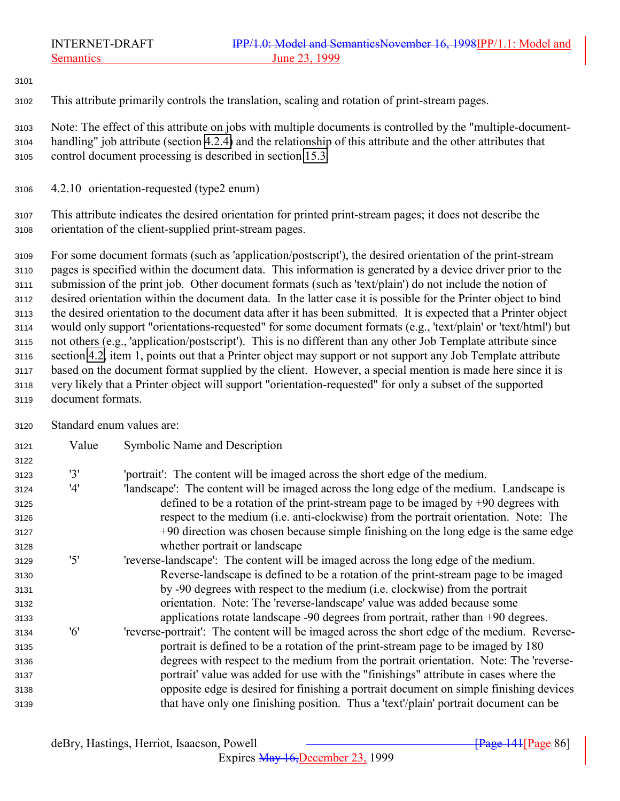This attribute primarily controls the translation, scaling and rotation of print-stream pages.

 Note: The effect of this attribute on jobs with multiple documents is controlled by the "multiple-document- handling" job attribute (section [4.2.4\)](#page-80-0) and the relationship of this attribute and the other attributes that control document processing is described in section [15.3.](#page-171-0)

4.2.10 orientation-requested (type2 enum)

 This attribute indicates the desired orientation for printed print-stream pages; it does not describe the orientation of the client-supplied print-stream pages.

 For some document formats (such as 'application/postscript'), the desired orientation of the print-stream pages is specified within the document data. This information is generated by a device driver prior to the submission of the print job. Other document formats (such as 'text/plain') do not include the notion of desired orientation within the document data. In the latter case it is possible for the Printer object to bind the desired orientation to the document data after it has been submitted. It is expected that a Printer object would only support "orientations-requested" for some document formats (e.g., 'text/plain' or 'text/html') but not others (e.g., 'application/postscript'). This is no different than any other Job Template attribute since section [4.2,](#page-75-0) item 1, points out that a Printer object may support or not support any Job Template attribute based on the document format supplied by the client. However, a special mention is made here since it is very likely that a Printer object will support "orientation-requested" for only a subset of the supported document formats.

Standard enum values are:

| 3121 | Value | Symbolic Name and Description                                                                |
|------|-------|----------------------------------------------------------------------------------------------|
| 3122 |       |                                                                                              |
| 3123 | '3'   | 'portrait': The content will be imaged across the short edge of the medium.                  |
| 3124 | '4'   | 'landscape': The content will be imaged across the long edge of the medium. Landscape is     |
| 3125 |       | defined to be a rotation of the print-stream page to be imaged by $+90$ degrees with         |
| 3126 |       | respect to the medium (i.e. anti-clockwise) from the portrait orientation. Note: The         |
| 3127 |       | +90 direction was chosen because simple finishing on the long edge is the same edge          |
| 3128 |       | whether portrait or landscape                                                                |
| 3129 | '5'   | 'reverse-landscape': The content will be imaged across the long edge of the medium.          |
| 3130 |       | Reverse-landscape is defined to be a rotation of the print-stream page to be imaged          |
| 3131 |       | by -90 degrees with respect to the medium (i.e. clockwise) from the portrait                 |
| 3132 |       | orientation. Note: The 'reverse-landscape' value was added because some                      |
| 3133 |       | applications rotate landscape -90 degrees from portrait, rather than +90 degrees.            |
| 3134 | '6'   | 'reverse-portrait': The content will be imaged across the short edge of the medium. Reverse- |
| 3135 |       | portrait is defined to be a rotation of the print-stream page to be imaged by 180            |
| 3136 |       | degrees with respect to the medium from the portrait orientation. Note: The 'reverse-        |
| 3137 |       | portrait' value was added for use with the "finishings" attribute in cases where the         |
| 3138 |       | opposite edge is desired for finishing a portrait document on simple finishing devices       |
| 3139 |       | that have only one finishing position. Thus a 'text'/plain' portrait document can be         |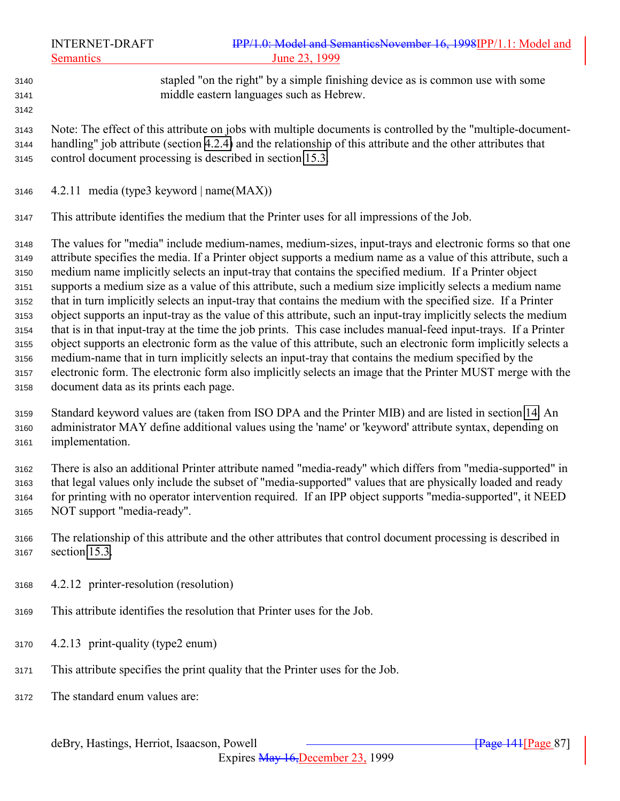stapled "on the right" by a simple finishing device as is common use with some middle eastern languages such as Hebrew. 

 Note: The effect of this attribute on jobs with multiple documents is controlled by the "multiple-document- handling" job attribute (section [4.2.4\)](#page-80-0) and the relationship of this attribute and the other attributes that control document processing is described in section [15.3.](#page-171-0)

4.2.11 media (type3 keyword | name $(MAX)$ )

This attribute identifies the medium that the Printer uses for all impressions of the Job.

 The values for "media" include medium-names, medium-sizes, input-trays and electronic forms so that one attribute specifies the media. If a Printer object supports a medium name as a value of this attribute, such a medium name implicitly selects an input-tray that contains the specified medium. If a Printer object supports a medium size as a value of this attribute, such a medium size implicitly selects a medium name that in turn implicitly selects an input-tray that contains the medium with the specified size. If a Printer object supports an input-tray as the value of this attribute, such an input-tray implicitly selects the medium that is in that input-tray at the time the job prints. This case includes manual-feed input-trays. If a Printer object supports an electronic form as the value of this attribute, such an electronic form implicitly selects a medium-name that in turn implicitly selects an input-tray that contains the medium specified by the electronic form. The electronic form also implicitly selects an image that the Printer MUST merge with the document data as its prints each page.

 Standard keyword values are (taken from ISO DPA and the Printer MIB) and are listed in section [14.](#page-165-0) An administrator MAY define additional values using the 'name' or 'keyword' attribute syntax, depending on implementation.

 There is also an additional Printer attribute named "media-ready" which differs from "media-supported" in that legal values only include the subset of "media-supported" values that are physically loaded and ready for printing with no operator intervention required. If an IPP object supports "media-supported", it NEED NOT support "media-ready".

- The relationship of this attribute and the other attributes that control document processing is described in section [15.3.](#page-171-0)
- 4.2.12 printer-resolution (resolution)
- This attribute identifies the resolution that Printer uses for the Job.
- 4.2.13 print-quality (type2 enum)
- This attribute specifies the print quality that the Printer uses for the Job.
- The standard enum values are: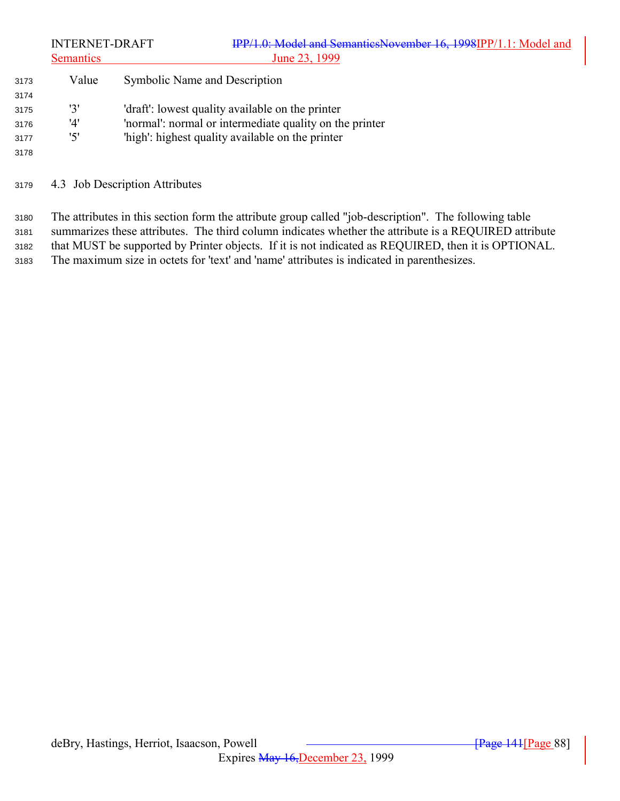|      | <b>INTERNET-DRAFT</b><br><b>Semantics</b> | IPP/1.0: Model and SemanticsNovember 16, 1998IPP/1.1: Model and<br>June 23, 1999 |
|------|-------------------------------------------|----------------------------------------------------------------------------------|
| 3173 | Value                                     | Symbolic Name and Description                                                    |
| 3174 |                                           |                                                                                  |
| 3175 | '3'                                       | 'draft': lowest quality available on the printer                                 |
| 3176 | '4'                                       | 'normal': normal or intermediate quality on the printer                          |
| 3177 | '5'                                       | 'high': highest quality available on the printer                                 |
| 3178 |                                           |                                                                                  |
|      |                                           |                                                                                  |

4.3 Job Description Attributes

 The attributes in this section form the attribute group called "job-description". The following table summarizes these attributes. The third column indicates whether the attribute is a REQUIRED attribute that MUST be supported by Printer objects. If it is not indicated as REQUIRED, then it is OPTIONAL. The maximum size in octets for 'text' and 'name' attributes is indicated in parenthesizes.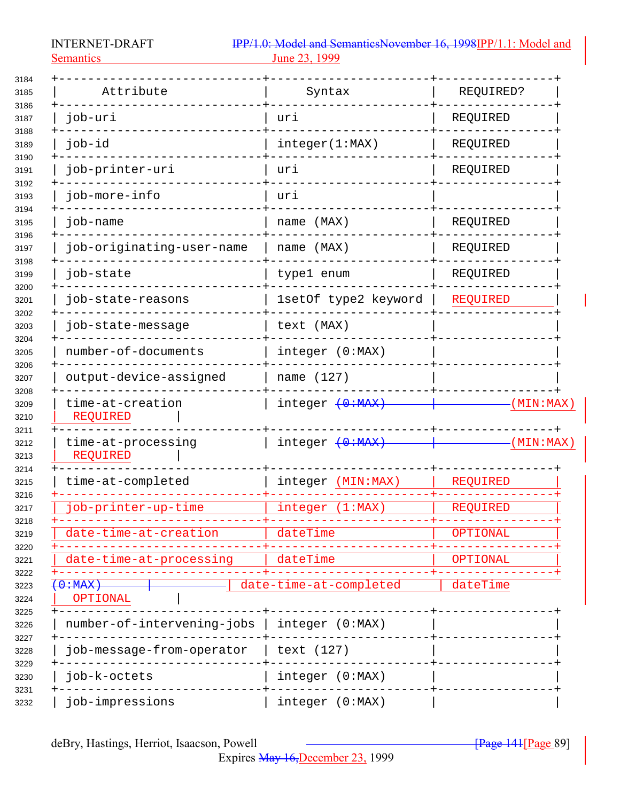Semantics 23, 1999

| 3184                 |                                |                        |           |
|----------------------|--------------------------------|------------------------|-----------|
| 3185<br>3186         | Attribute                      | Syntax                 | REQUIRED? |
| 3187                 | job-uri                        | uri                    | REQUIRED  |
| 3188<br>3189         | job-id                         | integer(1:MAX)         | REQUIRED  |
| 3190<br>3191         | job-printer-uri                | uri                    | REQUIRED  |
| 3192<br>3193         | job-more-info                  | uri                    |           |
| 3194<br>3195         | job-name                       | name (MAX)             | REQUIRED  |
| 3196<br>3197         | job-originating-user-name      | name (MAX)             | REQUIRED  |
| 3198<br>3199         | job-state                      | type1 enum             | REQUIRED  |
| 3200<br>3201         | job-state-reasons              | 1setOf type2 keyword   | REQUIRED  |
| 3202<br>3203         | job-state-message              | text (MAX)             |           |
| 3204<br>3205         | number-of-documents            | integer (0:MAX)        |           |
| 3206<br>3207         | output-device-assigned         | name (127)             |           |
| 3208<br>3209<br>3210 | time-at-creation<br>REQUIRED   | integer $(0:MAX)$      | (MIN:MAX) |
| 3211<br>3212<br>3213 | time-at-processing<br>REQUIRED | integer $(0:MAX)$      | (MIN:MAX) |
| 3214<br>3215         | time-at-completed              | integer (MIN:MAX)      | REQUIRED  |
| 3216<br>3217         | job-printer-up-time            | (1:MAX)<br>integer     | REQUIRED  |
| 3218<br>3219         | date-time-at-creation          | dateTime               | OPTIONAL  |
| 3220<br>3221         | date-time-at-processing        | dateTime               | OPTIONAL  |
| 3222<br>3223<br>3224 | $0:MAX$ )<br>OPTIONAL          | date-time-at-completed | dateTime  |
| 3225<br>3226         | number-of-intervening-jobs     | integer (0:MAX)        |           |
| 3227<br>3228         | job-message-from-operator      | text (127)             |           |
| 3229<br>3230         | job-k-octets                   | integer (0:MAX)        |           |
| 3231                 |                                | integer (0:MAX)        |           |

Expires May 16,December 23, 1999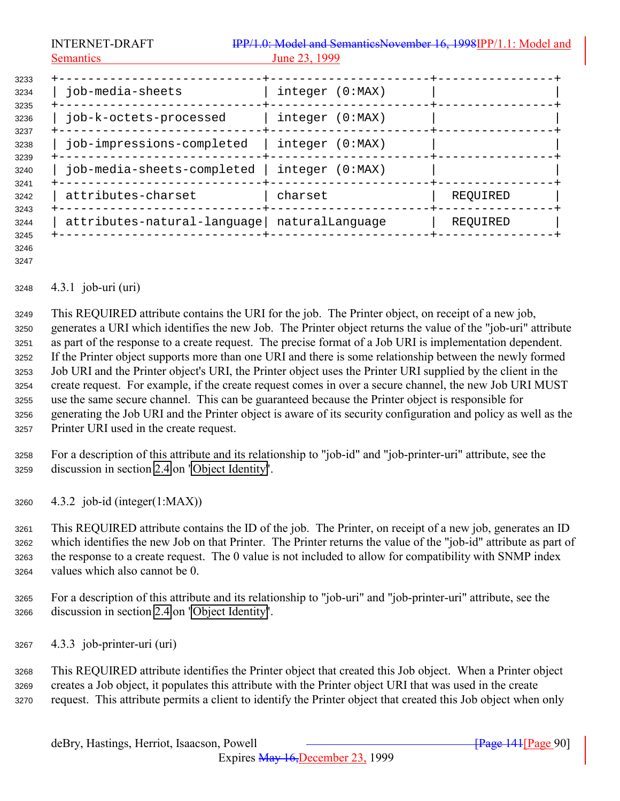| <b>INTERNET-DRAFT</b>                       | IPP/1.0: Model and SemanticsNovember 16, 1998IPP/1.1: Model and |          |
|---------------------------------------------|-----------------------------------------------------------------|----------|
| <b>Semantics</b>                            | June 23, 1999                                                   |          |
| job-media-sheets                            | integer (0:MAX)                                                 |          |
| job-k-octets-processed                      | integer (0:MAX)                                                 |          |
| job-impressions-completed                   | integer (0:MAX)                                                 |          |
| job-media-sheets-completed                  | integer (0:MAX)                                                 |          |
| attributes-charset                          | charset                                                         | REQUIRED |
| attributes-natural-language naturalLanguage |                                                                 | REQUIRED |

 

#### 4.3.1 job-uri (uri)

 This REQUIRED attribute contains the URI for the job. The Printer object, on receipt of a new job, generates a URI which identifies the new Job. The Printer object returns the value of the "job-uri" attribute as part of the response to a create request. The precise format of a Job URI is implementation dependent. If the Printer object supports more than one URI and there is some relationship between the newly formed Job URI and the Printer object's URI, the Printer object uses the Printer URI supplied by the client in the create request. For example, if the create request comes in over a secure channel, the new Job URI MUST use the same secure channel. This can be guaranteed because the Printer object is responsible for generating the Job URI and the Printer object is aware of its security configuration and policy as well as the Printer URI used in the create request.

- For a description of this attribute and its relationship to "job-id" and "job-printer-uri" attribute, see the discussion in section [2.4](#page-18-0) on ["Object Identity"](#page-18-0).
- 4.3.2 job-id (integer(1:MAX))

 This REQUIRED attribute contains the ID of the job. The Printer, on receipt of a new job, generates an ID which identifies the new Job on that Printer. The Printer returns the value of the "job-id" attribute as part of the response to a create request. The 0 value is not included to allow for compatibility with SNMP index values which also cannot be 0.

 For a description of this attribute and its relationship to "job-uri" and "job-printer-uri" attribute, see the discussion in section [2.4](#page-18-0) on ["Object Identity"](#page-18-0).

4.3.3 job-printer-uri (uri)

 This REQUIRED attribute identifies the Printer object that created this Job object. When a Printer object creates a Job object, it populates this attribute with the Printer object URI that was used in the create request. This attribute permits a client to identify the Printer object that created this Job object when only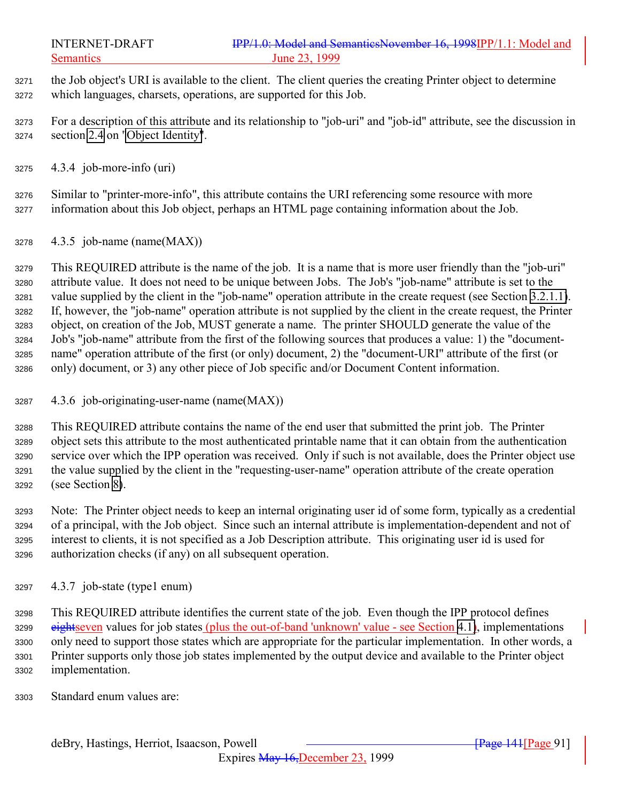- the Job object's URI is available to the client. The client queries the creating Printer object to determine which languages, charsets, operations, are supported for this Job.
- For a description of this attribute and its relationship to "job-uri" and "job-id" attribute, see the discussion in section [2.4](#page-18-0) on ["Object Identity"](#page-18-0).
- 4.3.4 job-more-info (uri)
- Similar to "printer-more-info", this attribute contains the URI referencing some resource with more information about this Job object, perhaps an HTML page containing information about the Job.
- 4.3.5 job-name (name(MAX))

 This REQUIRED attribute is the name of the job. It is a name that is more user friendly than the "job-uri" attribute value. It does not need to be unique between Jobs. The Job's "job-name" attribute is set to the value supplied by the client in the "job-name" operation attribute in the create request (see Section [3.2.1.1\)](#page-36-0). If, however, the "job-name" operation attribute is not supplied by the client in the create request, the Printer object, on creation of the Job, MUST generate a name. The printer SHOULD generate the value of the Job's "job-name" attribute from the first of the following sources that produces a value: 1) the "document- name" operation attribute of the first (or only) document, 2) the "document-URI" attribute of the first (or only) document, or 3) any other piece of Job specific and/or Document Content information.

4.3.6 job-originating-user-name (name(MAX))

 This REQUIRED attribute contains the name of the end user that submitted the print job. The Printer object sets this attribute to the most authenticated printable name that it can obtain from the authentication service over which the IPP operation was received. Only if such is not available, does the Printer object use the value supplied by the client in the "requesting-user-name" operation attribute of the create operation (see Section [8\)](#page-134-0).

 Note: The Printer object needs to keep an internal originating user id of some form, typically as a credential of a principal, with the Job object. Since such an internal attribute is implementation-dependent and not of interest to clients, it is not specified as a Job Description attribute. This originating user id is used for authorization checks (if any) on all subsequent operation.

4.3.7 job-state (type1 enum)

 This REQUIRED attribute identifies the current state of the job. Even though the IPP protocol defines 3299 eightseven values for job states (plus the out-of-band 'unknown' value - see Section [4.1\)](#page-66-0), implementations only need to support those states which are appropriate for the particular implementation. In other words, a Printer supports only those job states implemented by the output device and available to the Printer object implementation.

Standard enum values are: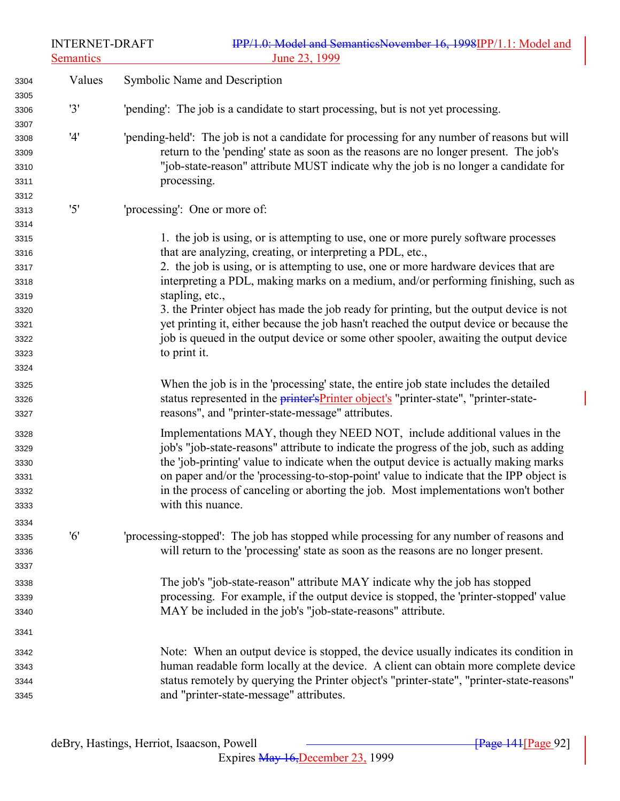| <b>INTERNET-DRAFT</b> |  |
|-----------------------|--|
|-----------------------|--|

| 3304<br>3305                                                                         | Values | Symbolic Name and Description                                                                                                                                                                                                                                                                                                                                                                                                                                                                                                                                                                                                                   |
|--------------------------------------------------------------------------------------|--------|-------------------------------------------------------------------------------------------------------------------------------------------------------------------------------------------------------------------------------------------------------------------------------------------------------------------------------------------------------------------------------------------------------------------------------------------------------------------------------------------------------------------------------------------------------------------------------------------------------------------------------------------------|
| 3306<br>3307                                                                         | '3'    | 'pending': The job is a candidate to start processing, but is not yet processing.                                                                                                                                                                                                                                                                                                                                                                                                                                                                                                                                                               |
| 3308<br>3309<br>3310<br>3311<br>3312                                                 | '4'    | 'pending-held': The job is not a candidate for processing for any number of reasons but will<br>return to the 'pending' state as soon as the reasons are no longer present. The job's<br>"job-state-reason" attribute MUST indicate why the job is no longer a candidate for<br>processing.                                                                                                                                                                                                                                                                                                                                                     |
| 3313                                                                                 | '5'    | 'processing': One or more of:                                                                                                                                                                                                                                                                                                                                                                                                                                                                                                                                                                                                                   |
| 3314<br>3315<br>3316<br>3317<br>3318<br>3319<br>3320<br>3321<br>3322<br>3323<br>3324 |        | 1. the job is using, or is attempting to use, one or more purely software processes<br>that are analyzing, creating, or interpreting a PDL, etc.,<br>2. the job is using, or is attempting to use, one or more hardware devices that are<br>interpreting a PDL, making marks on a medium, and/or performing finishing, such as<br>stapling, etc.,<br>3. the Printer object has made the job ready for printing, but the output device is not<br>yet printing it, either because the job hasn't reached the output device or because the<br>job is queued in the output device or some other spooler, awaiting the output device<br>to print it. |
| 3325<br>3326<br>3327                                                                 |        | When the job is in the 'processing' state, the entire job state includes the detailed<br>status represented in the <i>printer's Printer object's</i> "printer-state", "printer-state-<br>reasons", and "printer-state-message" attributes.                                                                                                                                                                                                                                                                                                                                                                                                      |
| 3328<br>3329<br>3330<br>3331<br>3332<br>3333                                         |        | Implementations MAY, though they NEED NOT, include additional values in the<br>job's "job-state-reasons" attribute to indicate the progress of the job, such as adding<br>the 'job-printing' value to indicate when the output device is actually making marks<br>on paper and/or the 'processing-to-stop-point' value to indicate that the IPP object is<br>in the process of canceling or aborting the job. Most implementations won't bother<br>with this nuance.                                                                                                                                                                            |
| 3334<br>3335<br>3336<br>3337                                                         | '6'    | 'processing-stopped': The job has stopped while processing for any number of reasons and<br>will return to the 'processing' state as soon as the reasons are no longer present.                                                                                                                                                                                                                                                                                                                                                                                                                                                                 |
| 3338<br>3339<br>3340                                                                 |        | The job's "job-state-reason" attribute MAY indicate why the job has stopped<br>processing. For example, if the output device is stopped, the 'printer-stopped' value<br>MAY be included in the job's "job-state-reasons" attribute.                                                                                                                                                                                                                                                                                                                                                                                                             |
| 3341<br>3342<br>3343<br>3344<br>3345                                                 |        | Note: When an output device is stopped, the device usually indicates its condition in<br>human readable form locally at the device. A client can obtain more complete device<br>status remotely by querying the Printer object's "printer-state", "printer-state-reasons"<br>and "printer-state-message" attributes.                                                                                                                                                                                                                                                                                                                            |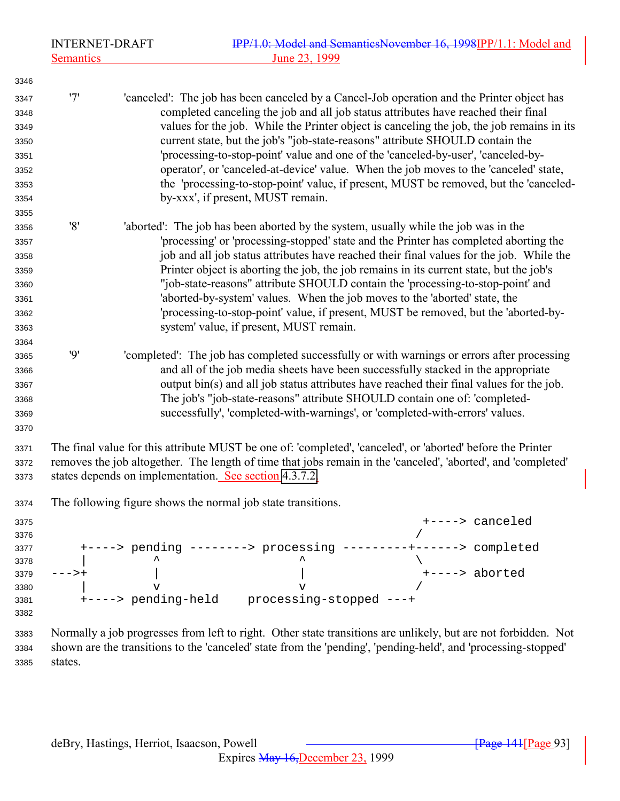'7' 'canceled': The job has been canceled by a Cancel-Job operation and the Printer object has completed canceling the job and all job status attributes have reached their final values for the job. While the Printer object is canceling the job, the job remains in its current state, but the job's "job-state-reasons" attribute SHOULD contain the 'processing-to-stop-point' value and one of the 'canceled-by-user', 'canceled-by- operator', or 'canceled-at-device' value. When the job moves to the 'canceled' state, the 'processing-to-stop-point' value, if present, MUST be removed, but the 'canceled- by-xxx', if present, MUST remain. 

- '8' 'aborted': The job has been aborted by the system, usually while the job was in the 'processing' or 'processing-stopped' state and the Printer has completed aborting the job and all job status attributes have reached their final values for the job. While the Printer object is aborting the job, the job remains in its current state, but the job's "job-state-reasons" attribute SHOULD contain the 'processing-to-stop-point' and 'aborted-by-system' values. When the job moves to the 'aborted' state, the 'processing-to-stop-point' value, if present, MUST be removed, but the 'aborted-by-system' value, if present, MUST remain.
- '9' 'completed': The job has completed successfully or with warnings or errors after processing and all of the job media sheets have been successfully stacked in the appropriate output bin(s) and all job status attributes have reached their final values for the job. The job's "job-state-reasons" attribute SHOULD contain one of: 'completed-successfully', 'completed-with-warnings', or 'completed-with-errors' values.
- The final value for this attribute MUST be one of: 'completed', 'canceled', or 'aborted' before the Printer removes the job altogether. The length of time that jobs remain in the 'canceled', 'aborted', and 'completed' states depends on implementation. See section [4.3.7.2.](#page-93-0)
- The following figure shows the normal job state transitions.

| 3375 |                       |                         | +----> canceled |
|------|-----------------------|-------------------------|-----------------|
| 3376 |                       |                         |                 |
| 3377 | $+\text{---}$ pending | $------> processing$    | > completed     |
| 3378 | ㅅ                     | ㅅ                       |                 |
| 3379 |                       |                         | +----> aborted  |
| 3380 |                       |                         |                 |
| 3381 | +----> pending-held   | processing-stopped ---+ |                 |
| 3382 |                       |                         |                 |

 Normally a job progresses from left to right. Other state transitions are unlikely, but are not forbidden. Not shown are the transitions to the 'canceled' state from the 'pending', 'pending-held', and 'processing-stopped' states.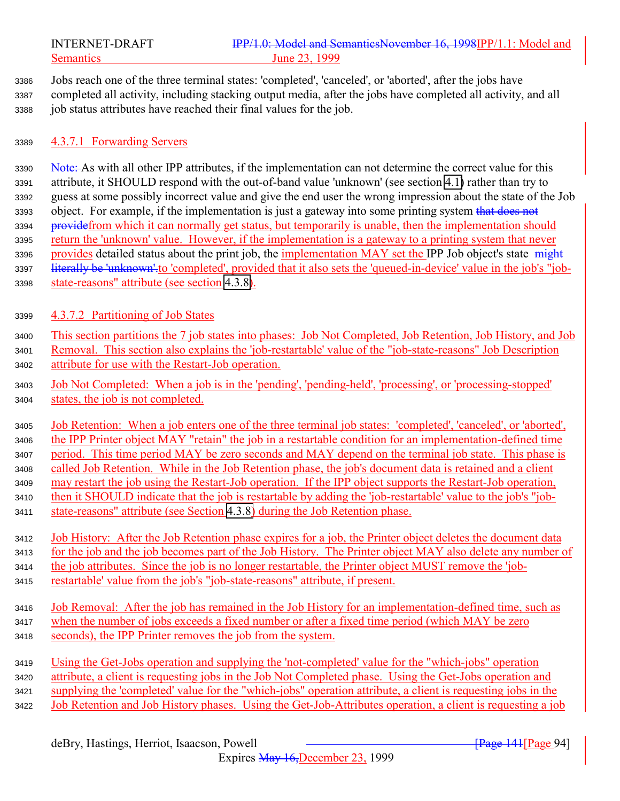<span id="page-93-0"></span>

 Jobs reach one of the three terminal states: 'completed', 'canceled', or 'aborted', after the jobs have completed all activity, including stacking output media, after the jobs have completed all activity, and all job status attributes have reached their final values for the job.

#### 4.3.7.1 Forwarding Servers

3390 Note: As with all other IPP attributes, if the implementation can-not determine the correct value for this attribute, it SHOULD respond with the out-of-band value 'unknown' (see section [4.1\)](#page-66-0) rather than try to guess at some possibly incorrect value and give the end user the wrong impression about the state of the Job 3393 object. For example, if the implementation is just a gateway into some printing system that does not 3394 providefrom which it can normally get status, but temporarily is unable, then the implementation should return the 'unknown' value. However, if the implementation is a gateway to a printing system that never 3396 provides detailed status about the print job, the implementation MAY set the IPP Job object's state might 3397 literally be 'unknown' to 'completed', provided that it also sets the 'queued-in-device' value in the job's "job-state-reasons" attribute (see section [4.3.8\)](#page-94-0).

- 4.3.7.2 Partitioning of Job States
- This section partitions the 7 job states into phases: Job Not Completed, Job Retention, Job History, and Job Removal. This section also explains the 'job-restartable' value of the "job-state-reasons" Job Description attribute for use with the Restart-Job operation.
- Job Not Completed: When a job is in the 'pending', 'pending-held', 'processing', or 'processing-stopped' states, the job is not completed.

 Job Retention: When a job enters one of the three terminal job states: 'completed', 'canceled', or 'aborted', the IPP Printer object MAY "retain" the job in a restartable condition for an implementation-defined time period. This time period MAY be zero seconds and MAY depend on the terminal job state. This phase is called Job Retention. While in the Job Retention phase, the job's document data is retained and a client may restart the job using the Restart-Job operation. If the IPP object supports the Restart-Job operation, then it SHOULD indicate that the job is restartable by adding the 'job-restartable' value to the job's "job-state-reasons" attribute (see Section [4.3.8\)](#page-94-0) during the Job Retention phase.

- Job History: After the Job Retention phase expires for a job, the Printer object deletes the document data for the job and the job becomes part of the Job History. The Printer object MAY also delete any number of the job attributes. Since the job is no longer restartable, the Printer object MUST remove the 'job-
- restartable' value from the job's "job-state-reasons" attribute, if present.
- Job Removal: After the job has remained in the Job History for an implementation-defined time, such as when the number of jobs exceeds a fixed number or after a fixed time period (which MAY be zero seconds), the IPP Printer removes the job from the system.
- Using the Get-Jobs operation and supplying the 'not-completed' value for the "which-jobs" operation attribute, a client is requesting jobs in the Job Not Completed phase. Using the Get-Jobs operation and supplying the 'completed' value for the "which-jobs" operation attribute, a client is requesting jobs in the Job Retention and Job History phases. Using the Get-Job-Attributes operation, a client is requesting a job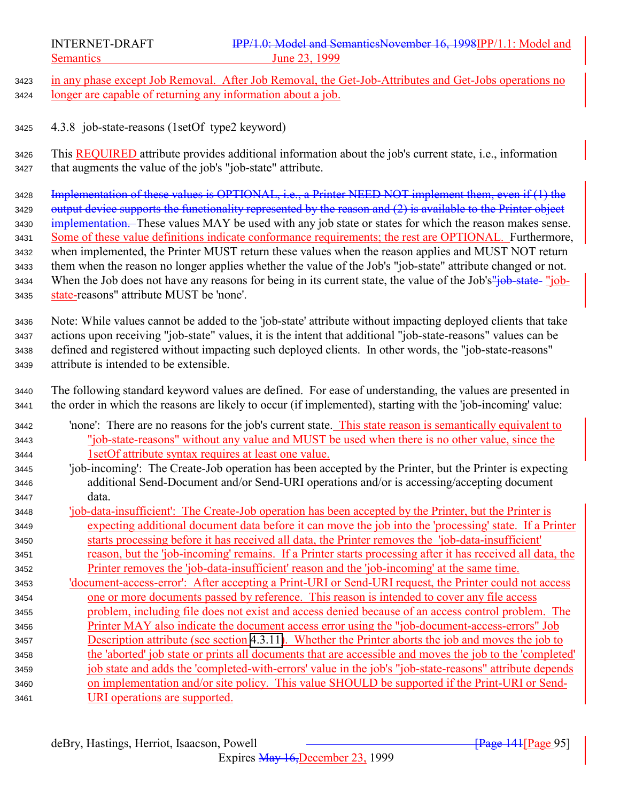<span id="page-94-0"></span>

3423 in any phase except Job Removal. After Job Removal, the Get-Job-Attributes and Get-Jobs operations no longer are capable of returning any information about a job.

4.3.8 job-state-reasons (1setOf type2 keyword)

 This REQUIRED attribute provides additional information about the job's current state, i.e., information that augments the value of the job's "job-state" attribute.

 Implementation of these values is OPTIONAL, i.e., a Printer NEED NOT implement them, even if (1) the 3429 output device supports the functionality represented by the reason and (2) is available to the Printer object 3430 implementation. These values MAY be used with any job state or states for which the reason makes sense. Some of these value definitions indicate conformance requirements; the rest are OPTIONAL. Furthermore, when implemented, the Printer MUST return these values when the reason applies and MUST NOT return them when the reason no longer applies whether the value of the Job's "job-state" attribute changed or not. 3434 When the Job does not have any reasons for being in its current state, the value of the Job's"job-state- "job-state-reasons" attribute MUST be 'none'.

 Note: While values cannot be added to the 'job-state' attribute without impacting deployed clients that take actions upon receiving "job-state" values, it is the intent that additional "job-state-reasons" values can be defined and registered without impacting such deployed clients. In other words, the "job-state-reasons" attribute is intended to be extensible.

 The following standard keyword values are defined. For ease of understanding, the values are presented in the order in which the reasons are likely to occur (if implemented), starting with the 'job-incoming' value:

| 3442 | 'none': There are no reasons for the job's current state. This state reason is semantically equivalent to     |
|------|---------------------------------------------------------------------------------------------------------------|
| 3443 | "job-state-reasons" without any value and MUST be used when there is no other value, since the                |
| 3444 | 1 set Of attribute syntax requires at least one value.                                                        |
| 3445 | 'job-incoming': The Create-Job operation has been accepted by the Printer, but the Printer is expecting       |
| 3446 | additional Send-Document and/or Send-URI operations and/or is accessing/accepting document                    |
| 3447 | data.                                                                                                         |
| 3448 | <u>'job-data-insufficient': The Create-Job operation has been accepted by the Printer, but the Printer is</u> |
| 3449 | expecting additional document data before it can move the job into the 'processing' state. If a Printer       |
| 3450 | starts processing before it has received all data, the Printer removes the 'job-data-insufficient'            |
| 3451 | reason, but the 'job-incoming' remains. If a Printer starts processing after it has received all data, the    |
| 3452 | <u>Printer removes the 'job-data-insufficient' reason and the 'job-incoming' at the same time.</u>            |
| 3453 | 'document-access-error': After accepting a Print-URI or Send-URI request, the Printer could not access        |
| 3454 | one or more documents passed by reference. This reason is intended to cover any file access                   |
| 3455 | problem, including file does not exist and access denied because of an access control problem. The            |
| 3456 | <u>Printer MAY also indicate the document access error using the "job-document-access-errors" Job</u>         |
| 3457 | Description attribute (see section 4.3.11). Whether the Printer aborts the job and moves the job to           |
| 3458 | the 'aborted' job state or prints all documents that are accessible and moves the job to the 'completed'      |
| 3459 | job state and adds the 'completed-with-errors' value in the job's "job-state-reasons" attribute depends       |
| 3460 | on implementation and/or site policy. This value SHOULD be supported if the Print-URI or Send-                |
| 3461 | URI operations are supported.                                                                                 |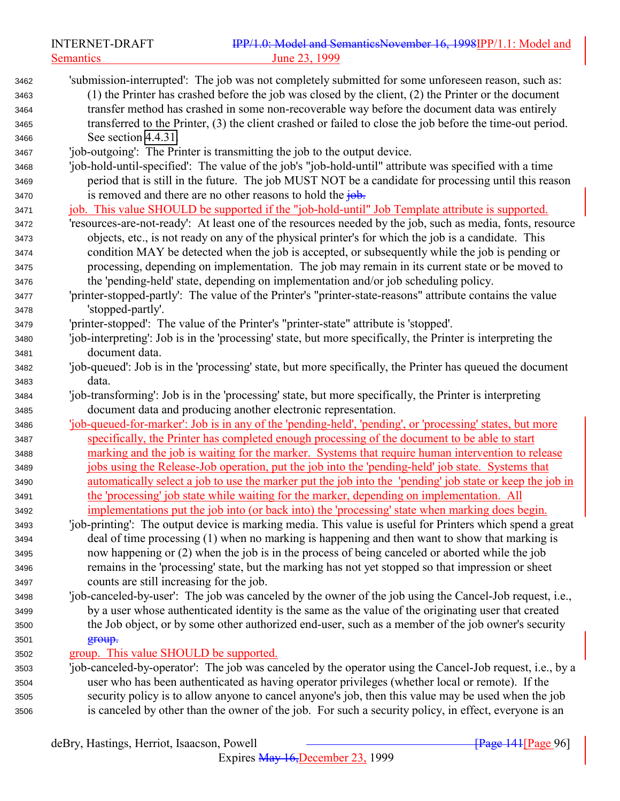|                      | <b>INTERNET-DRAFT</b> | IPP/1.0: Model and SemanticsNovember 16, 1998IPP/1.1: Model and                                                                                                                                                                                                                                                  |
|----------------------|-----------------------|------------------------------------------------------------------------------------------------------------------------------------------------------------------------------------------------------------------------------------------------------------------------------------------------------------------|
|                      | <b>Semantics</b>      | June 23, 1999                                                                                                                                                                                                                                                                                                    |
| 3462<br>3463<br>3464 |                       | 'submission-interrupted': The job was not completely submitted for some unforeseen reason, such as:<br>$(1)$ the Printer has crashed before the job was closed by the client, $(2)$ the Printer or the document<br>transfer method has crashed in some non-recoverable way before the document data was entirely |
| 3465<br>3466         | See section 4.4.31.   | transferred to the Printer, (3) the client crashed or failed to close the job before the time-out period.                                                                                                                                                                                                        |
| 3467                 |                       | 'job-outgoing': The Printer is transmitting the job to the output device.                                                                                                                                                                                                                                        |
| 3468<br>3469         |                       | 'job-hold-until-specified': The value of the job's "job-hold-until" attribute was specified with a time<br>period that is still in the future. The job MUST NOT be a candidate for processing until this reason                                                                                                  |
| 3470                 |                       | is removed and there are no other reasons to hold the $\frac{1}{10}$ .                                                                                                                                                                                                                                           |
| 3471                 |                       | job. This value SHOULD be supported if the "job-hold-until" Job Template attribute is supported.                                                                                                                                                                                                                 |
| 3472                 |                       | 'resources-are-not-ready': At least one of the resources needed by the job, such as media, fonts, resource                                                                                                                                                                                                       |
| 3473                 |                       | objects, etc., is not ready on any of the physical printer's for which the job is a candidate. This                                                                                                                                                                                                              |
| 3474                 |                       | condition MAY be detected when the job is accepted, or subsequently while the job is pending or                                                                                                                                                                                                                  |
| 3475                 |                       | processing, depending on implementation. The job may remain in its current state or be moved to<br>the 'pending-held' state, depending on implementation and/or job scheduling policy.                                                                                                                           |
| 3476<br>3477         |                       | 'printer-stopped-partly': The value of the Printer's "printer-state-reasons" attribute contains the value                                                                                                                                                                                                        |
| 3478                 | 'stopped-partly'.     |                                                                                                                                                                                                                                                                                                                  |
| 3479                 |                       | 'printer-stopped': The value of the Printer's "printer-state" attribute is 'stopped'.                                                                                                                                                                                                                            |
| 3480                 |                       | 'job-interpreting': Job is in the 'processing' state, but more specifically, the Printer is interpreting the                                                                                                                                                                                                     |
| 3481                 | document data.        |                                                                                                                                                                                                                                                                                                                  |
| 3482                 |                       | 'job-queued': Job is in the 'processing' state, but more specifically, the Printer has queued the document                                                                                                                                                                                                       |
| 3483                 | data.                 |                                                                                                                                                                                                                                                                                                                  |
| 3484                 |                       | 'job-transforming': Job is in the 'processing' state, but more specifically, the Printer is interpreting                                                                                                                                                                                                         |
| 3485                 |                       | document data and producing another electronic representation.                                                                                                                                                                                                                                                   |
| 3486                 |                       | 'job-queued-for-marker': Job is in any of the 'pending-held', 'pending', or 'processing' states, but more                                                                                                                                                                                                        |
| 3487                 |                       | specifically, the Printer has completed enough processing of the document to be able to start                                                                                                                                                                                                                    |
| 3488                 |                       | marking and the job is waiting for the marker. Systems that require human intervention to release                                                                                                                                                                                                                |
| 3489                 |                       | jobs using the Release-Job operation, put the job into the 'pending-held' job state. Systems that                                                                                                                                                                                                                |
| 3490                 |                       | automatically select a job to use the marker put the job into the 'pending' job state or keep the job in                                                                                                                                                                                                         |
| 3491                 |                       | the 'processing' job state while waiting for the marker, depending on implementation. All                                                                                                                                                                                                                        |
| 3492                 |                       | implementations put the job into (or back into) the 'processing' state when marking does begin.                                                                                                                                                                                                                  |
| 3493                 |                       | 'job-printing': The output device is marking media. This value is useful for Printers which spend a great                                                                                                                                                                                                        |
| 3494                 |                       | deal of time processing (1) when no marking is happening and then want to show that marking is                                                                                                                                                                                                                   |
| 3495                 |                       | now happening or (2) when the job is in the process of being canceled or aborted while the job                                                                                                                                                                                                                   |
| 3496                 |                       | remains in the 'processing' state, but the marking has not yet stopped so that impression or sheet                                                                                                                                                                                                               |
| 3497                 |                       | counts are still increasing for the job.<br>'job-canceled-by-user': The job was canceled by the owner of the job using the Cancel-Job request, i.e.,                                                                                                                                                             |
| 3498                 |                       | by a user whose authenticated identity is the same as the value of the originating user that created                                                                                                                                                                                                             |
| 3499<br>3500         |                       | the Job object, or by some other authorized end-user, such as a member of the job owner's security                                                                                                                                                                                                               |
| 3501                 | group.                |                                                                                                                                                                                                                                                                                                                  |
| 3502                 |                       | group. This value SHOULD be supported.                                                                                                                                                                                                                                                                           |
| 3503                 |                       | 'job-canceled-by-operator': The job was canceled by the operator using the Cancel-Job request, i.e., by a                                                                                                                                                                                                        |
| 3504                 |                       | user who has been authenticated as having operator privileges (whether local or remote). If the                                                                                                                                                                                                                  |
| 3505                 |                       | security policy is to allow anyone to cancel anyone's job, then this value may be used when the job                                                                                                                                                                                                              |
| 3506                 |                       | is canceled by other than the owner of the job. For such a security policy, in effect, everyone is an                                                                                                                                                                                                            |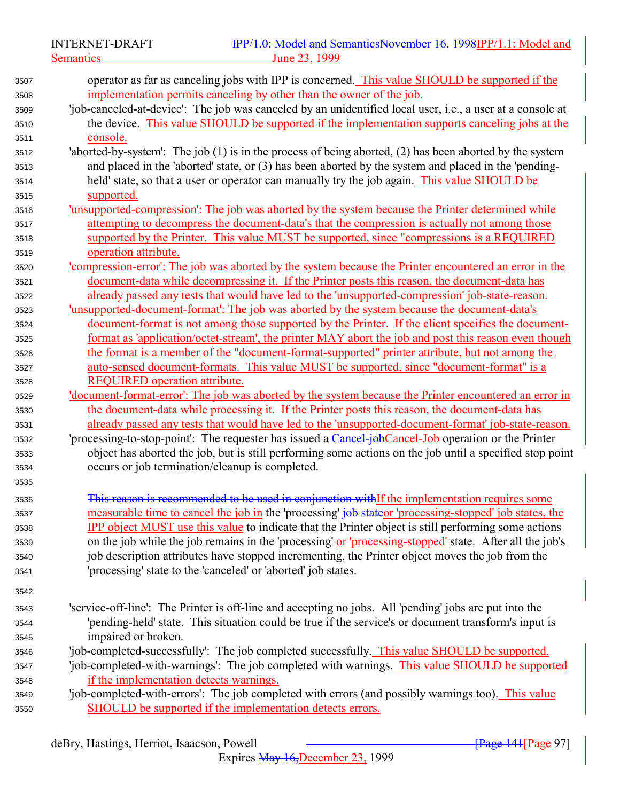Semantics 23, 1999

| 3507 | operator as far as canceling jobs with IPP is concerned. This value SHOULD be supported if the                |
|------|---------------------------------------------------------------------------------------------------------------|
| 3508 | implementation permits canceling by other than the owner of the job.                                          |
| 3509 | 'job-canceled-at-device': The job was canceled by an unidentified local user, i.e., a user at a console at    |
| 3510 | the device. This value SHOULD be supported if the implementation supports canceling jobs at the               |
| 3511 | <u>console.</u>                                                                                               |
| 3512 | 'aborted-by-system': The job $(1)$ is in the process of being aborted, $(2)$ has been aborted by the system   |
| 3513 | and placed in the 'aborted' state, or (3) has been aborted by the system and placed in the 'pending-          |
| 3514 | held' state, so that a user or operator can manually try the job again. This value SHOULD be                  |
| 3515 | supported.                                                                                                    |
| 3516 | 'unsupported-compression': The job was aborted by the system because the Printer determined while             |
| 3517 | attempting to decompress the document-data's that the compression is actually not among those                 |
| 3518 | supported by the Printer. This value MUST be supported, since "compressions is a REQUIRED                     |
| 3519 | operation attribute.                                                                                          |
| 3520 | 'compression-error': The job was aborted by the system because the Printer encountered an error in the        |
| 3521 | document-data while decompressing it. If the Printer posts this reason, the document-data has                 |
| 3522 | already passed any tests that would have led to the 'unsupported-compression' job-state-reason.               |
| 3523 | 'unsupported-document-format': The job was aborted by the system because the document-data's                  |
| 3524 | document-format is not among those supported by the Printer. If the client specifies the document-            |
| 3525 | format as 'application/octet-stream', the printer MAY abort the job and post this reason even though          |
| 3526 | the format is a member of the "document-format-supported" printer attribute, but not among the                |
| 3527 | auto-sensed document-formats. This value MUST be supported, since "document-format" is a                      |
| 3528 | <b>REQUIRED</b> operation attribute.                                                                          |
| 3529 | <u>'document-format-error': The job was aborted by the system because the Printer encountered an error in</u> |
| 3530 | the document-data while processing it. If the Printer posts this reason, the document-data has                |
| 3531 | already passed any tests that would have led to the 'unsupported-document-format' job-state-reason.           |
| 3532 | 'processing-to-stop-point': The requester has issued a Cancel-jobCancel-Job operation or the Printer          |
| 3533 | object has aborted the job, but is still performing some actions on the job until a specified stop point      |
| 3534 | occurs or job termination/cleanup is completed.                                                               |
| 3535 |                                                                                                               |
| 3536 | This reason is recommended to be used in conjunction withIf the implementation requires some                  |
| 3537 | measurable time to cancel the job in the 'processing' job stateor 'processing-stopped' job states, the        |
| 3538 | <b>IPP</b> object MUST use this value to indicate that the Printer object is still performing some actions    |
| 3539 | on the job while the job remains in the 'processing' or 'processing-stopped' state. After all the job's       |
| 3540 | job description attributes have stopped incrementing, the Printer object moves the job from the               |
| 3541 | 'processing' state to the 'canceled' or 'aborted' job states.                                                 |
|      |                                                                                                               |
| 3542 |                                                                                                               |
| 3543 | 'service-off-line': The Printer is off-line and accepting no jobs. All 'pending' jobs are put into the        |
| 3544 | 'pending-held' state. This situation could be true if the service's or document transform's input is          |
| 3545 | impaired or broken.                                                                                           |
| 3546 | 'job-completed-successfully': The job completed successfully. This value SHOULD be supported.                 |
| 3547 | 'job-completed-with-warnings': The job completed with warnings. This value SHOULD be supported                |
| 3548 | if the implementation detects warnings.                                                                       |
| 3549 | 'job-completed-with-errors': The job completed with errors (and possibly warnings too). This value            |
| 3550 | SHOULD be supported if the implementation detects errors.                                                     |

Expires May 16,December 23, 1999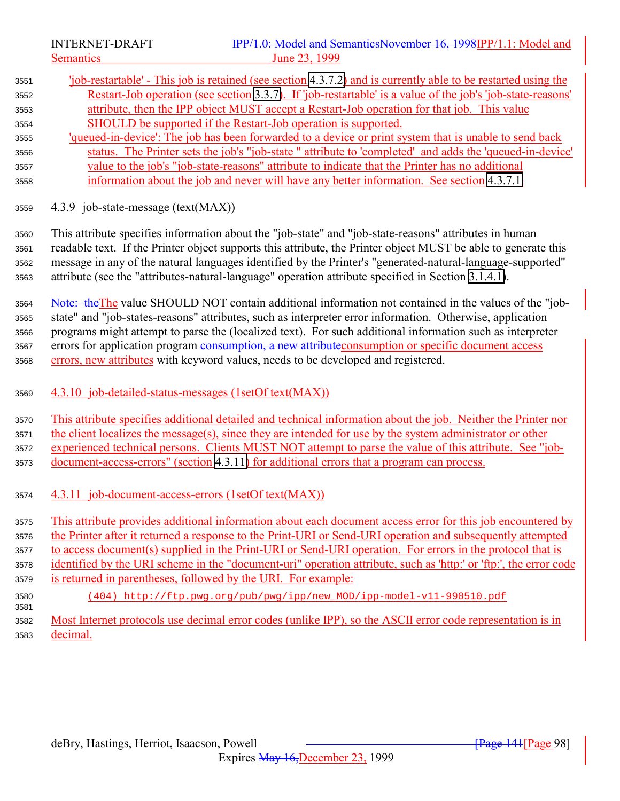<span id="page-97-0"></span>

- 'job-restartable' This job is retained (see section [4.3.7.2\)](#page-93-0) and is currently able to be restarted using the Restart-Job operation (see section [3.3.7\)](#page-63-0). If 'job-restartable' is a value of the job's 'job-state-reasons' attribute, then the IPP object MUST accept a Restart-Job operation for that job. This value SHOULD be supported if the Restart-Job operation is supported. 'queued-in-device': The job has been forwarded to a device or print system that is unable to send back status. The Printer sets the job's "job-state " attribute to 'completed' and adds the 'queued-in-device' value to the job's "job-state-reasons" attribute to indicate that the Printer has no additional information about the job and never will have any better information. See section [4.3.7.1.](#page-93-0)
- 4.3.9 job-state-message (text(MAX))

 This attribute specifies information about the "job-state" and "job-state-reasons" attributes in human readable text. If the Printer object supports this attribute, the Printer object MUST be able to generate this message in any of the natural languages identified by the Printer's "generated-natural-language-supported" attribute (see the "attributes-natural-language" operation attribute specified in Section [3.1.4.1\)](#page-24-0).

 Note: theThe value SHOULD NOT contain additional information not contained in the values of the "job- state" and "job-states-reasons" attributes, such as interpreter error information. Otherwise, application programs might attempt to parse the (localized text). For such additional information such as interpreter 3567 errors for application program consumption, a new attribute consumption or specific document access errors, new attributes with keyword values, needs to be developed and registered.

4.3.10 job-detailed-status-messages (1setOf text(MAX))

 This attribute specifies additional detailed and technical information about the job. Neither the Printer nor the client localizes the message(s), since they are intended for use by the system administrator or other experienced technical persons. Clients MUST NOT attempt to parse the value of this attribute. See "job-document-access-errors" (section 4.3.11) for additional errors that a program can process.

4.3.11 job-document-access-errors (1setOf text(MAX))

 This attribute provides additional information about each document access error for this job encountered by the Printer after it returned a response to the Print-URI or Send-URI operation and subsequently attempted to access document(s) supplied in the Print-URI or Send-URI operation. For errors in the protocol that is identified by the URI scheme in the "document-uri" operation attribute, such as 'http:' or 'ftp:', the error code is returned in parentheses, followed by the URI. For example:

 (404) http://ftp.pwg.org/pub/pwg/ipp/new\_MOD/ipp-model-v11-990510.pdf 

 Most Internet protocols use decimal error codes (unlike IPP), so the ASCII error code representation is in decimal.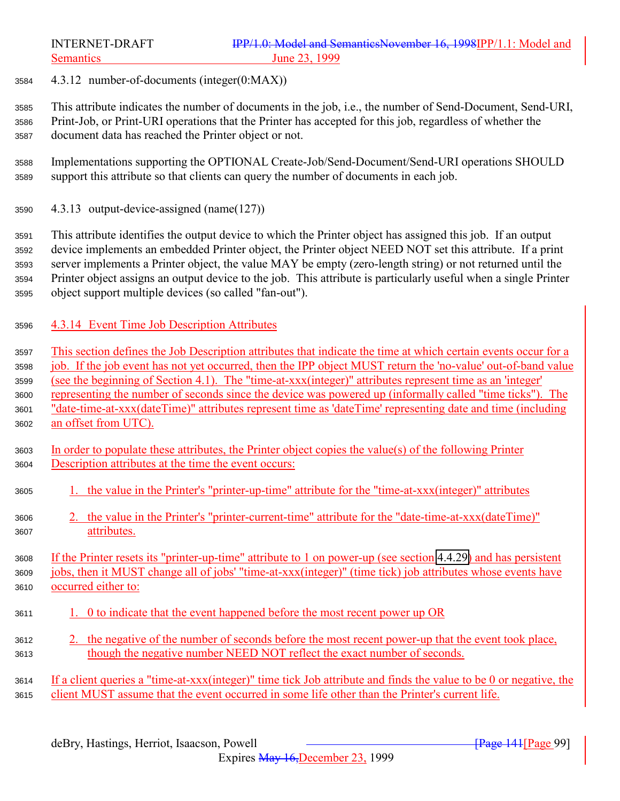4.3.12 number-of-documents (integer(0:MAX))

 This attribute indicates the number of documents in the job, i.e., the number of Send-Document, Send-URI, Print-Job, or Print-URI operations that the Printer has accepted for this job, regardless of whether the document data has reached the Printer object or not.

- Implementations supporting the OPTIONAL Create-Job/Send-Document/Send-URI operations SHOULD support this attribute so that clients can query the number of documents in each job.
- 4.3.13 output-device-assigned (name(127))

 This attribute identifies the output device to which the Printer object has assigned this job. If an output device implements an embedded Printer object, the Printer object NEED NOT set this attribute. If a print server implements a Printer object, the value MAY be empty (zero-length string) or not returned until the Printer object assigns an output device to the job. This attribute is particularly useful when a single Printer object support multiple devices (so called "fan-out").

4.3.14 Event Time Job Description Attributes

 This section defines the Job Description attributes that indicate the time at which certain events occur for a job. If the job event has not yet occurred, then the IPP object MUST return the 'no-value' out-of-band value (see the beginning of Section 4.1). The "time-at-xxx(integer)" attributes represent time as an 'integer' representing the number of seconds since the device was powered up (informally called "time ticks"). The "date-time-at-xxx(dateTime)" attributes represent time as 'dateTime' representing date and time (including an offset from UTC).

- In order to populate these attributes, the Printer object copies the value(s) of the following Printer Description attributes at the time the event occurs:
- 1. the value in the Printer's "printer-up-time" attribute for the "time-at-xxx(integer)" attributes
- 2. the value in the Printer's "printer-current-time" attribute for the "date-time-at-xxx(dateTime)" attributes.

 If the Printer resets its "printer-up-time" attribute to 1 on power-up (see section [4.4.29\)](#page-117-0) and has persistent jobs, then it MUST change all of jobs' "time-at-xxx(integer)" (time tick) job attributes whose events have occurred either to:

- 1. 0 to indicate that the event happened before the most recent power up OR
- 2. the negative of the number of seconds before the most recent power-up that the event took place, though the negative number NEED NOT reflect the exact number of seconds.

 If a client queries a "time-at-xxx(integer)" time tick Job attribute and finds the value to be 0 or negative, the client MUST assume that the event occurred in some life other than the Printer's current life.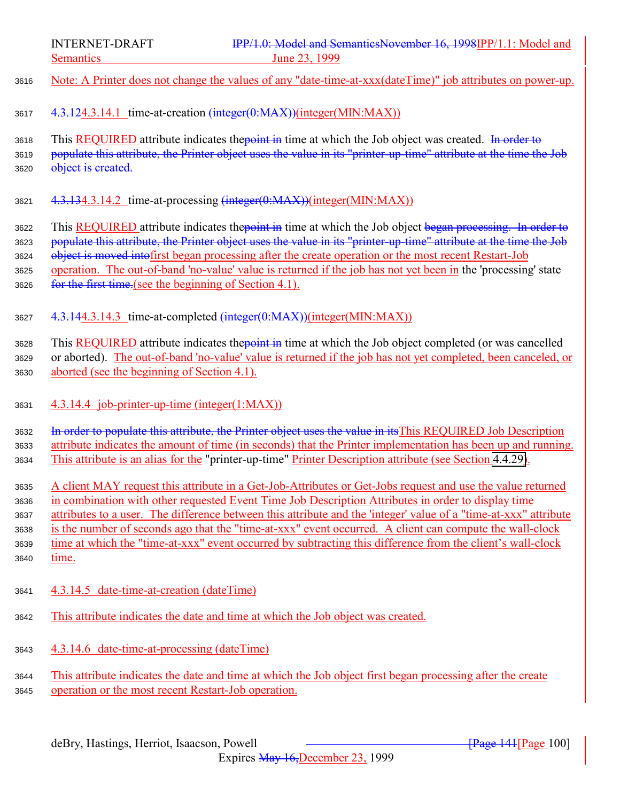|                                              | IPP/1.0: Model and SemanticsNovember 16, 1998IPP/1.1: Model and<br><b>INTERNET-DRAFT</b>                                                                                                                                                                                                                                                                                                                                                                                                                                                                               |
|----------------------------------------------|------------------------------------------------------------------------------------------------------------------------------------------------------------------------------------------------------------------------------------------------------------------------------------------------------------------------------------------------------------------------------------------------------------------------------------------------------------------------------------------------------------------------------------------------------------------------|
|                                              | <b>Semantics</b><br>June 23, 1999                                                                                                                                                                                                                                                                                                                                                                                                                                                                                                                                      |
| 3616                                         | Note: A Printer does not change the values of any "date-time-at-xxx(dateTime)" job attributes on power-up.                                                                                                                                                                                                                                                                                                                                                                                                                                                             |
| 3617                                         | 4.3.124.3.14.1 time-at-creation (integer(0:MAX))(integer(MIN:MAX))                                                                                                                                                                                                                                                                                                                                                                                                                                                                                                     |
| 3618<br>3619<br>3620                         | This <b>REQUIRED</b> attribute indicates the point in time at which the Job object was created. In order to<br>populate this attribute, the Printer object uses the value in its "printer-up-time" attribute at the time the Job<br>object is created.                                                                                                                                                                                                                                                                                                                 |
| 3621                                         | 4.3.134.3.14.2 time-at-processing (integer(0:MAX))(integer(MIN:MAX))                                                                                                                                                                                                                                                                                                                                                                                                                                                                                                   |
| 3622<br>3623<br>3624<br>3625<br>3626         | This <b>REQUIRED</b> attribute indicates the point in time at which the Job object began processing. In order to<br>populate this attribute, the Printer object uses the value in its "printer-up-time" attribute at the time the Job<br>object is moved into first began processing after the create operation or the most recent Restart-Job<br>operation. The out-of-band 'no-value' value is returned if the job has not yet been in the 'processing' state<br>for the first time (see the beginning of Section 4.1).                                              |
| 3627                                         | 4.3.144.3.14.3 time-at-completed (integer(0:MAX))(integer(MIN:MAX))                                                                                                                                                                                                                                                                                                                                                                                                                                                                                                    |
| 3628<br>3629<br>3630                         | This REQUIRED attribute indicates the point in time at which the Job object completed (or was cancelled<br>or aborted). The out-of-band 'no-value' value is returned if the job has not yet completed, been canceled, or<br>aborted (see the beginning of Section 4.1).                                                                                                                                                                                                                                                                                                |
| 3631                                         | 4.3.14.4 job-printer-up-time (integer(1:MAX))                                                                                                                                                                                                                                                                                                                                                                                                                                                                                                                          |
| 3632<br>3633<br>3634                         | In order to populate this attribute, the Printer object uses the value in its This REQUIRED Job Description<br>attribute indicates the amount of time (in seconds) that the Printer implementation has been up and running.<br>This attribute is an alias for the "printer-up-time" Printer Description attribute (see Section 4.4.29).                                                                                                                                                                                                                                |
| 3635<br>3636<br>3637<br>3638<br>3639<br>3640 | A client MAY request this attribute in a Get-Job-Attributes or Get-Jobs request and use the value returned<br>in combination with other requested Event Time Job Description Attributes in order to display time<br>attributes to a user. The difference between this attribute and the 'integer' value of a "time-at-xxx" attribute<br>is the number of seconds ago that the "time-at-xxx" event occurred. A client can compute the wall-clock<br>time at which the "time-at-xxx" event occurred by subtracting this difference from the client's wall-clock<br>time. |
|                                              |                                                                                                                                                                                                                                                                                                                                                                                                                                                                                                                                                                        |

<sup>3641</sup> 4.3.14.5 date-time-at-creation (dateTime)

3620

3640

- <sup>3642</sup> This attribute indicates the date and time at which the Job object was created.
- <sup>3643</sup> 4.3.14.6 date-time-at-processing (dateTime)

<sup>3644</sup> This attribute indicates the date and time at which the Job object first began processing after the create <sup>3645</sup> operation or the most recent Restart-Job operation.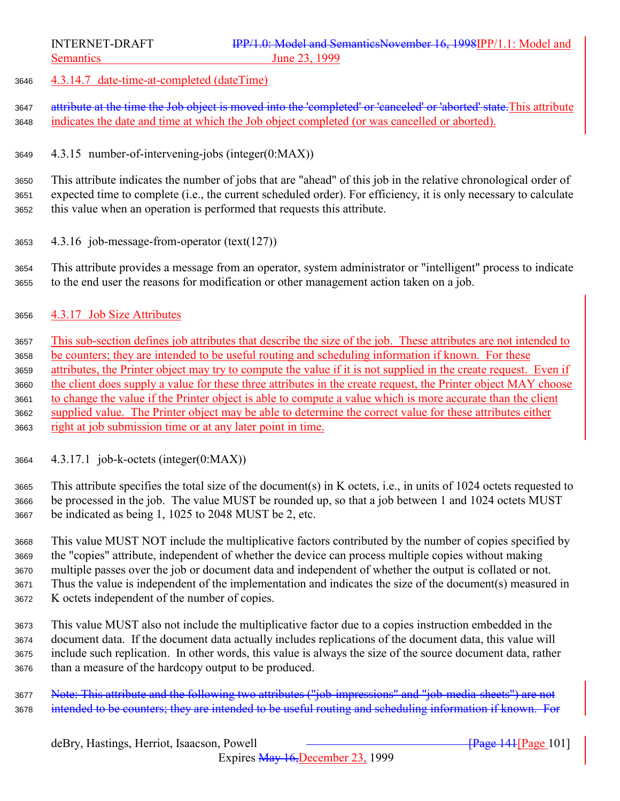4.3.14.7 date-time-at-completed (dateTime)

3647 attribute at the time the Job object is moved into the 'completed' or 'canceled' or 'aborted' state. This attribute indicates the date and time at which the Job object completed (or was cancelled or aborted).

4.3.15 number-of-intervening-jobs (integer(0:MAX))

 This attribute indicates the number of jobs that are "ahead" of this job in the relative chronological order of expected time to complete (i.e., the current scheduled order). For efficiency, it is only necessary to calculate this value when an operation is performed that requests this attribute.

4.3.16 job-message-from-operator (text(127))

 This attribute provides a message from an operator, system administrator or "intelligent" process to indicate to the end user the reasons for modification or other management action taken on a job.

4.3.17 Job Size Attributes

 This sub-section defines job attributes that describe the size of the job. These attributes are not intended to be counters; they are intended to be useful routing and scheduling information if known. For these attributes, the Printer object may try to compute the value if it is not supplied in the create request. Even if the client does supply a value for these three attributes in the create request, the Printer object MAY choose to change the value if the Printer object is able to compute a value which is more accurate than the client supplied value. The Printer object may be able to determine the correct value for these attributes either right at job submission time or at any later point in time.

4.3.17.1 job-k-octets (integer(0:MAX))

 This attribute specifies the total size of the document(s) in K octets, i.e., in units of 1024 octets requested to be processed in the job. The value MUST be rounded up, so that a job between 1 and 1024 octets MUST be indicated as being 1, 1025 to 2048 MUST be 2, etc.

 This value MUST NOT include the multiplicative factors contributed by the number of copies specified by the "copies" attribute, independent of whether the device can process multiple copies without making multiple passes over the job or document data and independent of whether the output is collated or not. Thus the value is independent of the implementation and indicates the size of the document(s) measured in K octets independent of the number of copies.

 This value MUST also not include the multiplicative factor due to a copies instruction embedded in the document data. If the document data actually includes replications of the document data, this value will include such replication. In other words, this value is always the size of the source document data, rather than a measure of the hardcopy output to be produced.

 Note: This attribute and the following two attributes ("job-impressions" and "job-media-sheets") are not 3678 intended to be counters; they are intended to be useful routing and scheduling information if known. For

Expires May 16,December 23, 1999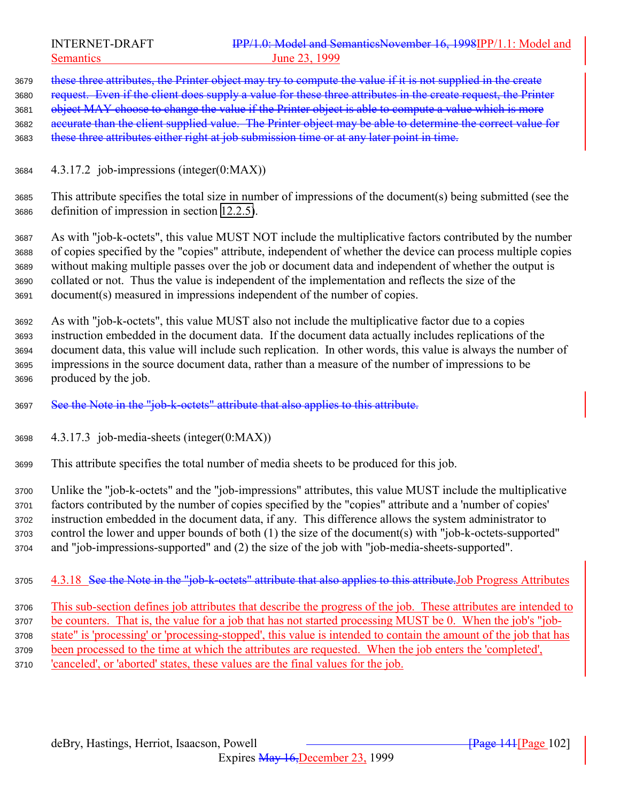3679 these three attributes, the Printer object may try to compute the value if it is not supplied in the create 3680 request. Even if the client does supply a value for these three attributes in the create request, the Printer 3681 object MAY choose to change the value if the Printer object is able to compute a value which is more accurate than the client supplied value. The Printer object may be able to determine the correct value for 3683 these three attributes either right at job submission time or at any later point in time.

- 4.3.17.2 job-impressions (integer(0:MAX))
- This attribute specifies the total size in number of impressions of the document(s) being submitted (see the definition of impression in section [12.2.5\)](#page-154-0).

 As with "job-k-octets", this value MUST NOT include the multiplicative factors contributed by the number of copies specified by the "copies" attribute, independent of whether the device can process multiple copies without making multiple passes over the job or document data and independent of whether the output is collated or not. Thus the value is independent of the implementation and reflects the size of the document(s) measured in impressions independent of the number of copies.

 As with "job-k-octets", this value MUST also not include the multiplicative factor due to a copies instruction embedded in the document data. If the document data actually includes replications of the document data, this value will include such replication. In other words, this value is always the number of impressions in the source document data, rather than a measure of the number of impressions to be produced by the job.

- See the Note in the "job-k-octets" attribute that also applies to this attribute.
- 4.3.17.3 job-media-sheets (integer(0:MAX))
- This attribute specifies the total number of media sheets to be produced for this job.

 Unlike the "job-k-octets" and the "job-impressions" attributes, this value MUST include the multiplicative factors contributed by the number of copies specified by the "copies" attribute and a 'number of copies' instruction embedded in the document data, if any. This difference allows the system administrator to control the lower and upper bounds of both (1) the size of the document(s) with "job-k-octets-supported" and "job-impressions-supported" and (2) the size of the job with "job-media-sheets-supported".

3705 4.3.18 See the Note in the "job-k-octets" attribute that also applies to this attribute. Job Progress Attributes

 This sub-section defines job attributes that describe the progress of the job. These attributes are intended to be counters. That is, the value for a job that has not started processing MUST be 0. When the job's "job- state" is 'processing' or 'processing-stopped', this value is intended to contain the amount of the job that has been processed to the time at which the attributes are requested. When the job enters the 'completed', 'canceled', or 'aborted' states, these values are the final values for the job.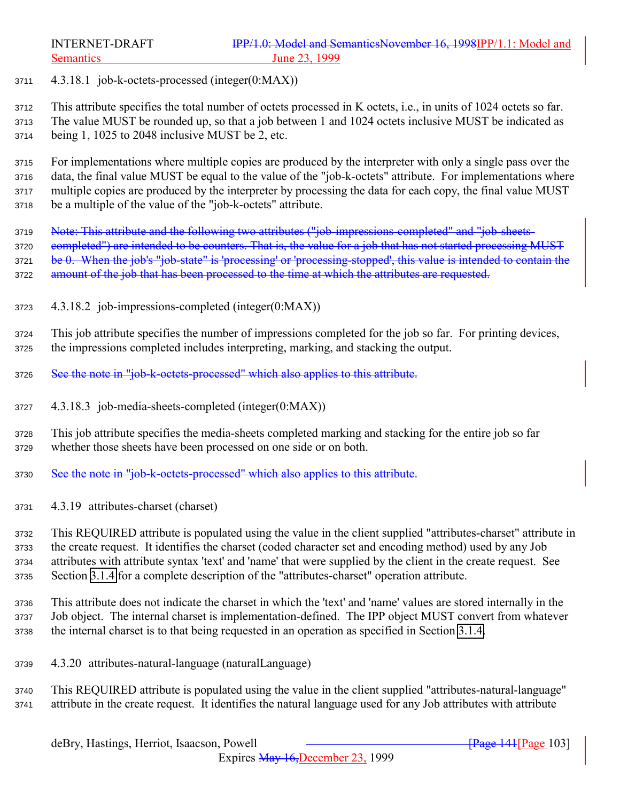4.3.18.1 job-k-octets-processed (integer(0:MAX))

 This attribute specifies the total number of octets processed in K octets, i.e., in units of 1024 octets so far. The value MUST be rounded up, so that a job between 1 and 1024 octets inclusive MUST be indicated as being 1, 1025 to 2048 inclusive MUST be 2, etc.

 For implementations where multiple copies are produced by the interpreter with only a single pass over the data, the final value MUST be equal to the value of the "job-k-octets" attribute. For implementations where multiple copies are produced by the interpreter by processing the data for each copy, the final value MUST be a multiple of the value of the "job-k-octets" attribute.

3719 Note: This attribute and the following two attributes ("job-impressions-completed" and "job-sheets-3720 completed") are intended to be counters. That is, the value for a job that has not started processing MUST 3721 be 0. When the job's "job-state" is 'processing' or 'processing-stopped', this value is intended to contain the 3722 amount of the job that has been processed to the time at which the attributes are requested.

4.3.18.2 job-impressions-completed (integer(0:MAX))

 This job attribute specifies the number of impressions completed for the job so far. For printing devices, the impressions completed includes interpreting, marking, and stacking the output.

- See the note in "job-k-octets-processed" which also applies to this attribute.
- 4.3.18.3 job-media-sheets-completed (integer(0:MAX))
- This job attribute specifies the media-sheets completed marking and stacking for the entire job so far whether those sheets have been processed on one side or on both.
- 3730 See the note in "job-k-octets-processed" which also applies to this attribute.
- 4.3.19 attributes-charset (charset)

 This REQUIRED attribute is populated using the value in the client supplied "attributes-charset" attribute in the create request. It identifies the charset (coded character set and encoding method) used by any Job attributes with attribute syntax 'text' and 'name' that were supplied by the client in the create request. See Section [3.1.4](#page-23-0) for a complete description of the "attributes-charset" operation attribute.

 This attribute does not indicate the charset in which the 'text' and 'name' values are stored internally in the Job object. The internal charset is implementation-defined. The IPP object MUST convert from whatever the internal charset is to that being requested in an operation as specified in Section [3.1.4.](#page-23-0)

4.3.20 attributes-natural-language (naturalLanguage)

 This REQUIRED attribute is populated using the value in the client supplied "attributes-natural-language" attribute in the create request. It identifies the natural language used for any Job attributes with attribute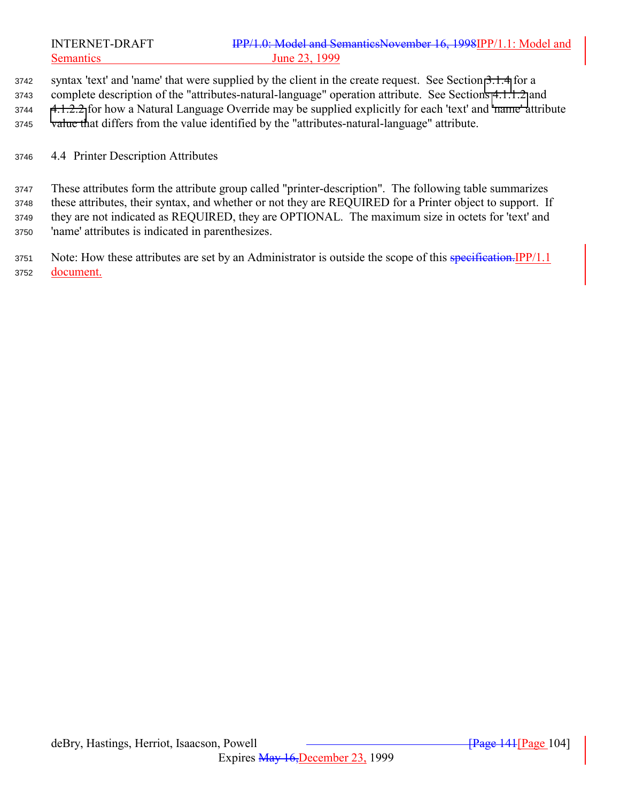syntax 'text' and 'name' that were supplied by the client in the create request. See Section [3.1.4](#page-23-0) for a complete description of the "attributes-natural-language" operation attribute. See Sections [4.1.1.2](#page-67-0) and [4.1.2.2](#page-68-0) for how a Natural Language Override may be supplied explicitly for each 'text' and 'name' attribute value that differs from the value identified by the "attributes-natural-language" attribute.

4.4 Printer Description Attributes

 These attributes form the attribute group called "printer-description". The following table summarizes these attributes, their syntax, and whether or not they are REQUIRED for a Printer object to support. If they are not indicated as REQUIRED, they are OPTIONAL. The maximum size in octets for 'text' and 'name' attributes is indicated in parenthesizes.

3751 Note: How these attributes are set by an Administrator is outside the scope of this specification. IPP/1.1 document.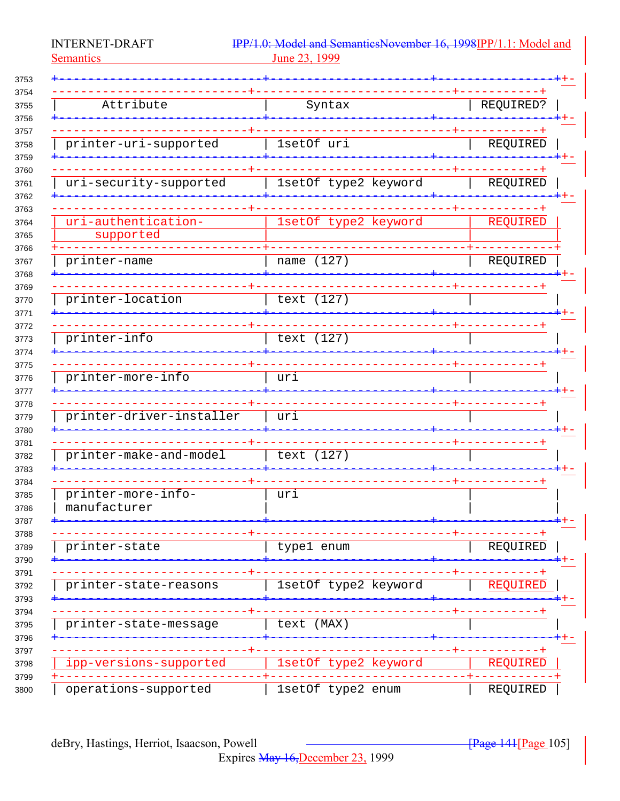**INTERNET-DRAFT Semantics** 

IPP/1.0: Model and SemanticsNovember 16, 1998IPP/1.1: Model and June 23, 1999

| Attribute                | Syntax               | REQUIRED? |
|--------------------------|----------------------|-----------|
|                          |                      |           |
|                          |                      |           |
| printer-uri-supported    | 1setOf uri           | REQUIRED  |
|                          |                      |           |
| uri-security-supported   | 1setOf type2 keyword | REQUIRED  |
|                          |                      |           |
|                          |                      |           |
| uri-authentication-      | 1setOf type2 keyword | REQUIRED  |
| supported                |                      |           |
|                          |                      |           |
| printer-name             | name (127)           | REQUIRED  |
|                          |                      |           |
| printer-location         | text (127)           |           |
|                          |                      |           |
|                          |                      |           |
| printer-info             | text (127)           |           |
|                          |                      |           |
|                          |                      |           |
| printer-more-info        | uri                  |           |
|                          |                      |           |
|                          |                      |           |
| printer-driver-installer | uri                  |           |
|                          |                      |           |
| printer-make-and-model   | text (127)           |           |
|                          |                      |           |
|                          |                      |           |
| printer-more-info-       | uri                  |           |
| manufacturer             |                      |           |
|                          |                      |           |
|                          |                      |           |
| printer-state            | type1 enum           | REQUIRED  |
|                          |                      |           |
| printer-state-reasons    | 1setOf type2 keyword | REQUIRED  |
|                          |                      |           |
|                          |                      |           |
| printer-state-message    | text (MAX)           |           |
|                          |                      |           |
|                          |                      |           |
| ipp-versions-supported   | 1setOf type2 keyword | REQUIRED  |
|                          |                      |           |
| operations-supported     | 1setOf type2 enum    | REQUIRED  |

 $\frac{1}{2}$  Page 141 [Page 105]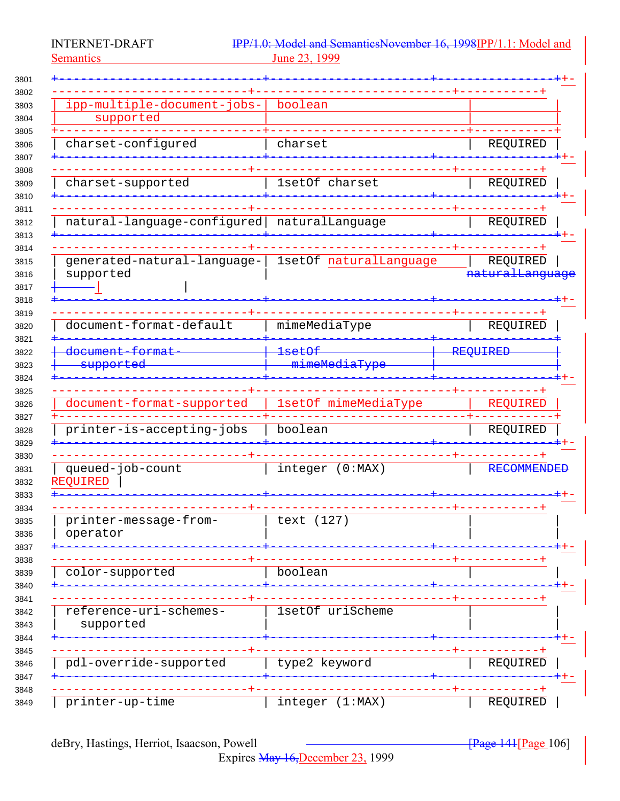Semantics 23, 1999

INTERNET-DRAFT IPP/1.0: Model and SemanticsNovember 16, 1998IPP/1.1: Model and Semantics

| ipp-multiple-document-jobs-                        | boolean                            |                                             |
|----------------------------------------------------|------------------------------------|---------------------------------------------|
| supported                                          |                                    |                                             |
| charset-configured                                 | charset                            | REQUIRED                                    |
|                                                    |                                    |                                             |
| charset-supported                                  | 1setOf charset                     | REQUIRED                                    |
| natural-language-configured                        | naturalLanguage                    | REQUIRED                                    |
|                                                    |                                    |                                             |
| generated-natural-language-<br>supported           | 1setOf naturalLanguage             | REQUIRED<br>.<br><del>naturalLanguage</del> |
|                                                    |                                    |                                             |
| document-format-default                            | mimeMediaType                      | REQUIRED                                    |
| <del>document format</del><br><del>supported</del> | <del>lsetOf</del><br>mimeMediaType | REQUIRED                                    |
|                                                    |                                    |                                             |
| document-format-supported                          | 1setOf mimeMediaType               | REQUIRED                                    |
| printer-is-accepting-jobs                          | boolean                            | REQUIRED                                    |
| queued-job-count<br><b>REQUIRED</b>                | integer (0:MAX)                    | <b>RECOMMENDED</b>                          |
| printer-message-from-<br>operator                  | (127)<br>text                      |                                             |
| color-supported                                    | boolean                            |                                             |
|                                                    |                                    |                                             |
| reference-uri-schemes-<br>supported                | 1setOf uriScheme                   |                                             |
| pdl-override-supported                             | type2 keyword                      | REQUIRED                                    |
|                                                    |                                    |                                             |
| printer-up-time                                    | integer (1:MAX)                    | REQUIRED                                    |

Expires May 16,December 23, 1999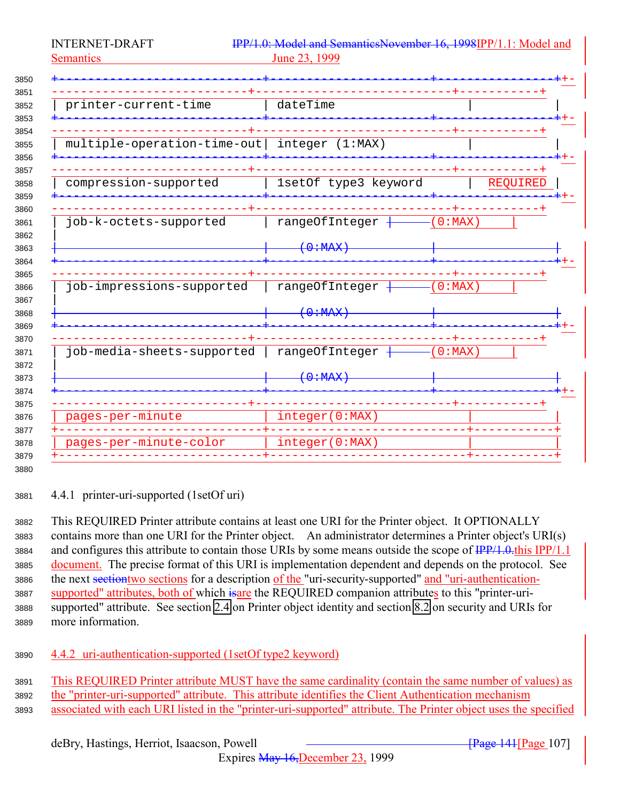<span id="page-106-0"></span>

| printer-current-time        | dateTime             |           |
|-----------------------------|----------------------|-----------|
|                             |                      |           |
|                             |                      |           |
| multiple-operation-time-out | integer (1:MAX)      |           |
|                             |                      |           |
| compression-supported       | 1setOf type3 keyword | REQUIRED  |
|                             |                      |           |
|                             |                      |           |
| job-k-octets-supported      | rangeOfInteger       | $0:MAX$ ) |
|                             | $\left(0:HAX\right)$ |           |
|                             |                      |           |
|                             |                      |           |
| job-impressions-supported   | rangeOfInteger       | $0:MAX$ ) |
|                             |                      |           |
|                             | $0.4$ MAX            |           |
|                             |                      |           |
| job-media-sheets-supported  | rangeOfInteger       | $0:MAX$ ) |
|                             |                      |           |
|                             | (0:MAX)              |           |
|                             |                      |           |
| pages-per-minute            | integer(0:MAX)       |           |
|                             |                      |           |
| pages-per-minute-color      | integer(0:MAX)       |           |

4.4.1 printer-uri-supported (1setOf uri)

 This REQUIRED Printer attribute contains at least one URI for the Printer object. It OPTIONALLY contains more than one URI for the Printer object. An administrator determines a Printer object's URI(s) 3884 and configures this attribute to contain those URIs by some means outside the scope of  $\frac{IPP}{1.0.0}$ this IPP/1.1 document. The precise format of this URI is implementation dependent and depends on the protocol. See the next sectiontwo sections for a description of the "uri-security-supported" and "uri-authentication-3887 supported" attributes, both of which is are the REQUIRED companion attributes to this "printer-uri- supported" attribute. See section [2.4](#page-18-0) on Printer object identity and section [8.2](#page-136-0) on security and URIs for more information.

## 4.4.2 uri-authentication-supported (1setOf type2 keyword)

 This REQUIRED Printer attribute MUST have the same cardinality (contain the same number of values) as the "printer-uri-supported" attribute. This attribute identifies the Client Authentication mechanism associated with each URI listed in the "printer-uri-supported" attribute. The Printer object uses the specified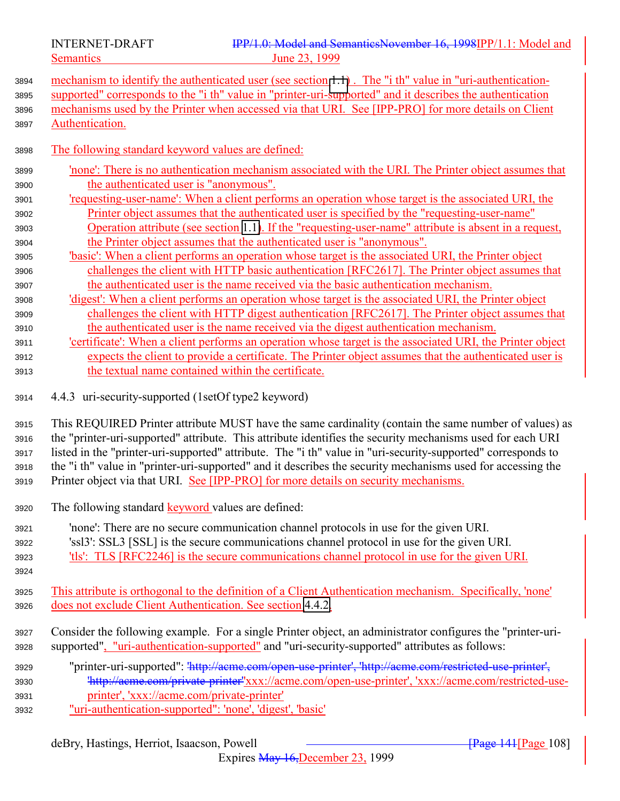deBry, Hastings, Herriot, Isaacson, Powell [Page 108] **[Page 141]** Page 108] Expires May 16,December 23, 1999 mechanisms used by the Printer when accessed via that URI. See [IPP-PRO] for more details on Client Authentication. The following standard keyword values are defined: 'none': There is no authentication mechanism associated with the URI. The Printer object assumes that the authenticated user is "anonymous". 'requesting-user-name': When a client performs an operation whose target is the associated URI, the Printer object assumes that the authenticated user is specified by the "requesting-user-name" Operation attribute (see section [1.1\)](#page-138-0). If the "requesting-user-name" attribute is absent in a request, the Printer object assumes that the authenticated user is "anonymous". 'basic': When a client performs an operation whose target is the associated URI, the Printer object challenges the client with HTTP basic authentication [RFC2617]. The Printer object assumes that the authenticated user is the name received via the basic authentication mechanism. 'digest': When a client performs an operation whose target is the associated URI, the Printer object challenges the client with HTTP digest authentication [RFC2617]. The Printer object assumes that the authenticated user is the name received via the digest authentication mechanism. 'certificate': When a client performs an operation whose target is the associated URI, the Printer object expects the client to provide a certificate. The Printer object assumes that the authenticated user is the textual name contained within the certificate. 4.4.3 uri-security-supported (1setOf type2 keyword) This REQUIRED Printer attribute MUST have the same cardinality (contain the same number of values) as the "printer-uri-supported" attribute. This attribute identifies the security mechanisms used for each URI listed in the "printer-uri-supported" attribute. The "i th" value in "uri-security-supported" corresponds to the "i th" value in "printer-uri-supported" and it describes the security mechanisms used for accessing the Printer object via that URI. See [IPP-PRO] for more details on security mechanisms. The following standard keyword values are defined: 'none': There are no secure communication channel protocols in use for the given URI. 'ssl3': SSL3 [SSL] is the secure communications channel protocol in use for the given URI. 'tls': TLS [RFC2246] is the secure communications channel protocol in use for the given URI. This attribute is orthogonal to the definition of a Client Authentication mechanism. Specifically, 'none' does not exclude Client Authentication. See section [4.4.2.](#page-106-0) Consider the following example. For a single Printer object, an administrator configures the "printer-uri- supported", "uri-authentication-supported" and "uri-security-supported" attributes as follows: "printer-uri-supported": 'http://acme.com/open-use-printer', 'http://acme.com/restricted-use-printer', 'http://acme.com/private-printer''xxx://acme.com/open-use-printer', 'xxx://acme.com/restricted-use- printer', 'xxx://acme.com/private-printer' "uri-authentication-supported": 'none', 'digest', 'basic'

 mechanism to identify the authenticated user (see section [1.1\)](#page-138-0) . The "i th" value in "uri-authentication-supported" corresponds to the "i th" value in "printer-uri-supported" and it describes the authentication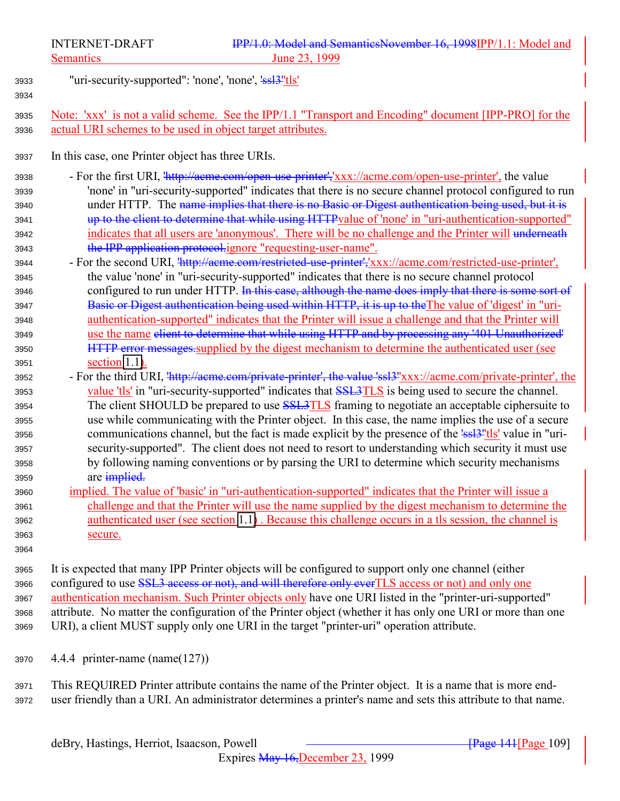"uri-security-supported": 'none', 'none', 'ssl3''tls' Note: 'xxx' is not a valid scheme. See the IPP/1.1 "Transport and Encoding" document [IPP-PRO] for the actual URI schemes to be used in object target attributes. In this case, one Printer object has three URIs. - For the first URI, 'http://acme.com/open-use-printer','xxx://acme.com/open-use-printer', the value 'none' in "uri-security-supported" indicates that there is no secure channel protocol configured to run 3940 under HTTP. The name implies that there is no Basic or Digest authentication being used, but it is up to the client to determine that while using HTTPvalue of 'none' in "uri-authentication-supported" 3942 indicates that all users are 'anonymous'. There will be no challenge and the Printer will underneath 3943 the IPP application protocol.ignore "requesting-user-name". - For the second URI, 'http://acme.com/restricted-use-printer','xxx://acme.com/restricted-use-printer', the value 'none' in "uri-security-supported" indicates that there is no secure channel protocol 3946 configured to run under HTTP. In this case, although the name does imply that there is some sort of 3947 Basic or Digest authentication being used within HTTP, it is up to the The value of 'digest' in "uri- authentication-supported" indicates that the Printer will issue a challenge and that the Printer will use the name client to determine that while using HTTP and by processing any '401 Unauthorized' **HTTP** error messages, supplied by the digest mechanism to determine the authenticated user (see section [1.1\)](#page-138-0). 3952 - For the third URI,  $\frac{\text{http://aeme.com/private-printer', the value 'ssl3''xxx://aeme.com/private-printer', the value 's}$ 3953 value 'tls' in "uri-security-supported" indicates that SSL3TLS is being used to secure the channel. 3954 The client SHOULD be prepared to use **SSL3TLS** framing to negotiate an acceptable ciphersuite to use while communicating with the Printer object. In this case, the name implies the use of a secure 3956 communications channel, but the fact is made explicit by the presence of the 'ssl<sup>3''</sup>tls' value in "uri- security-supported". The client does not need to resort to understanding which security it must use by following naming conventions or by parsing the URI to determine which security mechanisms 3959 are implied. implied. The value of 'basic' in "uri-authentication-supported" indicates that the Printer will issue a challenge and that the Printer will use the name supplied by the digest mechanism to determine the authenticated user (see section [1.1\)](#page-138-0) . Because this challenge occurs in a tls session, the channel is secure. It is expected that many IPP Printer objects will be configured to support only one channel (either 3966 configured to use SSL3 access or not), and will therefore only ever TLS access or not) and only one

3967 authentication mechanism. Such Printer objects only have one URI listed in the "printer-uri-supported" attribute. No matter the configuration of the Printer object (whether it has only one URI or more than one URI), a client MUST supply only one URI in the target "printer-uri" operation attribute.

4.4.4 printer-name (name(127))

 This REQUIRED Printer attribute contains the name of the Printer object. It is a name that is more end-user friendly than a URI. An administrator determines a printer's name and sets this attribute to that name.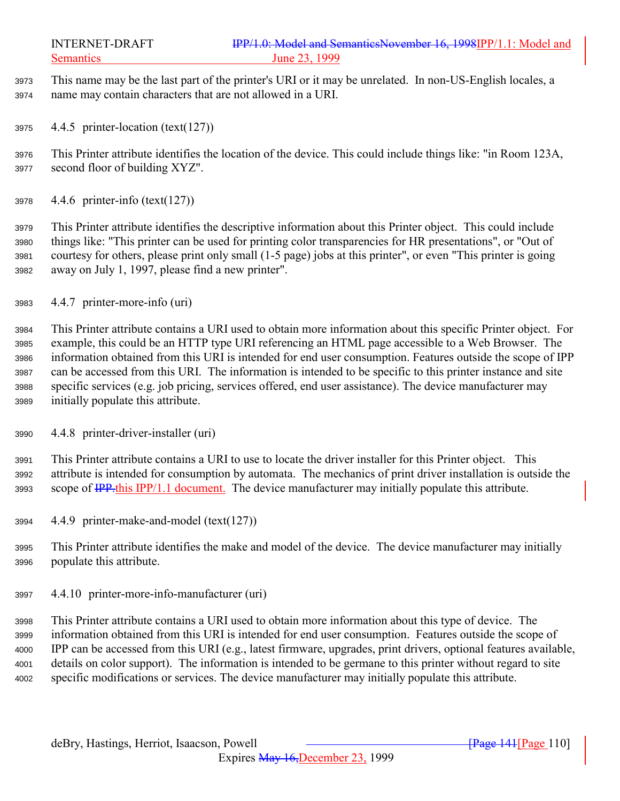This name may be the last part of the printer's URI or it may be unrelated. In non-US-English locales, a name may contain characters that are not allowed in a URI.

4.4.5 printer-location (text(127))

 This Printer attribute identifies the location of the device. This could include things like: "in Room 123A, second floor of building XYZ".

4.4.6 printer-info (text(127))

 This Printer attribute identifies the descriptive information about this Printer object. This could include things like: "This printer can be used for printing color transparencies for HR presentations", or "Out of courtesy for others, please print only small (1-5 page) jobs at this printer", or even "This printer is going away on July 1, 1997, please find a new printer".

4.4.7 printer-more-info (uri)

 This Printer attribute contains a URI used to obtain more information about this specific Printer object. For example, this could be an HTTP type URI referencing an HTML page accessible to a Web Browser. The information obtained from this URI is intended for end user consumption. Features outside the scope of IPP can be accessed from this URI. The information is intended to be specific to this printer instance and site specific services (e.g. job pricing, services offered, end user assistance). The device manufacturer may initially populate this attribute.

4.4.8 printer-driver-installer (uri)

 This Printer attribute contains a URI to use to locate the driver installer for this Printer object. This attribute is intended for consumption by automata. The mechanics of print driver installation is outside the 3993 scope of <del>IPP.</del>this IPP/1.1 document. The device manufacturer may initially populate this attribute.

- 4.4.9 printer-make-and-model (text(127))
- This Printer attribute identifies the make and model of the device. The device manufacturer may initially populate this attribute.
- 4.4.10 printer-more-info-manufacturer (uri)

 This Printer attribute contains a URI used to obtain more information about this type of device. The information obtained from this URI is intended for end user consumption. Features outside the scope of IPP can be accessed from this URI (e.g., latest firmware, upgrades, print drivers, optional features available, details on color support). The information is intended to be germane to this printer without regard to site specific modifications or services. The device manufacturer may initially populate this attribute.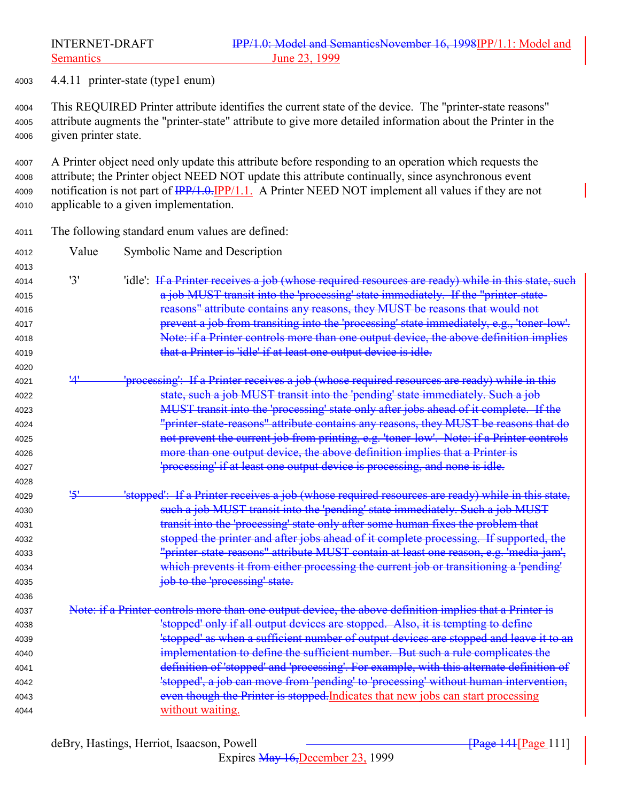4.4.11 printer-state (type1 enum)

 This REQUIRED Printer attribute identifies the current state of the device. The "printer-state reasons" attribute augments the "printer-state" attribute to give more detailed information about the Printer in the given printer state.

 A Printer object need only update this attribute before responding to an operation which requests the attribute; the Printer object NEED NOT update this attribute continually, since asynchronous event 4009 notification is not part of  $\frac{IPP}{1.0.1}$  PP/1.1. A Printer NEED NOT implement all values if they are not applicable to a given implementation.

The following standard enum values are defined:

| 4012         | Value      | Symbolic Name and Description                                                                           |
|--------------|------------|---------------------------------------------------------------------------------------------------------|
| 4013         |            |                                                                                                         |
| 4014         | '3'        | 'idle': If a Printer receives a job (whose required resources are ready) while in this state, such      |
| 4015         |            | a job MUST transit into the 'processing' state immediately. If the "printer-state-                      |
| 4016         |            | reasons" attribute contains any reasons, they MUST be reasons that would not                            |
| 4017         |            | prevent a job from transiting into the 'processing' state immediately, e.g., 'toner-low'.               |
| 4018         |            | Note: if a Printer controls more than one output device, the above definition implies                   |
| 4019         |            | that a Printer is 'idle' if at least one output device is idle.                                         |
| 4020         |            |                                                                                                         |
| 4021         |            | "processing": If a Printer receives a job (whose required resources are ready) while in this            |
| 4022         |            | state, such a job MUST transit into the 'pending' state immediately. Such a job                         |
| 4023         |            | MUST transit into the 'processing' state only after jobs ahead of it complete. If the                   |
| 4024         |            | "printer-state-reasons" attribute contains any reasons, they MUST be reasons that do                    |
| 4025         |            | not prevent the current job from printing, e.g. 'toner-low'. Note: if a Printer controls                |
| 4026         |            | more than one output device, the above definition implies that a Printer is                             |
| 4027         |            | 'processing' if at least one output device is processing, and none is idle.                             |
| 4028<br>4029 | <u>'5'</u> | 'stopped': If a Printer receives a job (whose required resources are ready) while in this state,        |
| 4030         |            | such a job MUST transit into the 'pending' state immediately. Such a job MUST                           |
| 4031         |            | transit into the 'processing' state only after some human fixes the problem that                        |
|              |            | stopped the printer and after jobs ahead of it complete processing. If supported, the                   |
| 4032<br>4033 |            | "printer-state-reasons" attribute MUST contain at least one reason, e.g. 'media-jam',                   |
| 4034         |            | which prevents it from either processing the current job or transitioning a 'pending'                   |
| 4035         |            | job to the 'processing' state.                                                                          |
| 4036         |            |                                                                                                         |
| 4037         |            | Note: if a Printer controls more than one output device, the above definition implies that a Printer is |
| 4038         |            | 'stopped' only if all output devices are stopped. Also, it is tempting to define                        |
| 4039         |            | 'stopped' as when a sufficient number of output devices are stopped and leave it to an                  |
| 4040         |            | implementation to define the sufficient number. But such a rule complicates the                         |
| 4041         |            | definition of 'stopped' and 'processing'. For example, with this alternate definition of                |
| 4042         |            | 'stopped', a job can move from 'pending' to 'processing' without human intervention,                    |
| 4043         |            | even though the Printer is stopped. Indicates that new jobs can start processing                        |
| 4044         |            | without waiting.                                                                                        |
|              |            |                                                                                                         |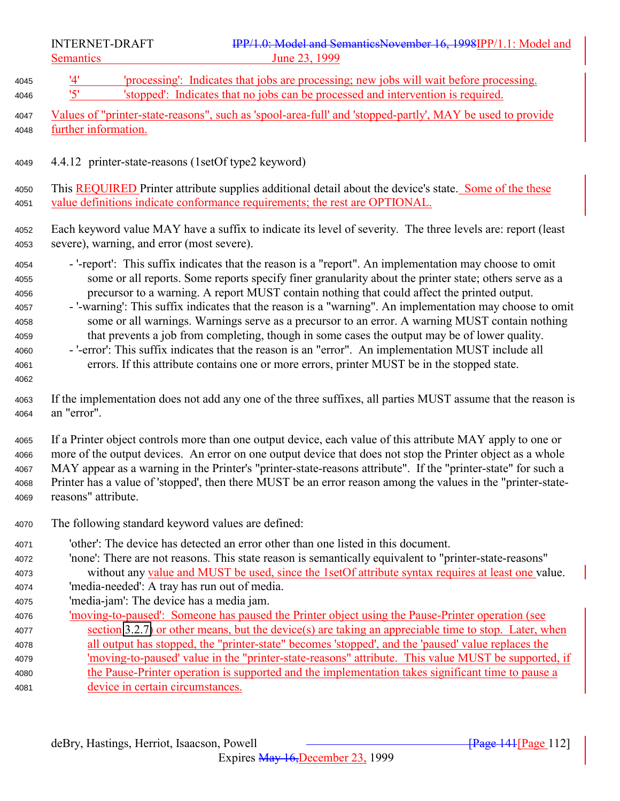4045 '4' 'processing': Indicates that jobs are processing; new jobs will wait before processing.<br>4046 '5' 'stopped': Indicates that no iobs can be processed and intervention is required '5' 'stopped': Indicates that no jobs can be processed and intervention is required. Values of "printer-state-reasons", such as 'spool-area-full' and 'stopped-partly', MAY be used to provide further information. 4.4.12 printer-state-reasons (1setOf type2 keyword) 4050 This REQUIRED Printer attribute supplies additional detail about the device's state. Some of the these value definitions indicate conformance requirements; the rest are OPTIONAL. Each keyword value MAY have a suffix to indicate its level of severity. The three levels are: report (least severe), warning, and error (most severe). - '-report': This suffix indicates that the reason is a "report". An implementation may choose to omit some or all reports. Some reports specify finer granularity about the printer state; others serve as a precursor to a warning. A report MUST contain nothing that could affect the printed output. - '-warning': This suffix indicates that the reason is a "warning". An implementation may choose to omit some or all warnings. Warnings serve as a precursor to an error. A warning MUST contain nothing that prevents a job from completing, though in some cases the output may be of lower quality. - '-error': This suffix indicates that the reason is an "error". An implementation MUST include all errors. If this attribute contains one or more errors, printer MUST be in the stopped state. If the implementation does not add any one of the three suffixes, all parties MUST assume that the reason is an "error". If a Printer object controls more than one output device, each value of this attribute MAY apply to one or more of the output devices. An error on one output device that does not stop the Printer object as a whole MAY appear as a warning in the Printer's "printer-state-reasons attribute". If the "printer-state" for such a Printer has a value of 'stopped', then there MUST be an error reason among the values in the "printer-state- reasons" attribute. The following standard keyword values are defined: 'other': The device has detected an error other than one listed in this document. 'none': There are not reasons. This state reason is semantically equivalent to "printer-state-reasons" without any value and MUST be used, since the 1setOf attribute syntax requires at least one value. 'media-needed': A tray has run out of media. 'media-jam': The device has a media jam. 'moving-to-paused': Someone has paused the Printer object using the Pause-Printer operation (see section [3.2.7\)](#page-49-0) or other means, but the device(s) are taking an appreciable time to stop. Later, when all output has stopped, the "printer-state" becomes 'stopped', and the 'paused' value replaces the 'moving-to-paused' value in the "printer-state-reasons" attribute. This value MUST be supported, if the Pause-Printer operation is supported and the implementation takes significant time to pause a device in certain circumstances.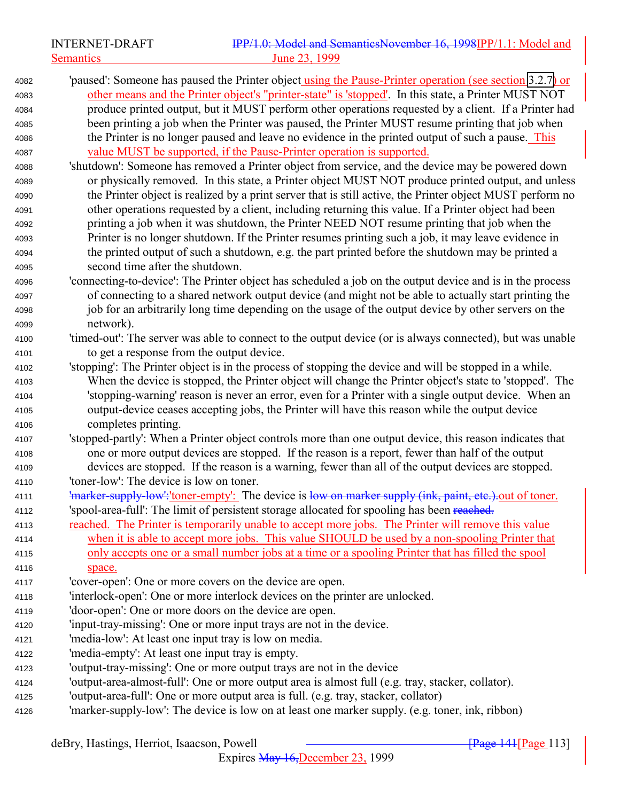'paused': Someone has paused the Printer object using the Pause-Printer operation (see section [3.2.7\)](#page-49-0) or other means and the Printer object's "printer-state" is 'stopped'. In this state, a Printer MUST NOT produce printed output, but it MUST perform other operations requested by a client. If a Printer had been printing a job when the Printer was paused, the Printer MUST resume printing that job when the Printer is no longer paused and leave no evidence in the printed output of such a pause. This value MUST be supported, if the Pause-Printer operation is supported. 'shutdown': Someone has removed a Printer object from service, and the device may be powered down or physically removed. In this state, a Printer object MUST NOT produce printed output, and unless the Printer object is realized by a print server that is still active, the Printer object MUST perform no other operations requested by a client, including returning this value. If a Printer object had been printing a job when it was shutdown, the Printer NEED NOT resume printing that job when the Printer is no longer shutdown. If the Printer resumes printing such a job, it may leave evidence in the printed output of such a shutdown, e.g. the part printed before the shutdown may be printed a second time after the shutdown. 'connecting-to-device': The Printer object has scheduled a job on the output device and is in the process of connecting to a shared network output device (and might not be able to actually start printing the job for an arbitrarily long time depending on the usage of the output device by other servers on the network). 'timed-out': The server was able to connect to the output device (or is always connected), but was unable to get a response from the output device. 'stopping': The Printer object is in the process of stopping the device and will be stopped in a while. When the device is stopped, the Printer object will change the Printer object's state to 'stopped'. The 'stopping-warning' reason is never an error, even for a Printer with a single output device. When an output-device ceases accepting jobs, the Printer will have this reason while the output device completes printing. 'stopped-partly': When a Printer object controls more than one output device, this reason indicates that one or more output devices are stopped. If the reason is a report, fewer than half of the output devices are stopped. If the reason is a warning, fewer than all of the output devices are stopped. 'toner-low': The device is low on toner. 4111 'marker-supply-low':'toner-empty': The device is low on marker supply (ink, paint, etc.). out of toner. 4112 'spool-area-full': The limit of persistent storage allocated for spooling has been reached. 4113 reached. The Printer is temporarily unable to accept more jobs. The Printer will remove this value when it is able to accept more jobs. This value SHOULD be used by a non-spooling Printer that only accepts one or a small number jobs at a time or a spooling Printer that has filled the spool space. 'cover-open': One or more covers on the device are open. 'interlock-open': One or more interlock devices on the printer are unlocked. 'door-open': One or more doors on the device are open. 'input-tray-missing': One or more input trays are not in the device. 'media-low': At least one input tray is low on media. 'media-empty': At least one input tray is empty. 'output-tray-missing': One or more output trays are not in the device 'output-area-almost-full': One or more output area is almost full (e.g. tray, stacker, collator). 'output-area-full': One or more output area is full. (e.g. tray, stacker, collator) 'marker-supply-low': The device is low on at least one marker supply. (e.g. toner, ink, ribbon)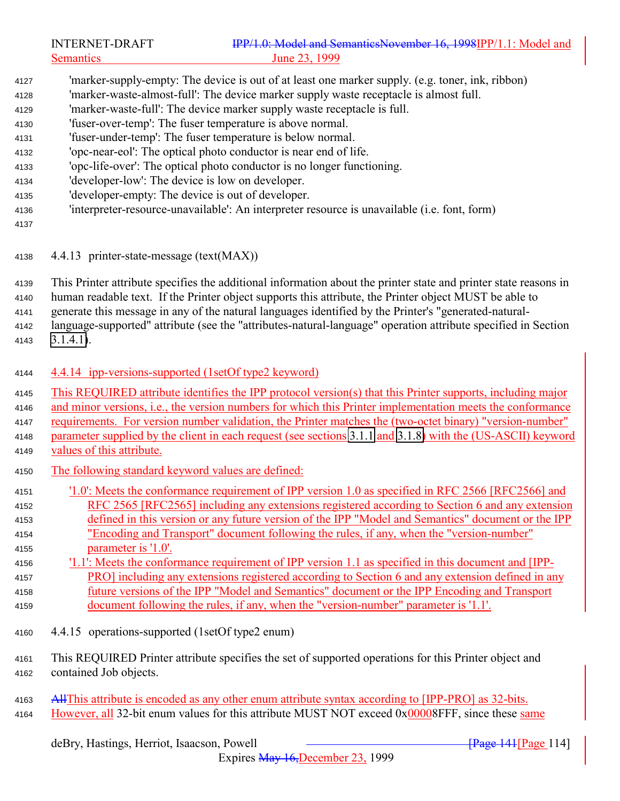- <span id="page-113-0"></span> 'marker-supply-empty: The device is out of at least one marker supply. (e.g. toner, ink, ribbon) 'marker-waste-almost-full': The device marker supply waste receptacle is almost full. 'marker-waste-full': The device marker supply waste receptacle is full.
- 'fuser-over-temp': The fuser temperature is above normal.
- 'fuser-under-temp': The fuser temperature is below normal.
- 'opc-near-eol': The optical photo conductor is near end of life.
- 'opc-life-over': The optical photo conductor is no longer functioning.
- 'developer-low': The device is low on developer.
- 'developer-empty: The device is out of developer.
- 'interpreter-resource-unavailable': An interpreter resource is unavailable (i.e. font, form)
- 

4.4.13 printer-state-message (text(MAX))

 This Printer attribute specifies the additional information about the printer state and printer state reasons in human readable text. If the Printer object supports this attribute, the Printer object MUST be able to generate this message in any of the natural languages identified by the Printer's "generated-natural- language-supported" attribute (see the "attributes-natural-language" operation attribute specified in Section [3.1.4.1\)](#page-24-0).

- 4.4.14 ipp-versions-supported (1setOf type2 keyword)
- This REQUIRED attribute identifies the IPP protocol version(s) that this Printer supports, including major
- and minor versions, i.e., the version numbers for which this Printer implementation meets the conformance
- requirements. For version number validation, the Printer matches the (two-octet binary) "version-number" parameter supplied by the client in each request (see sections [3.1.1](#page-21-0) and [3.1.8\)](#page-32-0) with the (US-ASCII) keyword values of this attribute.
- The following standard keyword values are defined:
- '1.0': Meets the conformance requirement of IPP version 1.0 as specified in RFC 2566 [RFC2566] and RFC 2565 [RFC2565] including any extensions registered according to Section 6 and any extension defined in this version or any future version of the IPP "Model and Semantics" document or the IPP "Encoding and Transport" document following the rules, if any, when the "version-number" parameter is '1.0'.
- '1.1': Meets the conformance requirement of IPP version 1.1 as specified in this document and [IPP- PRO] including any extensions registered according to Section 6 and any extension defined in any future versions of the IPP "Model and Semantics" document or the IPP Encoding and Transport document following the rules, if any, when the "version-number" parameter is '1.1'.
- 4.4.15 operations-supported (1setOf type2 enum)
- This REQUIRED Printer attribute specifies the set of supported operations for this Printer object and contained Job objects.
- AllThis attribute is encoded as any other enum attribute syntax according to [IPP-PRO] as 32-bits.
- 4164 However, all 32-bit enum values for this attribute MUST NOT exceed 0x00008FFF, since these same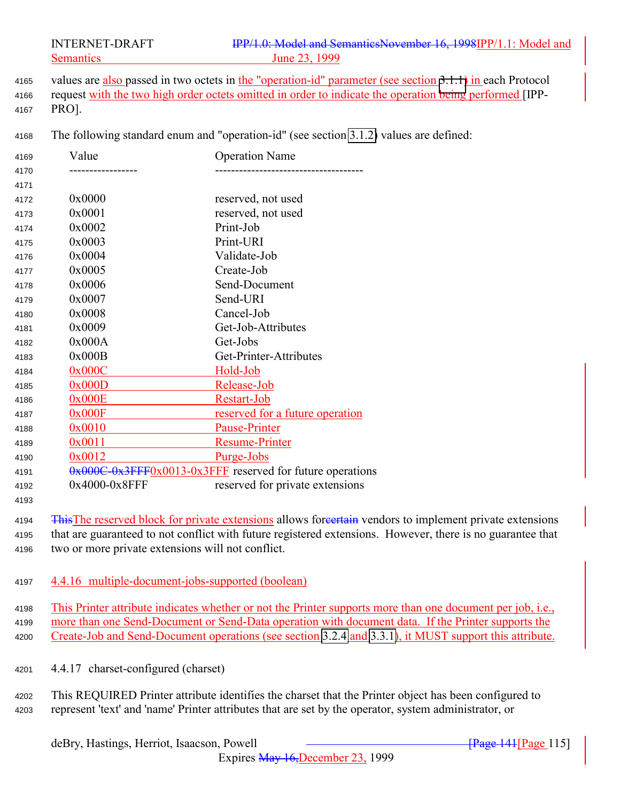4165 values are also passed in two octets in the "operation-id" parameter (see section [3.1.1\)](#page-21-0) in each Protocol 4166 request with the two high order octets omitted in order to indicate the operation being performed [IPP-PRO].

The following standard enum and "operation-id" (see section [3.1.2\)](#page-22-0) values are defined:

| 4169 | Value         | <b>Operation Name</b>                                     |
|------|---------------|-----------------------------------------------------------|
| 4170 |               |                                                           |
| 4171 |               |                                                           |
| 4172 | 0x0000        | reserved, not used                                        |
| 4173 | 0x0001        | reserved, not used                                        |
| 4174 | 0x0002        | Print-Job                                                 |
| 4175 | 0x0003        | Print-URI                                                 |
| 4176 | 0x0004        | Validate-Job                                              |
| 4177 | 0x0005        | Create-Job                                                |
| 4178 | 0x0006        | Send-Document                                             |
| 4179 | 0x0007        | Send-URI                                                  |
| 4180 | 0x0008        | Cancel-Job                                                |
| 4181 | 0x0009        | Get-Job-Attributes                                        |
| 4182 | 0x000A        | Get-Jobs                                                  |
| 4183 | 0x000B        | Get-Printer-Attributes                                    |
| 4184 | 0x000C        | Hold-Job                                                  |
| 4185 | 0x000D        | Release-Job                                               |
| 4186 | 0x000E        | Restart-Job                                               |
| 4187 | 0x000F        | reserved for a future operation                           |
| 4188 | 0x0010        | <b>Pause-Printer</b>                                      |
| 4189 | 0x0011        | <b>Resume-Printer</b>                                     |
| 4190 | 0x0012        | Purge-Jobs                                                |
| 4191 |               | 0x000C-0x3FFF0x0013-0x3FFF reserved for future operations |
| 4192 | 0x4000-0x8FFF | reserved for private extensions                           |
| 4193 |               |                                                           |

4194 This The reserved block for private extensions allows foreertain vendors to implement private extensions that are guaranteed to not conflict with future registered extensions. However, there is no guarantee that two or more private extensions will not conflict.

4.4.16 multiple-document-jobs-supported (boolean)

 This Printer attribute indicates whether or not the Printer supports more than one document per job, i.e., more than one Send-Document or Send-Data operation with document data. If the Printer supports the Create-Job and Send-Document operations (see section [3.2.4](#page-43-0) and [3.3.1\)](#page-53-0), it MUST support this attribute.

- 4.4.17 charset-configured (charset)
- This REQUIRED Printer attribute identifies the charset that the Printer object has been configured to represent 'text' and 'name' Printer attributes that are set by the operator, system administrator, or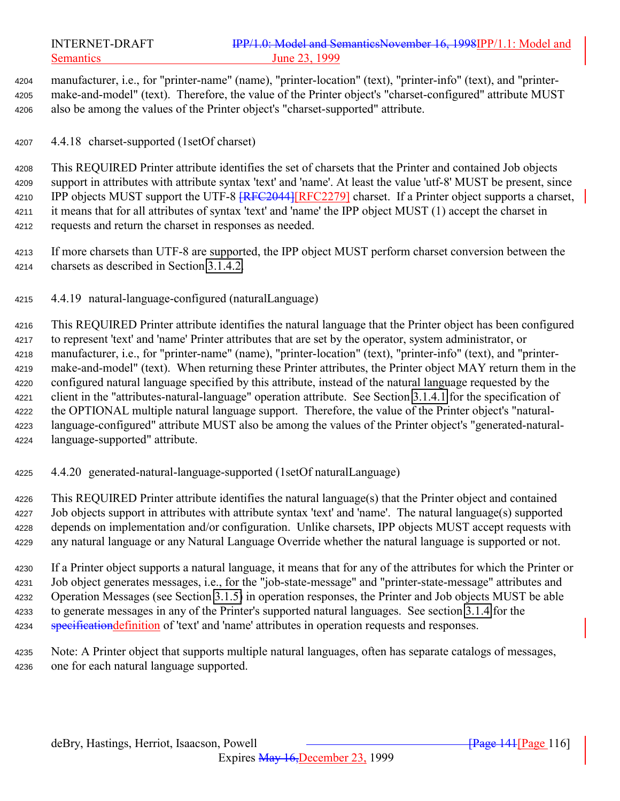manufacturer, i.e., for "printer-name" (name), "printer-location" (text), "printer-info" (text), and "printer- make-and-model" (text). Therefore, the value of the Printer object's "charset-configured" attribute MUST also be among the values of the Printer object's "charset-supported" attribute.

4.4.18 charset-supported (1setOf charset)

 This REQUIRED Printer attribute identifies the set of charsets that the Printer and contained Job objects support in attributes with attribute syntax 'text' and 'name'. At least the value 'utf-8' MUST be present, since 4210 IPP objects MUST support the UTF-8 <del>[RFC2044]</del>[RFC2279] charset. If a Printer object supports a charset, it means that for all attributes of syntax 'text' and 'name' the IPP object MUST (1) accept the charset in requests and return the charset in responses as needed.

 If more charsets than UTF-8 are supported, the IPP object MUST perform charset conversion between the charsets as described in Section [3.1.4.2.](#page-40-0)

4.4.19 natural-language-configured (naturalLanguage)

 This REQUIRED Printer attribute identifies the natural language that the Printer object has been configured to represent 'text' and 'name' Printer attributes that are set by the operator, system administrator, or manufacturer, i.e., for "printer-name" (name), "printer-location" (text), "printer-info" (text), and "printer- make-and-model" (text). When returning these Printer attributes, the Printer object MAY return them in the configured natural language specified by this attribute, instead of the natural language requested by the client in the "attributes-natural-language" operation attribute. See Section [3.1.4.1](#page-24-0) for the specification of the OPTIONAL multiple natural language support. Therefore, the value of the Printer object's "natural- language-configured" attribute MUST also be among the values of the Printer object's "generated-natural-language-supported" attribute.

4.4.20 generated-natural-language-supported (1setOf naturalLanguage)

 This REQUIRED Printer attribute identifies the natural language(s) that the Printer object and contained Job objects support in attributes with attribute syntax 'text' and 'name'. The natural language(s) supported depends on implementation and/or configuration. Unlike charsets, IPP objects MUST accept requests with any natural language or any Natural Language Override whether the natural language is supported or not.

 If a Printer object supports a natural language, it means that for any of the attributes for which the Printer or Job object generates messages, i.e., for the "job-state-message" and "printer-state-message" attributes and Operation Messages (see Section [3.1.5\)](#page-29-0) in operation responses, the Printer and Job objects MUST be able to generate messages in any of the Printer's supported natural languages. See section [3.1.4](#page-23-0) for the 4234 specification definition of 'text' and 'name' attributes in operation requests and responses.

 Note: A Printer object that supports multiple natural languages, often has separate catalogs of messages, one for each natural language supported.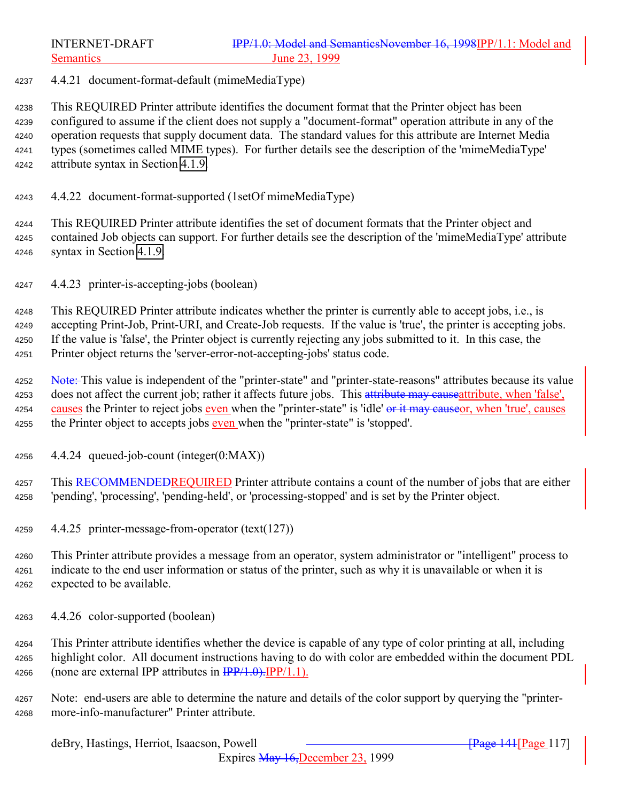4.4.21 document-format-default (mimeMediaType)

 This REQUIRED Printer attribute identifies the document format that the Printer object has been configured to assume if the client does not supply a "document-format" operation attribute in any of the operation requests that supply document data. The standard values for this attribute are Internet Media types (sometimes called MIME types). For further details see the description of the 'mimeMediaType' attribute syntax in Section [4.1.9.](#page-72-0)

4.4.22 document-format-supported (1setOf mimeMediaType)

 This REQUIRED Printer attribute identifies the set of document formats that the Printer object and contained Job objects can support. For further details see the description of the 'mimeMediaType' attribute syntax in Section [4.1.9.](#page-72-0)

4.4.23 printer-is-accepting-jobs (boolean)

 This REQUIRED Printer attribute indicates whether the printer is currently able to accept jobs, i.e., is accepting Print-Job, Print-URI, and Create-Job requests. If the value is 'true', the printer is accepting jobs. If the value is 'false', the Printer object is currently rejecting any jobs submitted to it. In this case, the Printer object returns the 'server-error-not-accepting-jobs' status code.

4252 Note: This value is independent of the "printer-state" and "printer-state-reasons" attributes because its value 4253 does not affect the current job; rather it affects future jobs. This attribute may cause attribute, when 'false', 4254 causes the Printer to reject jobs even when the "printer-state" is 'idle' or it may causeor, when 'true', causes 4255 the Printer object to accepts jobs even when the "printer-state" is 'stopped'.

4.4.24 queued-job-count (integer(0:MAX))

4257 This RECOMMENDEDREQUIRED Printer attribute contains a count of the number of jobs that are either 'pending', 'processing', 'pending-held', or 'processing-stopped' and is set by the Printer object.

- 4.4.25 printer-message-from-operator (text(127))
- This Printer attribute provides a message from an operator, system administrator or "intelligent" process to indicate to the end user information or status of the printer, such as why it is unavailable or when it is expected to be available.
- 4.4.26 color-supported (boolean)

 This Printer attribute identifies whether the device is capable of any type of color printing at all, including highlight color. All document instructions having to do with color are embedded within the document PDL 4266 (none are external IPP attributes in  $\frac{IPP}{1.0}$ . IPP/1.1).

 Note: end-users are able to determine the nature and details of the color support by querying the "printer-more-info-manufacturer" Printer attribute.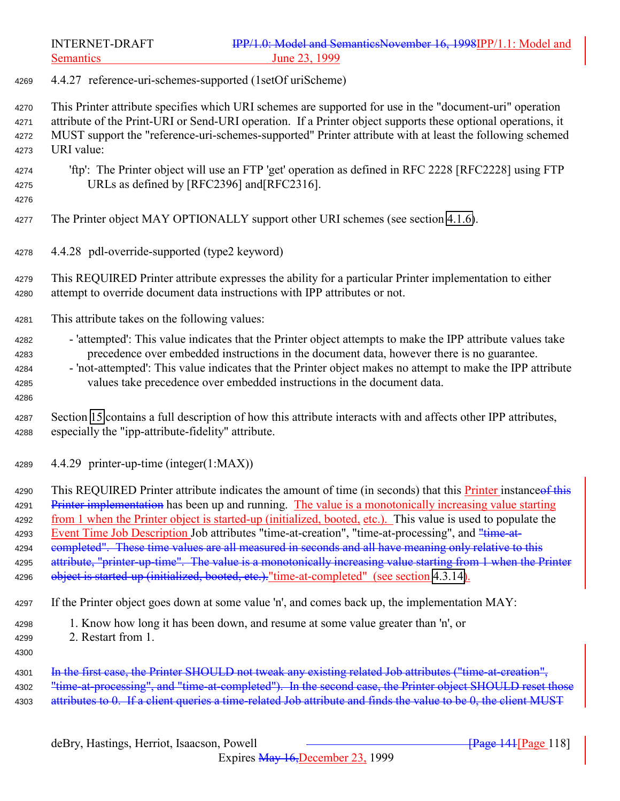4.4.27 reference-uri-schemes-supported (1setOf uriScheme)

 This Printer attribute specifies which URI schemes are supported for use in the "document-uri" operation attribute of the Print-URI or Send-URI operation. If a Printer object supports these optional operations, it MUST support the "reference-uri-schemes-supported" Printer attribute with at least the following schemed URI value:

- 'ftp': The Printer object will use an FTP 'get' operation as defined in RFC 2228 [RFC2228] using FTP URLs as defined by [RFC2396] and[RFC2316].
- 

The Printer object MAY OPTIONALLY support other URI schemes (see section [4.1.6\)](#page-71-0).

- 4.4.28 pdl-override-supported (type2 keyword)
- This REQUIRED Printer attribute expresses the ability for a particular Printer implementation to either attempt to override document data instructions with IPP attributes or not.
- This attribute takes on the following values:
- 4282 'attempted': This value indicates that the Printer object attempts to make the IPP attribute values take precedence over embedded instructions in the document data, however there is no guarantee.
- 'not-attempted': This value indicates that the Printer object makes no attempt to make the IPP attribute values take precedence over embedded instructions in the document data.
- 
- Section [15](#page-169-0) contains a full description of how this attribute interacts with and affects other IPP attributes, especially the "ipp-attribute-fidelity" attribute.
- 4.4.29 printer-up-time (integer(1:MAX))

4290 This REQUIRED Printer attribute indicates the amount of time (in seconds) that this Printer instance of this 4291 Printer implementation has been up and running. The value is a monotonically increasing value starting from 1 when the Printer object is started-up (initialized, booted, etc.). This value is used to populate the 4293 Event Time Job Description Job attributes "time-at-creation", "time-at-processing", and "time-at-4294 completed". These time values are all measured in seconds and all have meaning only relative to this 4295 attribute, "printer-up-time". The value is a monotonically increasing value starting from 1 when the Printer 4296 object is started-up (initialized, booted, etc.)."time-at-completed" (see section [4.3.14\)](#page-98-0).

If the Printer object goes down at some value 'n', and comes back up, the implementation MAY:

- 1. Know how long it has been down, and resume at some value greater than 'n', or
- 2. Restart from 1.
- 

4301 In the first case, the Printer SHOULD not tweak any existing related Job attributes ("time-at-creation", 4302 "time-at-processing", and "time-at-completed"). In the second case, the Printer object SHOULD reset those 4303 attributes to 0. If a client queries a time-related Job attribute and finds the value to be 0, the client MUST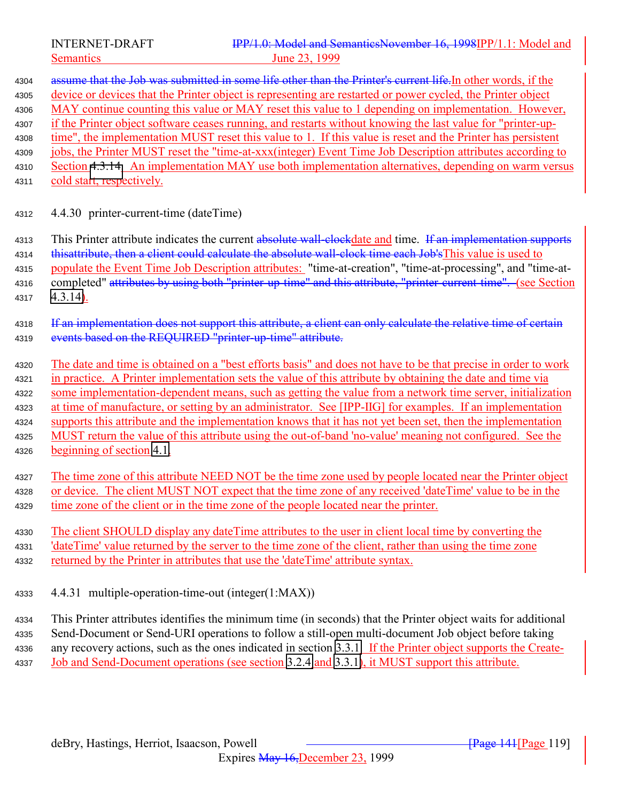| 4304 | assume that the Job was submitted in some life other than the Printer's current life. In other words, if the   |
|------|----------------------------------------------------------------------------------------------------------------|
| 4305 | device or devices that the Printer object is representing are restarted or power cycled, the Printer object    |
| 4306 | MAY continue counting this value or MAY reset this value to 1 depending on implementation. However,            |
| 4307 | if the Printer object software ceases running, and restarts without knowing the last value for "printer-up-    |
| 4308 | time", the implementation MUST reset this value to 1. If this value is reset and the Printer has persistent    |
| 4309 | jobs, the Printer MUST reset the "time-at-xxx(integer) Event Time Job Description attributes according to      |
| 4310 | Section 4.3.14. An implementation MAY use both implementation alternatives, depending on warm versus           |
| 4311 | cold start, respectively.                                                                                      |
| 4312 | 4.4.30 printer-current-time (dateTime)                                                                         |
| 4313 | This Printer attribute indicates the current absolute wall-elockdate and time. If an implementation supports   |
| 4314 | thisattribute, then a client could calculate the absolute wall-clock time each Job's This value is used to     |
| 4315 | populate the Event Time Job Description attributes: "time-at-creation", "time-at-processing", and "time-at-    |
| 4316 | completed" attributes by using both "printer-up-time" and this attribute, "printer-current-time". (see Section |
| 4317 | $4.3.14$ ).                                                                                                    |
| 4318 | If an implementation does not support this attribute, a client can only calculate the relative time of certain |
| 4319 | events based on the REQUIRED "printer-up-time" attribute.                                                      |
| 4320 | The date and time is obtained on a "best efforts basis" and does not have to be that precise in order to work  |
| 4321 | in practice. A Printer implementation sets the value of this attribute by obtaining the date and time via      |
| 4322 | some implementation-dependent means, such as getting the value from a network time server, initialization      |
| 4323 | at time of manufacture, or setting by an administrator. See [IPP-IIG] for examples. If an implementation       |
| 4324 | supports this attribute and the implementation knows that it has not yet been set, then the implementation     |
| 4325 | MUST return the value of this attribute using the out-of-band 'no-value' meaning not configured. See the       |
| 4326 | beginning of section $4.1$ .                                                                                   |
| 4327 | The time zone of this attribute NEED NOT be the time zone used by people located near the Printer object       |
| 4328 | or device. The client MUST NOT expect that the time zone of any received 'dateTime' value to be in the         |
| 4329 | time zone of the client or in the time zone of the people located near the printer.                            |
| 4330 | The client SHOULD display any date Time attributes to the user in client local time by converting the          |
| 4331 | 'dateTime' value returned by the server to the time zone of the client, rather than using the time zone        |
| 4332 | returned by the Printer in attributes that use the 'dateTime' attribute syntax.                                |
| 4333 | 4.4.31 multiple-operation-time-out (integer(1:MAX))                                                            |
| 4334 | This Printer attributes identifies the minimum time (in seconds) that the Printer object waits for additional  |
| 4335 | Send-Document or Send-URI operations to follow a still-open multi-document Job object before taking            |
| 4336 | any recovery actions, such as the ones indicated in section 3.3.1. If the Printer object supports the Create-  |
| 4337 | <u>Job and Send-Document operations (see section 3.2.4 and 3.3.1), it MUST support this attribute.</u>         |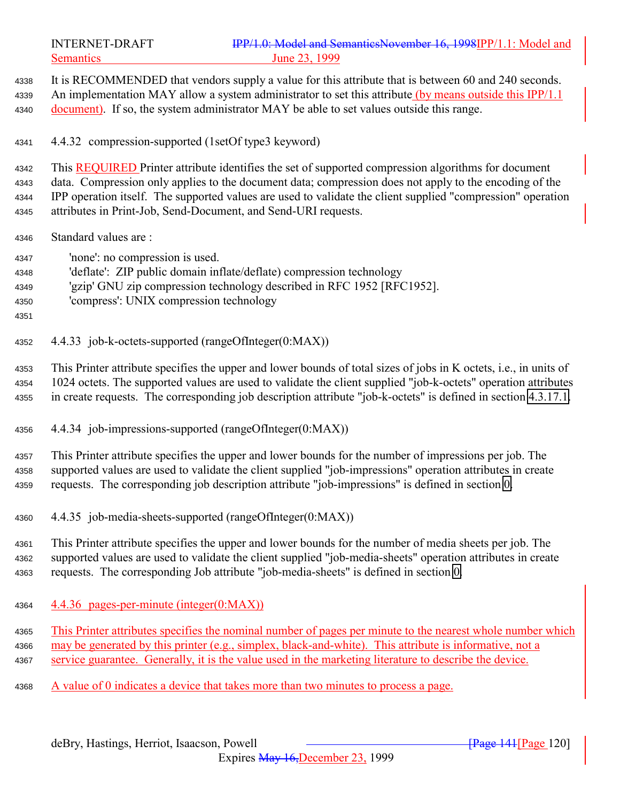It is RECOMMENDED that vendors supply a value for this attribute that is between 60 and 240 seconds. 4339 An implementation MAY allow a system administrator to set this attribute (by means outside this IPP/1.1) 4340 document). If so, the system administrator MAY be able to set values outside this range. 4.4.32 compression-supported (1setOf type3 keyword) This REQUIRED Printer attribute identifies the set of supported compression algorithms for document data. Compression only applies to the document data; compression does not apply to the encoding of the IPP operation itself. The supported values are used to validate the client supplied "compression" operation attributes in Print-Job, Send-Document, and Send-URI requests. Standard values are : 'none': no compression is used. 'deflate': ZIP public domain inflate/deflate) compression technology 'gzip' GNU zip compression technology described in RFC 1952 [RFC1952]. 'compress': UNIX compression technology 4.4.33 job-k-octets-supported (rangeOfInteger(0:MAX)) This Printer attribute specifies the upper and lower bounds of total sizes of jobs in K octets, i.e., in units of 1024 octets. The supported values are used to validate the client supplied "job-k-octets" operation attributes in create requests. The corresponding job description attribute "job-k-octets" is defined in section [4.3.17.1.](#page-100-0) 4.4.34 job-impressions-supported (rangeOfInteger(0:MAX)) This Printer attribute specifies the upper and lower bounds for the number of impressions per job. The supported values are used to validate the client supplied "job-impressions" operation attributes in create requests. The corresponding job description attribute "job-impressions" is defined in section [0.](#page-101-0) 4.4.35 job-media-sheets-supported (rangeOfInteger(0:MAX)) This Printer attribute specifies the upper and lower bounds for the number of media sheets per job. The supported values are used to validate the client supplied "job-media-sheets" operation attributes in create requests. The corresponding Job attribute "job-media-sheets" is defined in section [0.](#page-101-0)  $\frac{4.4.36 \text{ pages-per-minute (integer}(0:MAX))}{4.4.36 \text{ pages-per-minute (integer}(0:MAX))}$  This Printer attributes specifies the nominal number of pages per minute to the nearest whole number which may be generated by this printer (e.g., simplex, black-and-white). This attribute is informative, not a service guarantee. Generally, it is the value used in the marketing literature to describe the device.

A value of 0 indicates a device that takes more than two minutes to process a page.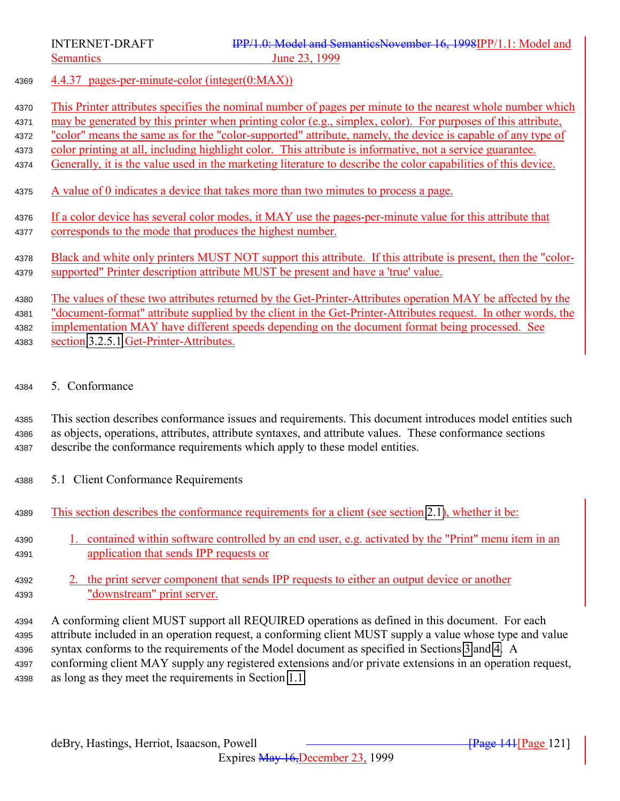4.4.37 pages-per-minute-color (integer(0:MAX))

This Printer attributes specifies the nominal number of pages per minute to the nearest whole number which

may be generated by this printer when printing color (e.g., simplex, color). For purposes of this attribute,

"color" means the same as for the "color-supported" attribute, namely, the device is capable of any type of

- 4373 color printing at all, including highlight color. This attribute is informative, not a service guarantee.
- Generally, it is the value used in the marketing literature to describe the color capabilities of this device.
- A value of 0 indicates a device that takes more than two minutes to process a page.
- If a color device has several color modes, it MAY use the pages-per-minute value for this attribute that corresponds to the mode that produces the highest number.

 Black and white only printers MUST NOT support this attribute. If this attribute is present, then the "color-supported" Printer description attribute MUST be present and have a 'true' value.

 The values of these two attributes returned by the Get-Printer-Attributes operation MAY be affected by the "document-format" attribute supplied by the client in the Get-Printer-Attributes request. In other words, the 4382 implementation MAY have different speeds depending on the document format being processed. See section [3.2.5.1](#page-44-0) Get-Printer-Attributes.

5. Conformance

 This section describes conformance issues and requirements. This document introduces model entities such as objects, operations, attributes, attribute syntaxes, and attribute values. These conformance sections describe the conformance requirements which apply to these model entities.

- 5.1 Client Conformance Requirements
- This section describes the conformance requirements for a client (see section [2.1\)](#page-13-0), whether it be:

 1. contained within software controlled by an end user, e.g. activated by the "Print" menu item in an application that sends IPP requests or

- 2. the print server component that sends IPP requests to either an output device or another "downstream" print server.
- A conforming client MUST support all REQUIRED operations as defined in this document. For each attribute included in an operation request, a conforming client MUST supply a value whose type and value syntax conforms to the requirements of the Model document as specified in Sections [3](#page-20-0) and [4.](#page-65-0) A conforming client MAY supply any registered extensions and/or private extensions in an operation request, as long as they meet the requirements in Section [1.1.](#page-125-0)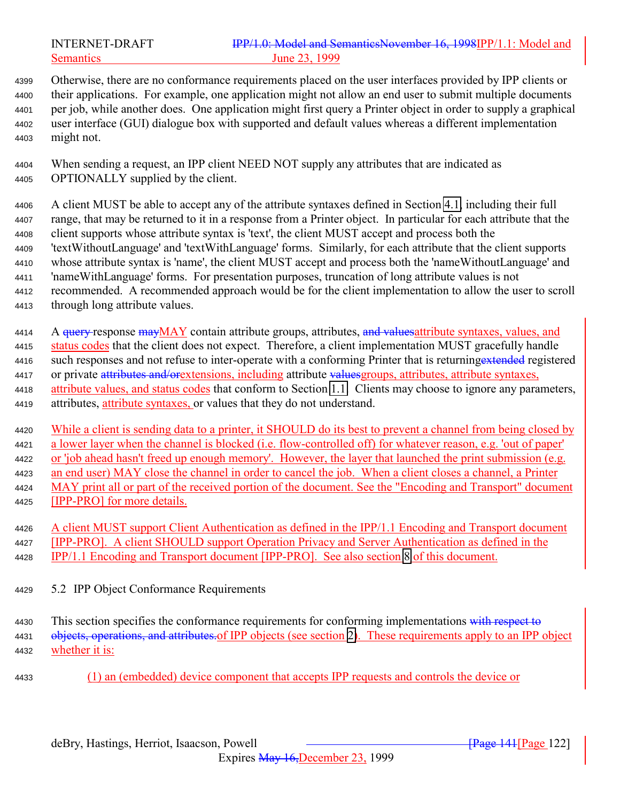Otherwise, there are no conformance requirements placed on the user interfaces provided by IPP clients or their applications. For example, one application might not allow an end user to submit multiple documents per job, while another does. One application might first query a Printer object in order to supply a graphical user interface (GUI) dialogue box with supported and default values whereas a different implementation might not.

 When sending a request, an IPP client NEED NOT supply any attributes that are indicated as OPTIONALLY supplied by the client.

 A client MUST be able to accept any of the attribute syntaxes defined in Section [4.1,](#page-66-0) including their full range, that may be returned to it in a response from a Printer object. In particular for each attribute that the client supports whose attribute syntax is 'text', the client MUST accept and process both the 'textWithoutLanguage' and 'textWithLanguage' forms. Similarly, for each attribute that the client supports whose attribute syntax is 'name', the client MUST accept and process both the 'nameWithoutLanguage' and 'nameWithLanguage' forms. For presentation purposes, truncation of long attribute values is not recommended. A recommended approach would be for the client implementation to allow the user to scroll through long attribute values.

4414 A <del>query r</del>esponse mayMAY contain attribute groups, attributes, and values attribute syntaxes, values, and 4415 status codes that the client does not expect. Therefore, a client implementation MUST gracefully handle 4416 such responses and not refuse to inter-operate with a conforming Printer that is returning extended registered 4417 or private attributes and/orextensions, including attribute values groups, attributes, attribute syntaxes, 4418 attribute values, and status codes that conform to Section [1.1.](#page-125-0) Clients may choose to ignore any parameters, attributes, attribute syntaxes, or values that they do not understand.

 While a client is sending data to a printer, it SHOULD do its best to prevent a channel from being closed by a lower layer when the channel is blocked (i.e. flow-controlled off) for whatever reason, e.g. 'out of paper' or 'job ahead hasn't freed up enough memory'. However, the layer that launched the print submission (e.g. an end user) MAY close the channel in order to cancel the job. When a client closes a channel, a Printer MAY print all or part of the received portion of the document. See the "Encoding and Transport" document [IPP-PRO] for more details.

 A client MUST support Client Authentication as defined in the IPP/1.1 Encoding and Transport document [IPP-PRO]. A client SHOULD support Operation Privacy and Server Authentication as defined in the IPP/1.1 Encoding and Transport document [IPP-PRO]. See also section [8](#page-134-0) of this document.

5.2 IPP Object Conformance Requirements

4430 This section specifies the conformance requirements for conforming implementations with respect to 4431 objects, operations, and attributes of IPP objects (see section [2\)](#page-13-0). These requirements apply to an IPP object whether it is:

(1) an (embedded) device component that accepts IPP requests and controls the device or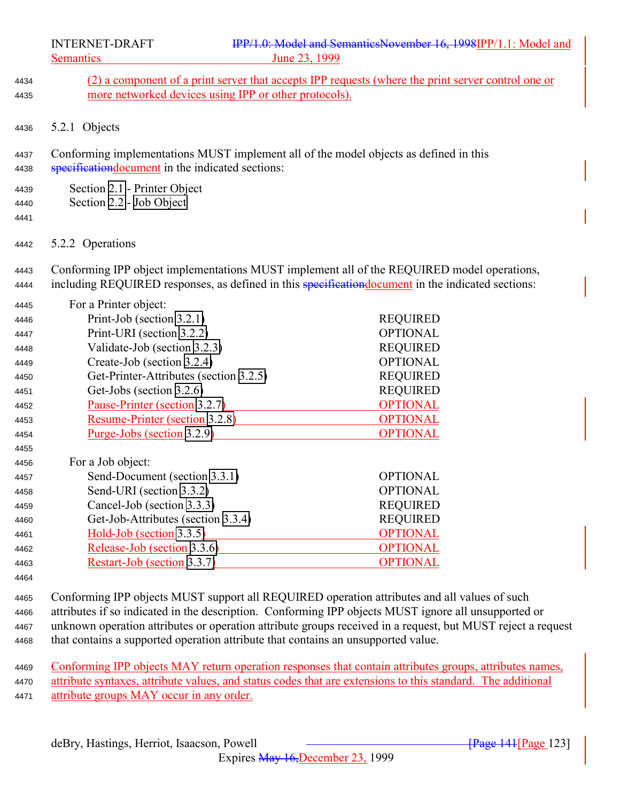- (2) a component of a print server that accepts IPP requests (where the print server control one or more networked devices using IPP or other protocols). 5.2.1 Objects Conforming implementations MUST implement all of the model objects as defined in this 4438 specification document in the indicated sections: Section [2.1](#page-13-0) - Printer Object Section [2.2](#page-16-0) - [Job Object](#page-16-0) 5.2.2 Operations Conforming IPP object implementations MUST implement all of the REQUIRED model operations, 4444 including REQUIRED responses, as defined in this specification document in the indicated sections: For a Printer object: Print-Job (section [3.2.1\)](#page-36-0) REQUIRED Print-URI (section [3.2.2\)](#page-42-0) OPTIONAL Validate-Job (section [3.2.3\)](#page-42-0) REQUIRED Create-Job (section [3.2.4\)](#page-43-0) OPTIONAL Get-Printer-Attributes (section [3.2.5\)](#page-43-0) REQUIRED Get-Jobs (section [3.2.6\)](#page-46-0) REQUIRED Pause-Printer (section [3.2.7\)](#page-49-0) OPTIONAL Resume-Printer (section [3.2.8\)](#page-51-0) OPTIONAL 4454 Purge-Jobs (section [3.2.9\)](#page-52-0) OPTIONAL For a Job object: Send-Document (section [3.3.1\)](#page-53-0) OPTIONAL Send-URI (section [3.3.2\)](#page-56-0) OPTIONAL Cancel-Job (section [3.3.3\)](#page-56-0) REQUIRED Get-Job-Attributes (section [3.3.4\)](#page-59-0) REQUIRED Hold-Job (section [3.3.5\)](#page-61-0) OPTIONAL Release-Job (section [3.3.6\)](#page-62-0) OPTIONAL Restart-Job (section [3.3.7\)](#page-63-0) OPTIONAL Conforming IPP objects MUST support all REQUIRED operation attributes and all values of such attributes if so indicated in the description. Conforming IPP objects MUST ignore all unsupported or unknown operation attributes or operation attribute groups received in a request, but MUST reject a request
- that contains a supported operation attribute that contains an unsupported value.

 Conforming IPP objects MAY return operation responses that contain attributes groups, attributes names, attribute syntaxes, attribute values, and status codes that are extensions to this standard. The additional 4471 attribute groups MAY occur in any order.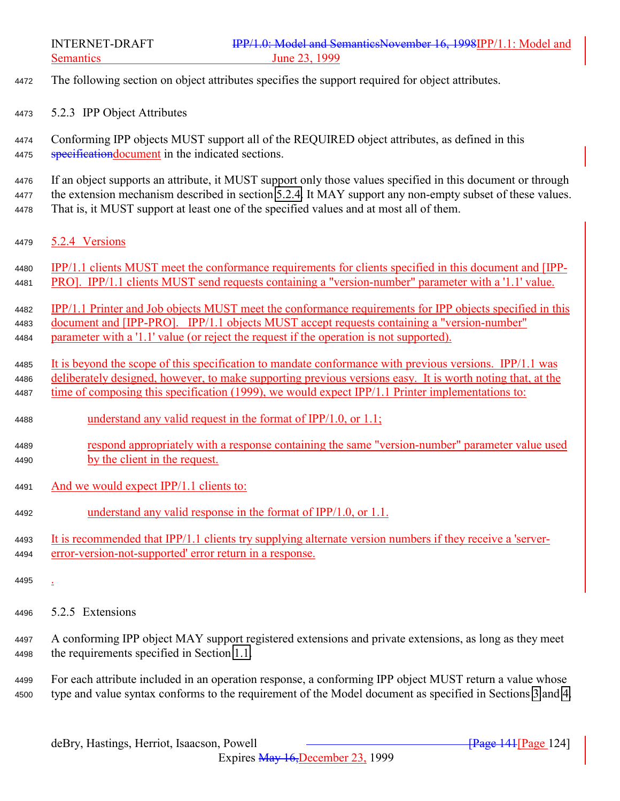- The following section on object attributes specifies the support required for object attributes.
- 5.2.3 IPP Object Attributes

 Conforming IPP objects MUST support all of the REQUIRED object attributes, as defined in this 4475 specification document in the indicated sections.

 If an object supports an attribute, it MUST support only those values specified in this document or through 4477 the extension mechanism described in section 5.2.4. It MAY support any non-empty subset of these values. That is, it MUST support at least one of the specified values and at most all of them.

- 5.2.4 Versions
- IPP/1.1 clients MUST meet the conformance requirements for clients specified in this document and [IPP-PRO]. IPP/1.1 clients MUST send requests containing a "version-number" parameter with a '1.1' value.

 IPP/1.1 Printer and Job objects MUST meet the conformance requirements for IPP objects specified in this document and [IPP-PRO]. IPP/1.1 objects MUST accept requests containing a "version-number" parameter with a '1.1' value (or reject the request if the operation is not supported).

 It is beyond the scope of this specification to mandate conformance with previous versions. IPP/1.1 was deliberately designed, however, to make supporting previous versions easy. It is worth noting that, at the time of composing this specification (1999), we would expect IPP/1.1 Printer implementations to:

- understand any valid request in the format of IPP/1.0, or 1.1;
- respond appropriately with a response containing the same "version-number" parameter value used by the client in the request.
- And we would expect IPP/1.1 clients to:
- 4492 understand any valid response in the format of IPP/1.0, or 1.1.
- 4493 It is recommended that IPP/1.1 clients try supplying alternate version numbers if they receive a 'server-error-version-not-supported' error return in a response.
- 
- 5.2.5 Extensions
- A conforming IPP object MAY support registered extensions and private extensions, as long as they meet the requirements specified in Section [1.1.](#page-125-0)

 For each attribute included in an operation response, a conforming IPP object MUST return a value whose type and value syntax conforms to the requirement of the Model document as specified in Sections [3](#page-20-0) and [4.](#page-65-0)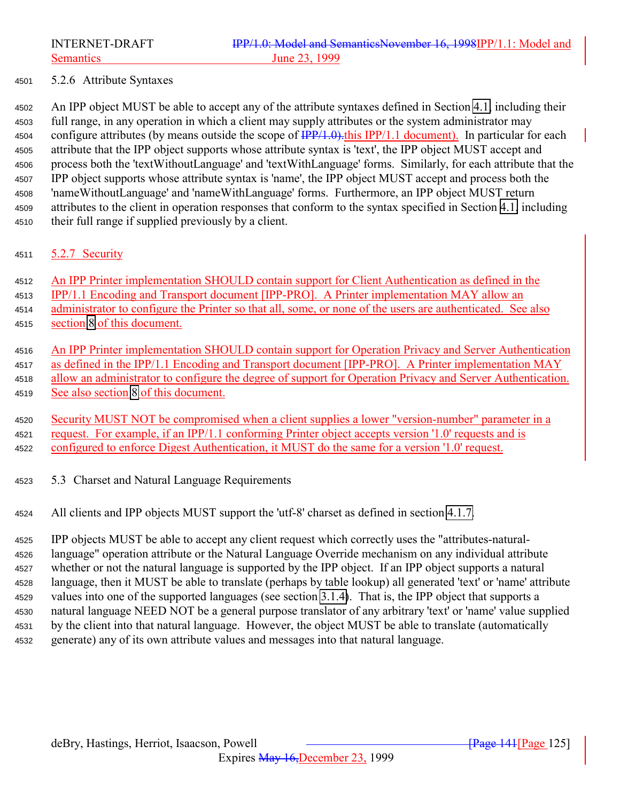### 5.2.6 Attribute Syntaxes

 An IPP object MUST be able to accept any of the attribute syntaxes defined in Section [4.1,](#page-66-0) including their full range, in any operation in which a client may supply attributes or the system administrator may 4504 configure attributes (by means outside the scope of  $\frac{IPP}{1.0}$ ). this IPP/1.1 document). In particular for each attribute that the IPP object supports whose attribute syntax is 'text', the IPP object MUST accept and process both the 'textWithoutLanguage' and 'textWithLanguage' forms. Similarly, for each attribute that the IPP object supports whose attribute syntax is 'name', the IPP object MUST accept and process both the 'nameWithoutLanguage' and 'nameWithLanguage' forms. Furthermore, an IPP object MUST return attributes to the client in operation responses that conform to the syntax specified in Section [4.1,](#page-66-0) including their full range if supplied previously by a client.

### 4511 5.2.7 Security

An IPP Printer implementation SHOULD contain support for Client Authentication as defined in the

IPP/1.1 Encoding and Transport document [IPP-PRO]. A Printer implementation MAY allow an

administrator to configure the Printer so that all, some, or none of the users are authenticated. See also

section [8](#page-134-0) of this document.

 An IPP Printer implementation SHOULD contain support for Operation Privacy and Server Authentication as defined in the IPP/1.1 Encoding and Transport document [IPP-PRO]. A Printer implementation MAY allow an administrator to configure the degree of support for Operation Privacy and Server Authentication. See also section [8](#page-134-0) of this document.

 Security MUST NOT be compromised when a client supplies a lower "version-number" parameter in a request. For example, if an IPP/1.1 conforming Printer object accepts version '1.0' requests and is configured to enforce Digest Authentication, it MUST do the same for a version '1.0' request.

5.3 Charset and Natural Language Requirements

All clients and IPP objects MUST support the 'utf-8' charset as defined in section [4.1.7.](#page-71-0)

 IPP objects MUST be able to accept any client request which correctly uses the "attributes-natural- language" operation attribute or the Natural Language Override mechanism on any individual attribute whether or not the natural language is supported by the IPP object. If an IPP object supports a natural language, then it MUST be able to translate (perhaps by table lookup) all generated 'text' or 'name' attribute values into one of the supported languages (see section [3.1.4\)](#page-23-0). That is, the IPP object that supports a natural language NEED NOT be a general purpose translator of any arbitrary 'text' or 'name' value supplied by the client into that natural language. However, the object MUST be able to translate (automatically generate) any of its own attribute values and messages into that natural language.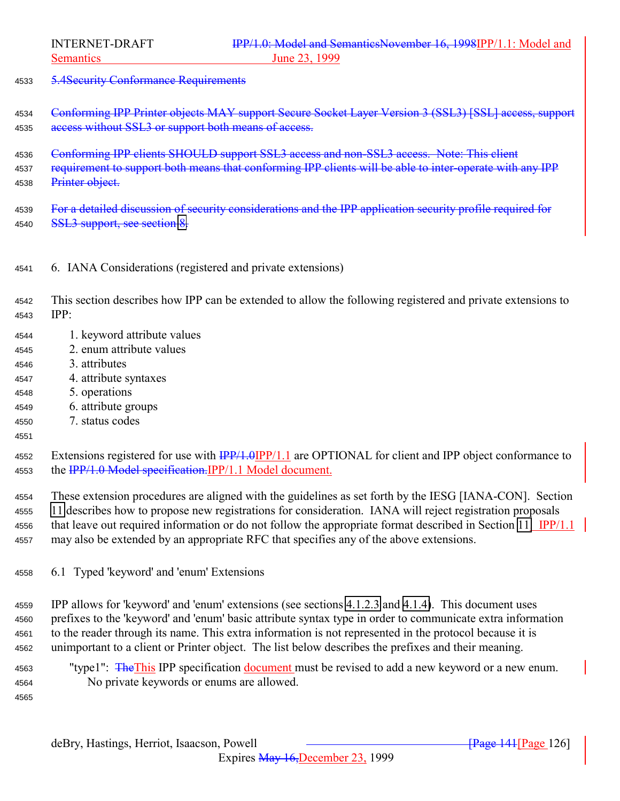<span id="page-125-0"></span>

5.4Security Conformance Requirements

 Conforming IPP Printer objects MAY support Secure Socket Layer Version 3 (SSL3) [SSL] access, support 4535 access without SSL3 or support both means of access.

 Conforming IPP clients SHOULD support SSL3 access and non-SSL3 access. Note: This client 4537 requirement to support both means that conforming IPP clients will be able to inter-operate with any IPP 4538 Printer object.

 For a detailed discussion of security considerations and the IPP application security profile required for 4540 SSL3 support, see section [8.](#page-134-0)

6. IANA Considerations (registered and private extensions)

 This section describes how IPP can be extended to allow the following registered and private extensions to IPP:

- 1. keyword attribute values
- 2. enum attribute values
- 3. attributes
- 4. attribute syntaxes
- 5. operations
- 6. attribute groups
- 7. status codes

### 

4552 Extensions registered for use with  $\frac{IPP}{1.0}$   $IPP/1.1$  are OPTIONAL for client and IPP object conformance to 4553 the IPP/1.0 Model specification.IPP/1.1 Model document.

 These extension procedures are aligned with the guidelines as set forth by the IESG [IANA-CON]. Section [11](#page-148-0) describes how to propose new registrations for consideration. IANA will reject registration proposals that leave out required information or do not follow the appropriate format described in Section [11.](#page-148-0) IPP/1.1 may also be extended by an appropriate RFC that specifies any of the above extensions.

6.1 Typed 'keyword' and 'enum' Extensions

 IPP allows for 'keyword' and 'enum' extensions (see sections [4.1.2.3](#page-69-0) and [4.1.4\)](#page-70-0). This document uses prefixes to the 'keyword' and 'enum' basic attribute syntax type in order to communicate extra information to the reader through its name. This extra information is not represented in the protocol because it is unimportant to a client or Printer object. The list below describes the prefixes and their meaning.

4563 "type1": The This IPP specification document must be revised to add a new keyword or a new enum. No private keywords or enums are allowed.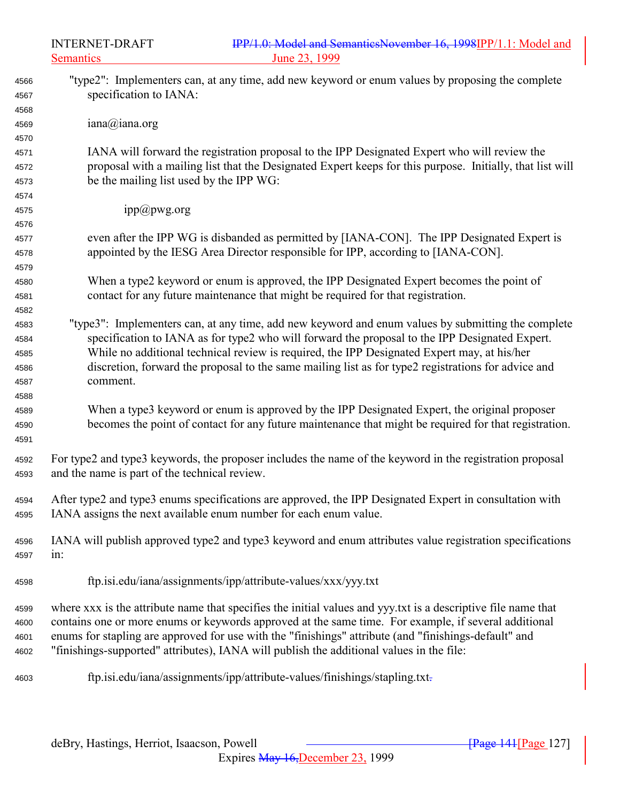| 4566         | "type2": Implementers can, at any time, add new keyword or enum values by proposing the complete              |
|--------------|---------------------------------------------------------------------------------------------------------------|
| 4567         | specification to IANA:                                                                                        |
| 4568         | iana@iana.org                                                                                                 |
| 4569         |                                                                                                               |
| 4570         | IANA will forward the registration proposal to the IPP Designated Expert who will review the                  |
| 4571         | proposal with a mailing list that the Designated Expert keeps for this purpose. Initially, that list will     |
| 4572<br>4573 | be the mailing list used by the IPP WG:                                                                       |
| 4574         |                                                                                                               |
| 4575         | ipp@pwg.org                                                                                                   |
| 4576         |                                                                                                               |
| 4577         | even after the IPP WG is disbanded as permitted by [IANA-CON]. The IPP Designated Expert is                   |
| 4578         | appointed by the IESG Area Director responsible for IPP, according to [IANA-CON].                             |
| 4579         |                                                                                                               |
| 4580         | When a type2 keyword or enum is approved, the IPP Designated Expert becomes the point of                      |
| 4581         | contact for any future maintenance that might be required for that registration.                              |
| 4582         |                                                                                                               |
| 4583         | "type3": Implementers can, at any time, add new keyword and enum values by submitting the complete            |
| 4584         | specification to IANA as for type2 who will forward the proposal to the IPP Designated Expert.                |
| 4585         | While no additional technical review is required, the IPP Designated Expert may, at his/her                   |
| 4586         | discretion, forward the proposal to the same mailing list as for type2 registrations for advice and           |
| 4587         | comment.                                                                                                      |
| 4588         |                                                                                                               |
| 4589         | When a type3 keyword or enum is approved by the IPP Designated Expert, the original proposer                  |
| 4590         | becomes the point of contact for any future maintenance that might be required for that registration.         |
| 4591         |                                                                                                               |
| 4592         | For type2 and type3 keywords, the proposer includes the name of the keyword in the registration proposal      |
| 4593         | and the name is part of the technical review.                                                                 |
|              |                                                                                                               |
| 4594         | After type2 and type3 enums specifications are approved, the IPP Designated Expert in consultation with       |
| 4595         | IANA assigns the next available enum number for each enum value.                                              |
|              | IANA will publish approved type2 and type3 keyword and enum attributes value registration specifications      |
| 4596         | in:                                                                                                           |
| 4597         |                                                                                                               |
| 4598         | ftp.isi.edu/iana/assignments/ipp/attribute-values/xxx/yyy.txt                                                 |
|              |                                                                                                               |
| 4599         | where xxx is the attribute name that specifies the initial values and yyy.txt is a descriptive file name that |
| 4600         | contains one or more enums or keywords approved at the same time. For example, if several additional          |
| 4601         | enums for stapling are approved for use with the "finishings" attribute (and "finishings-default" and         |
| 4602         | "finishings-supported" attributes), IANA will publish the additional values in the file:                      |
|              |                                                                                                               |
| 4603         | ftp.isi.edu/iana/assignments/ipp/attribute-values/finishings/stapling.txt-                                    |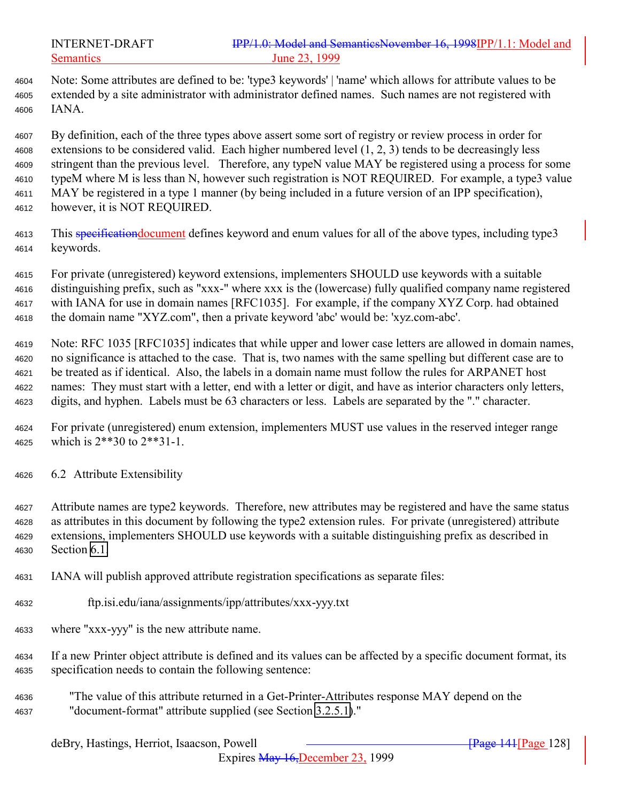Note: Some attributes are defined to be: 'type3 keywords' | 'name' which allows for attribute values to be extended by a site administrator with administrator defined names. Such names are not registered with IANA.

 By definition, each of the three types above assert some sort of registry or review process in order for extensions to be considered valid. Each higher numbered level (1, 2, 3) tends to be decreasingly less stringent than the previous level. Therefore, any typeN value MAY be registered using a process for some typeM where M is less than N, however such registration is NOT REQUIRED. For example, a type3 value MAY be registered in a type 1 manner (by being included in a future version of an IPP specification), however, it is NOT REQUIRED.

- 4613 This specification document defines keyword and enum values for all of the above types, including type 3 keywords.
- For private (unregistered) keyword extensions, implementers SHOULD use keywords with a suitable distinguishing prefix, such as "xxx-" where xxx is the (lowercase) fully qualified company name registered with IANA for use in domain names [RFC1035]. For example, if the company XYZ Corp. had obtained the domain name "XYZ.com", then a private keyword 'abc' would be: 'xyz.com-abc'.
- Note: RFC 1035 [RFC1035] indicates that while upper and lower case letters are allowed in domain names, no significance is attached to the case. That is, two names with the same spelling but different case are to be treated as if identical. Also, the labels in a domain name must follow the rules for ARPANET host names: They must start with a letter, end with a letter or digit, and have as interior characters only letters, digits, and hyphen. Labels must be 63 characters or less. Labels are separated by the "." character.
- For private (unregistered) enum extension, implementers MUST use values in the reserved integer range which is 2\*\*30 to 2\*\*31-1.
- 6.2 Attribute Extensibility
- Attribute names are type2 keywords. Therefore, new attributes may be registered and have the same status as attributes in this document by following the type2 extension rules. For private (unregistered) attribute extensions, implementers SHOULD use keywords with a suitable distinguishing prefix as described in Section [6.1.](#page-125-0)
- IANA will publish approved attribute registration specifications as separate files:
- ftp.isi.edu/iana/assignments/ipp/attributes/xxx-yyy.txt
- where "xxx-yyy" is the new attribute name.
- If a new Printer object attribute is defined and its values can be affected by a specific document format, its specification needs to contain the following sentence:
- "The value of this attribute returned in a Get-Printer-Attributes response MAY depend on the "document-format" attribute supplied (see Section [3.2.5.1\)](#page-44-0)."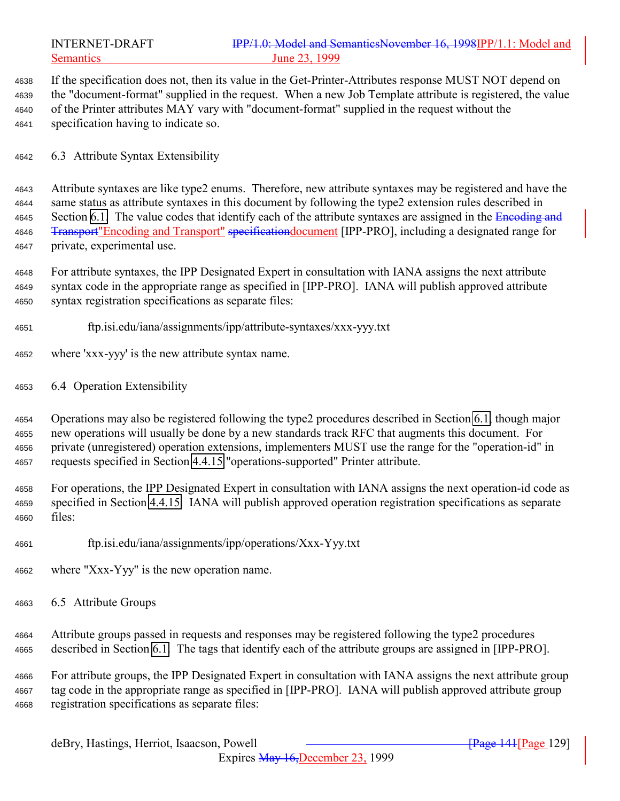|              | IPP/1.0: Model and SemanticsNovember 16, 1998IPP/1.1: Model and<br><b>INTERNET-DRAFT</b><br><b>Semantics</b><br>June 23, 1999                                                                                        |
|--------------|----------------------------------------------------------------------------------------------------------------------------------------------------------------------------------------------------------------------|
| 4638<br>4639 | If the specification does not, then its value in the Get-Printer-Attributes response MUST NOT depend on<br>the "document-format" supplied in the request. When a new Job Template attribute is registered, the value |
| 4640<br>4641 | of the Printer attributes MAY vary with "document-format" supplied in the request without the<br>specification having to indicate so.                                                                                |
| 4642         | 6.3 Attribute Syntax Extensibility                                                                                                                                                                                   |
| 4643         | Attribute syntaxes are like type2 enums. Therefore, new attribute syntaxes may be registered and have the                                                                                                            |
| 4644         | same status as attribute syntaxes in this document by following the type2 extension rules described in                                                                                                               |
| 4645         | Section 6.1. The value codes that identify each of the attribute syntaxes are assigned in the Encoding and                                                                                                           |
| 4646<br>4647 | <b>Transport</b> "Encoding and Transport" specificationdocument [IPP-PRO], including a designated range for<br>private, experimental use.                                                                            |
| 4648         | For attribute syntaxes, the IPP Designated Expert in consultation with IANA assigns the next attribute                                                                                                               |
| 4649         | syntax code in the appropriate range as specified in [IPP-PRO]. IANA will publish approved attribute                                                                                                                 |
| 4650         | syntax registration specifications as separate files:                                                                                                                                                                |
| 4651         | ftp.isi.edu/iana/assignments/ipp/attribute-syntaxes/xxx-yyy.txt                                                                                                                                                      |
| 4652         | where 'xxx-yyy' is the new attribute syntax name.                                                                                                                                                                    |
| 4653         | 6.4 Operation Extensibility                                                                                                                                                                                          |
| 4654         | Operations may also be registered following the type2 procedures described in Section 6.1, though major                                                                                                              |
| 4655         | new operations will usually be done by a new standards track RFC that augments this document. For                                                                                                                    |
| 4656<br>4657 | private (unregistered) operation extensions, implementers MUST use the range for the "operation-id" in<br>requests specified in Section 4.4.15 "operations-supported" Printer attribute.                             |
| 4658         | For operations, the IPP Designated Expert in consultation with IANA assigns the next operation-id code as                                                                                                            |
| 4659         | specified in Section 4.4.15. IANA will publish approved operation registration specifications as separate                                                                                                            |
| 4660         | files:                                                                                                                                                                                                               |
| 4661         | ftp.isi.edu/iana/assignments/ipp/operations/Xxx-Yyy.txt                                                                                                                                                              |
| 4662         | where "Xxx-Yyy" is the new operation name.                                                                                                                                                                           |
| 4663         | 6.5 Attribute Groups                                                                                                                                                                                                 |
| 4664         | Attribute groups passed in requests and responses may be registered following the type2 procedures                                                                                                                   |
| 4665         | described in Section 6.1. The tags that identify each of the attribute groups are assigned in [IPP-PRO].                                                                                                             |
| 4666         | For attribute groups, the IPP Designated Expert in consultation with IANA assigns the next attribute group                                                                                                           |
| 4667         | tag code in the appropriate range as specified in [IPP-PRO]. IANA will publish approved attribute group                                                                                                              |
| 4668         | registration specifications as separate files:                                                                                                                                                                       |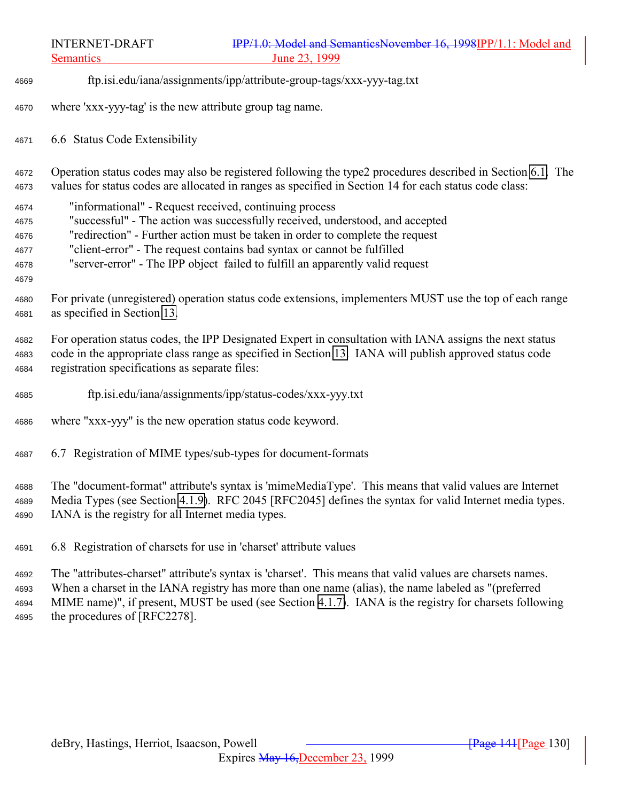INTERNET-DRAFT **IPP/1.0: Model and SemanticsNovember 16, 1998IPP/1.1: Model and** Semantics June 23, 1999 ftp.isi.edu/iana/assignments/ipp/attribute-group-tags/xxx-yyy-tag.txt where 'xxx-yyy-tag' is the new attribute group tag name. 6.6 Status Code Extensibility Operation status codes may also be registered following the type2 procedures described in Section [6.1.](#page-125-0) The values for status codes are allocated in ranges as specified in Section 14 for each status code class: "informational" - Request received, continuing process "successful" - The action was successfully received, understood, and accepted "redirection" - Further action must be taken in order to complete the request "client-error" - The request contains bad syntax or cannot be fulfilled "server-error" - The IPP object failed to fulfill an apparently valid request For private (unregistered) operation status code extensions, implementers MUST use the top of each range as specified in Section [13.](#page-154-0) For operation status codes, the IPP Designated Expert in consultation with IANA assigns the next status code in the appropriate class range as specified in Section [13.](#page-154-0) IANA will publish approved status code registration specifications as separate files: ftp.isi.edu/iana/assignments/ipp/status-codes/xxx-yyy.txt where "xxx-yyy" is the new operation status code keyword. 6.7 Registration of MIME types/sub-types for document-formats The "document-format" attribute's syntax is 'mimeMediaType'. This means that valid values are Internet Media Types (see Section [4.1.9\)](#page-72-0). RFC 2045 [RFC2045] defines the syntax for valid Internet media types. IANA is the registry for all Internet media types.

6.8 Registration of charsets for use in 'charset' attribute values

 The "attributes-charset" attribute's syntax is 'charset'. This means that valid values are charsets names. When a charset in the IANA registry has more than one name (alias), the name labeled as "(preferred MIME name)", if present, MUST be used (see Section [4.1.7\)](#page-71-0). IANA is the registry for charsets following the procedures of [RFC2278].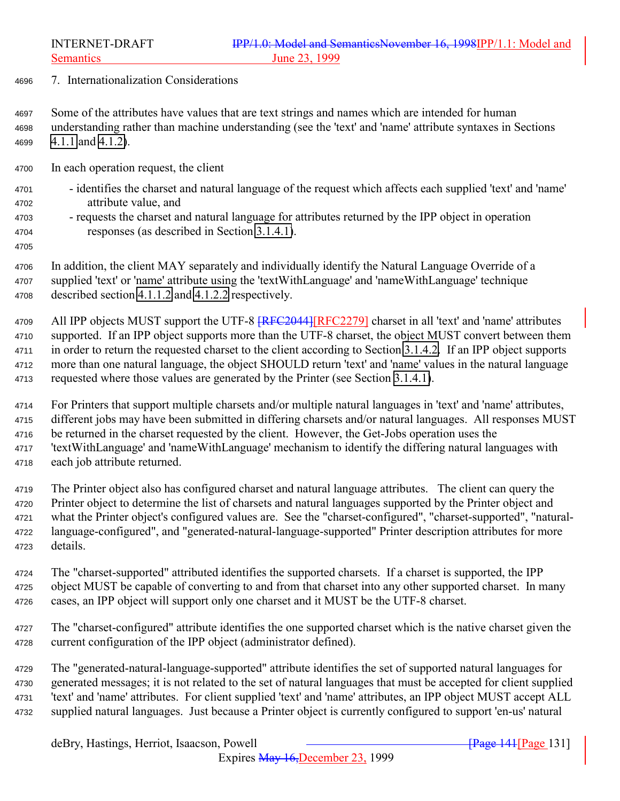7. Internationalization Considerations

 Some of the attributes have values that are text strings and names which are intended for human understanding rather than machine understanding (see the 'text' and 'name' attribute syntaxes in Sections [4.1.1](#page-66-0) and [4.1.2\)](#page-68-0).

In each operation request, the client

- identifies the charset and natural language of the request which affects each supplied 'text' and 'name' attribute value, and
- requests the charset and natural language for attributes returned by the IPP object in operation responses (as described in Section [3.1.4.1\)](#page-24-0).
- 

 In addition, the client MAY separately and individually identify the Natural Language Override of a supplied 'text' or 'name' attribute using the 'textWithLanguage' and 'nameWithLanguage' technique described section [4.1.1.2](#page-67-0) and [4.1.2.2](#page-68-0) respectively.

4709 All IPP objects MUST support the UTF-8  $FFC2044$  [RFC2279] charset in all 'text' and 'name' attributes supported. If an IPP object supports more than the UTF-8 charset, the object MUST convert between them in order to return the requested charset to the client according to Section [3.1.4.2.](#page-27-0) If an IPP object supports more than one natural language, the object SHOULD return 'text' and 'name' values in the natural language requested where those values are generated by the Printer (see Section [3.1.4.1\)](#page-24-0).

 For Printers that support multiple charsets and/or multiple natural languages in 'text' and 'name' attributes, different jobs may have been submitted in differing charsets and/or natural languages. All responses MUST be returned in the charset requested by the client. However, the Get-Jobs operation uses the 'textWithLanguage' and 'nameWithLanguage' mechanism to identify the differing natural languages with each job attribute returned.

 The Printer object also has configured charset and natural language attributes. The client can query the Printer object to determine the list of charsets and natural languages supported by the Printer object and what the Printer object's configured values are. See the "charset-configured", "charset-supported", "natural- language-configured", and "generated-natural-language-supported" Printer description attributes for more details.

 The "charset-supported" attributed identifies the supported charsets. If a charset is supported, the IPP object MUST be capable of converting to and from that charset into any other supported charset. In many cases, an IPP object will support only one charset and it MUST be the UTF-8 charset.

 The "charset-configured" attribute identifies the one supported charset which is the native charset given the current configuration of the IPP object (administrator defined).

 The "generated-natural-language-supported" attribute identifies the set of supported natural languages for generated messages; it is not related to the set of natural languages that must be accepted for client supplied 'text' and 'name' attributes. For client supplied 'text' and 'name' attributes, an IPP object MUST accept ALL supplied natural languages. Just because a Printer object is currently configured to support 'en-us' natural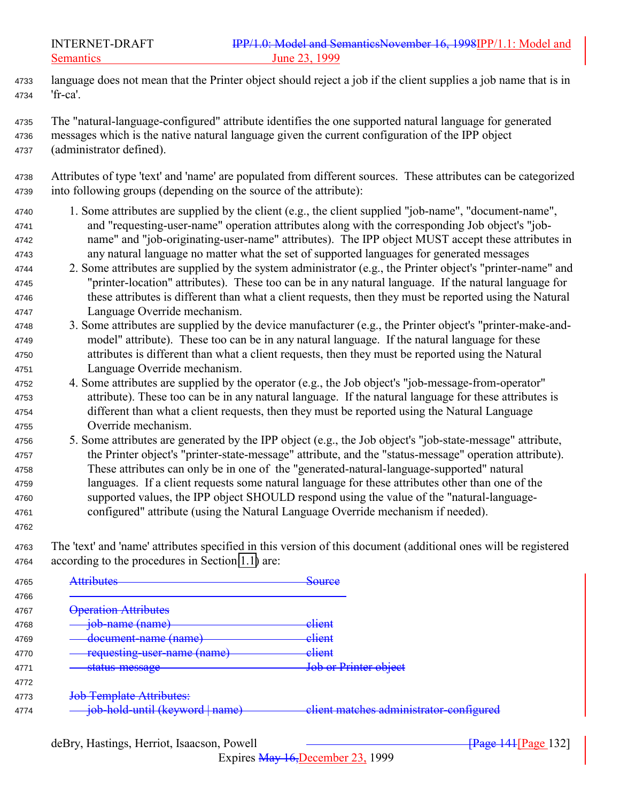language does not mean that the Printer object should reject a job if the client supplies a job name that is in 'fr-ca'.

 The "natural-language-configured" attribute identifies the one supported natural language for generated messages which is the native natural language given the current configuration of the IPP object (administrator defined).

 Attributes of type 'text' and 'name' are populated from different sources. These attributes can be categorized into following groups (depending on the source of the attribute):

- 1. Some attributes are supplied by the client (e.g., the client supplied "job-name", "document-name", and "requesting-user-name" operation attributes along with the corresponding Job object's "job- name" and "job-originating-user-name" attributes). The IPP object MUST accept these attributes in any natural language no matter what the set of supported languages for generated messages
- 2. Some attributes are supplied by the system administrator (e.g., the Printer object's "printer-name" and "printer-location" attributes). These too can be in any natural language. If the natural language for these attributes is different than what a client requests, then they must be reported using the Natural Language Override mechanism.
- 3. Some attributes are supplied by the device manufacturer (e.g., the Printer object's "printer-make-and- model" attribute). These too can be in any natural language. If the natural language for these attributes is different than what a client requests, then they must be reported using the Natural Language Override mechanism.
- 4. Some attributes are supplied by the operator (e.g., the Job object's "job-message-from-operator" attribute). These too can be in any natural language. If the natural language for these attributes is different than what a client requests, then they must be reported using the Natural Language Override mechanism.
- 5. Some attributes are generated by the IPP object (e.g., the Job object's "job-state-message" attribute, the Printer object's "printer-state-message" attribute, and the "status-message" operation attribute). These attributes can only be in one of the "generated-natural-language-supported" natural languages. If a client requests some natural language for these attributes other than one of the supported values, the IPP object SHOULD respond using the value of the "natural-language-configured" attribute (using the Natural Language Override mechanism if needed).
- 

 The 'text' and 'name' attributes specified in this version of this document (additional ones will be registered according to the procedures in Section [1.1\)](#page-125-0) are:

| <b>Attributes</b>               | Source                                  |
|---------------------------------|-----------------------------------------|
| <b>Operation Attributes</b>     |                                         |
| job-name (name)                 | elient                                  |
| document-name (name)            | client                                  |
| requesting-user-name (name)     | client                                  |
| <del>status-message</del>       | Job or Printer object                   |
|                                 |                                         |
| Job Template Attributes:        |                                         |
| job-hold-until (keyword   name) | client matches administrator-configured |

Expires May 16,December 23, 1999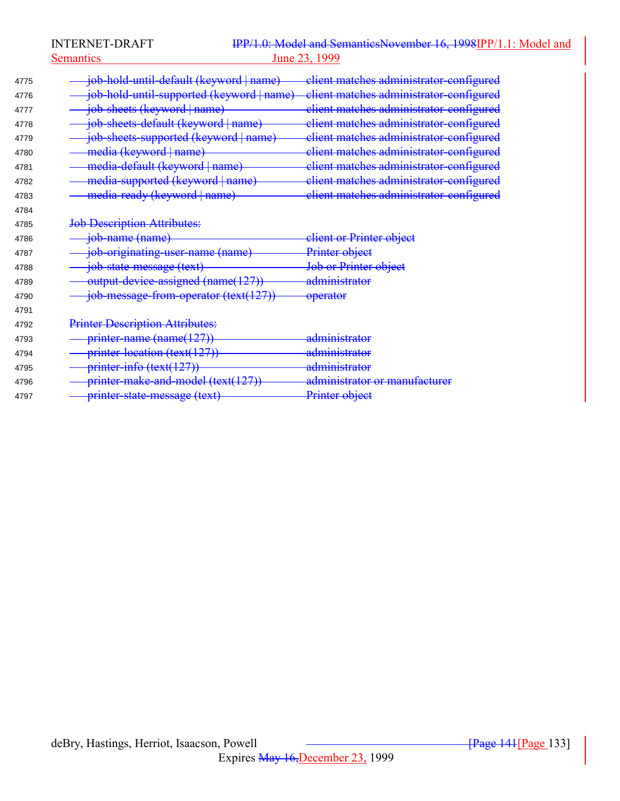Semantics 23, 1999

| 4775 | <del>job-hold-until-default (keyword   name</del> ) | client matches administrator-configured |
|------|-----------------------------------------------------|-----------------------------------------|
| 4776 | job-hold-until-supported (keyword   name)           | client matches administrator-configured |
| 4777 | job-sheets (keyword   name)                         | client matches administrator-configured |
| 4778 | job-sheets-default (keyword   name)                 | client matches administrator-configured |
| 4779 | job-sheets-supported (keyword   name)               | client matches administrator-configured |
| 4780 | media (keyword   name)                              | client matches administrator-configured |
| 4781 | media-default (keyword   name)                      | client matches administrator-configured |
| 4782 | media-supported (keyword   name)                    | client matches administrator-configured |
| 4783 | media-ready (keyword   name)                        | client matches administrator-configured |
| 4784 |                                                     |                                         |
| 4785 | <b>Job Description Attributes:</b>                  |                                         |
| 4786 | job-name (name)                                     | client or Printer object                |
| 4787 | job-originating-user-name (name)                    | Printer object                          |
| 4788 | job-state-message (text)                            | Job or Printer object                   |
| 4789 | output-device-assigned (name(127))                  | administrator                           |
| 4790 | job-message-from-operator (text(127))               | <del>operator</del>                     |
| 4791 |                                                     |                                         |
| 4792 | <b>Printer Description Attributes:</b>              |                                         |
| 4793 | printer-name (name(127))                            | administrator                           |
| 4794 | printer-location (text(127))                        | <del>administrator</del>                |
| 4795 | printer-info (text(127))                            | <del>administrator</del>                |
| 4796 | printer-make-and-model (text(127))                  | administrator or manufacturer           |
| 4797 | printer-state-message (text)                        | Printer object                          |
|      |                                                     |                                         |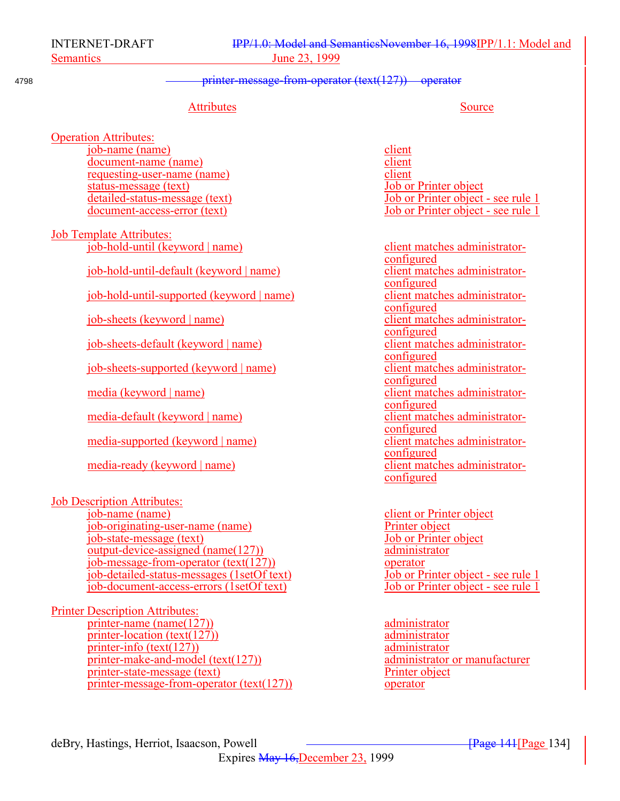## 4798 **printer-message-from-operator (text(127)** operator

## Attributes Source

Operation Attributes: job-name (name) client<br>document-name (name) client document-name (name) requesting-user-name (name)<br>status-message (text) b) client<br>object<br>of Printer object status-message (text)

Job Template Attributes: job-hold-until (keyword | name) client matches administrator-

job-hold-until-default (keyword | name)

job-hold-until-supported (keyword | name)

 $job-sheets$  (keyword | name)

job-sheets-default (keyword | name)

job-sheets-supported (keyword | name)

media-default (keyword | name) client matches administrator-

media-supported (keyword | name) client matches administrator-

media-ready (keyword | name) client matches administrator-

Job Description Attributes: job-name (name) client or Printer object job-originating-user-name (name)<br>
job-state-message (text)<br>
Job or Printer object  $job-state-message$  (text) output-device-assigned (name(127)) administrator job-message-from-operator  $(text(127))$  operator job-detailed-status-messages (1setOf text) Job or Printer object - see rule 1  $job-document-access-errors (1setOf text)$ 

Printer Description Attributes: printer-name (name(127)) administrator printer-location (text(127)) administrator printer-info  $(text(127))$  administrator printer-make-and-model (text(127)) administrator or manufacturer printer-state-message (text) Printer object printer-message-from-operator (text(127)) operator

detailed-status-message (text) Job or Printer object - see rule 1 document-access-error (text) Job or Printer object - see rule 1

configured<br>client matches administratorconfigured<br>client matches administratorconfigured<br>client matches administratorconfigured<br>client matches administratorconfigured<br>client matches administratorconfigured media (keyword | name) client matches administratorconfigured configured configured configured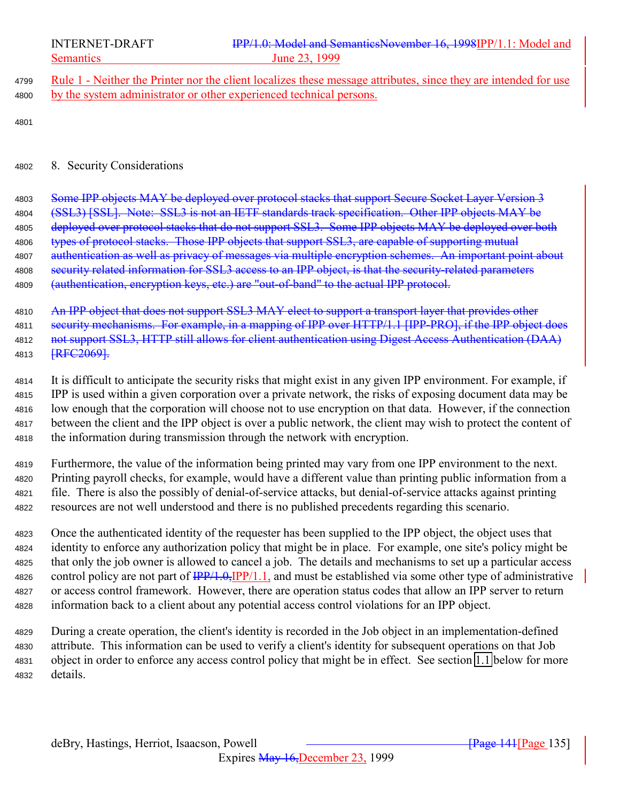<span id="page-134-0"></span>

4799 Rule 1 - Neither the Printer nor the client localizes these message attributes, since they are intended for use 4800 by the system administrator or other experienced technical persons.

4801

### <sup>4802</sup> 8. Security Considerations

4803 Some IPP objects MAY be deployed over protocol stacks that support Secure Socket Layer Version 3 4804 (SSL3) [SSL]. Note: SSL3 is not an IETF standards track specification. Other IPP objects MAY be 4805 deployed over protocol stacks that do not support SSL3. Some IPP objects MAY be deployed over both 4806 types of protocol stacks. Those IPP objects that support SSL3, are capable of supporting mutual 4807 authentication as well as privacy of messages via multiple encryption schemes. An important point about 4808 security related information for SSL3 access to an IPP object, is that the security-related parameters 4809 (authentication, encryption keys, etc.) are "out-of-band" to the actual IPP protocol.

4810 An IPP object that does not support SSL3 MAY elect to support a transport layer that provides other 4811 security mechanisms. For example, in a mapping of IPP over HTTP/1.1 [IPP-PRO], if the IPP object does 4812 not support SSL3, HTTP still allows for client authentication using Digest Access Authentication (DAA) 4813 **[RFC2069].** 

 It is difficult to anticipate the security risks that might exist in any given IPP environment. For example, if IPP is used within a given corporation over a private network, the risks of exposing document data may be low enough that the corporation will choose not to use encryption on that data. However, if the connection between the client and the IPP object is over a public network, the client may wish to protect the content of the information during transmission through the network with encryption.

 Furthermore, the value of the information being printed may vary from one IPP environment to the next. Printing payroll checks, for example, would have a different value than printing public information from a file. There is also the possibly of denial-of-service attacks, but denial-of-service attacks against printing resources are not well understood and there is no published precedents regarding this scenario.

 Once the authenticated identity of the requester has been supplied to the IPP object, the object uses that identity to enforce any authorization policy that might be in place. For example, one site's policy might be that only the job owner is allowed to cancel a job. The details and mechanisms to set up a particular access 4826 control policy are not part of  $\frac{IPP}{1.0}$ ,  $\frac{IPP}{1.1}$ , and must be established via some other type of administrative or access control framework. However, there are operation status codes that allow an IPP server to return information back to a client about any potential access control violations for an IPP object.

 During a create operation, the client's identity is recorded in the Job object in an implementation-defined attribute. This information can be used to verify a client's identity for subsequent operations on that Job object in order to enforce any access control policy that might be in effect. See section [1.1](#page-138-0) below for more <sup>4832</sup> details.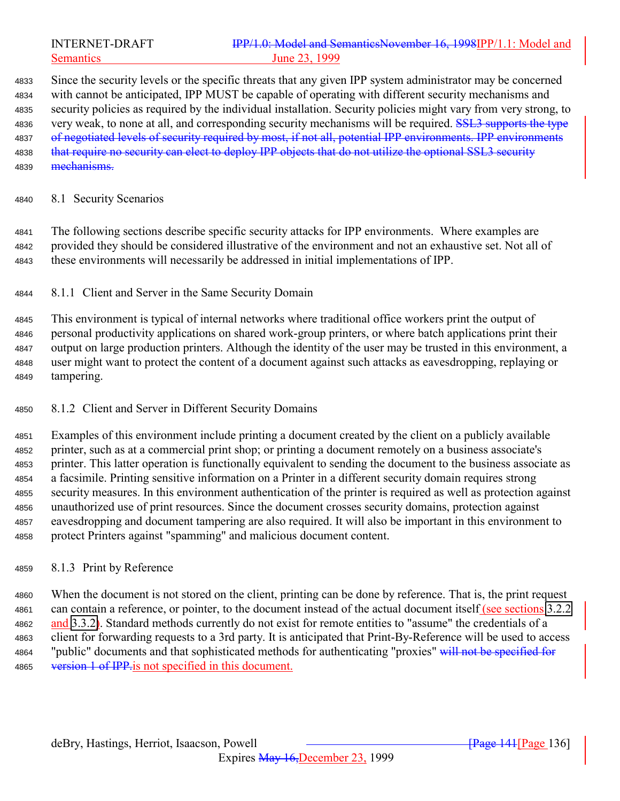Since the security levels or the specific threats that any given IPP system administrator may be concerned with cannot be anticipated, IPP MUST be capable of operating with different security mechanisms and security policies as required by the individual installation. Security policies might vary from very strong, to 4836 very weak, to none at all, and corresponding security mechanisms will be required. **SSL3** supports the type 4837 of negotiated levels of security required by most, if not all, potential IPP environments. IPP environments 4838 that require no security can elect to deploy IPP objects that do not utilize the optional SSL3 security 4839 <del>mechanisms.</del>

### 8.1 Security Scenarios

 The following sections describe specific security attacks for IPP environments. Where examples are provided they should be considered illustrative of the environment and not an exhaustive set. Not all of these environments will necessarily be addressed in initial implementations of IPP.

8.1.1 Client and Server in the Same Security Domain

 This environment is typical of internal networks where traditional office workers print the output of personal productivity applications on shared work-group printers, or where batch applications print their output on large production printers. Although the identity of the user may be trusted in this environment, a user might want to protect the content of a document against such attacks as eavesdropping, replaying or tampering.

8.1.2 Client and Server in Different Security Domains

 Examples of this environment include printing a document created by the client on a publicly available printer, such as at a commercial print shop; or printing a document remotely on a business associate's printer. This latter operation is functionally equivalent to sending the document to the business associate as a facsimile. Printing sensitive information on a Printer in a different security domain requires strong security measures. In this environment authentication of the printer is required as well as protection against unauthorized use of print resources. Since the document crosses security domains, protection against eavesdropping and document tampering are also required. It will also be important in this environment to protect Printers against "spamming" and malicious document content.

8.1.3 Print by Reference

 When the document is not stored on the client, printing can be done by reference. That is, the print request can contain a reference, or pointer, to the document instead of the actual document itself (see sections [3.2.2](#page-42-0) and [3.3.2\)](#page-56-0). Standard methods currently do not exist for remote entities to "assume" the credentials of a client for forwarding requests to a 3rd party. It is anticipated that Print-By-Reference will be used to access 4864 "public" documents and that sophisticated methods for authenticating "proxies" will not be specified for 4865 version 1 of IPP is not specified in this document.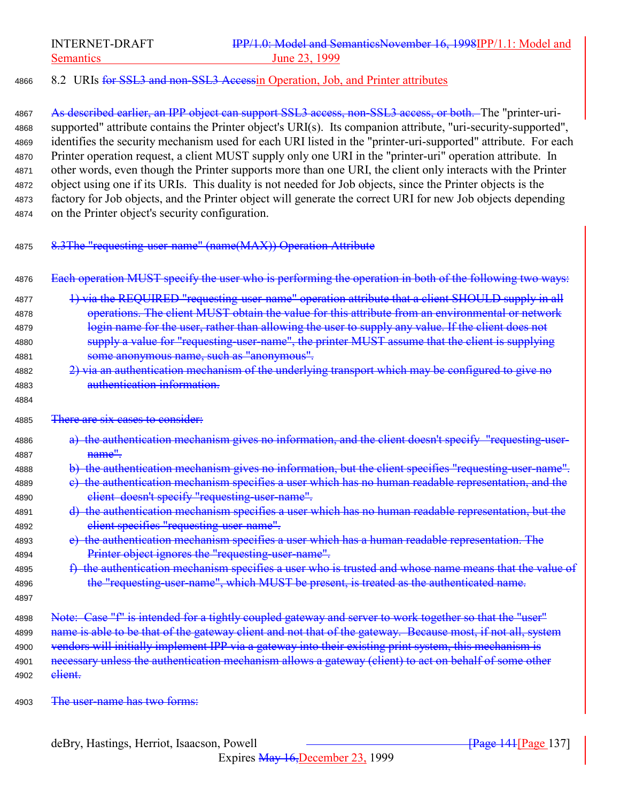# 4866 8.2 URIs for SSL3 and non-SSL3 Accessin Operation, Job, and Printer attributes

4867 As described earlier, an IPP object can support SSL3 access, non-SSL3 access, or both. The "printer-uri- supported" attribute contains the Printer object's URI(s). Its companion attribute, "uri-security-supported", identifies the security mechanism used for each URI listed in the "printer-uri-supported" attribute. For each Printer operation request, a client MUST supply only one URI in the "printer-uri" operation attribute. In other words, even though the Printer supports more than one URI, the client only interacts with the Printer object using one if its URIs. This duality is not needed for Job objects, since the Printer objects is the factory for Job objects, and the Printer object will generate the correct URI for new Job objects depending on the Printer object's security configuration.

<sup>4875</sup> 8.3The "requesting-user-name" (name(MAX)) Operation Attribute

4876 Each operation MUST specify the user who is performing the operation in both of the following two ways:

- 4877 1) via the REQUIRED "requesting-user-name" operation attribute that a client SHOULD supply in all <sup>4878</sup> operations. The client MUST obtain the value for this attribute from an environmental or network 4879 login name for the user, rather than allowing the user to supply any value. If the client does not 4880 supply a value for "requesting-user-name", the printer MUST assume that the client is supplying <sup>4881</sup> some anonymous name, such as "anonymous".
- <sup>4882</sup> 2) via an authentication mechanism of the underlying transport which may be configured to give no <sup>4883</sup> authentication information.
- 4885 There are six cases to consider:
- <sup>4886</sup> a) the authentication mechanism gives no information, and the client doesn't specify "requesting-user-4887 **name"**
- <sup>4888</sup> b) the authentication mechanism gives no information, but the client specifies "requesting-user-name".
- 4889 e) the authentication mechanism specifies a user which has no human readable representation, and the <sup>4890</sup> client doesn't specify "requesting-user-name".
- 4891 d) the authentication mechanism specifies a user which has no human readable representation, but the <sup>4892</sup> client specifies "requesting-user-name".
- <sup>4893</sup> e) the authentication mechanism specifies a user which has a human readable representation. The 4894 **Printer object ignores the "requesting-user-name".**
- 4895 f) the authentication mechanism specifies a user who is trusted and whose name means that the value of 4896 the "requesting-user-name", which MUST be present, is treated as the authenticated name.
- 4897

4884

4898 Note: Case "f" is intended for a tightly coupled gateway and server to work together so that the "user" 4899 name is able to be that of the gateway client and not that of the gateway. Because most, if not all, system 4900 vendors will initially implement IPP via a gateway into their existing print system, this mechanism is 4901 necessary unless the authentication mechanism allows a gateway (client) to act on behalf of some other 4902 <del>client.</del>

4903 The user-name has two forms: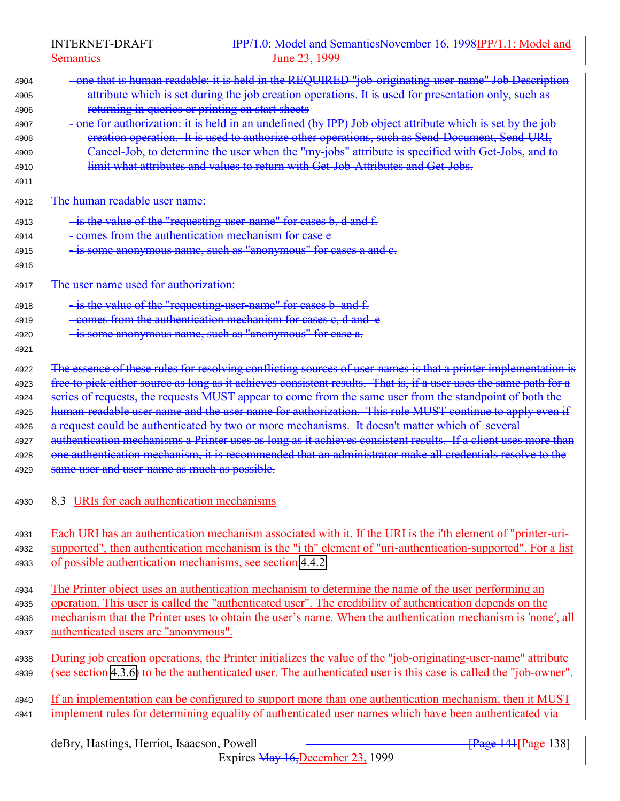Semantics 23, 1999

| 4904         | - one that is human readable: it is held in the REQUIRED "job-originating-user-name" Job Description              |
|--------------|-------------------------------------------------------------------------------------------------------------------|
| 4905         | attribute which is set during the job creation operations. It is used for presentation only, such as              |
| 4906         | returning in queries or printing on start sheets                                                                  |
| 4907         | -one for authorization: it is held in an undefined (by IPP) Job object attribute which is set by the job          |
| 4908         | creation operation. It is used to authorize other operations, such as Send-Document, Send-URI,                    |
| 4909         | Cancel-Job, to determine the user when the "my-jobs" attribute is specified with Get-Jobs, and to                 |
| 4910         | limit what attributes and values to return with Get-Job-Attributes and Get-Jobs.                                  |
| 4911         | The human readable user name:                                                                                     |
| 4912         |                                                                                                                   |
| 4913         | - is the value of the "requesting-user-name" for cases b, d and f.                                                |
| 4914         | - comes from the authentication mechanism for case e                                                              |
| 4915<br>4916 | - is some anonymous name, such as "anonymous" for cases a and e-                                                  |
| 4917         | The user name used for authorization:                                                                             |
| 4918         | - is the value of the "requesting-user-name" for cases b and f.                                                   |
| 4919         | -comes from the authentication mechanism for cases c, d and e                                                     |
| 4920         | - is some anonymous name, such as "anonymous" for case a.                                                         |
| 4921         |                                                                                                                   |
| 4922         | The essence of these rules for resolving conflicting sources of user-names is that a printer implementation is    |
| 4923         | free to pick either source as long as it achieves consistent results. That is, if a user uses the same path for a |
| 4924         | series of requests, the requests MUST appear to come from the same user from the standpoint of both the           |
| 4925         | human-readable user name and the user name for authorization. This rule MUST continue to apply even if            |
| 4926         | a request could be authenticated by two or more mechanisms. It doesn't matter which of several                    |
| 4927         | authentication mechanisms a Printer uses as long as it achieves consistent results. If a client uses more than    |
| 4928         | one authentication mechanism, it is recommended that an administrator make all credentials resolve to the         |
| 4929         | same user and user-name as much as possible.                                                                      |
| 4930         | 8.3 URIs for each authentication mechanisms                                                                       |
|              | Each URI has an authentication mechanism associated with it. If the URI is the i'th element of "printer-uri-      |
| 4931<br>4932 | supported", then authentication mechanism is the "i th" element of "uri-authentication-supported". For a list     |
| 4933         | of possible authentication mechanisms, see section 4.4.2.                                                         |
|              |                                                                                                                   |
| 4934         | The Printer object uses an authentication mechanism to determine the name of the user performing an               |
| 4935         | operation. This user is called the "authenticated user". The credibility of authentication depends on the         |
| 4936         | mechanism that the Printer uses to obtain the user's name. When the authentication mechanism is 'none', all       |
| 4937         | authenticated users are "anonymous".                                                                              |
| 4938         | During job creation operations, the Printer initializes the value of the "job-originating-user-name" attribute    |
| 4939         | (see section 4.3.6) to be the authenticated user. The authenticated user is this case is called the "job-owner".  |
| 4940         | If an implementation can be configured to support more than one authentication mechanism, then it MUST            |
| 4941         | implement rules for determining equality of authenticated user names which have been authenticated via            |
|              | deBry, Hastings, Herriot, Isaacson, Powell<br><b>Page 141</b> Page 138                                            |
|              |                                                                                                                   |

Expires May 16,December 23, 1999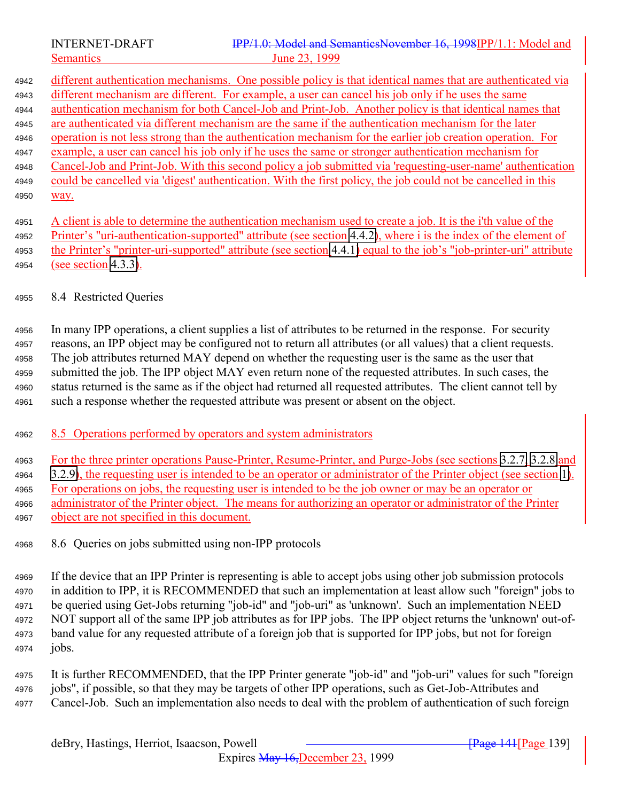<span id="page-138-0"></span>

 different authentication mechanisms. One possible policy is that identical names that are authenticated via different mechanism are different. For example, a user can cancel his job only if he uses the same authentication mechanism for both Cancel-Job and Print-Job. Another policy is that identical names that are authenticated via different mechanism are the same if the authentication mechanism for the later operation is not less strong than the authentication mechanism for the earlier job creation operation. For example, a user can cancel his job only if he uses the same or stronger authentication mechanism for Cancel-Job and Print-Job. With this second policy a job submitted via 'requesting-user-name' authentication could be cancelled via 'digest' authentication. With the first policy, the job could not be cancelled in this 4950 <u>Way.</u>

 A client is able to determine the authentication mechanism used to create a job. It is the i'th value of the Printer's "uri-authentication-supported" attribute (see section [4.4.2\)](#page-106-0), where i is the index of the element of the Printer's "printer-uri-supported" attribute (see section [4.4.1\)](#page-106-0) equal to the job's "job-printer-uri" attribute (see section [4.3.3\)](#page-89-0).

# 8.4 Restricted Queries

 In many IPP operations, a client supplies a list of attributes to be returned in the response. For security reasons, an IPP object may be configured not to return all attributes (or all values) that a client requests. The job attributes returned MAY depend on whether the requesting user is the same as the user that submitted the job. The IPP object MAY even return none of the requested attributes. In such cases, the status returned is the same as if the object had returned all requested attributes. The client cannot tell by such a response whether the requested attribute was present or absent on the object.

4962 8.5 Operations performed by operators and system administrators

For the three printer operations Pause-Printer, Resume-Printer, and Purge-Jobs (see sections [3.2.7,](#page-49-0) [3.2.8](#page-51-0) and

- [3.2.9\)](#page-52-0), the requesting user is intended to be an operator or administrator of the Printer object (see section [1\)](#page-10-0). For operations on jobs, the requesting user is intended to be the job owner or may be an operator or administrator of the Printer object. The means for authorizing an operator or administrator of the Printer object are not specified in this document.
- 8.6 Queries on jobs submitted using non-IPP protocols

 If the device that an IPP Printer is representing is able to accept jobs using other job submission protocols in addition to IPP, it is RECOMMENDED that such an implementation at least allow such "foreign" jobs to be queried using Get-Jobs returning "job-id" and "job-uri" as 'unknown'. Such an implementation NEED NOT support all of the same IPP job attributes as for IPP jobs. The IPP object returns the 'unknown' out-of- band value for any requested attribute of a foreign job that is supported for IPP jobs, but not for foreign jobs.

 It is further RECOMMENDED, that the IPP Printer generate "job-id" and "job-uri" values for such "foreign jobs", if possible, so that they may be targets of other IPP operations, such as Get-Job-Attributes and Cancel-Job. Such an implementation also needs to deal with the problem of authentication of such foreign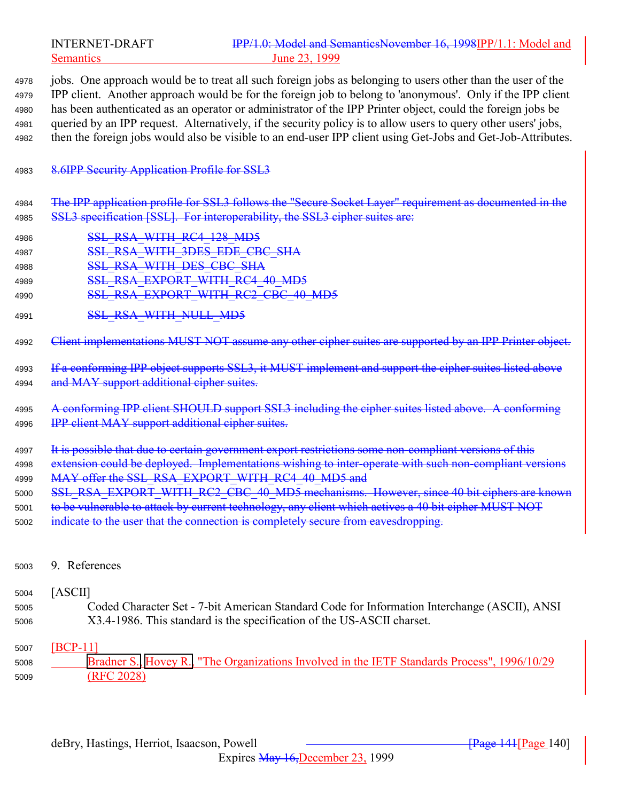|                                      | <b>INTERNET-DRAFT</b><br><b>Semantics</b>               | IPP/1.0: Model and SemanticsNovember 16, 1998IPP/1.1: Model and<br>June 23, 1999                                                                                                                                                                                                                                                                                                                                                                                                                                                                                           |
|--------------------------------------|---------------------------------------------------------|----------------------------------------------------------------------------------------------------------------------------------------------------------------------------------------------------------------------------------------------------------------------------------------------------------------------------------------------------------------------------------------------------------------------------------------------------------------------------------------------------------------------------------------------------------------------------|
| 4978<br>4979<br>4980<br>4981<br>4982 |                                                         | jobs. One approach would be to treat all such foreign jobs as belonging to users other than the user of the<br>IPP client. Another approach would be for the foreign job to belong to 'anonymous'. Only if the IPP client<br>has been authenticated as an operator or administrator of the IPP Printer object, could the foreign jobs be<br>queried by an IPP request. Alternatively, if the security policy is to allow users to query other users' jobs,<br>then the foreign jobs would also be visible to an end-user IPP client using Get-Jobs and Get-Job-Attributes. |
| 4983                                 | 8.6IPP Security Application Profile for SSL3            |                                                                                                                                                                                                                                                                                                                                                                                                                                                                                                                                                                            |
| 4984<br>4985                         |                                                         | The IPP application profile for SSL3 follows the "Secure Socket Layer" requirement as documented in the<br>SSL3 specification [SSL]. For interoperability, the SSL3 cipher suites are:                                                                                                                                                                                                                                                                                                                                                                                     |
| 4986                                 | SSL RSA WITH RC4 128 MD5                                |                                                                                                                                                                                                                                                                                                                                                                                                                                                                                                                                                                            |
| 4987                                 | SSL RSA WITH 3DES EDE CBC SHA                           |                                                                                                                                                                                                                                                                                                                                                                                                                                                                                                                                                                            |
| 4988                                 | <b>SSL RSA WITH DES CBC SHA</b>                         |                                                                                                                                                                                                                                                                                                                                                                                                                                                                                                                                                                            |
| 4989                                 |                                                         | SSL RSA EXPORT WITH RC4 40 MD5                                                                                                                                                                                                                                                                                                                                                                                                                                                                                                                                             |
| 4990                                 |                                                         | SSL RSA EXPORT WITH RC2 CBC 40 MD5                                                                                                                                                                                                                                                                                                                                                                                                                                                                                                                                         |
| 4991                                 | <b>SSL RSA WITH NULL MD5</b>                            |                                                                                                                                                                                                                                                                                                                                                                                                                                                                                                                                                                            |
| 4992                                 |                                                         | Client implementations MUST NOT assume any other cipher suites are supported by an IPP Printer object.                                                                                                                                                                                                                                                                                                                                                                                                                                                                     |
| 4993<br>4994                         | and MAY support additional cipher suites.               | If a conforming IPP object supports SSL3, it MUST implement and support the cipher suites listed above                                                                                                                                                                                                                                                                                                                                                                                                                                                                     |
| 4995                                 |                                                         | A conforming IPP client SHOULD support SSL3 including the cipher suites listed above. A conforming                                                                                                                                                                                                                                                                                                                                                                                                                                                                         |
| 4996                                 | <b>IPP</b> client MAY support additional cipher suites. |                                                                                                                                                                                                                                                                                                                                                                                                                                                                                                                                                                            |
| 4997                                 |                                                         | It is possible that due to certain government export restrictions some non-compliant versions of this                                                                                                                                                                                                                                                                                                                                                                                                                                                                      |
| 4998                                 |                                                         | extension could be deployed. Implementations wishing to inter-operate with such non-compliant versions                                                                                                                                                                                                                                                                                                                                                                                                                                                                     |
| 4999                                 |                                                         | MAY offer the SSL_RSA_EXPORT_WITH_RC4_40_MD5 and                                                                                                                                                                                                                                                                                                                                                                                                                                                                                                                           |
| 5000                                 |                                                         | SSL_RSA_EXPORT_WITH_RC2_CBC_40_MD5 mechanisms. However, since 40 bit ciphers are known                                                                                                                                                                                                                                                                                                                                                                                                                                                                                     |
| 5001                                 |                                                         | to be vulnerable to attack by current technology, any client which actives a 40 bit cipher MUST NOT                                                                                                                                                                                                                                                                                                                                                                                                                                                                        |
| 5002                                 |                                                         | indicate to the user that the connection is completely secure from eavesdropping.                                                                                                                                                                                                                                                                                                                                                                                                                                                                                          |
| 5003                                 | 9. References                                           |                                                                                                                                                                                                                                                                                                                                                                                                                                                                                                                                                                            |
| 5004                                 | [ASCII]                                                 |                                                                                                                                                                                                                                                                                                                                                                                                                                                                                                                                                                            |
| 5005                                 |                                                         | Coded Character Set - 7-bit American Standard Code for Information Interchange (ASCII), ANSI                                                                                                                                                                                                                                                                                                                                                                                                                                                                               |
| 5006                                 |                                                         | X3.4-1986. This standard is the specification of the US-ASCII charset.                                                                                                                                                                                                                                                                                                                                                                                                                                                                                                     |

# [BCP-11]

 Bradner S., Hovey R., "The Organizations Involved in the IETF Standards Process", 1996/10/29 (RFC 2028)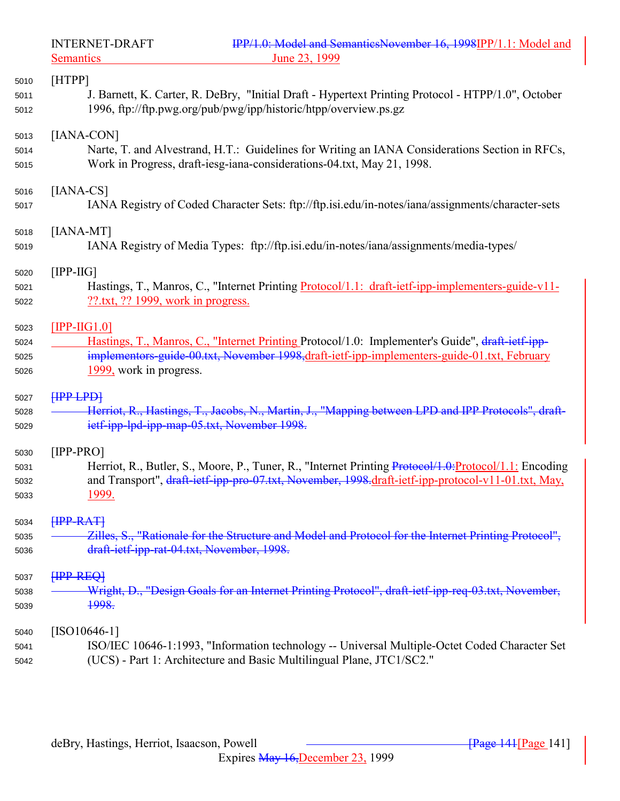| [HTPP]                                                                                                                                                                   |
|--------------------------------------------------------------------------------------------------------------------------------------------------------------------------|
| J. Barnett, K. Carter, R. DeBry, "Initial Draft - Hypertext Printing Protocol - HTPP/1.0", October<br>1996, ftp://ftp.pwg.org/pub/pwg/ipp/historic/htpp/overview.ps.gz   |
| [IANA-CON]                                                                                                                                                               |
| Narte, T. and Alvestrand, H.T.: Guidelines for Writing an IANA Considerations Section in RFCs,<br>Work in Progress, draft-iesg-iana-considerations-04.txt, May 21, 1998. |
| $[IANA-CS]$                                                                                                                                                              |
| IANA Registry of Coded Character Sets: ftp://ftp.isi.edu/in-notes/iana/assignments/character-sets                                                                        |
| [IANA-MT]                                                                                                                                                                |
| IANA Registry of Media Types: ftp://ftp.isi.edu/in-notes/iana/assignments/media-types/                                                                                   |
| $[IPP-HG]$                                                                                                                                                               |
| Hastings, T., Manros, C., "Internet Printing Protocol/1.1: draft-ietf-ipp-implementers-guide-v11-                                                                        |
| $??$ .txt, $??$ 1999, work in progress.                                                                                                                                  |
| $[IPP-HG1.0]$                                                                                                                                                            |
| Hastings, T., Manros, C., "Internet Printing Protocol/1.0: Implementer's Guide", draft-ietf-ipp-                                                                         |
| implementors-guide-00.txt, November 1998, draft-ietf-ipp-implementers-guide-01.txt, February                                                                             |
| 1999, work in progress.                                                                                                                                                  |
| HPP LPD                                                                                                                                                                  |
| Herriot, R., Hastings, T., Jacobs, N., Martin, J., "Mapping between LPD and IPP Protocols", draft-                                                                       |
| ietf-ipp-lpd-ipp-map-05.txt, November 1998.                                                                                                                              |
| $[IPP-PRO]$                                                                                                                                                              |
| Herriot, R., Butler, S., Moore, P., Tuner, R., "Internet Printing Protocol/1.0: Protocol/1.1: Encoding                                                                   |
| and Transport", draft-ietf-ipp-pro-07.txt, November, 1998.draft-ietf-ipp-protocol-v11-01.txt, May,<br><u>1999.</u>                                                       |
|                                                                                                                                                                          |
| HPP-RAT                                                                                                                                                                  |
| Zilles, S., "Rationale for the Structure and Model and Protocol for the Internet Printing Protocol",<br>draft-ietf-ipp-rat-04.txt, November, 1998.                       |
|                                                                                                                                                                          |
| HPP-REQ                                                                                                                                                                  |
| Wright, D., "Design Goals for an Internet Printing Protocol", draft-ietf-ipp-req-03.txt, November,                                                                       |
| 1998.                                                                                                                                                                    |
| $[ISO10646-1]$                                                                                                                                                           |
| ISO/IEC 10646-1:1993, "Information technology -- Universal Multiple-Octet Coded Character Set                                                                            |
| (UCS) - Part 1: Architecture and Basic Multilingual Plane, JTC1/SC2."                                                                                                    |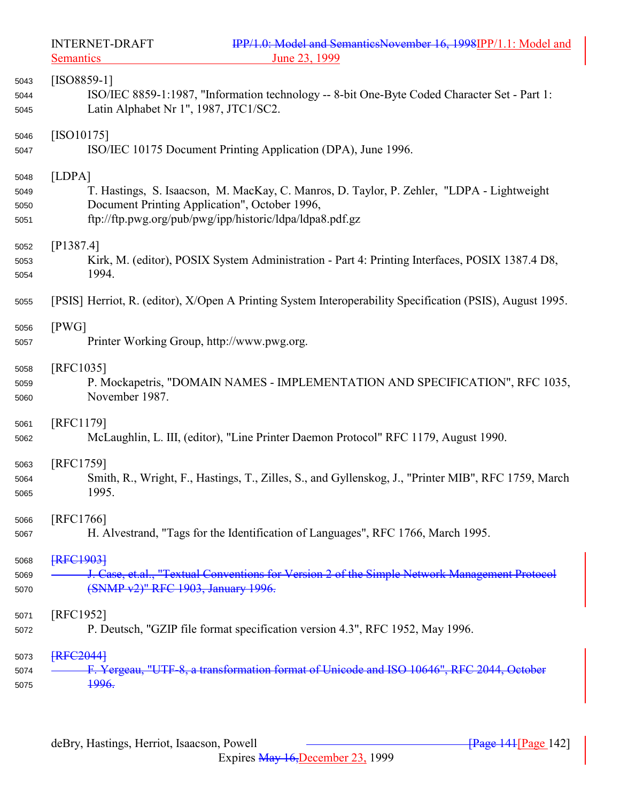Semantics 23, 1999

INTERNET-DRAFT IPP/1.0: Model and SemanticsNovember 16, 1998IPP/1.1: Model and Semantics

| 5043 | $[ISO8859-1]$                                                                                             |
|------|-----------------------------------------------------------------------------------------------------------|
| 5044 | ISO/IEC 8859-1:1987, "Information technology -- 8-bit One-Byte Coded Character Set - Part 1:              |
| 5045 | Latin Alphabet Nr 1", 1987, JTC1/SC2.                                                                     |
| 5046 | $[ISO10175]$                                                                                              |
| 5047 | ISO/IEC 10175 Document Printing Application (DPA), June 1996.                                             |
| 5048 | [LDPA]                                                                                                    |
| 5049 | T. Hastings, S. Isaacson, M. MacKay, C. Manros, D. Taylor, P. Zehler, "LDPA - Lightweight                 |
| 5050 | Document Printing Application", October 1996,                                                             |
| 5051 | ftp://ftp.pwg.org/pub/pwg/ipp/historic/ldpa/ldpa8.pdf.gz                                                  |
| 5052 | [P1387.4]                                                                                                 |
| 5053 | Kirk, M. (editor), POSIX System Administration - Part 4: Printing Interfaces, POSIX 1387.4 D8,            |
| 5054 | 1994.                                                                                                     |
| 5055 | [PSIS] Herriot, R. (editor), X/Open A Printing System Interoperability Specification (PSIS), August 1995. |
| 5056 | [PWG]                                                                                                     |
| 5057 | Printer Working Group, http://www.pwg.org.                                                                |
| 5058 | [RFC1035]                                                                                                 |
| 5059 | P. Mockapetris, "DOMAIN NAMES - IMPLEMENTATION AND SPECIFICATION", RFC 1035,                              |
| 5060 | November 1987.                                                                                            |
| 5061 | [RFC1179]                                                                                                 |
| 5062 | McLaughlin, L. III, (editor), "Line Printer Daemon Protocol" RFC 1179, August 1990.                       |
| 5063 | [RFC1759]                                                                                                 |
| 5064 | Smith, R., Wright, F., Hastings, T., Zilles, S., and Gyllenskog, J., "Printer MIB", RFC 1759, March       |
| 5065 | 1995.                                                                                                     |
| 5066 | <b>RFC17661</b>                                                                                           |
| 5067 | H. Alvestrand, "Tags for the Identification of Languages", RFC 1766, March 1995.                          |
| 5068 | <b>FRFC1903</b>                                                                                           |
| 5069 | J. Case, et.al., "Textual Conventions for Version 2 of the Simple Network Management Protocol             |
| 5070 | (SNMP v2)" RFC 1903, January 1996.                                                                        |
| 5071 | [RFC1952]                                                                                                 |
| 5072 | P. Deutsch, "GZIP file format specification version 4.3", RFC 1952, May 1996.                             |
| 5073 | <b>FRFC2044</b>                                                                                           |
| 5074 | F. Yergeau, "UTF-8, a transformation format of Unicode and ISO 10646", RFC 2044, October                  |
| 5075 | <del>1996.</del>                                                                                          |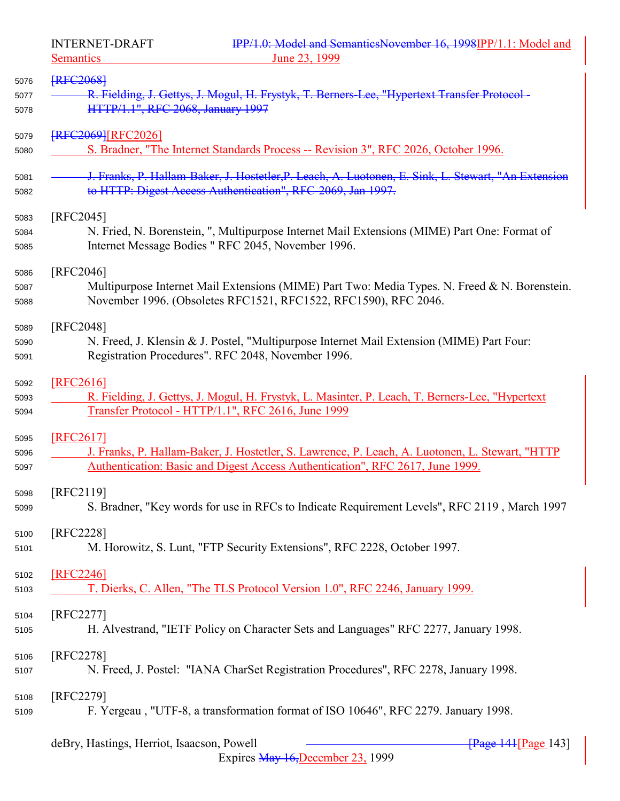INTERNET-DRAFT IPP/1.0: Model and SemanticsNovember 16, 1998IPP/1.1: Model and

| <u>Semantics</u> | June 23, 1999                                                                                                                                                      |
|------------------|--------------------------------------------------------------------------------------------------------------------------------------------------------------------|
| <b>FRFC2068</b>  |                                                                                                                                                                    |
|                  | R. Fielding, J. Gettys, J. Mogul, H. Frystyk, T. Berners-Lee, "Hypertext Transfer Protocol-                                                                        |
|                  | HTTP/1.1", RFC 2068, January 1997                                                                                                                                  |
|                  | <b>FRFC2069 [RFC2026]</b>                                                                                                                                          |
|                  | S. Bradner, "The Internet Standards Process -- Revision 3", RFC 2026, October 1996.                                                                                |
|                  | J. Franks, P. Hallam-Baker, J. Hostetler, P. Leach, A. Luotonen, E. Sink, L. Stewart, "An Extension<br>to HTTP: Digest Access Authentication", RFC-2069, Jan 1997. |
| [RFC2045]        |                                                                                                                                                                    |
|                  | N. Fried, N. Borenstein, ", Multipurpose Internet Mail Extensions (MIME) Part One: Format of                                                                       |
|                  | Internet Message Bodies "RFC 2045, November 1996.                                                                                                                  |
| [RFC2046]        |                                                                                                                                                                    |
|                  | Multipurpose Internet Mail Extensions (MIME) Part Two: Media Types. N. Freed & N. Borenstein.                                                                      |
|                  | November 1996. (Obsoletes RFC1521, RFC1522, RFC1590), RFC 2046.                                                                                                    |
| [RFC2048]        |                                                                                                                                                                    |
|                  | N. Freed, J. Klensin & J. Postel, "Multipurpose Internet Mail Extension (MIME) Part Four:                                                                          |
|                  | Registration Procedures". RFC 2048, November 1996.                                                                                                                 |
| [RFC2616]        |                                                                                                                                                                    |
|                  | R. Fielding, J. Gettys, J. Mogul, H. Frystyk, L. Masinter, P. Leach, T. Berners-Lee, "Hypertext                                                                    |
|                  | Transfer Protocol - HTTP/1.1", RFC 2616, June 1999                                                                                                                 |
| [RFC2617]        |                                                                                                                                                                    |
|                  | J. Franks, P. Hallam-Baker, J. Hostetler, S. Lawrence, P. Leach, A. Luotonen, L. Stewart, "HTTP                                                                    |
|                  | Authentication: Basic and Digest Access Authentication", RFC 2617, June 1999.                                                                                      |
| [RFC2119]        |                                                                                                                                                                    |
|                  | S. Bradner, "Key words for use in RFCs to Indicate Requirement Levels", RFC 2119, March 1997                                                                       |
| [RFC2228]        |                                                                                                                                                                    |
|                  | M. Horowitz, S. Lunt, "FTP Security Extensions", RFC 2228, October 1997.                                                                                           |
| [RFC2246]        |                                                                                                                                                                    |
|                  | T. Dierks, C. Allen, "The TLS Protocol Version 1.0", RFC 2246, January 1999.                                                                                       |
| [RFC2277]        |                                                                                                                                                                    |
|                  | H. Alvestrand, "IETF Policy on Character Sets and Languages" RFC 2277, January 1998.                                                                               |
| [RFC2278]        |                                                                                                                                                                    |
|                  | N. Freed, J. Postel: "IANA CharSet Registration Procedures", RFC 2278, January 1998.                                                                               |
|                  |                                                                                                                                                                    |
| [RFC2279]        | F. Yergeau, "UTF-8, a transformation format of ISO 10646", RFC 2279. January 1998.                                                                                 |
|                  |                                                                                                                                                                    |
|                  | deBry, Hastings, Herriot, Isaacson, Powell<br><b>Page 141 Page 143</b>                                                                                             |

Expires May 16,December 23, 1999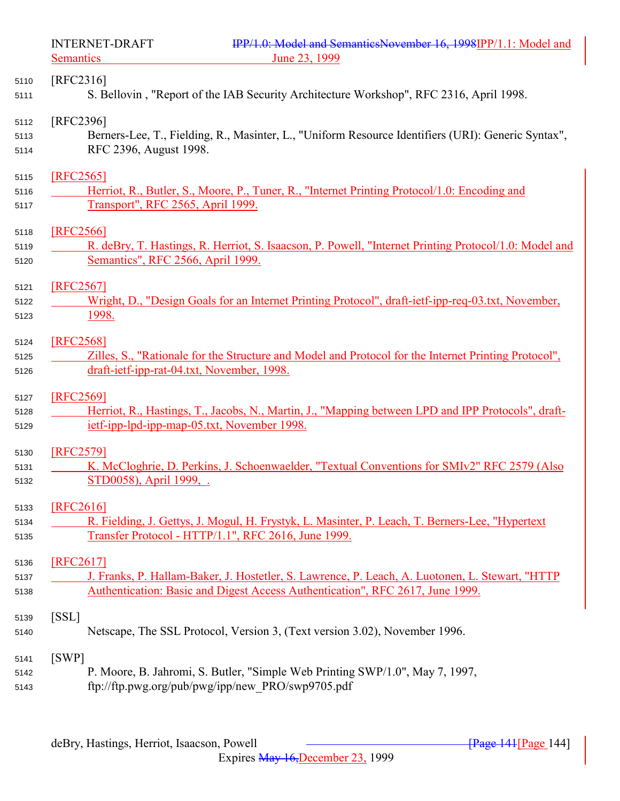Semantics 23, 1999

INTERNET-DRAFT IPP/1.0: Model and SemanticsNovember 16, 1998IPP/1.1: Model and Semantics

| 5110         | $[RFC2316]$                                                                                           |
|--------------|-------------------------------------------------------------------------------------------------------|
| 5111         | S. Bellovin, "Report of the IAB Security Architecture Workshop", RFC 2316, April 1998.                |
| 5112         | [RFC2396]                                                                                             |
| 5113         | Berners-Lee, T., Fielding, R., Masinter, L., "Uniform Resource Identifiers (URI): Generic Syntax",    |
| 5114         | RFC 2396, August 1998.                                                                                |
| 5115         | [RFC2565]                                                                                             |
| 5116         | Herriot, R., Butler, S., Moore, P., Tuner, R., "Internet Printing Protocol/1.0: Encoding and          |
| 5117         | Transport", RFC 2565, April 1999.                                                                     |
| 5118         | [RFC2566]                                                                                             |
| 5119         | R. deBry, T. Hastings, R. Herriot, S. Isaacson, P. Powell, "Internet Printing Protocol/1.0: Model and |
| 5120         | Semantics", RFC 2566, April 1999.                                                                     |
| 5121         | [RFC2567]                                                                                             |
| 5122         | Wright, D., "Design Goals for an Internet Printing Protocol", draft-ietf-ipp-req-03.txt, November,    |
| 5123         | <u>1998.</u>                                                                                          |
| 5124         | [RFC2568]                                                                                             |
| 5125         | Zilles, S., "Rationale for the Structure and Model and Protocol for the Internet Printing Protocol",  |
| 5126         | draft-ietf-ipp-rat-04.txt, November, 1998.                                                            |
| 5127         | [RFC2569]                                                                                             |
| 5128         | Herriot, R., Hastings, T., Jacobs, N., Martin, J., "Mapping between LPD and IPP Protocols", draft-    |
| 5129         | ietf-ipp-lpd-ipp-map-05.txt, November 1998.                                                           |
| 5130         | [RFC2579]                                                                                             |
| 5131         | K. McCloghrie, D. Perkins, J. Schoenwaelder, "Textual Conventions for SMIv2" RFC 2579 (Also           |
| 5132         | STD0058), April 1999,                                                                                 |
| 5133         | <b>[RFC2616]</b>                                                                                      |
| 5134         | R. Fielding, J. Gettys, J. Mogul, H. Frystyk, L. Masinter, P. Leach, T. Berners-Lee, "Hypertext       |
| 5135         | Transfer Protocol - HTTP/1.1", RFC 2616, June 1999.                                                   |
| 5136         | [RFC2617]                                                                                             |
| 5137         | J. Franks, P. Hallam-Baker, J. Hostetler, S. Lawrence, P. Leach, A. Luotonen, L. Stewart, "HTTP       |
| 5138         | Authentication: Basic and Digest Access Authentication", RFC 2617, June 1999.                         |
| 5139         |                                                                                                       |
|              | [SSL]                                                                                                 |
| 5140         | Netscape, The SSL Protocol, Version 3, (Text version 3.02), November 1996.                            |
|              |                                                                                                       |
| 5141<br>5142 | [SWP]<br>P. Moore, B. Jahromi, S. Butler, "Simple Web Printing SWP/1.0", May 7, 1997,                 |
| 5143         | ftp://ftp.pwg.org/pub/pwg/ipp/new PRO/swp9705.pdf                                                     |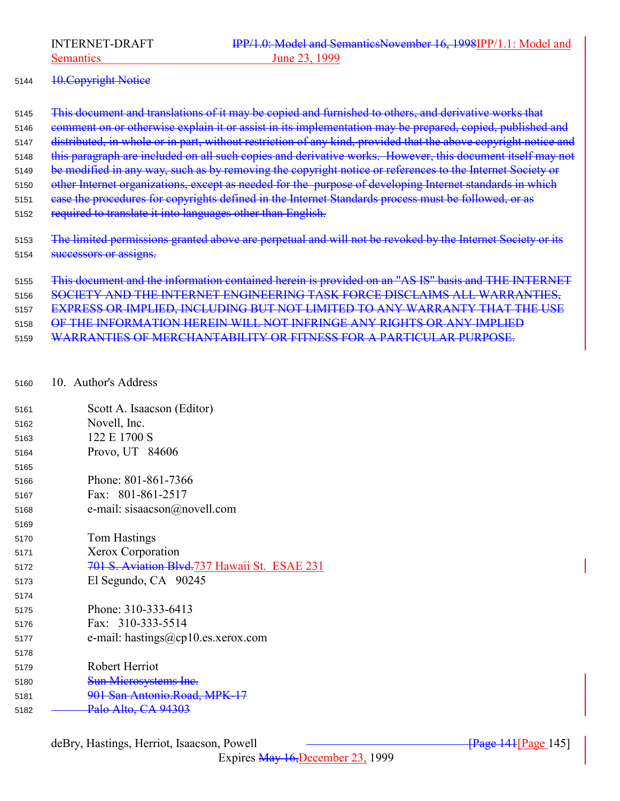## 5144 <del>10. Copyright Notice</del>

5145 Fhis document and translations of it may be copied and furnished to others, and derivative works that 5146 comment on or otherwise explain it or assist in its implementation may be prepared, copied, published and 5147 distributed, in whole or in part, without restriction of any kind, provided that the above copyright notice and 5148 this paragraph are included on all such copies and derivative works. However, this document itself may not 5149 be modified in any way, such as by removing the copyright notice or references to the Internet Society or 5150 other Internet organizations, except as needed for the purpose of developing Internet standards in which case the procedures for copyrights defined in the Internet Standards process must be followed, or as required to translate it into languages other than English.

5153 The limited permissions granted above are perpetual and will not be revoked by the Internet Society or its **Successors or assigns.** 

 This document and the information contained herein is provided on an "AS IS" basis and THE INTERNET SOCIETY AND THE INTERNET ENGINEERING TASK FORCE DISCLAIMS ALL WARRANTIES, EXPRESS OR IMPLIED, INCLUDING BUT NOT LIMITED TO ANY WARRANTY THAT THE USE OF THE INFORMATION HEREIN WILL NOT INFRINGE ANY RIGHTS OR ANY IMPLIED WARRANTIES OF MERCHANTABILITY OR FITNESS FOR A PARTICULAR PURPOSE.

### 10. Author's Address

| 5161 | Scott A. Isaacson (Editor)                    |
|------|-----------------------------------------------|
| 5162 | Novell, Inc.                                  |
| 5163 | 122 E 1700 S                                  |
| 5164 | Provo, UT 84606                               |
| 5165 |                                               |
| 5166 | Phone: 801-861-7366                           |
| 5167 | Fax: 801-861-2517                             |
| 5168 | e-mail: sisaacson@novell.com                  |
| 5169 |                                               |
| 5170 | Tom Hastings                                  |
| 5171 | Xerox Corporation                             |
| 5172 | 701 S. Aviation Blvd. 737 Hawaii St. ESAE 231 |
| 5173 | El Segundo, CA 90245                          |
| 5174 |                                               |
| 5175 | Phone: 310-333-6413                           |
| 5176 | Fax: 310-333-5514                             |
| 5177 | e-mail: hastings@cp10.es.xerox.com            |
| 5178 |                                               |
| 5179 | Robert Herriot                                |
| 5180 | <b>Sun Microsystems Inc.</b>                  |
| 5181 | 901 San Antonio.Road, MPK-17                  |
| 5182 | Palo Alto, CA 94303                           |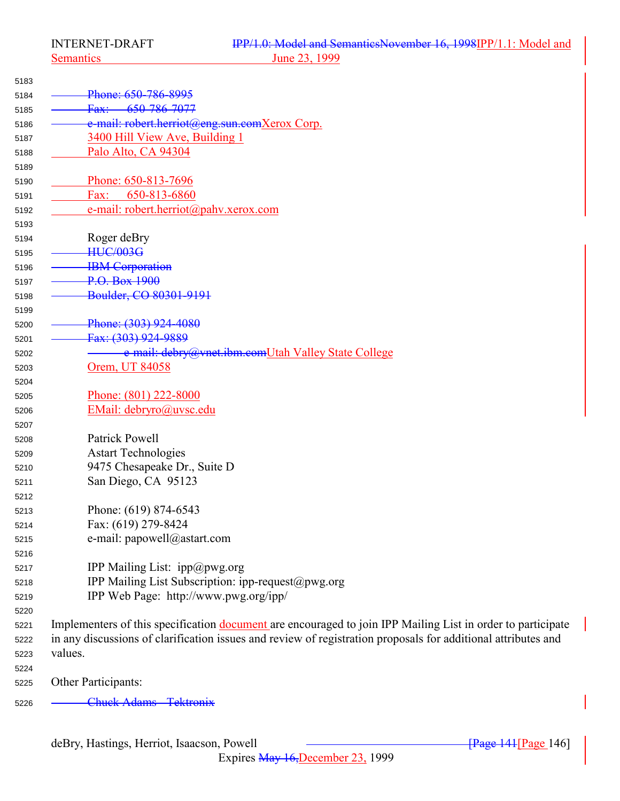Semantics 23, 1999

| 5183 |                                                                                                               |
|------|---------------------------------------------------------------------------------------------------------------|
| 5184 | Phone: 650-786-8995                                                                                           |
| 5185 | <del>650-786-7077</del><br>Fax:                                                                               |
| 5186 | e-mail: robert.herriot@eng.sun.comXerox Corp.                                                                 |
| 5187 | 3400 Hill View Ave, Building 1                                                                                |
| 5188 | Palo Alto, CA 94304                                                                                           |
| 5189 |                                                                                                               |
| 5190 | Phone: 650-813-7696                                                                                           |
| 5191 | Fax:<br>650-813-6860                                                                                          |
| 5192 | e-mail: robert.herriot@pahv.xerox.com                                                                         |
| 5193 |                                                                                                               |
| 5194 | Roger deBry                                                                                                   |
| 5195 | <b>HUC/003G</b>                                                                                               |
| 5196 | <b>IBM</b> Corporation                                                                                        |
| 5197 | P.O. Box 1900                                                                                                 |
| 5198 | Boulder, CO 80301-9191                                                                                        |
| 5199 |                                                                                                               |
| 5200 | Phone: (303) 924-4080                                                                                         |
| 5201 | Fax: (303) 924-9889                                                                                           |
| 5202 | e-mail: debry@ynet.ibm.comUtah Valley State College                                                           |
| 5203 | Orem, UT 84058                                                                                                |
| 5204 |                                                                                                               |
| 5205 | Phone: (801) 222-8000                                                                                         |
| 5206 | EMail: debryro@uvsc.edu                                                                                       |
| 5207 |                                                                                                               |
| 5208 | Patrick Powell                                                                                                |
| 5209 | <b>Astart Technologies</b>                                                                                    |
| 5210 | 9475 Chesapeake Dr., Suite D                                                                                  |
| 5211 | San Diego, CA 95123                                                                                           |
| 5212 |                                                                                                               |
| 5213 | Phone: (619) 874-6543                                                                                         |
| 5214 | Fax: (619) 279-8424                                                                                           |
| 5215 | e-mail: papowell@astart.com                                                                                   |
| 5216 |                                                                                                               |
| 5217 | IPP Mailing List: $ipp@pwg.org$                                                                               |
| 5218 | IPP Mailing List Subscription: ipp-request@pwg.org                                                            |
| 5219 | IPP Web Page: http://www.pwg.org/ipp/                                                                         |
| 5220 |                                                                                                               |
| 5221 | Implementers of this specification document are encouraged to join IPP Mailing List in order to participate   |
| 5222 | in any discussions of clarification issues and review of registration proposals for additional attributes and |
| 5223 | values.                                                                                                       |
| 5224 |                                                                                                               |
| 5225 | Other Participants:                                                                                           |

Chuck Adams - Tektronix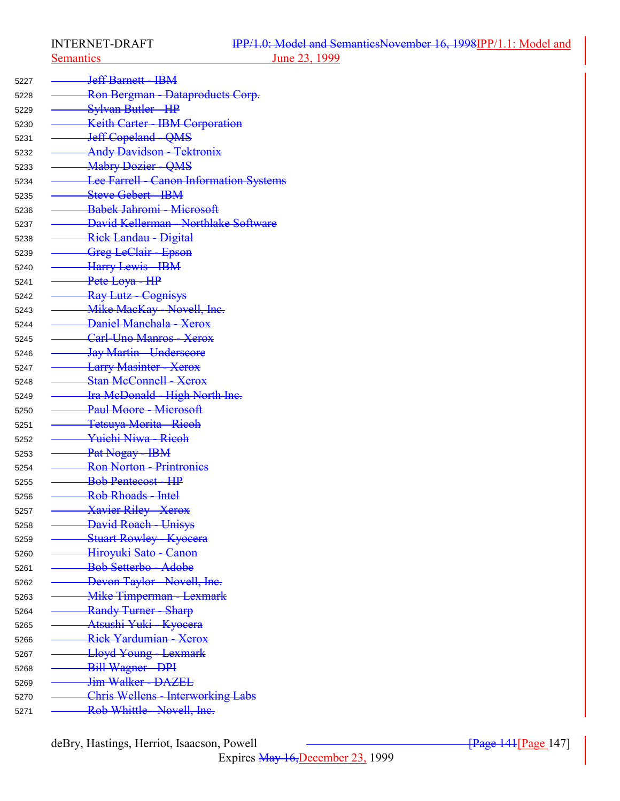<sup>5227</sup> Jeff Barnett - IBM

5228 <del>- Ron Bergman - Dataproducts Corp.</del> 5229 <del>- Sylvan Butler - HP</del> 5230 **Keith Carter - IBM Corporation** 5231 Jeff Copeland - QMS <sup>5232</sup> Andy Davidson - Tektronix 5233 <del>- Mabry Dozier - OMS</del> 5234 **Lee Farrell - Canon Information Systems** 5235 <del>- Steve Gebert - IBM</del> 5236 <del>Babek Jahromi - Microsoft</del> <sup>5237</sup> David Kellerman - Northlake Software 5238 <del>- Rick Landau - Digital</del> 5239 <del>Greg LeClair - Epson</del> 5240 <del>- Harry Lewis - IBM</del>  $5241 \quad -$ Pete Loya - HP 5242 Ray Lutz - Cognisys <sup>5243</sup> Mike MacKay - Novell, Inc. <sup>5244</sup> Daniel Manchala - Xerox <sup>5245</sup> Carl-Uno Manros - Xerox 5246 <del>Jay Martin - Underscore</del> 5247 **Larry Masinter - Xerox** 5248 **Stan McConnell - Xerox** 5249 <del>Ira McDonald - High North Inc.</del> 5250 <del>- Paul Moore - Microsoft</del> <sup>5251</sup> Tetsuya Morita - Ricoh <sup>5252</sup> Yuichi Niwa - Ricoh  $5253 \longrightarrow Pat Nogay - IBM$ 5254 <del>- Ron Norton - Printronics</del> 5255 Bob Pentecost - HP 5256 **Rob Rhoads - Intel** 5257 <del>Xavier Riley - Xerox</del> 5258 <del>- David Roach - Unisys</del> 5259 **Stuart Rowley - Kyocera** 5260 <del>- Hiroyuki Sato - Canon</del> 5261 <del>Bob Setterbo - Adobe</del> <sup>5262</sup> Devon Taylor - Novell, Inc. 5263 <del>- Mike Timperman - Lexmark</del> 5264 Randy Turner - Sharp <sup>5265</sup> Atsushi Yuki - Kyocera 5266 <del>- Rick Yardumian - Xerox</del> 5267 <del>- Lloyd Young - Lexmark</del> 5268 <del>- Bill Wagner - DPI</del> 5269 <del>Jim Walker - DAZEL</del> <sup>5270</sup> Chris Wellens - Interworking Labs 5271 Rob Whittle - Novell, Inc.

deBry, Hastings, Herriot, Isaacson, Powell **component and Exercise 2014** [Page 147]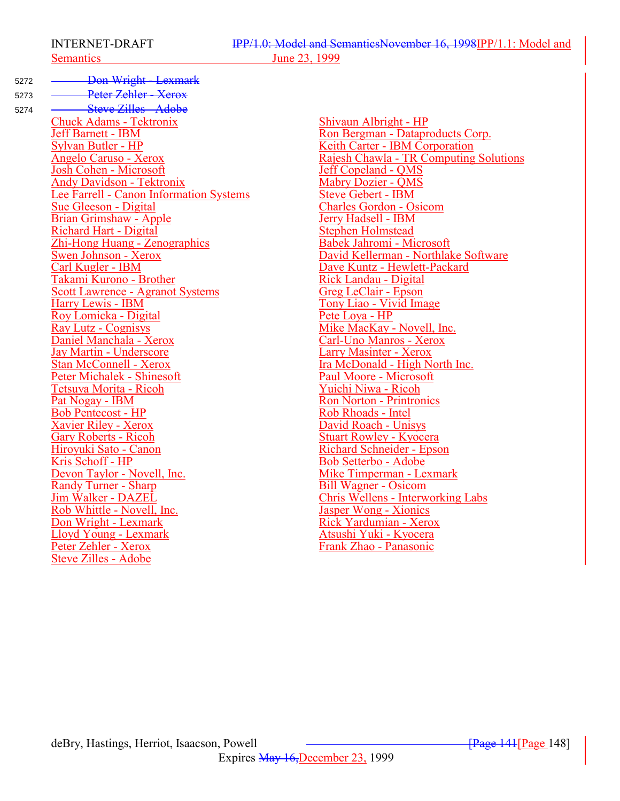- 5272 <del>- Don Wright Lexmark</del>
- 

5273 <del>- Peter Zehler - Xerox</del> 5274 <del>Steve Zilles - Adobe</del> Chuck Adams - Tektronix<br>
Jeff Barnett - IBM<br>
Shivaun Albright - HP<br>
Ron Bergman - Datapr Jeff Barnett - IBM<br>Sylvan Butler - HP<br>Keith Carter - IBM Corporation Sylvan Butler - HP<br>
Angelo Caruso - Xerox<br>
Angelo Caruso - Xerox<br>
Rajesh Chawla - TR Computing **Josh Cohen - Microsoft**<br>
Andy Davidson - Tektronix<br>
Mabry Dozier - QMS **Andy Davidson - Tektronix**<br>
Lee Farrell - Canon Information Systems<br>
Steve Gebert - IBM Lee Farrell - Canon Information Systems<br>Sue Gleeson - Digital Brian Grimshaw - Apple<br>
Richard Hart - Digital<br>
Stephen Holmstead Richard Hart - Digital<br>
Zhi-Hong Huang - Zenographics<br>
Stephen Holmstead<br>
Babek Jahromi - Microsoft Zhi-Hong Huang - Zenographics<br>Swen Johnson - Xerox Swen Johnson - Xerox David Kellerman - Northlake Software<br>
Carl Kugler - IBM<br>
Dave Kuntz - Hewlett-Packard Takami Kurono - Brother<br>Scott Lawrence - Agranot Systems<br>Greg LeClair - Epson Scott Lawrence - Agranot Systems<br>Harry Lewis - IBM Roy Lomicka - Digital<br>Ray Lutz - Cognisys Ray Lutz - Cognisys<br>
Daniel Manchala - Xerox<br>
Carl-Uno Manros - Xerox Jay Martin - Underscore<br>Stan McConnell - Xerox Peter Michalek - Shinesoft<br>
Paul Moore - Microsoft<br>
Paul Moore - Microsoft<br>
Yuichi Niwa - Ricoh Tetsuya Morita - Ricoh<br>Pat Nogay - IBM Bob Pentecost - HP<br>
Xavier Riley - Xerox<br>
Xavier Riley - Xerox **Xavier Riley - Xerox**<br>Gary Roberts - Ricoh Gary Roberts - Ricoh Stuart Rowley - Kyocera<br>
Hiroyuki Sato - Canon Richard Schneider - Epsc Hiroyuki Sato - Canon Richard Schneider - Epson<br>
Kris Schoff - HP<br>
Rob Setterbo - Adobe **Kris Schoff - HP**<br> **EXECUTE:** Bob Setterbo - Adobe<br>
Mike Timperman - Le **Randy Turner - Sharp<br>Jim Walker - DAZEL** Rob Whittle - Novell, Inc.<br>Don Wright - Lexmark Lloyd Young - Lexmark<br>Peter Zehler - Xerox Steve Zilles - Adobe

Rajesh Chawla - TR Computing Solutions<br>Jeff Copeland - OMS Charles Gordon - Osicom<br>Jerry Hadsell - IBM Dave Kuntz - Hewlett-Packard<br>Rick Landau - Digital Tony Liao - Vivid Image<br>Pete Lova - HP **Carl-Uno Manros - Xerox**<br>Larry Masinter - Xerox Ira McDonald - High North Inc.<br>Paul Moore - Microsoft Ron Norton - Printronics<br>Rob Rhoads - Intel Mike Timperman - Lexmark<br>Bill Wagner - Osicom Chris Wellens - Interworking Labs<br>Jasper Wong - Xionics Rick Yardumian - Xerox<br>Atsushi Yuki - Kyocera Frank Zhao - Panasonic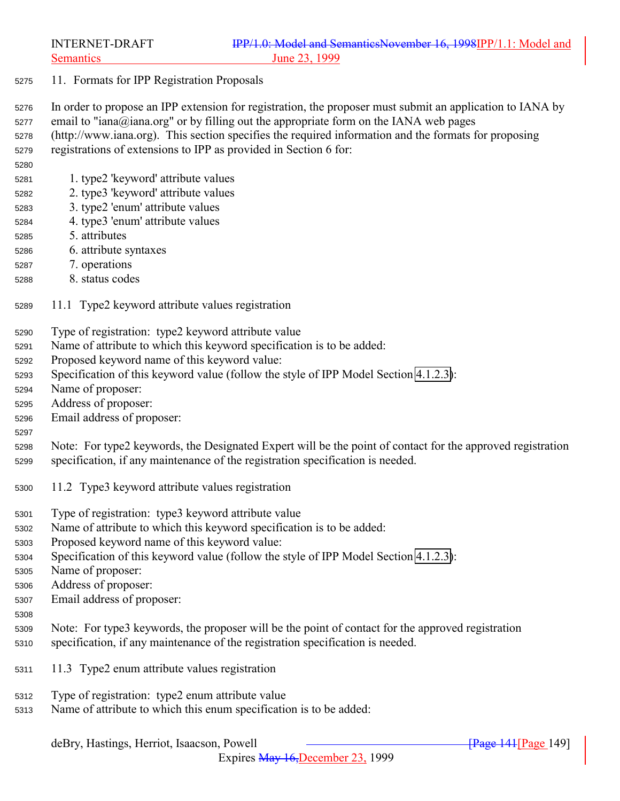- 11. Formats for IPP Registration Proposals
- In order to propose an IPP extension for registration, the proposer must submit an application to IANA by email to "iana@iana.org" or by filling out the appropriate form on the IANA web pages

 (http://www.iana.org). This section specifies the required information and the formats for proposing registrations of extensions to IPP as provided in Section 6 for:

- 1. type2 'keyword' attribute values
- 2. type3 'keyword' attribute values
- 3. type2 'enum' attribute values
- 4. type3 'enum' attribute values
- 5. attributes
- 6. attribute syntaxes
- 7. operations
- 8. status codes
- 11.1 Type2 keyword attribute values registration
- Type of registration: type2 keyword attribute value
- Name of attribute to which this keyword specification is to be added:
- Proposed keyword name of this keyword value:
- Specification of this keyword value (follow the style of IPP Model Section [4.1.2.3\)](#page-69-0):
- Name of proposer:
- Address of proposer:
- Email address of proposer:

### 

- Note: For type2 keywords, the Designated Expert will be the point of contact for the approved registration specification, if any maintenance of the registration specification is needed.
- 11.2 Type3 keyword attribute values registration
- Type of registration: type3 keyword attribute value
- Name of attribute to which this keyword specification is to be added:
- Proposed keyword name of this keyword value:
- Specification of this keyword value (follow the style of IPP Model Section [4.1.2.3\)](#page-69-0):
- Name of proposer:
- Address of proposer:
- Email address of proposer:
- 
- Note: For type3 keywords, the proposer will be the point of contact for the approved registration specification, if any maintenance of the registration specification is needed.
- 11.3 Type2 enum attribute values registration
- Type of registration: type2 enum attribute value
- Name of attribute to which this enum specification is to be added: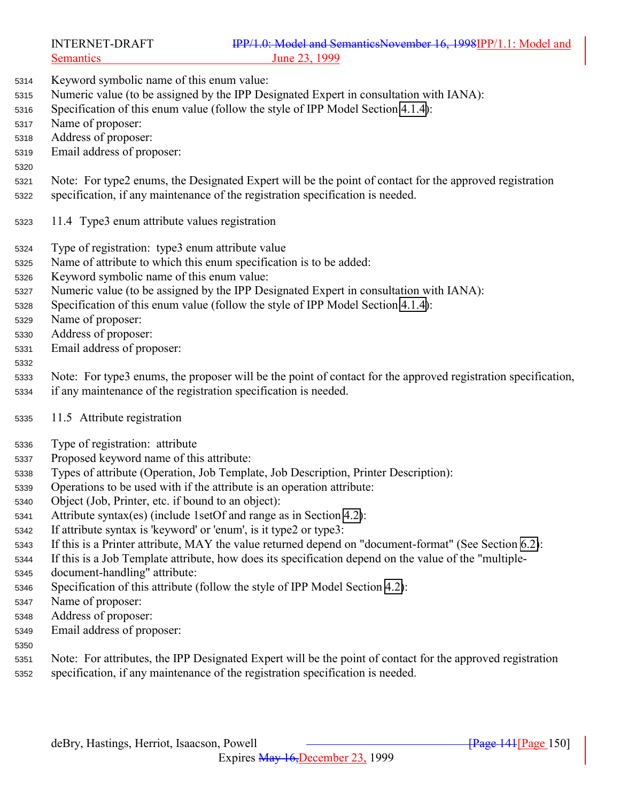- Keyword symbolic name of this enum value:
- Numeric value (to be assigned by the IPP Designated Expert in consultation with IANA):
- Specification of this enum value (follow the style of IPP Model Section [4.1.4\)](#page-70-0):
- Name of proposer:
- Address of proposer:
- Email address of proposer:
- 
- Note: For type2 enums, the Designated Expert will be the point of contact for the approved registration specification, if any maintenance of the registration specification is needed.
- 11.4 Type3 enum attribute values registration
- Type of registration: type3 enum attribute value
- Name of attribute to which this enum specification is to be added:
- Keyword symbolic name of this enum value:
- Numeric value (to be assigned by the IPP Designated Expert in consultation with IANA):
- Specification of this enum value (follow the style of IPP Model Section [4.1.4\)](#page-70-0):
- Name of proposer:
- Address of proposer:
- Email address of proposer:
- 
- Note: For type3 enums, the proposer will be the point of contact for the approved registration specification,
- if any maintenance of the registration specification is needed.
- 11.5 Attribute registration
- Type of registration: attribute
- Proposed keyword name of this attribute:
- Types of attribute (Operation, Job Template, Job Description, Printer Description):
- Operations to be used with if the attribute is an operation attribute:
- Object (Job, Printer, etc. if bound to an object):
- Attribute syntax(es) (include 1setOf and range as in Section [4.2\)](#page-75-0):
- If attribute syntax is 'keyword' or 'enum', is it type2 or type3:
- If this is a Printer attribute, MAY the value returned depend on "document-format" (See Section [6.2\)](#page-127-0):
- If this is a Job Template attribute, how does its specification depend on the value of the "multiple-
- document-handling" attribute:
- Specification of this attribute (follow the style of IPP Model Section [4.2\)](#page-75-0):
- Name of proposer:
- Address of proposer:
- Email address of proposer:
- 
- Note: For attributes, the IPP Designated Expert will be the point of contact for the approved registration specification, if any maintenance of the registration specification is needed.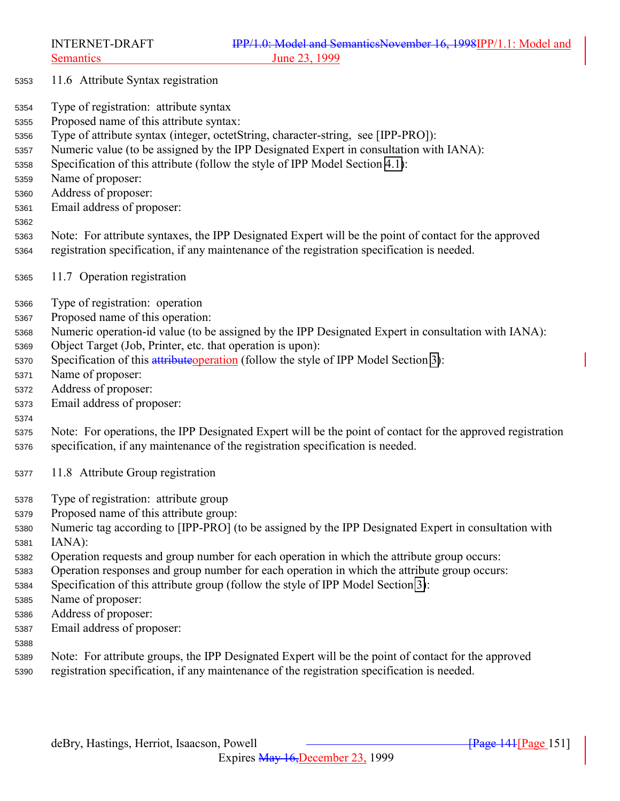- 11.6 Attribute Syntax registration
- Type of registration: attribute syntax
- Proposed name of this attribute syntax:
- Type of attribute syntax (integer, octetString, character-string, see [IPP-PRO]):
- Numeric value (to be assigned by the IPP Designated Expert in consultation with IANA):
- Specification of this attribute (follow the style of IPP Model Section [4.1\)](#page-66-0):
- Name of proposer:
- Address of proposer:
- Email address of proposer:
- 

 Note: For attribute syntaxes, the IPP Designated Expert will be the point of contact for the approved registration specification, if any maintenance of the registration specification is needed.

- 11.7 Operation registration
- Type of registration: operation
- Proposed name of this operation:
- Numeric operation-id value (to be assigned by the IPP Designated Expert in consultation with IANA):
- Object Target (Job, Printer, etc. that operation is upon):
- 5370 Specification of this attribute operation (follow the style of IPP Model Section [3\)](#page-20-0):
- Name of proposer:
- Address of proposer:
- Email address of proposer:

- Note: For operations, the IPP Designated Expert will be the point of contact for the approved registration specification, if any maintenance of the registration specification is needed.
- 11.8 Attribute Group registration
- Type of registration: attribute group
- Proposed name of this attribute group:
- Numeric tag according to [IPP-PRO] (to be assigned by the IPP Designated Expert in consultation with IANA):
- Operation requests and group number for each operation in which the attribute group occurs:
- Operation responses and group number for each operation in which the attribute group occurs:
- Specification of this attribute group (follow the style of IPP Model Section [3\)](#page-20-0):
- Name of proposer:
- Address of proposer:
- Email address of proposer:
- 
- Note: For attribute groups, the IPP Designated Expert will be the point of contact for the approved registration specification, if any maintenance of the registration specification is needed.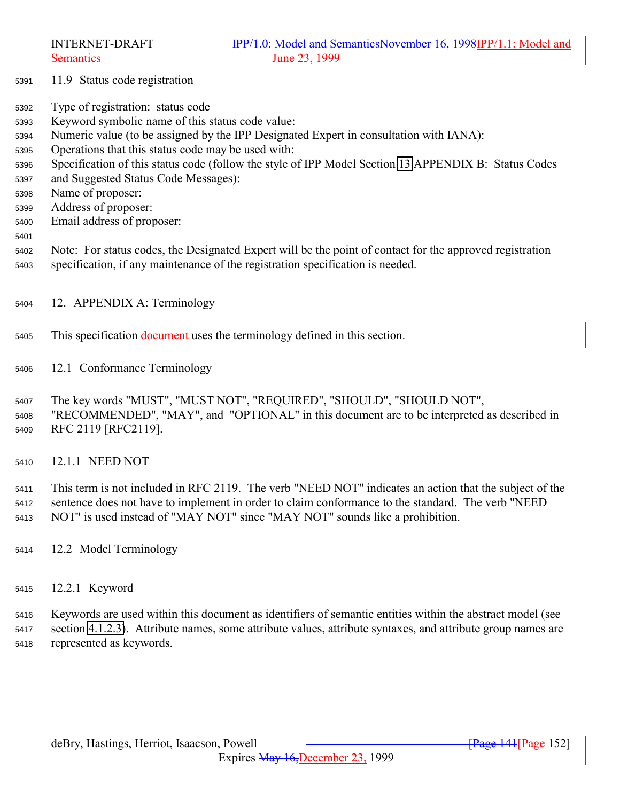- 11.9 Status code registration
- Type of registration: status code
- Keyword symbolic name of this status code value:
- Numeric value (to be assigned by the IPP Designated Expert in consultation with IANA):
- Operations that this status code may be used with:
- Specification of this status code (follow the style of IPP Model Section [13](#page-154-0) APPENDIX B: Status Codes
- and Suggested Status Code Messages):
- Name of proposer:
- Address of proposer:
- Email address of proposer:
- 
- Note: For status codes, the Designated Expert will be the point of contact for the approved registration specification, if any maintenance of the registration specification is needed.
- 12. APPENDIX A: Terminology
- This specification document uses the terminology defined in this section.
- 12.1 Conformance Terminology

 The key words "MUST", "MUST NOT", "REQUIRED", "SHOULD", "SHOULD NOT", "RECOMMENDED", "MAY", and "OPTIONAL" in this document are to be interpreted as described in RFC 2119 [RFC2119].

12.1.1 NEED NOT

 This term is not included in RFC 2119. The verb "NEED NOT" indicates an action that the subject of the sentence does not have to implement in order to claim conformance to the standard. The verb "NEED NOT" is used instead of "MAY NOT" since "MAY NOT" sounds like a prohibition.

- 12.2 Model Terminology
- 12.2.1 Keyword

 Keywords are used within this document as identifiers of semantic entities within the abstract model (see section [4.1.2.3\)](#page-69-0). Attribute names, some attribute values, attribute syntaxes, and attribute group names are represented as keywords.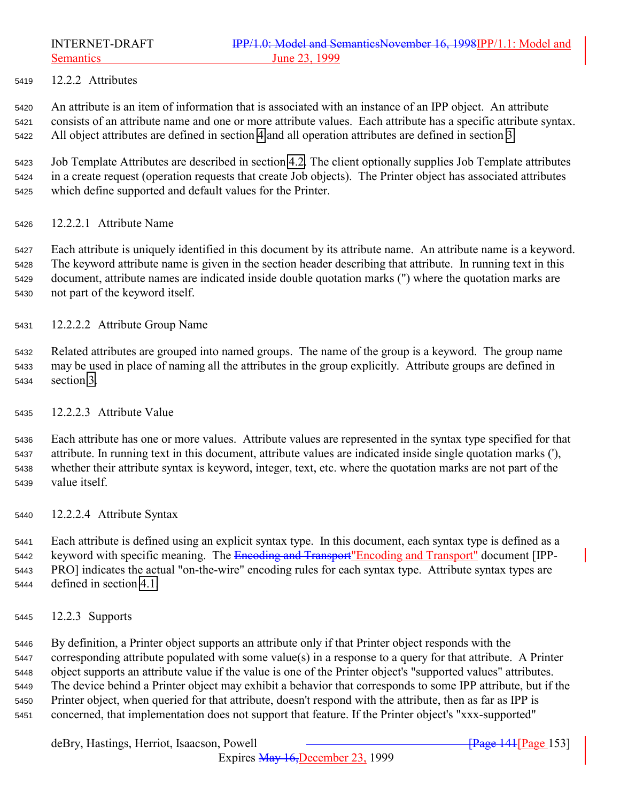12.2.2 Attributes

 An attribute is an item of information that is associated with an instance of an IPP object. An attribute consists of an attribute name and one or more attribute values. Each attribute has a specific attribute syntax. All object attributes are defined in section [4](#page-65-0) and all operation attributes are defined in section [3.](#page-20-0)

 Job Template Attributes are described in section [4.2.](#page-75-0) The client optionally supplies Job Template attributes in a create request (operation requests that create Job objects). The Printer object has associated attributes which define supported and default values for the Printer.

12.2.2.1 Attribute Name

 Each attribute is uniquely identified in this document by its attribute name. An attribute name is a keyword. The keyword attribute name is given in the section header describing that attribute. In running text in this document, attribute names are indicated inside double quotation marks (") where the quotation marks are not part of the keyword itself.

- 12.2.2.2 Attribute Group Name
- Related attributes are grouped into named groups. The name of the group is a keyword. The group name may be used in place of naming all the attributes in the group explicitly. Attribute groups are defined in section [3.](#page-20-0)
- 12.2.2.3 Attribute Value

 Each attribute has one or more values. Attribute values are represented in the syntax type specified for that attribute. In running text in this document, attribute values are indicated inside single quotation marks ('), whether their attribute syntax is keyword, integer, text, etc. where the quotation marks are not part of the value itself.

12.2.2.4 Attribute Syntax

 Each attribute is defined using an explicit syntax type. In this document, each syntax type is defined as a 5442 keyword with specific meaning. The Encoding and Transport" Encoding and Transport" document [IPP- PRO] indicates the actual "on-the-wire" encoding rules for each syntax type. Attribute syntax types are defined in section [4.1.](#page-66-0)

12.2.3 Supports

 By definition, a Printer object supports an attribute only if that Printer object responds with the corresponding attribute populated with some value(s) in a response to a query for that attribute. A Printer object supports an attribute value if the value is one of the Printer object's "supported values" attributes. The device behind a Printer object may exhibit a behavior that corresponds to some IPP attribute, but if the Printer object, when queried for that attribute, doesn't respond with the attribute, then as far as IPP is concerned, that implementation does not support that feature. If the Printer object's "xxx-supported"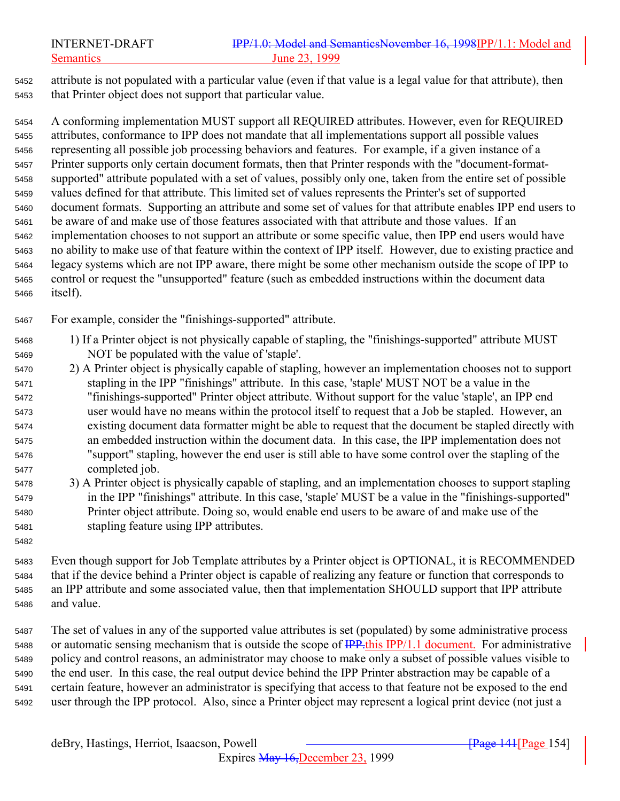## INTERNET-DRAFT **IPP/1.0: Model and SemanticsNovember 16, 1998IPP/1.1: Model and** Semantics June 23, 1999

 attribute is not populated with a particular value (even if that value is a legal value for that attribute), then that Printer object does not support that particular value.

 A conforming implementation MUST support all REQUIRED attributes. However, even for REQUIRED attributes, conformance to IPP does not mandate that all implementations support all possible values representing all possible job processing behaviors and features. For example, if a given instance of a Printer supports only certain document formats, then that Printer responds with the "document-format- supported" attribute populated with a set of values, possibly only one, taken from the entire set of possible values defined for that attribute. This limited set of values represents the Printer's set of supported document formats. Supporting an attribute and some set of values for that attribute enables IPP end users to be aware of and make use of those features associated with that attribute and those values. If an implementation chooses to not support an attribute or some specific value, then IPP end users would have no ability to make use of that feature within the context of IPP itself. However, due to existing practice and legacy systems which are not IPP aware, there might be some other mechanism outside the scope of IPP to control or request the "unsupported" feature (such as embedded instructions within the document data itself).

For example, consider the "finishings-supported" attribute.

- 1) If a Printer object is not physically capable of stapling, the "finishings-supported" attribute MUST NOT be populated with the value of 'staple'.
- 2) A Printer object is physically capable of stapling, however an implementation chooses not to support stapling in the IPP "finishings" attribute. In this case, 'staple' MUST NOT be a value in the "finishings-supported" Printer object attribute. Without support for the value 'staple', an IPP end user would have no means within the protocol itself to request that a Job be stapled. However, an existing document data formatter might be able to request that the document be stapled directly with an embedded instruction within the document data. In this case, the IPP implementation does not "support" stapling, however the end user is still able to have some control over the stapling of the completed job.
- 3) A Printer object is physically capable of stapling, and an implementation chooses to support stapling in the IPP "finishings" attribute. In this case, 'staple' MUST be a value in the "finishings-supported" Printer object attribute. Doing so, would enable end users to be aware of and make use of the stapling feature using IPP attributes.
- Even though support for Job Template attributes by a Printer object is OPTIONAL, it is RECOMMENDED that if the device behind a Printer object is capable of realizing any feature or function that corresponds to an IPP attribute and some associated value, then that implementation SHOULD support that IPP attribute and value.
- The set of values in any of the supported value attributes is set (populated) by some administrative process 5488 or automatic sensing mechanism that is outside the scope of  $\frac{IPP~this IPP}{1.1}$  document. For administrative policy and control reasons, an administrator may choose to make only a subset of possible values visible to the end user. In this case, the real output device behind the IPP Printer abstraction may be capable of a certain feature, however an administrator is specifying that access to that feature not be exposed to the end user through the IPP protocol. Also, since a Printer object may represent a logical print device (not just a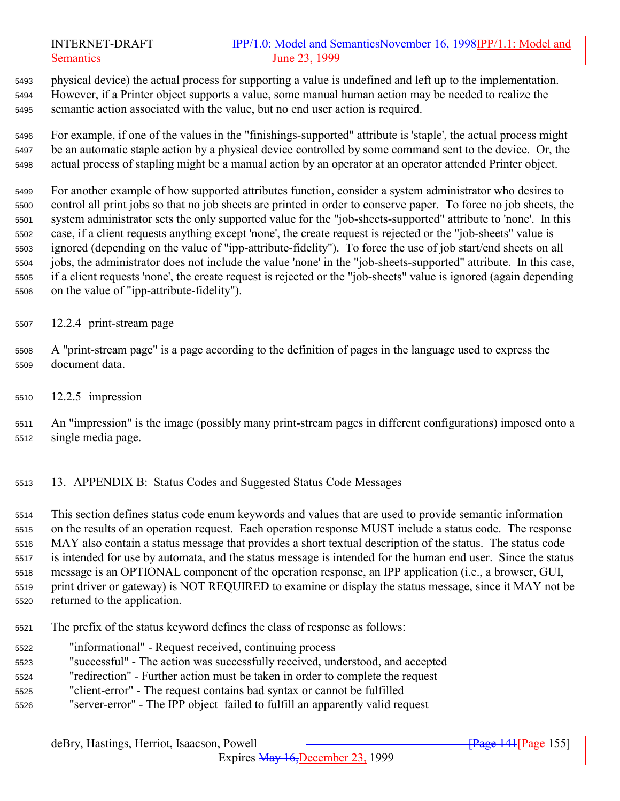<span id="page-154-0"></span> physical device) the actual process for supporting a value is undefined and left up to the implementation. However, if a Printer object supports a value, some manual human action may be needed to realize the semantic action associated with the value, but no end user action is required.

 For example, if one of the values in the "finishings-supported" attribute is 'staple', the actual process might be an automatic staple action by a physical device controlled by some command sent to the device. Or, the actual process of stapling might be a manual action by an operator at an operator attended Printer object.

 For another example of how supported attributes function, consider a system administrator who desires to control all print jobs so that no job sheets are printed in order to conserve paper. To force no job sheets, the system administrator sets the only supported value for the "job-sheets-supported" attribute to 'none'. In this case, if a client requests anything except 'none', the create request is rejected or the "job-sheets" value is ignored (depending on the value of "ipp-attribute-fidelity"). To force the use of job start/end sheets on all jobs, the administrator does not include the value 'none' in the "job-sheets-supported" attribute. In this case, if a client requests 'none', the create request is rejected or the "job-sheets" value is ignored (again depending on the value of "ipp-attribute-fidelity").

- 12.2.4 print-stream page
- A "print-stream page" is a page according to the definition of pages in the language used to express the document data.
- 12.2.5 impression
- An "impression" is the image (possibly many print-stream pages in different configurations) imposed onto a single media page.
- 13. APPENDIX B: Status Codes and Suggested Status Code Messages

 This section defines status code enum keywords and values that are used to provide semantic information on the results of an operation request. Each operation response MUST include a status code. The response MAY also contain a status message that provides a short textual description of the status. The status code is intended for use by automata, and the status message is intended for the human end user. Since the status message is an OPTIONAL component of the operation response, an IPP application (i.e., a browser, GUI, print driver or gateway) is NOT REQUIRED to examine or display the status message, since it MAY not be returned to the application.

- The prefix of the status keyword defines the class of response as follows:
- "informational" Request received, continuing process
- "successful" The action was successfully received, understood, and accepted
- "redirection" Further action must be taken in order to complete the request
- "client-error" The request contains bad syntax or cannot be fulfilled
- "server-error" The IPP object failed to fulfill an apparently valid request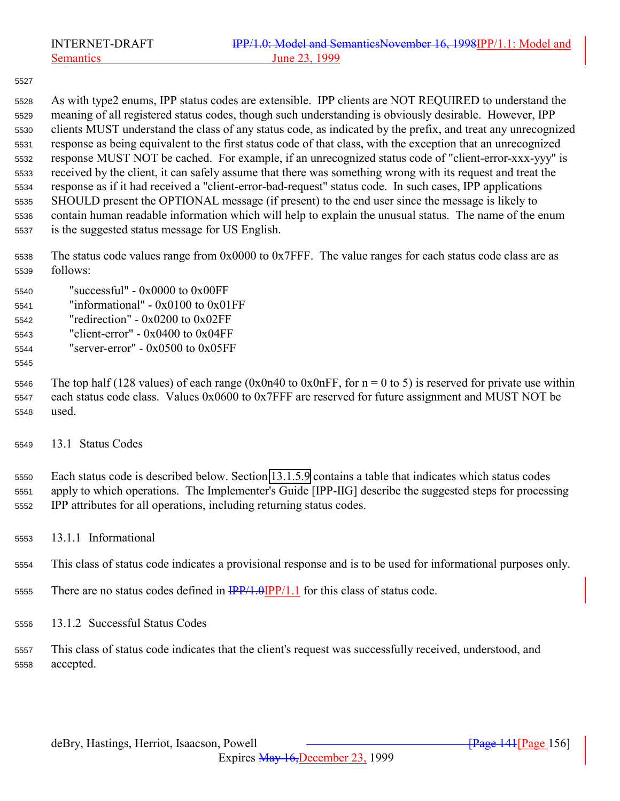As with type2 enums, IPP status codes are extensible. IPP clients are NOT REQUIRED to understand the meaning of all registered status codes, though such understanding is obviously desirable. However, IPP clients MUST understand the class of any status code, as indicated by the prefix, and treat any unrecognized response as being equivalent to the first status code of that class, with the exception that an unrecognized response MUST NOT be cached. For example, if an unrecognized status code of "client-error-xxx-yyy" is received by the client, it can safely assume that there was something wrong with its request and treat the response as if it had received a "client-error-bad-request" status code. In such cases, IPP applications SHOULD present the OPTIONAL message (if present) to the end user since the message is likely to contain human readable information which will help to explain the unusual status. The name of the enum is the suggested status message for US English.

 The status code values range from 0x0000 to 0x7FFF. The value ranges for each status code class are as follows:

- "successful" 0x0000 to 0x00FF "informational" - 0x0100 to 0x01FF "redirection" - 0x0200 to 0x02FF "client-error" - 0x0400 to 0x04FF "server-error" - 0x0500 to 0x05FF
- 

5546 The top half (128 values) of each range (0x0n40 to 0x0nFF, for  $n = 0$  to 5) is reserved for private use within each status code class. Values 0x0600 to 0x7FFF are reserved for future assignment and MUST NOT be used.

13.1 Status Codes

 Each status code is described below. Section [13.1.5.9](#page-163-0) contains a table that indicates which status codes apply to which operations. The Implementer's Guide [IPP-IIG] describe the suggested steps for processing IPP attributes for all operations, including returning status codes.

13.1.1 Informational

This class of status code indicates a provisional response and is to be used for informational purposes only.

- 5555 There are no status codes defined in  $\frac{IPP}{1.0}$  IPP/1.1 for this class of status code.
- 13.1.2 Successful Status Codes
- This class of status code indicates that the client's request was successfully received, understood, and accepted.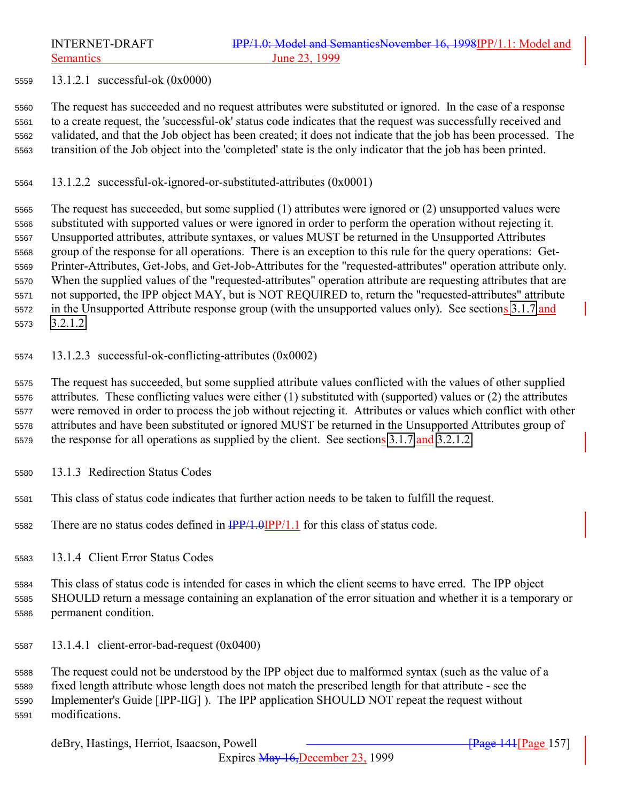<span id="page-156-0"></span>

13.1.2.1 successful-ok (0x0000)

 The request has succeeded and no request attributes were substituted or ignored. In the case of a response to a create request, the 'successful-ok' status code indicates that the request was successfully received and validated, and that the Job object has been created; it does not indicate that the job has been processed. The transition of the Job object into the 'completed' state is the only indicator that the job has been printed.

13.1.2.2 successful-ok-ignored-or-substituted-attributes (0x0001)

 The request has succeeded, but some supplied (1) attributes were ignored or (2) unsupported values were substituted with supported values or were ignored in order to perform the operation without rejecting it. Unsupported attributes, attribute syntaxes, or values MUST be returned in the Unsupported Attributes group of the response for all operations. There is an exception to this rule for the query operations: Get- Printer-Attributes, Get-Jobs, and Get-Job-Attributes for the "requested-attributes" operation attribute only. When the supplied values of the "requested-attributes" operation attribute are requesting attributes that are not supported, the IPP object MAY, but is NOT REQUIRED to, return the "requested-attributes" attribute 5572 in the Unsupported Attribute response group (with the unsupported values only). See sections [3.1.7](#page-31-0) and [3.2.1.2.](#page-40-0)

13.1.2.3 successful-ok-conflicting-attributes (0x0002)

 The request has succeeded, but some supplied attribute values conflicted with the values of other supplied attributes. These conflicting values were either (1) substituted with (supported) values or (2) the attributes were removed in order to process the job without rejecting it. Attributes or values which conflict with other attributes and have been substituted or ignored MUST be returned in the Unsupported Attributes group of 5579 the response for all operations as supplied by the client. See sections [3.1.7](#page-31-0) and [3.2.1.2.](#page-40-0)

- 13.1.3 Redirection Status Codes
- This class of status code indicates that further action needs to be taken to fulfill the request.
- 5582 There are no status codes defined in  $\frac{IPP}{1.0}IPP/1.1$  for this class of status code.
- 13.1.4 Client Error Status Codes

 This class of status code is intended for cases in which the client seems to have erred. The IPP object SHOULD return a message containing an explanation of the error situation and whether it is a temporary or permanent condition.

13.1.4.1 client-error-bad-request (0x0400)

 The request could not be understood by the IPP object due to malformed syntax (such as the value of a fixed length attribute whose length does not match the prescribed length for that attribute - see the Implementer's Guide [IPP-IIG] ). The IPP application SHOULD NOT repeat the request without modifications.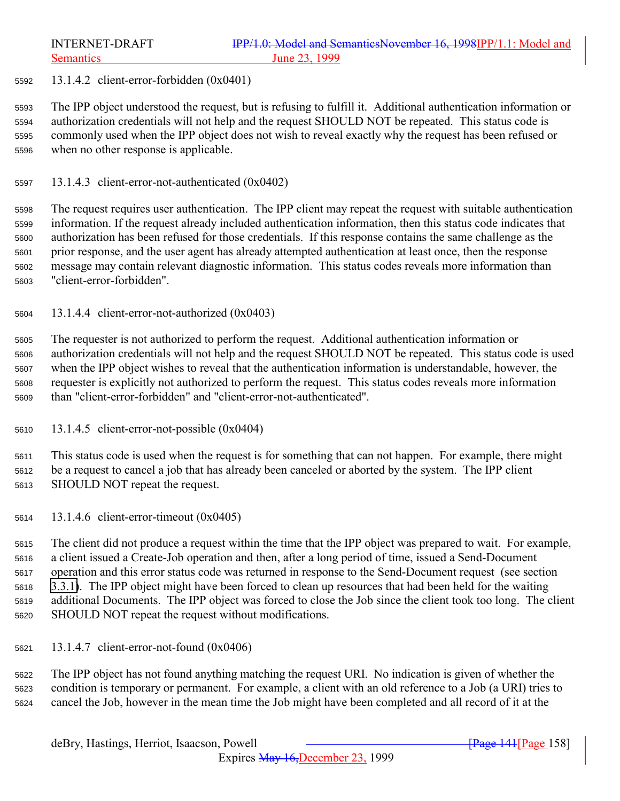13.1.4.2 client-error-forbidden (0x0401)

 The IPP object understood the request, but is refusing to fulfill it. Additional authentication information or authorization credentials will not help and the request SHOULD NOT be repeated. This status code is commonly used when the IPP object does not wish to reveal exactly why the request has been refused or when no other response is applicable.

13.1.4.3 client-error-not-authenticated (0x0402)

 The request requires user authentication. The IPP client may repeat the request with suitable authentication information. If the request already included authentication information, then this status code indicates that authorization has been refused for those credentials. If this response contains the same challenge as the prior response, and the user agent has already attempted authentication at least once, then the response message may contain relevant diagnostic information. This status codes reveals more information than "client-error-forbidden".

13.1.4.4 client-error-not-authorized (0x0403)

 The requester is not authorized to perform the request. Additional authentication information or authorization credentials will not help and the request SHOULD NOT be repeated. This status code is used when the IPP object wishes to reveal that the authentication information is understandable, however, the requester is explicitly not authorized to perform the request. This status codes reveals more information than "client-error-forbidden" and "client-error-not-authenticated".

13.1.4.5 client-error-not-possible (0x0404)

 This status code is used when the request is for something that can not happen. For example, there might be a request to cancel a job that has already been canceled or aborted by the system. The IPP client SHOULD NOT repeat the request.

13.1.4.6 client-error-timeout (0x0405)

 The client did not produce a request within the time that the IPP object was prepared to wait. For example, a client issued a Create-Job operation and then, after a long period of time, issued a Send-Document operation and this error status code was returned in response to the Send-Document request (see section [3.3.1\)](#page-53-0). The IPP object might have been forced to clean up resources that had been held for the waiting additional Documents. The IPP object was forced to close the Job since the client took too long. The client SHOULD NOT repeat the request without modifications.

13.1.4.7 client-error-not-found (0x0406)

 The IPP object has not found anything matching the request URI. No indication is given of whether the condition is temporary or permanent. For example, a client with an old reference to a Job (a URI) tries to cancel the Job, however in the mean time the Job might have been completed and all record of it at the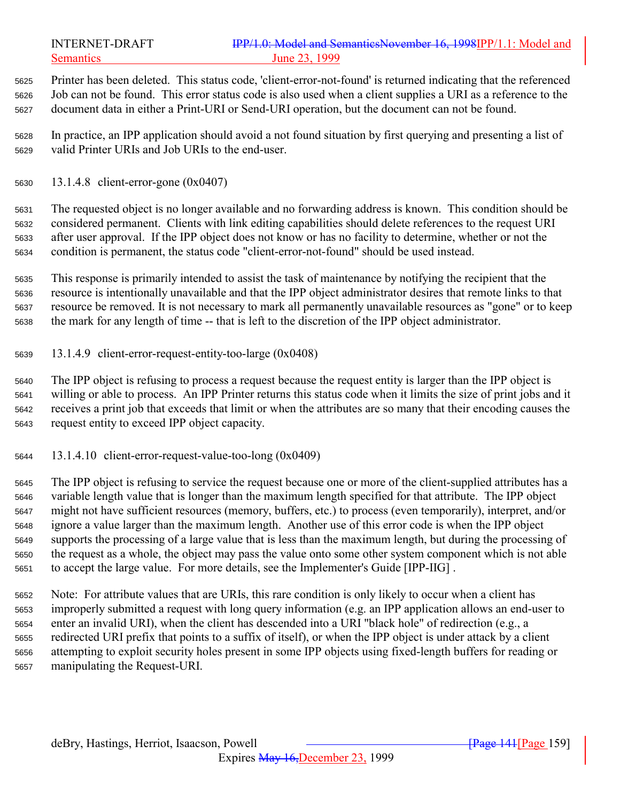Printer has been deleted. This status code, 'client-error-not-found' is returned indicating that the referenced Job can not be found. This error status code is also used when a client supplies a URI as a reference to the document data in either a Print-URI or Send-URI operation, but the document can not be found.

 In practice, an IPP application should avoid a not found situation by first querying and presenting a list of valid Printer URIs and Job URIs to the end-user.

13.1.4.8 client-error-gone (0x0407)

 The requested object is no longer available and no forwarding address is known. This condition should be considered permanent. Clients with link editing capabilities should delete references to the request URI after user approval. If the IPP object does not know or has no facility to determine, whether or not the condition is permanent, the status code "client-error-not-found" should be used instead.

 This response is primarily intended to assist the task of maintenance by notifying the recipient that the resource is intentionally unavailable and that the IPP object administrator desires that remote links to that resource be removed. It is not necessary to mark all permanently unavailable resources as "gone" or to keep the mark for any length of time -- that is left to the discretion of the IPP object administrator.

13.1.4.9 client-error-request-entity-too-large (0x0408)

 The IPP object is refusing to process a request because the request entity is larger than the IPP object is willing or able to process. An IPP Printer returns this status code when it limits the size of print jobs and it receives a print job that exceeds that limit or when the attributes are so many that their encoding causes the request entity to exceed IPP object capacity.

13.1.4.10 client-error-request-value-too-long (0x0409)

 The IPP object is refusing to service the request because one or more of the client-supplied attributes has a variable length value that is longer than the maximum length specified for that attribute. The IPP object might not have sufficient resources (memory, buffers, etc.) to process (even temporarily), interpret, and/or ignore a value larger than the maximum length. Another use of this error code is when the IPP object supports the processing of a large value that is less than the maximum length, but during the processing of the request as a whole, the object may pass the value onto some other system component which is not able to accept the large value. For more details, see the Implementer's Guide [IPP-IIG] .

 Note: For attribute values that are URIs, this rare condition is only likely to occur when a client has improperly submitted a request with long query information (e.g. an IPP application allows an end-user to enter an invalid URI), when the client has descended into a URI "black hole" of redirection (e.g., a redirected URI prefix that points to a suffix of itself), or when the IPP object is under attack by a client attempting to exploit security holes present in some IPP objects using fixed-length buffers for reading or manipulating the Request-URI.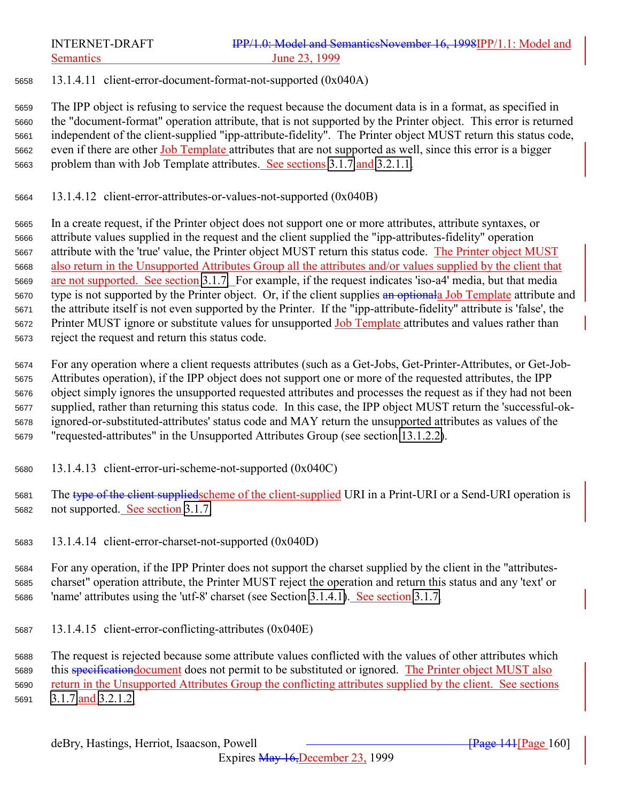13.1.4.11 client-error-document-format-not-supported (0x040A)

 The IPP object is refusing to service the request because the document data is in a format, as specified in the "document-format" operation attribute, that is not supported by the Printer object. This error is returned independent of the client-supplied "ipp-attribute-fidelity". The Printer object MUST return this status code, 5662 even if there are other Job Template attributes that are not supported as well, since this error is a bigger problem than with Job Template attributes. See sections [3.1.7](#page-31-0) and [3.2.1.1.](#page-36-0)

13.1.4.12 client-error-attributes-or-values-not-supported (0x040B)

 In a create request, if the Printer object does not support one or more attributes, attribute syntaxes, or attribute values supplied in the request and the client supplied the "ipp-attributes-fidelity" operation attribute with the 'true' value, the Printer object MUST return this status code. The Printer object MUST also return in the Unsupported Attributes Group all the attributes and/or values supplied by the client that are not supported. See section [3.1.7.](#page-31-0) For example, if the request indicates 'iso-a4' media, but that media 5670 type is not supported by the Printer object. Or, if the client supplies an optional Job Template attribute and the attribute itself is not even supported by the Printer. If the "ipp-attribute-fidelity" attribute is 'false', the 5672 Printer MUST ignore or substitute values for unsupported Job Template attributes and values rather than reject the request and return this status code.

 For any operation where a client requests attributes (such as a Get-Jobs, Get-Printer-Attributes, or Get-Job- Attributes operation), if the IPP object does not support one or more of the requested attributes, the IPP object simply ignores the unsupported requested attributes and processes the request as if they had not been supplied, rather than returning this status code. In this case, the IPP object MUST return the 'successful-ok- ignored-or-substituted-attributes' status code and MAY return the unsupported attributes as values of the "requested-attributes" in the Unsupported Attributes Group (see section [13.1.2.2\)](#page-156-0).

- 13.1.4.13 client-error-uri-scheme-not-supported (0x040C)
- 5681 The type of the client suppliedscheme of the client-supplied URI in a Print-URI or a Send-URI operation is not supported. See section [3.1.7.](#page-31-0)
- 13.1.4.14 client-error-charset-not-supported (0x040D)

 For any operation, if the IPP Printer does not support the charset supplied by the client in the "attributes- charset" operation attribute, the Printer MUST reject the operation and return this status and any 'text' or 'name' attributes using the 'utf-8' charset (see Section [3.1.4.1\)](#page-24-0). See section [3.1.7.](#page-31-0)

13.1.4.15 client-error-conflicting-attributes (0x040E)

 The request is rejected because some attribute values conflicted with the values of other attributes which this specificationdocument does not permit to be substituted or ignored. The Printer object MUST also return in the Unsupported Attributes Group the conflicting attributes supplied by the client. See sections [3.1.7](#page-31-0) and [3.2.1.2.](#page-40-0)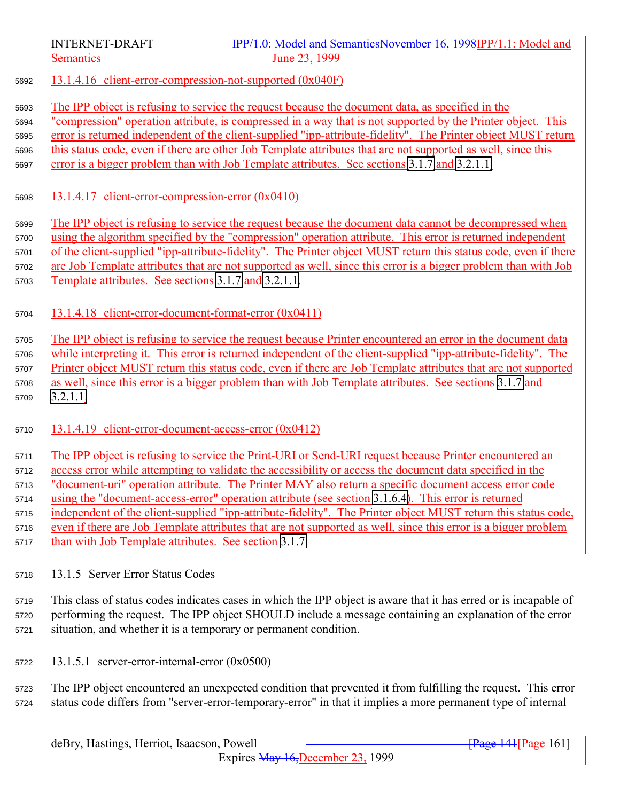<span id="page-160-0"></span>

- 13.1.4.16 client-error-compression-not-supported (0x040F)
- The IPP object is refusing to service the request because the document data, as specified in the

 "compression" operation attribute, is compressed in a way that is not supported by the Printer object. This error is returned independent of the client-supplied "ipp-attribute-fidelity". The Printer object MUST return

this status code, even if there are other Job Template attributes that are not supported as well, since this

- error is a bigger problem than with Job Template attributes. See sections [3.1.7](#page-31-0) and [3.2.1.1.](#page-36-0)
- 13.1.4.17 client-error-compression-error (0x0410)

 The IPP object is refusing to service the request because the document data cannot be decompressed when using the algorithm specified by the "compression" operation attribute. This error is returned independent of the client-supplied "ipp-attribute-fidelity". The Printer object MUST return this status code, even if there are Job Template attributes that are not supported as well, since this error is a bigger problem than with Job Template attributes. See sections [3.1.7](#page-31-0) and [3.2.1.1.](#page-36-0)

13.1.4.18 client-error-document-format-error (0x0411)

 The IPP object is refusing to service the request because Printer encountered an error in the document data while interpreting it. This error is returned independent of the client-supplied "ipp-attribute-fidelity". The Printer object MUST return this status code, even if there are Job Template attributes that are not supported as well, since this error is a bigger problem than with Job Template attributes. See sections [3.1.7](#page-31-0) and [3.2.1.1.](#page-36-0)

13.1.4.19 client-error-document-access-error (0x0412)

 The IPP object is refusing to service the Print-URI or Send-URI request because Printer encountered an access error while attempting to validate the accessibility or access the document data specified in the "document-uri" operation attribute. The Printer MAY also return a specific document access error code using the "document-access-error" operation attribute (see section [3.1.6.4\)](#page-30-0). This error is returned independent of the client-supplied "ipp-attribute-fidelity". The Printer object MUST return this status code, even if there are Job Template attributes that are not supported as well, since this error is a bigger problem than with Job Template attributes. See section [3.1.7.](#page-31-0)

13.1.5 Server Error Status Codes

 This class of status codes indicates cases in which the IPP object is aware that it has erred or is incapable of performing the request. The IPP object SHOULD include a message containing an explanation of the error situation, and whether it is a temporary or permanent condition.

13.1.5.1 server-error-internal-error (0x0500)

 The IPP object encountered an unexpected condition that prevented it from fulfilling the request. This error status code differs from "server-error-temporary-error" in that it implies a more permanent type of internal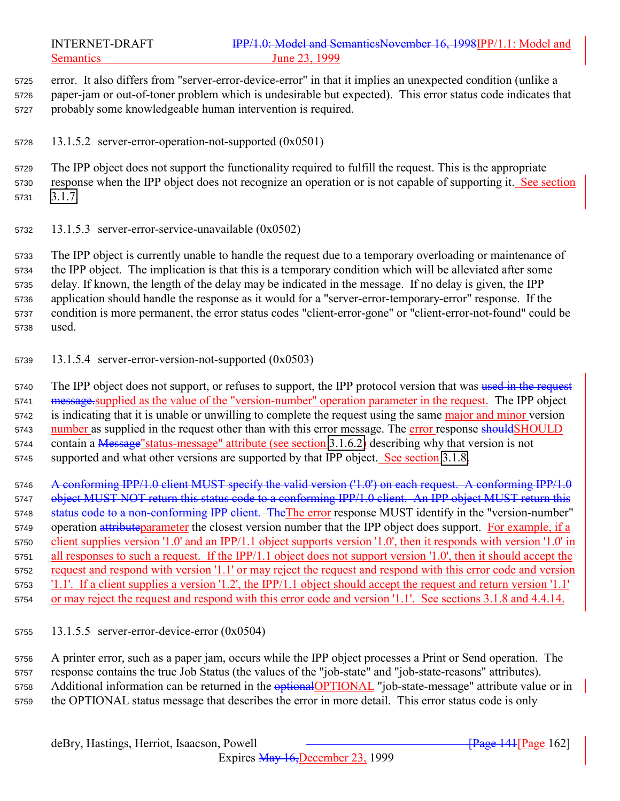error. It also differs from "server-error-device-error" in that it implies an unexpected condition (unlike a paper-jam or out-of-toner problem which is undesirable but expected). This error status code indicates that probably some knowledgeable human intervention is required.

13.1.5.2 server-error-operation-not-supported (0x0501)

 The IPP object does not support the functionality required to fulfill the request. This is the appropriate response when the IPP object does not recognize an operation or is not capable of supporting it. See section [3.1.7.](#page-31-0)

13.1.5.3 server-error-service-unavailable (0x0502)

 The IPP object is currently unable to handle the request due to a temporary overloading or maintenance of the IPP object. The implication is that this is a temporary condition which will be alleviated after some delay. If known, the length of the delay may be indicated in the message. If no delay is given, the IPP application should handle the response as it would for a "server-error-temporary-error" response. If the condition is more permanent, the error status codes "client-error-gone" or "client-error-not-found" could be used.

13.1.5.4 server-error-version-not-supported (0x0503)

5740 The IPP object does not support, or refuses to support, the IPP protocol version that was used in the request 5741 message.supplied as the value of the "version-number" operation parameter in the request. The IPP object 5742 is indicating that it is unable or unwilling to complete the request using the same major and minor version 5743 number as supplied in the request other than with this error message. The error response should SHOULD 5744 contain a Message" status-message" attribute (see section [3.1.6.2\)](#page-30-0) describing why that version is not 5745 supported and what other versions are supported by that IPP object. See section [3.1.8.](#page-32-0)

5746 A conforming IPP/1.0 client MUST specify the valid version ('1.0') on each request. A conforming IPP/1.0 5747 object MUST NOT return this status code to a conforming IPP/1.0 client. An IPP object MUST return this 5748 status code to a non-conforming IPP client. The The error response MUST identify in the "version-number" 5749 operation attributeparameter the closest version number that the IPP object does support. For example, if a client supplies version '1.0' and an IPP/1.1 object supports version '1.0', then it responds with version '1.0' in all responses to such a request. If the IPP/1.1 object does not support version '1.0', then it should accept the request and respond with version '1.1' or may reject the request and respond with this error code and version '1.1'. If a client supplies a version '1.2', the IPP/1.1 object should accept the request and return version '1.1' or may reject the request and respond with this error code and version '1.1'. See sections 3.1.8 and 4.4.14.

13.1.5.5 server-error-device-error (0x0504)

 A printer error, such as a paper jam, occurs while the IPP object processes a Print or Send operation. The response contains the true Job Status (the values of the "job-state" and "job-state-reasons" attributes). 5758 Additional information can be returned in the **optional**OPTIONAL "job-state-message" attribute value or in the OPTIONAL status message that describes the error in more detail. This error status code is only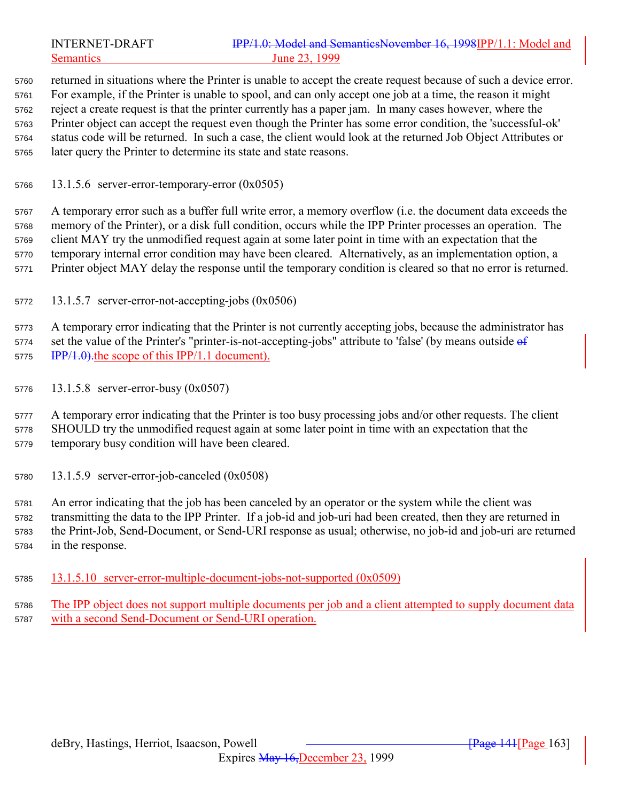returned in situations where the Printer is unable to accept the create request because of such a device error. For example, if the Printer is unable to spool, and can only accept one job at a time, the reason it might reject a create request is that the printer currently has a paper jam. In many cases however, where the Printer object can accept the request even though the Printer has some error condition, the 'successful-ok' status code will be returned. In such a case, the client would look at the returned Job Object Attributes or later query the Printer to determine its state and state reasons.

13.1.5.6 server-error-temporary-error (0x0505)

 A temporary error such as a buffer full write error, a memory overflow (i.e. the document data exceeds the memory of the Printer), or a disk full condition, occurs while the IPP Printer processes an operation. The client MAY try the unmodified request again at some later point in time with an expectation that the temporary internal error condition may have been cleared. Alternatively, as an implementation option, a Printer object MAY delay the response until the temporary condition is cleared so that no error is returned.

13.1.5.7 server-error-not-accepting-jobs (0x0506)

 A temporary error indicating that the Printer is not currently accepting jobs, because the administrator has 5774 set the value of the Printer's "printer-is-not-accepting-jobs" attribute to 'false' (by means outside  $\theta$ f 5775 IPP/1.0). the scope of this IPP/1.1 document).

- 13.1.5.8 server-error-busy (0x0507)
- 5777 A temporary error indicating that the Printer is too busy processing jobs and/or other requests. The client SHOULD try the unmodified request again at some later point in time with an expectation that the temporary busy condition will have been cleared.
- 13.1.5.9 server-error-job-canceled (0x0508)

 An error indicating that the job has been canceled by an operator or the system while the client was transmitting the data to the IPP Printer. If a job-id and job-uri had been created, then they are returned in the Print-Job, Send-Document, or Send-URI response as usual; otherwise, no job-id and job-uri are returned in the response.

- 13.1.5.10 server-error-multiple-document-jobs-not-supported (0x0509)
- The IPP object does not support multiple documents per job and a client attempted to supply document data with a second Send-Document or Send-URI operation.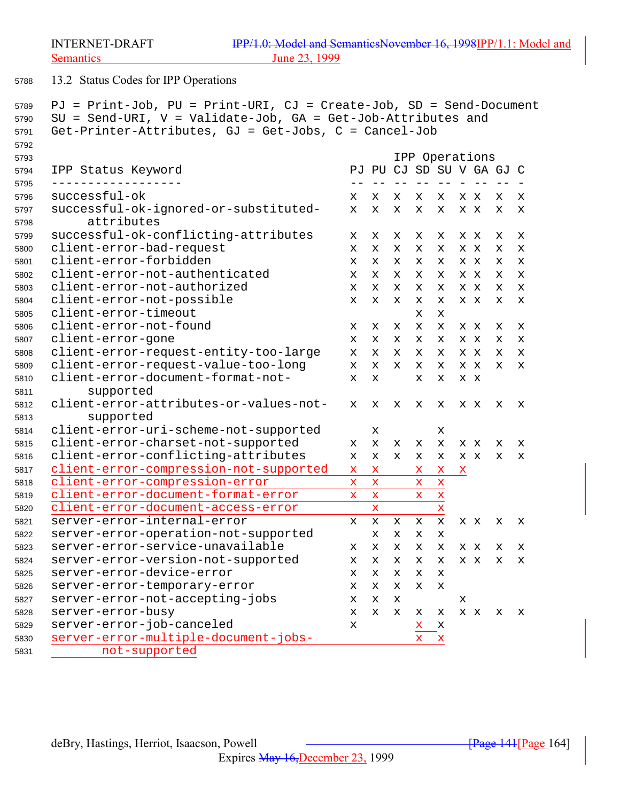<span id="page-163-0"></span>

13.2 Status Codes for IPP Operations

```
5789 PJ = Print-Job, PU = Print-URI, CJ = Create-Job, SD = Send-Document
5790 SU = Send-URI, V = Validate-Job, GA = Get-Job-Attributes and
5791 Get-Printer-Attributes, GJ = Get-Jobs, C = Cancel-Job
5792
5793 IPP Operations
5794 IPP Status Keyword PJ PU CJ SD SU V GA GJ C
5795 ------------------ -- -- -- -- -- - -- -- -
5796 successful-ok x x x x x xx x x
5797 successful-ok-ignored-or-substituted- x x x x x xx x x
5798 attributes
5799 successful-ok-conflicting-attributes x x x x x xx x x
5800 client-error-bad-request x x x x x xx x x
5801 client-error-forbidden x x x x x xx x x
5802 client-error-not-authenticated x x x x x xx x x
5803 client-error-not-authorized x x x x x xx x x
5804 client-error-not-possible x x x x x xx x x
5805 client-error-timeout x x
5806 client-error-not-found x x x x x xx x x
5807 client-error-gone x x x x x xx x x
5808 client-error-request-entity-too-large x x x x x xx x x
5809 client-error-request-value-too-long x x x x x xx x x
5810 client-error-document-format-not- x x x x x x
5811 supported
5812 client-error-attributes-or-values-not- x x x x x xx x x
5813 supported
5814 client-error-uri-scheme-not-supported x x
5815 client-error-charset-not-supported x x x x x xx x x
5816 client-error-conflicting-attributes x x x x x xx x x
5817 client-error-compression-not-supported x x x x x
5818 client-error-compression-error x x x x
5819 client-error-document-format-error x x x x
5820 client-error-document-access-error x x
5821 server-error-internal-error x x x x x xx x x
5822 server-error-operation-not-supported xxxx
5823 server-error-service-unavailable x x x x x xx x x
5824 server-error-version-not-supported x x x x x xx x x
5825 server-error-device-error xxxxx
5826 server-error-temporary-error xxxxx
5827 server-error-not-accepting-jobs x x x x
5828 server-error-busy x x x x x xx x x
5829 server-error-job-canceled x x x
5830 server-error-multiple-document-jobs- x x
```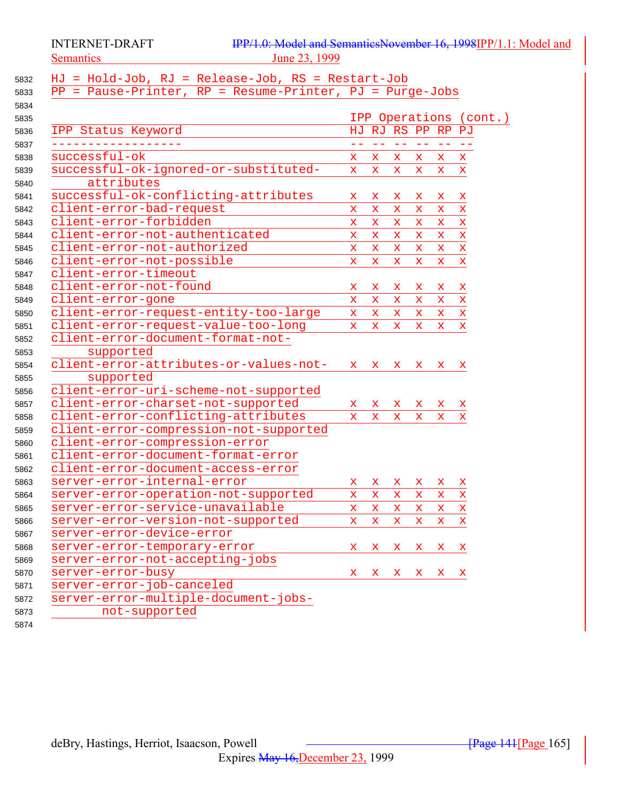INTERNET-DRAFT Semantics 23, 1999

| IPP/1.0: Model and SemanticsNovember 16, 1998IPP/1.1: Model and |  |  |
|-----------------------------------------------------------------|--|--|
| June 23, 1999                                                   |  |  |

| 5832 | HJ = Hold-Job, RJ = Release-Job, RS = Restart-Job          |              |                   |                   |                   |              |                        |  |
|------|------------------------------------------------------------|--------------|-------------------|-------------------|-------------------|--------------|------------------------|--|
| 5833 | $PP = Pause-Printer, RP = Resume-Printer, PJ = Purge-Jobs$ |              |                   |                   |                   |              |                        |  |
| 5834 |                                                            |              |                   |                   |                   |              |                        |  |
| 5835 |                                                            |              |                   |                   |                   |              | IPP Operations (cont.) |  |
| 5836 | IPP Status Keyword                                         |              |                   | HJ RJ RS PP RP PJ |                   |              |                        |  |
| 5837 |                                                            | $=$ $-$      | $\equiv$ $\equiv$ | $=$ $=$           | $\equiv$ $\equiv$ | $- -$        |                        |  |
| 5838 | successful-ok                                              | X.           | x                 | X.                | x                 | x            | $\mathbf x$            |  |
| 5839 | successful-ok-ignored-or-substituted-                      | $\mathbf x$  | $\mathbf x$       | $\mathbf x$       | $\mathbf x$       | $\mathbf{x}$ | $\mathbf x$            |  |
| 5840 | attributes                                                 |              |                   |                   |                   |              |                        |  |
| 5841 | successful-ok-conflicting-attributes                       | x.           | x                 | x                 | x                 | x            | x                      |  |
| 5842 | client-error-bad-request                                   | $\mathbf x$  | $\mathbf x$       | $\mathbf x$       | $\mathbf x$       | $\mathbf x$  | $\mathbf x$            |  |
| 5843 | client-error-forbidden                                     | $\mathbf x$  | $\mathbf x$       | $\mathbf x$       | x                 | $\mathbf x$  | $\mathbf x$            |  |
| 5844 | client-error-not-authenticated                             | x            | $\mathbf x$       | x                 | $\mathbf x$       | $\mathbf x$  | $\mathbf x$            |  |
| 5845 | client-error-not-authorized                                | $\mathbf x$  | $\mathbf x$       | $\mathbf x$       | $\mathbf x$       | $\mathbf x$  | $\mathbf x$            |  |
| 5846 | client-error-not-possible                                  | $\mathbf x$  | $\mathbf x$       | $\mathbf x$       | $\mathbf x$       | $\mathbf{x}$ | $\mathbf x$            |  |
| 5847 | client-error-timeout                                       |              |                   |                   |                   |              |                        |  |
| 5848 | client-error-not-found                                     | X.           | x                 | x                 | x                 | x            | x                      |  |
| 5849 | client-error-gone                                          | $\mathbf x$  | $\mathbf x$       | $\mathbf x$       | $\mathbf x$       | $\mathbf x$  | $\mathbf x$            |  |
| 5850 | client-error-request-entity-too-large                      | $\mathbf{x}$ | $\mathbf{x}$      | $\mathbf{x}$      | x                 | X.           | $\mathbf x$            |  |
| 5851 | client-error-request-value-too-long                        | $\mathbf{x}$ | $\mathbf{x}$      | $\mathbf{x}$      | $\mathbf x$       | $\mathbf{x}$ | $\mathbf x$            |  |
| 5852 | client-error-document-format-not-                          |              |                   |                   |                   |              |                        |  |
| 5853 | supported                                                  |              |                   |                   |                   |              |                        |  |
| 5854 | client-error-attributes-or-values-not-                     | $\mathbf x$  | $\mathbf x$       | $\mathbf x$       | $\mathbf{x}$      | x            | x                      |  |
| 5855 | supported                                                  |              |                   |                   |                   |              |                        |  |
| 5856 | client-error-uri-scheme-not-supported                      |              |                   |                   |                   |              |                        |  |
| 5857 | client-error-charset-not-supported                         | X.           | x                 | X.                | x                 | x            | x                      |  |
| 5858 | client-error-conflicting-attributes                        | $\mathbf{x}$ | $\mathbf x$       | $\mathbf{x}$      | X.                | $\mathbf x$  | x                      |  |
| 5859 | client-error-compression-not-supported                     |              |                   |                   |                   |              |                        |  |
| 5860 | client-error-compression-error                             |              |                   |                   |                   |              |                        |  |
| 5861 | client-error-document-format-error                         |              |                   |                   |                   |              |                        |  |
| 5862 | client-error-document-access-error                         |              |                   |                   |                   |              |                        |  |
| 5863 | server-error-internal-error                                | $\mathbf x$  | x                 | x                 | X.                | x            | x                      |  |
| 5864 | server-error-operation-not-supported                       | X.           | $\mathbf x$       | x                 | x                 | $\mathbf x$  | $\mathbf x$            |  |
| 5865 | server-error-service-unavailable                           | X.           | x                 | x                 | $\mathbf x$       | X.           | $\mathbf x$            |  |
| 5866 | server-error-version-not-supported                         | $\mathbf x$  | $\mathbf x$       | $\mathbf x$       | $\mathbf x$       | $\mathbf x$  | $\bar{\mathbf{x}}$     |  |
| 5867 | server-error-device-error                                  |              |                   |                   |                   |              |                        |  |
| 5868 | server-error-temporary-error                               | x.           | X.                | X.                | X.                | X.           | $\mathbf{x}$           |  |
| 5869 | server-error-not-accepting-jobs                            |              |                   |                   |                   |              |                        |  |
| 5870 | server-error-busy                                          | $\mathbf x$  |                   | X X X X X         |                   |              |                        |  |
| 5871 | server-error-job-canceled                                  |              |                   |                   |                   |              |                        |  |
| 5872 | server-error-multiple-document-jobs-                       |              |                   |                   |                   |              |                        |  |
| 5873 | not-supported                                              |              |                   |                   |                   |              |                        |  |
| 5874 |                                                            |              |                   |                   |                   |              |                        |  |
|      |                                                            |              |                   |                   |                   |              |                        |  |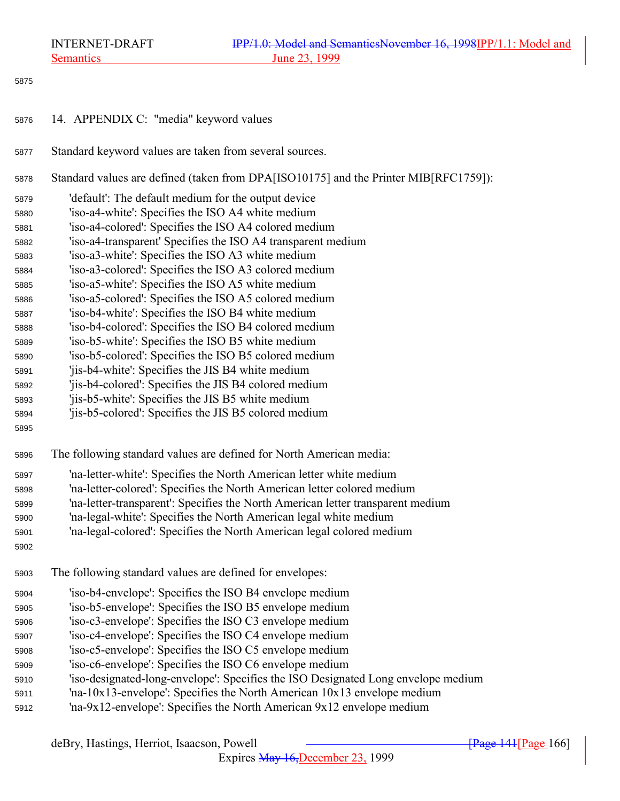Semantics 23, 1999

| 5875 |                                                                                      |
|------|--------------------------------------------------------------------------------------|
| 5876 | 14. APPENDIX C: "media" keyword values                                               |
| 5877 | Standard keyword values are taken from several sources.                              |
| 5878 | Standard values are defined (taken from DPA[ISO10175] and the Printer MIB[RFC1759]): |
| 5879 | 'default': The default medium for the output device                                  |
| 5880 | 'iso-a4-white': Specifies the ISO A4 white medium                                    |
| 5881 | 'iso-a4-colored': Specifies the ISO A4 colored medium                                |
| 5882 | 'iso-a4-transparent' Specifies the ISO A4 transparent medium                         |
| 5883 | 'iso-a3-white': Specifies the ISO A3 white medium                                    |
| 5884 | 'iso-a3-colored': Specifies the ISO A3 colored medium                                |
| 5885 | 'iso-a5-white': Specifies the ISO A5 white medium                                    |
| 5886 | 'iso-a5-colored': Specifies the ISO A5 colored medium                                |
| 5887 | 'iso-b4-white': Specifies the ISO B4 white medium                                    |
| 5888 | 'iso-b4-colored': Specifies the ISO B4 colored medium                                |
| 5889 | 'iso-b5-white': Specifies the ISO B5 white medium                                    |
| 5890 | 'iso-b5-colored': Specifies the ISO B5 colored medium                                |
| 5891 | 'jis-b4-white': Specifies the JIS B4 white medium                                    |
| 5892 | 'jis-b4-colored': Specifies the JIS B4 colored medium                                |
| 5893 | 'jis-b5-white': Specifies the JIS B5 white medium                                    |
| 5894 | 'jis-b5-colored': Specifies the JIS B5 colored medium                                |
| 5895 |                                                                                      |
| 5896 | The following standard values are defined for North American media:                  |
| 5897 | 'na-letter-white': Specifies the North American letter white medium                  |
| 5898 | 'na-letter-colored': Specifies the North American letter colored medium              |
| 5899 | 'na-letter-transparent': Specifies the North American letter transparent medium      |
| 5900 | 'na-legal-white': Specifies the North American legal white medium                    |
| 5901 | 'na-legal-colored': Specifies the North American legal colored medium                |
| 5902 |                                                                                      |
| 5903 | The following standard values are defined for envelopes:                             |
| 5904 | 'iso-b4-envelope': Specifies the ISO B4 envelope medium                              |
| 5905 | 'iso-b5-envelope': Specifies the ISO B5 envelope medium                              |
| 5906 | 'iso-c3-envelope': Specifies the ISO C3 envelope medium                              |
| 5907 | 'iso-c4-envelope': Specifies the ISO C4 envelope medium                              |
| 5908 | 'iso-c5-envelope': Specifies the ISO C5 envelope medium                              |
| 5909 | 'iso-c6-envelope': Specifies the ISO C6 envelope medium                              |
| 5910 | 'iso-designated-long-envelope': Specifies the ISO Designated Long envelope medium    |
| 5911 | 'na-10x13-envelope': Specifies the North American 10x13 envelope medium              |
| 5912 | 'na-9x12-envelope': Specifies the North American 9x12 envelope medium                |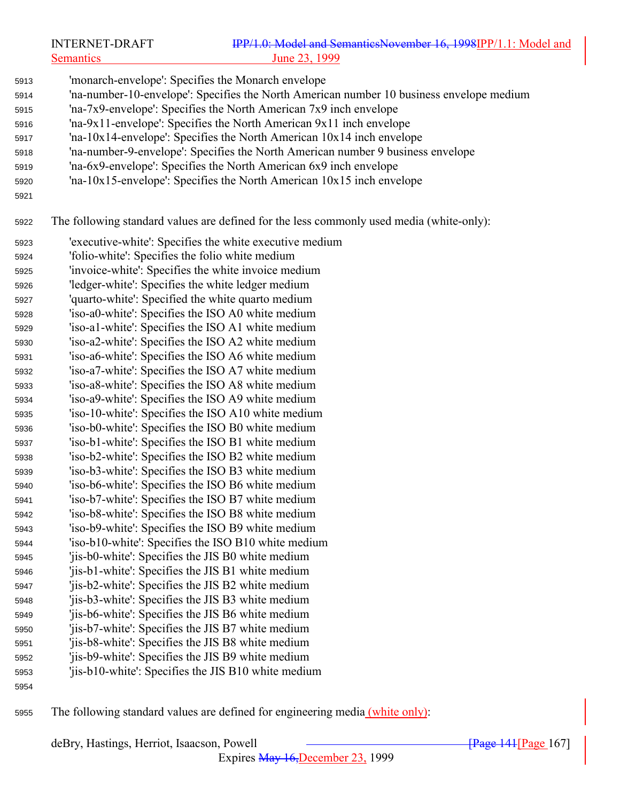|      | <b>INTERNET-DRAFT</b>                             | IPP/1.0: Model and SemanticsNovember 16, 1998IPP/1.1: Model and                          |
|------|---------------------------------------------------|------------------------------------------------------------------------------------------|
|      | <b>Semantics</b>                                  | <u>June 23, 1999</u>                                                                     |
| 5913 |                                                   | 'monarch-envelope': Specifies the Monarch envelope                                       |
|      |                                                   | 'na-number-10-envelope': Specifies the North American number 10 business envelope medium |
| 5914 |                                                   | 'na-7x9-envelope': Specifies the North American 7x9 inch envelope                        |
| 5915 |                                                   | 'na-9x11-envelope': Specifies the North American 9x11 inch envelope                      |
| 5916 |                                                   |                                                                                          |
| 5917 |                                                   | $\text{ln}a - 10x14$ -envelope': Specifies the North American $10x14$ inch envelope      |
| 5918 |                                                   | 'na-number-9-envelope': Specifies the North American number 9 business envelope          |
| 5919 |                                                   | 'na-6x9-envelope': Specifies the North American 6x9 inch envelope                        |
| 5920 |                                                   | 'na-10x15-envelope': Specifies the North American 10x15 inch envelope                    |
| 5921 |                                                   |                                                                                          |
| 5922 |                                                   | The following standard values are defined for the less commonly used media (white-only): |
| 5923 |                                                   | 'executive-white': Specifies the white executive medium                                  |
| 5924 | 'folio-white': Specifies the folio white medium   |                                                                                          |
| 5925 |                                                   | 'invoice-white': Specifies the white invoice medium                                      |
| 5926 | 'ledger-white': Specifies the white ledger medium |                                                                                          |
| 5927 | 'quarto-white': Specified the white quarto medium |                                                                                          |
| 5928 |                                                   | 'iso-a0-white': Specifies the ISO A0 white medium                                        |
| 5929 |                                                   | 'iso-a1-white': Specifies the ISO A1 white medium                                        |
| 5930 |                                                   | 'iso-a2-white': Specifies the ISO A2 white medium                                        |
| 5931 |                                                   | 'iso-a6-white': Specifies the ISO A6 white medium                                        |
| 5932 |                                                   | 'iso-a7-white': Specifies the ISO A7 white medium                                        |
| 5933 |                                                   | 'iso-a8-white': Specifies the ISO A8 white medium                                        |
| 5934 |                                                   | 'iso-a9-white': Specifies the ISO A9 white medium                                        |
| 5935 |                                                   | 'iso-10-white': Specifies the ISO A10 white medium                                       |
| 5936 |                                                   | 'iso-b0-white': Specifies the ISO B0 white medium                                        |
| 5937 |                                                   | 'iso-b1-white': Specifies the ISO B1 white medium                                        |
| 5938 |                                                   | 'iso-b2-white': Specifies the ISO B2 white medium                                        |
| 5939 |                                                   | 'iso-b3-white': Specifies the ISO B3 white medium                                        |
| 5940 |                                                   | 'iso-b6-white': Specifies the ISO B6 white medium                                        |
| 5941 |                                                   | 'iso-b7-white': Specifies the ISO B7 white medium                                        |
| 5942 |                                                   | 'iso-b8-white': Specifies the ISO B8 white medium                                        |
| 5943 |                                                   | 'iso-b9-white': Specifies the ISO B9 white medium                                        |
| 5944 |                                                   | 'iso-b10-white': Specifies the ISO B10 white medium                                      |
| 5945 | 'jis-b0-white': Specifies the JIS B0 white medium |                                                                                          |
| 5946 | 'jis-b1-white': Specifies the JIS B1 white medium |                                                                                          |
| 5947 | 'jis-b2-white': Specifies the JIS B2 white medium |                                                                                          |
| 5948 | 'jis-b3-white': Specifies the JIS B3 white medium |                                                                                          |
| 5949 | 'jis-b6-white': Specifies the JIS B6 white medium |                                                                                          |
| 5950 | 'jis-b7-white': Specifies the JIS B7 white medium |                                                                                          |
| 5951 | 'jis-b8-white': Specifies the JIS B8 white medium |                                                                                          |
| 5952 | 'jis-b9-white': Specifies the JIS B9 white medium |                                                                                          |
| 5953 |                                                   | 'jis-b10-white': Specifies the JIS B10 white medium                                      |
| 5954 |                                                   |                                                                                          |

The following standard values are defined for engineering media (white only):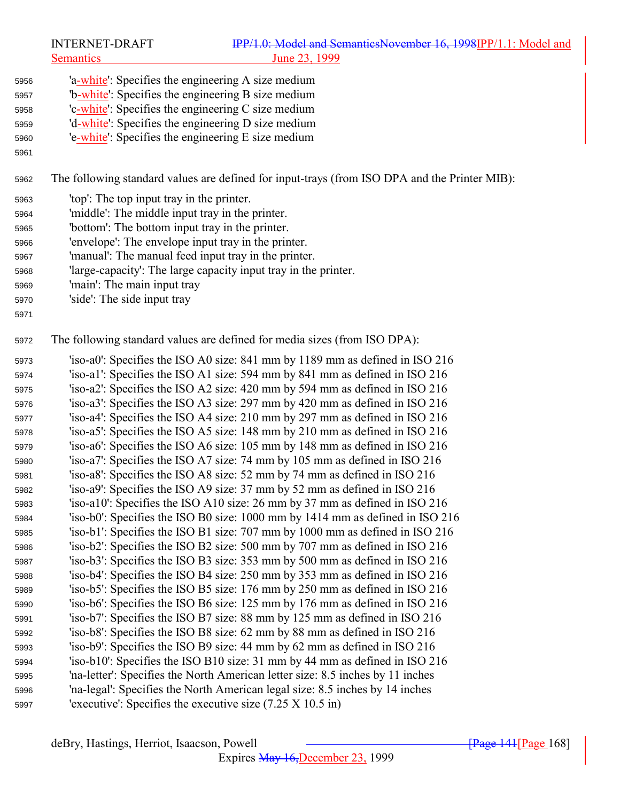The following standard values are defined for input-trays (from ISO DPA and the Printer MIB):

- 'top': The top input tray in the printer.
- 'middle': The middle input tray in the printer.
- 'bottom': The bottom input tray in the printer.
- 'envelope': The envelope input tray in the printer.
- 'manual': The manual feed input tray in the printer.
- 'large-capacity': The large capacity input tray in the printer.
- 'main': The main input tray
- 'side': The side input tray
- 

The following standard values are defined for media sizes (from ISO DPA):

 'iso-a0': Specifies the ISO A0 size: 841 mm by 1189 mm as defined in ISO 216 'iso-a1': Specifies the ISO A1 size: 594 mm by 841 mm as defined in ISO 216 'iso-a2': Specifies the ISO A2 size: 420 mm by 594 mm as defined in ISO 216 'iso-a3': Specifies the ISO A3 size: 297 mm by 420 mm as defined in ISO 216 'iso-a4': Specifies the ISO A4 size: 210 mm by 297 mm as defined in ISO 216 'iso-a5': Specifies the ISO A5 size: 148 mm by 210 mm as defined in ISO 216 'iso-a6': Specifies the ISO A6 size: 105 mm by 148 mm as defined in ISO 216 'iso-a7': Specifies the ISO A7 size: 74 mm by 105 mm as defined in ISO 216 'iso-a8': Specifies the ISO A8 size: 52 mm by 74 mm as defined in ISO 216 'iso-a9': Specifies the ISO A9 size: 37 mm by 52 mm as defined in ISO 216 'iso-a10': Specifies the ISO A10 size: 26 mm by 37 mm as defined in ISO 216 'iso-b0': Specifies the ISO B0 size: 1000 mm by 1414 mm as defined in ISO 216 'iso-b1': Specifies the ISO B1 size: 707 mm by 1000 mm as defined in ISO 216 'iso-b2': Specifies the ISO B2 size: 500 mm by 707 mm as defined in ISO 216 'iso-b3': Specifies the ISO B3 size: 353 mm by 500 mm as defined in ISO 216 'iso-b4': Specifies the ISO B4 size: 250 mm by 353 mm as defined in ISO 216 'iso-b5': Specifies the ISO B5 size: 176 mm by 250 mm as defined in ISO 216 'iso-b6': Specifies the ISO B6 size: 125 mm by 176 mm as defined in ISO 216 'iso-b7': Specifies the ISO B7 size: 88 mm by 125 mm as defined in ISO 216 'iso-b8': Specifies the ISO B8 size: 62 mm by 88 mm as defined in ISO 216 'iso-b9': Specifies the ISO B9 size: 44 mm by 62 mm as defined in ISO 216 'iso-b10': Specifies the ISO B10 size: 31 mm by 44 mm as defined in ISO 216 'na-letter': Specifies the North American letter size: 8.5 inches by 11 inches 'na-legal': Specifies the North American legal size: 8.5 inches by 14 inches 'executive': Specifies the executive size (7.25 X 10.5 in)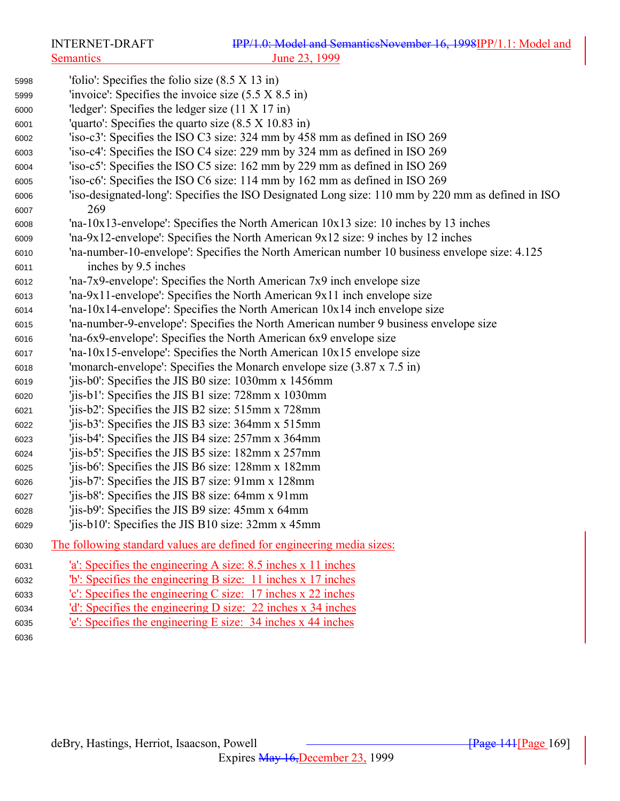'folio': Specifies the folio size (8.5 X 13 in) 'invoice': Specifies the invoice size (5.5 X 8.5 in) 'ledger': Specifies the ledger size (11 X 17 in) 'quarto': Specifies the quarto size (8.5 X 10.83 in) 'iso-c3': Specifies the ISO C3 size: 324 mm by 458 mm as defined in ISO 269 'iso-c4': Specifies the ISO C4 size: 229 mm by 324 mm as defined in ISO 269 'iso-c5': Specifies the ISO C5 size: 162 mm by 229 mm as defined in ISO 269 'iso-c6': Specifies the ISO C6 size: 114 mm by 162 mm as defined in ISO 269 'iso-designated-long': Specifies the ISO Designated Long size: 110 mm by 220 mm as defined in ISO 269 'na-10x13-envelope': Specifies the North American 10x13 size: 10 inches by 13 inches 'na-9x12-envelope': Specifies the North American 9x12 size: 9 inches by 12 inches 'na-number-10-envelope': Specifies the North American number 10 business envelope size: 4.125 inches by 9.5 inches 'na-7x9-envelope': Specifies the North American 7x9 inch envelope size 'na-9x11-envelope': Specifies the North American 9x11 inch envelope size 'na-10x14-envelope': Specifies the North American 10x14 inch envelope size 'na-number-9-envelope': Specifies the North American number 9 business envelope size 'na-6x9-envelope': Specifies the North American 6x9 envelope size 'na-10x15-envelope': Specifies the North American 10x15 envelope size 'monarch-envelope': Specifies the Monarch envelope size (3.87 x 7.5 in) 'jis-b0': Specifies the JIS B0 size: 1030mm x 1456mm 'jis-b1': Specifies the JIS B1 size: 728mm x 1030mm 'jis-b2': Specifies the JIS B2 size: 515mm x 728mm 'jis-b3': Specifies the JIS B3 size: 364mm x 515mm 'jis-b4': Specifies the JIS B4 size: 257mm x 364mm 'jis-b5': Specifies the JIS B5 size: 182mm x 257mm 'jis-b6': Specifies the JIS B6 size: 128mm x 182mm 'jis-b7': Specifies the JIS B7 size: 91mm x 128mm 'jis-b8': Specifies the JIS B8 size: 64mm x 91mm 'jis-b9': Specifies the JIS B9 size: 45mm x 64mm 'jis-b10': Specifies the JIS B10 size: 32mm x 45mm The following standard values are defined for engineering media sizes: 'a': Specifies the engineering A size: 8.5 inches x 11 inches 'b': Specifies the engineering B size: 11 inches x 17 inches 'c': Specifies the engineering C size: 17 inches x 22 inches 'd': Specifies the engineering D size: 22 inches x 34 inches 'e': Specifies the engineering E size: 34 inches x 44 inches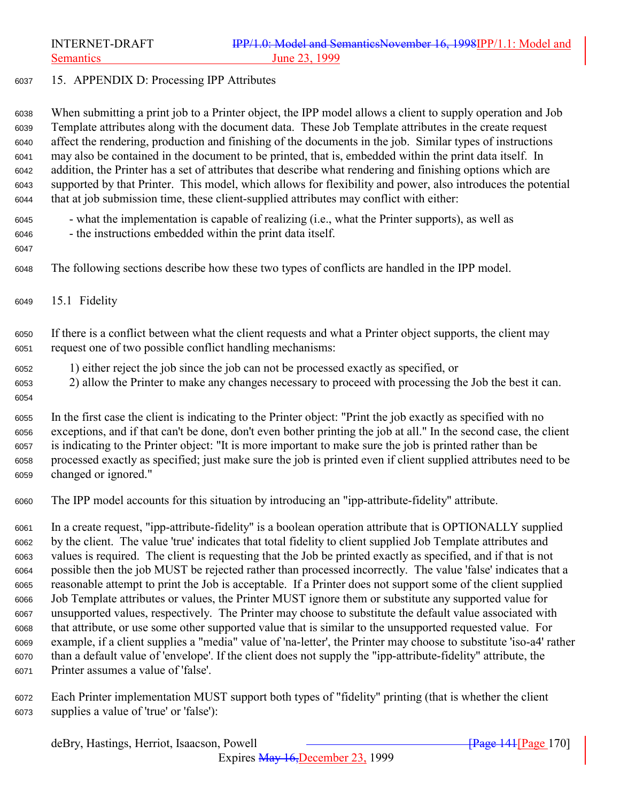### 15. APPENDIX D: Processing IPP Attributes

 When submitting a print job to a Printer object, the IPP model allows a client to supply operation and Job Template attributes along with the document data. These Job Template attributes in the create request affect the rendering, production and finishing of the documents in the job. Similar types of instructions may also be contained in the document to be printed, that is, embedded within the print data itself. In addition, the Printer has a set of attributes that describe what rendering and finishing options which are supported by that Printer. This model, which allows for flexibility and power, also introduces the potential that at job submission time, these client-supplied attributes may conflict with either:

- what the implementation is capable of realizing (i.e., what the Printer supports), as well as
- the instructions embedded within the print data itself.
- 
- The following sections describe how these two types of conflicts are handled in the IPP model.
- 15.1 Fidelity

 If there is a conflict between what the client requests and what a Printer object supports, the client may request one of two possible conflict handling mechanisms:

- 1) either reject the job since the job can not be processed exactly as specified, or
- 2) allow the Printer to make any changes necessary to proceed with processing the Job the best it can.
- 

 In the first case the client is indicating to the Printer object: "Print the job exactly as specified with no exceptions, and if that can't be done, don't even bother printing the job at all." In the second case, the client is indicating to the Printer object: "It is more important to make sure the job is printed rather than be processed exactly as specified; just make sure the job is printed even if client supplied attributes need to be changed or ignored."

The IPP model accounts for this situation by introducing an "ipp-attribute-fidelity" attribute.

 In a create request, "ipp-attribute-fidelity" is a boolean operation attribute that is OPTIONALLY supplied by the client. The value 'true' indicates that total fidelity to client supplied Job Template attributes and values is required. The client is requesting that the Job be printed exactly as specified, and if that is not possible then the job MUST be rejected rather than processed incorrectly. The value 'false' indicates that a reasonable attempt to print the Job is acceptable. If a Printer does not support some of the client supplied Job Template attributes or values, the Printer MUST ignore them or substitute any supported value for unsupported values, respectively. The Printer may choose to substitute the default value associated with that attribute, or use some other supported value that is similar to the unsupported requested value. For example, if a client supplies a "media" value of 'na-letter', the Printer may choose to substitute 'iso-a4' rather than a default value of 'envelope'. If the client does not supply the "ipp-attribute-fidelity" attribute, the Printer assumes a value of 'false'.

 Each Printer implementation MUST support both types of "fidelity" printing (that is whether the client supplies a value of 'true' or 'false'):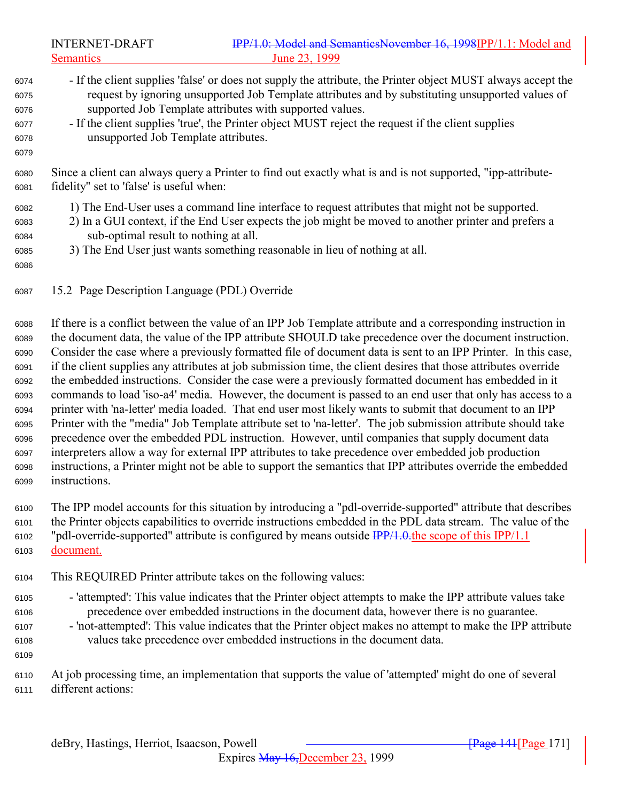INTERNET-DRAFT **IPP/1.0: Model and SemanticsNovember 16, 1998IPP/1.1: Model and** Semantics June 23, 1999 - If the client supplies 'false' or does not supply the attribute, the Printer object MUST always accept the request by ignoring unsupported Job Template attributes and by substituting unsupported values of supported Job Template attributes with supported values. - If the client supplies 'true', the Printer object MUST reject the request if the client supplies unsupported Job Template attributes. Since a client can always query a Printer to find out exactly what is and is not supported, "ipp-attribute- fidelity" set to 'false' is useful when: 1) The End-User uses a command line interface to request attributes that might not be supported. 2) In a GUI context, if the End User expects the job might be moved to another printer and prefers a sub-optimal result to nothing at all. 3) The End User just wants something reasonable in lieu of nothing at all. 15.2 Page Description Language (PDL) Override

 If there is a conflict between the value of an IPP Job Template attribute and a corresponding instruction in the document data, the value of the IPP attribute SHOULD take precedence over the document instruction. Consider the case where a previously formatted file of document data is sent to an IPP Printer. In this case, if the client supplies any attributes at job submission time, the client desires that those attributes override the embedded instructions. Consider the case were a previously formatted document has embedded in it commands to load 'iso-a4' media. However, the document is passed to an end user that only has access to a printer with 'na-letter' media loaded. That end user most likely wants to submit that document to an IPP Printer with the "media" Job Template attribute set to 'na-letter'. The job submission attribute should take precedence over the embedded PDL instruction. However, until companies that supply document data interpreters allow a way for external IPP attributes to take precedence over embedded job production instructions, a Printer might not be able to support the semantics that IPP attributes override the embedded instructions.

 The IPP model accounts for this situation by introducing a "pdl-override-supported" attribute that describes the Printer objects capabilities to override instructions embedded in the PDL data stream. The value of the 6102 "pdl-override-supported" attribute is configured by means outside  $\frac{IPP}{1.0}$  the scope of this IPP/1.1 document.

- This REQUIRED Printer attribute takes on the following values:
- 'attempted': This value indicates that the Printer object attempts to make the IPP attribute values take precedence over embedded instructions in the document data, however there is no guarantee.
- 'not-attempted': This value indicates that the Printer object makes no attempt to make the IPP attribute values take precedence over embedded instructions in the document data.

 At job processing time, an implementation that supports the value of 'attempted' might do one of several different actions: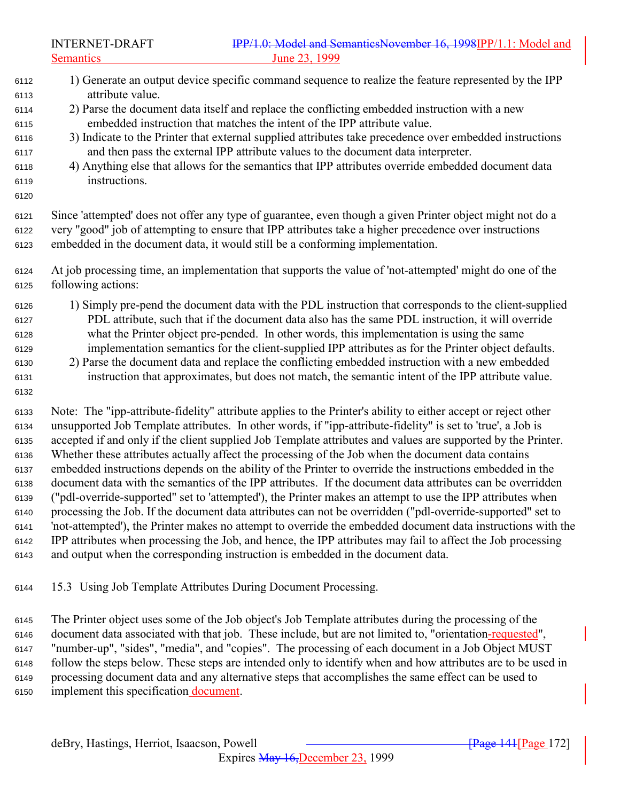- 1) Generate an output device specific command sequence to realize the feature represented by the IPP attribute value. 2) Parse the document data itself and replace the conflicting embedded instruction with a new embedded instruction that matches the intent of the IPP attribute value.
- 3) Indicate to the Printer that external supplied attributes take precedence over embedded instructions and then pass the external IPP attribute values to the document data interpreter.
- 4) Anything else that allows for the semantics that IPP attributes override embedded document data instructions.
- 

 Since 'attempted' does not offer any type of guarantee, even though a given Printer object might not do a very "good" job of attempting to ensure that IPP attributes take a higher precedence over instructions embedded in the document data, it would still be a conforming implementation.

- At job processing time, an implementation that supports the value of 'not-attempted' might do one of the following actions:
- 1) Simply pre-pend the document data with the PDL instruction that corresponds to the client-supplied PDL attribute, such that if the document data also has the same PDL instruction, it will override what the Printer object pre-pended. In other words, this implementation is using the same implementation semantics for the client-supplied IPP attributes as for the Printer object defaults.
- 2) Parse the document data and replace the conflicting embedded instruction with a new embedded instruction that approximates, but does not match, the semantic intent of the IPP attribute value.
- Note: The "ipp-attribute-fidelity" attribute applies to the Printer's ability to either accept or reject other unsupported Job Template attributes. In other words, if "ipp-attribute-fidelity" is set to 'true', a Job is accepted if and only if the client supplied Job Template attributes and values are supported by the Printer. Whether these attributes actually affect the processing of the Job when the document data contains embedded instructions depends on the ability of the Printer to override the instructions embedded in the document data with the semantics of the IPP attributes. If the document data attributes can be overridden ("pdl-override-supported" set to 'attempted'), the Printer makes an attempt to use the IPP attributes when processing the Job. If the document data attributes can not be overridden ("pdl-override-supported" set to 'not-attempted'), the Printer makes no attempt to override the embedded document data instructions with the IPP attributes when processing the Job, and hence, the IPP attributes may fail to affect the Job processing and output when the corresponding instruction is embedded in the document data.
- 15.3 Using Job Template Attributes During Document Processing.
- The Printer object uses some of the Job object's Job Template attributes during the processing of the 6146 document data associated with that job. These include, but are not limited to, "orientation-requested", "number-up", "sides", "media", and "copies". The processing of each document in a Job Object MUST follow the steps below. These steps are intended only to identify when and how attributes are to be used in processing document data and any alternative steps that accomplishes the same effect can be used to implement this specification document.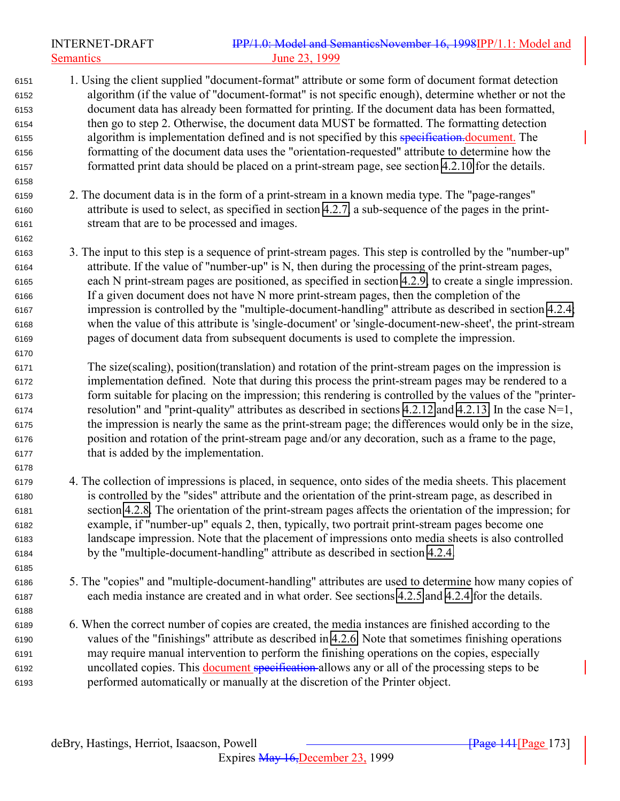INTERNET-DRAFT **IPP/1.0: Model and SemanticsNovember 16, 1998IPP/1.1: Model and** Semantics June 23, 1999 1. Using the client supplied "document-format" attribute or some form of document format detection algorithm (if the value of "document-format" is not specific enough), determine whether or not the document data has already been formatted for printing. If the document data has been formatted, then go to step 2. Otherwise, the document data MUST be formatted. The formatting detection algorithm is implementation defined and is not specified by this specification.document. The formatting of the document data uses the "orientation-requested" attribute to determine how the formatted print data should be placed on a print-stream page, see section [4.2.10](#page-85-0) for the details. 2. The document data is in the form of a print-stream in a known media type. The "page-ranges" attribute is used to select, as specified in section [4.2.7,](#page-83-0) a sub-sequence of the pages in the print- stream that are to be processed and images. 3. The input to this step is a sequence of print-stream pages. This step is controlled by the "number-up" attribute. If the value of "number-up" is N, then during the processing of the print-stream pages, each N print-stream pages are positioned, as specified in section [4.2.9,](#page-84-0) to create a single impression. If a given document does not have N more print-stream pages, then the completion of the impression is controlled by the "multiple-document-handling" attribute as described in section [4.2.4;](#page-80-0) when the value of this attribute is 'single-document' or 'single-document-new-sheet', the print-stream pages of document data from subsequent documents is used to complete the impression. The size(scaling), position(translation) and rotation of the print-stream pages on the impression is implementation defined. Note that during this process the print-stream pages may be rendered to a form suitable for placing on the impression; this rendering is controlled by the values of the "printer-6174 resolution" and "print-quality" attributes as described in sections [4.2.12](#page-86-0) and [4.2.13.](#page-86-0) In the case  $N=1$ , the impression is nearly the same as the print-stream page; the differences would only be in the size, position and rotation of the print-stream page and/or any decoration, such as a frame to the page, that is added by the implementation. 4. The collection of impressions is placed, in sequence, onto sides of the media sheets. This placement is controlled by the "sides" attribute and the orientation of the print-stream page, as described in section [4.2.8.](#page-84-0) The orientation of the print-stream pages affects the orientation of the impression; for example, if "number-up" equals 2, then, typically, two portrait print-stream pages become one landscape impression. Note that the placement of impressions onto media sheets is also controlled by the "multiple-document-handling" attribute as described in section [4.2.4.](#page-80-0) 5. The "copies" and "multiple-document-handling" attributes are used to determine how many copies of each media instance are created and in what order. See sections [4.2.5](#page-81-0) and [4.2.4](#page-80-0) for the details. 6. When the correct number of copies are created, the media instances are finished according to the values of the "finishings" attribute as described in [4.2.6.](#page-81-0) Note that sometimes finishing operations may require manual intervention to perform the finishing operations on the copies, especially 6192 uncollated copies. This document specification allows any or all of the processing steps to be performed automatically or manually at the discretion of the Printer object.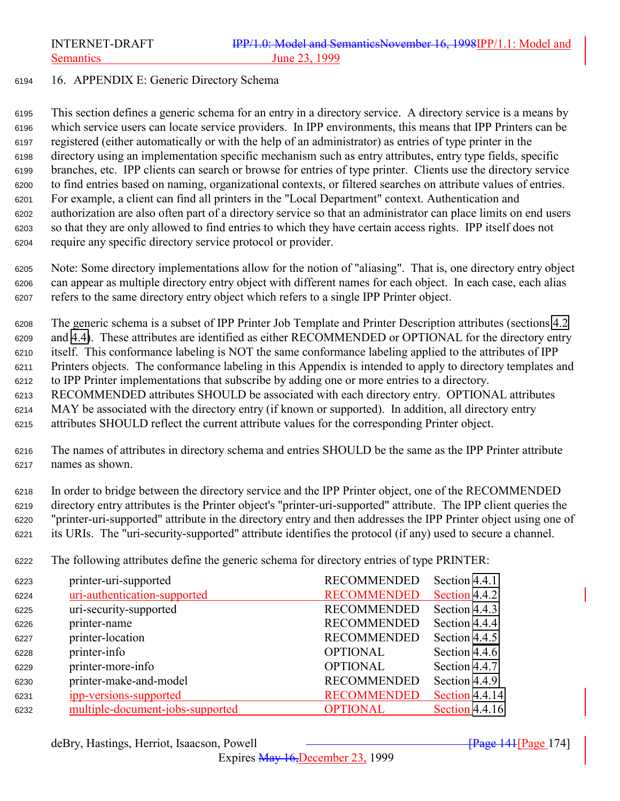### 16. APPENDIX E: Generic Directory Schema

 This section defines a generic schema for an entry in a directory service. A directory service is a means by which service users can locate service providers. In IPP environments, this means that IPP Printers can be registered (either automatically or with the help of an administrator) as entries of type printer in the directory using an implementation specific mechanism such as entry attributes, entry type fields, specific branches, etc. IPP clients can search or browse for entries of type printer. Clients use the directory service to find entries based on naming, organizational contexts, or filtered searches on attribute values of entries. For example, a client can find all printers in the "Local Department" context. Authentication and authorization are also often part of a directory service so that an administrator can place limits on end users so that they are only allowed to find entries to which they have certain access rights. IPP itself does not require any specific directory service protocol or provider.

 Note: Some directory implementations allow for the notion of "aliasing". That is, one directory entry object can appear as multiple directory entry object with different names for each object. In each case, each alias refers to the same directory entry object which refers to a single IPP Printer object.

 The generic schema is a subset of IPP Printer Job Template and Printer Description attributes (sections [4.2](#page-75-0) and [4.4\)](#page-103-0). These attributes are identified as either RECOMMENDED or OPTIONAL for the directory entry itself. This conformance labeling is NOT the same conformance labeling applied to the attributes of IPP Printers objects. The conformance labeling in this Appendix is intended to apply to directory templates and to IPP Printer implementations that subscribe by adding one or more entries to a directory. RECOMMENDED attributes SHOULD be associated with each directory entry. OPTIONAL attributes MAY be associated with the directory entry (if known or supported). In addition, all directory entry

attributes SHOULD reflect the current attribute values for the corresponding Printer object.

 The names of attributes in directory schema and entries SHOULD be the same as the IPP Printer attribute names as shown.

 In order to bridge between the directory service and the IPP Printer object, one of the RECOMMENDED directory entry attributes is the Printer object's "printer-uri-supported" attribute. The IPP client queries the "printer-uri-supported" attribute in the directory entry and then addresses the IPP Printer object using one of its URIs. The "uri-security-supported" attribute identifies the protocol (if any) used to secure a channel.

The following attributes define the generic schema for directory entries of type PRINTER:

| 6223 | printer-uri-supported            | <b>RECOMMENDED</b> | Section 4.4.1  |
|------|----------------------------------|--------------------|----------------|
| 6224 | uri-authentication-supported     | <b>RECOMMENDED</b> | Section 4.4.2  |
| 6225 | uri-security-supported           | <b>RECOMMENDED</b> | Section 4.4.3  |
| 6226 | printer-name                     | <b>RECOMMENDED</b> | Section 4.4.4  |
| 6227 | printer-location                 | <b>RECOMMENDED</b> | Section 4.4.5  |
| 6228 | printer-info                     | <b>OPTIONAL</b>    | Section 4.4.6  |
| 6229 | printer-more-info                | <b>OPTIONAL</b>    | Section 4.4.7  |
| 6230 | printer-make-and-model           | <b>RECOMMENDED</b> | Section 4.4.9  |
| 6231 | ipp-versions-supported           | <b>RECOMMENDED</b> | Section 4.4.14 |
| 6232 | multiple-document-jobs-supported | <b>OPTIONAL</b>    | Section 4.4.16 |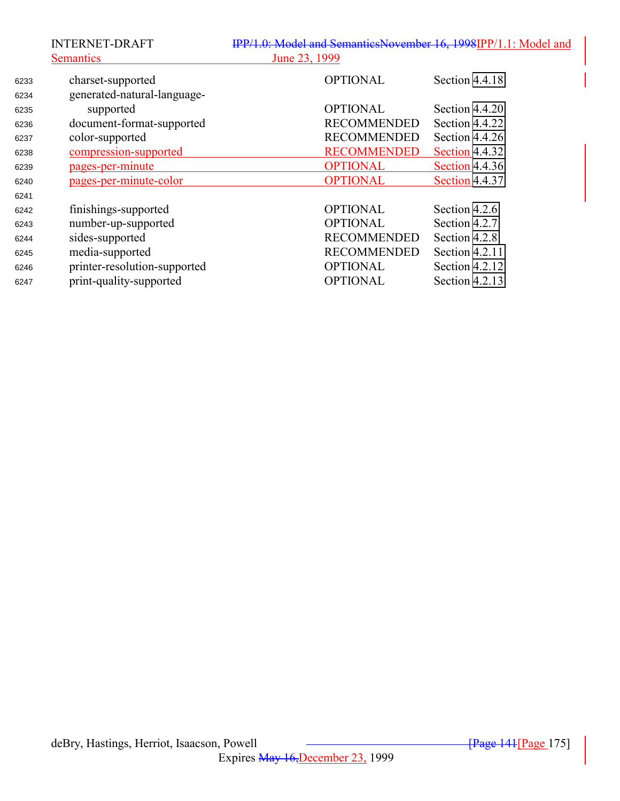|      | <b>INTERNET-DRAFT</b>        | IPP/1.0: Model and SemanticsNovember 16, 1998IPP/1.1: Model and |                       |
|------|------------------------------|-----------------------------------------------------------------|-----------------------|
|      | <b>Semantics</b>             | June 23, 1999                                                   |                       |
| 6233 | charset-supported            | <b>OPTIONAL</b>                                                 | Section 4.4.18        |
| 6234 | generated-natural-language-  |                                                                 |                       |
| 6235 | supported                    | <b>OPTIONAL</b>                                                 | Section 4.4.20        |
| 6236 | document-format-supported    | <b>RECOMMENDED</b>                                              | Section 4.4.22        |
| 6237 | color-supported              | <b>RECOMMENDED</b>                                              | Section 4.4.26        |
| 6238 | compression-supported        | <b>RECOMMENDED</b>                                              | <b>Section 4.4.32</b> |
| 6239 | pages-per-minute             | <b>OPTIONAL</b>                                                 | Section 4.4.36        |
| 6240 | pages-per-minute-color       | <b>OPTIONAL</b>                                                 | Section 4.4.37        |
| 6241 |                              |                                                                 |                       |
| 6242 | finishings-supported         | <b>OPTIONAL</b>                                                 | Section 4.2.6         |
| 6243 | number-up-supported          | <b>OPTIONAL</b>                                                 | Section 4.2.7         |
| 6244 | sides-supported              | <b>RECOMMENDED</b>                                              | Section 4.2.8         |
| 6245 | media-supported              | <b>RECOMMENDED</b>                                              | Section 4.2.11        |
| 6246 | printer-resolution-supported | <b>OPTIONAL</b>                                                 | Section 4.2.12        |
| 6247 | print-quality-supported      | <b>OPTIONAL</b>                                                 | Section 4.2.13        |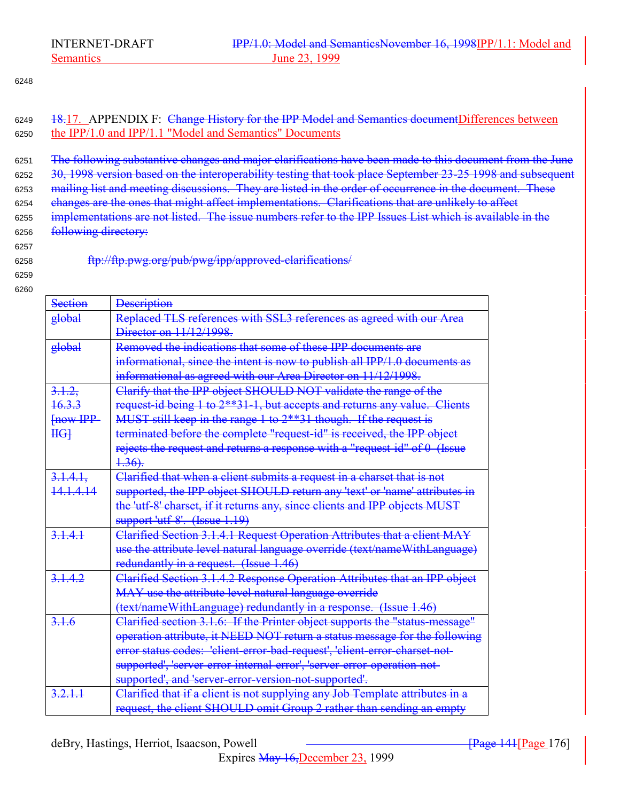### 6248

6249 <del>18.</del>17. APPENDIX F: Change History for the IPP Model and Semantics documentDifferences between <sup>6250</sup> the IPP/1.0 and IPP/1.1 "Model and Semantics" Documents

<sup>6251</sup> The following substantive changes and major clarifications have been made to this document from the June 6252 30, 1998 version based on the interoperability testing that took place September 23-25 1998 and subsequent <sup>6253</sup> mailing list and meeting discussions. They are listed in the order of occurrence in the document. These <sup>6254</sup> changes are the ones that might affect implementations. Clarifications that are unlikely to affect 6255 implementations are not listed. The issue numbers refer to the IPP Issues List which is available in the 6256 following directory:

6257

6258 ftp://ftp.pwg.org/pub/pwg/ipp/approved-clarifications/

6259 6260

> Section **Description** global Replaced TLS references with SSL3 references as agreed with our Area Director on 11/12/1998. global Removed the indications that some of these IPP documents are informational, since the intent is now to publish all IPP/1.0 documents as informational as agreed with our Area Director on 11/12/1998.  $3,1.2,$ 16.3.3 [now IPP- $H<sub>G</sub>$ Clarify that the IPP object SHOULD NOT validate the range of the request-id being 1 to 2\*\*31-1, but accepts and returns any value. Clients MUST still keep in the range 1 to 2\*\*31 though. If the request is terminated before the complete "request-id" is received, the IPP object rejects the request and returns a response with a "request-id" of 0 (Issue  $4.36$ . 3.1.4.1, 14.1.4.14 Clarified that when a client submits a request in a charset that is not supported, the IPP object SHOULD return any 'text' or 'name' attributes in the 'utf-8' charset, if it returns any, since clients and IPP objects MUST support 'utf-8'. (Issue 1.19) 3.1.4.1 Clarified Section 3.1.4.1 Request Operation Attributes that a client MAY use the attribute level natural language override (text/nameWithLanguage) redundantly in a request. (Issue 1.46) 3.1.4.2 Clarified Section 3.1.4.2 Response Operation Attributes that an IPP object MAY use the attribute level natural language override (text/nameWithLanguage) redundantly in a response. (Issue 1.46) 3.1.6 Clarified section 3.1.6: If the Printer object supports the "status-message" operation attribute, it NEED NOT return a status message for the following error status codes: 'client-error-bad-request', 'client-error-charset-notsupported', 'server-error-internal-error', 'server-error-operation-notsupported', and 'server-error-version-not-supported'. 3.2.1.1 Clarified that if a client is not supplying any Job Template attributes in a request, the client SHOULD omit Group 2 rather than sending an empty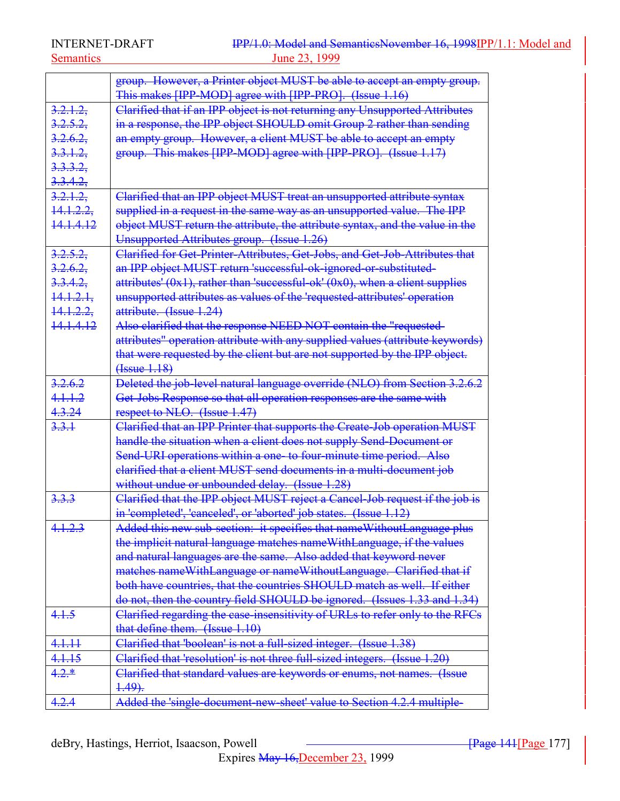|                      | group. However, a Printer object MUST be able to accept an empty group.            |
|----------------------|------------------------------------------------------------------------------------|
|                      | This makes [IPP-MOD] agree with [IPP-PRO]. (Issue 1.16)                            |
| 3.2.1.2              | Clarified that if an IPP object is not returning any Unsupported Attributes        |
| 3.2.5.2.             | in a response, the IPP object SHOULD omit Group 2 rather than sending              |
| 3.2.6.2,             | an empty group. However, a client MUST be able to accept an empty                  |
| $3.3.1.2$ ,          | group. This makes [IPP-MOD] agree with [IPP-PRO]. (Issue 1.17)                     |
| 3.3.3.2,             |                                                                                    |
| 3.3.4.2,             |                                                                                    |
| 3.2.1.2.             | Clarified that an IPP object MUST treat an unsupported attribute syntax            |
| 14.1.2.2             | supplied in a request in the same way as an unsupported value. The IPP             |
| <del>14.1.4.12</del> | object MUST return the attribute, the attribute syntax, and the value in the       |
|                      | Unsupported Attributes group. (Issue 1.26)                                         |
| 3.2.5.2              | Clarified for Get-Printer-Attributes, Get-Jobs, and Get-Job-Attributes that        |
| 3.2.6.2              | an IPP object MUST return 'successful ok-ignored or-substituted-                   |
| 3.3.4.2              | attributes' $(0x1)$ , rather than 'successful-ok' $(0x0)$ , when a client supplies |
| 14.1.2.1.            | unsupported attributes as values of the 'requested-attributes' operation           |
| <del>14.1.2.2,</del> | attribute. (Issue 1.24)                                                            |
| <del>14 14 12</del>  | Also clarified that the response NEED NOT contain the "requested-                  |
|                      | attributes" operation attribute with any supplied values (attribute keywords)      |
|                      | that were requested by the client but are not supported by the IPP object.         |
|                      | ( <b>Issue</b> 1.18)                                                               |
| 3.2.6.2              | Deleted the job-level natural language override (NLO) from Section 3.2.6.2         |
| 4.1.1.2              | Get-Jobs Response so that all operation responses are the same with                |
| 4.3.24               | respect to NLO. (Issue 1.47)                                                       |
| 3.3.1                | Clarified that an IPP Printer that supports the Create-Job operation MUST          |
|                      | handle the situation when a client does not supply Send-Document or                |
|                      | Send-URI operations within a one- to four-minute time period. Also                 |
|                      | elarified that a client MUST send documents in a multi-document job                |
|                      | without undue or unbounded delay. (Issue 1.28)                                     |
| 3.3.3                | Clarified that the IPP object MUST reject a Cancel-Job request if the job is       |
|                      | in 'completed', 'canceled', or 'aborted' job states. (Issue 1.12)                  |
| 4.1.2.3              | Added this new sub-section: it specifies that name Without Language plus           |
|                      | the implicit natural language matches nameWithLanguage, if the values              |
|                      | and natural languages are the same. Also added that keyword never                  |
|                      | matches nameWithLanguage or nameWithoutLanguage. Clarified that if                 |
|                      | both have countries, that the countries SHOULD match as well. If either            |
|                      | do not, then the country field SHOULD be ignored. (Issues 1.33 and 1.34)           |
| 4.1.5                | Clarified regarding the case-insensitivity of URLs to refer only to the RFCs       |
|                      | that define them. (Issue 1.10)                                                     |
| 4.1.11               | Clarified that 'boolean' is not a full-sized integer. (Issue 1.38)                 |
| 4.1.15               | Clarified that 'resolution' is not three full-sized integers. (Issue 1.20)         |
| $4.2.*$              | Clarified that standard values are keywords or enums, not names. (Issue            |
|                      | $4.49$ .                                                                           |
| 4.2.4                | Added the 'single-document-new-sheet' value to Section 4.2.4 multiple-             |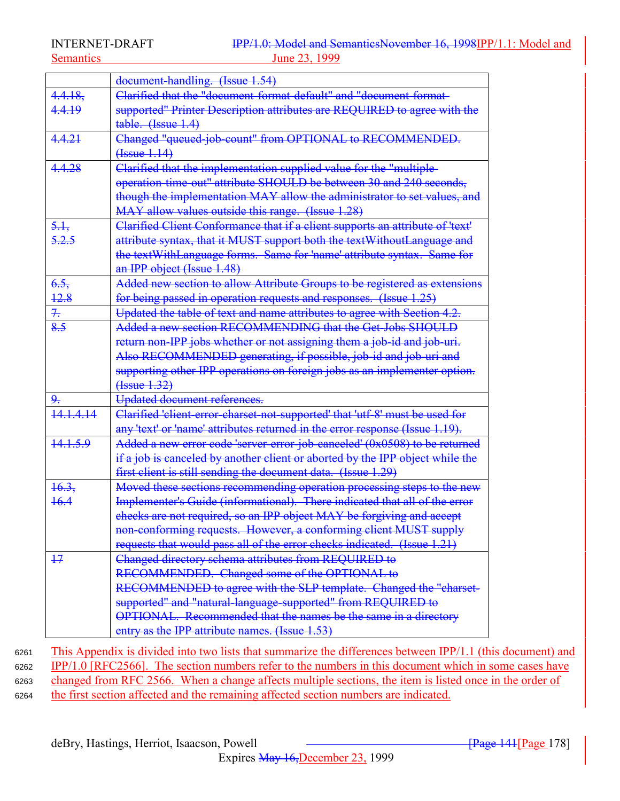|                  | document-handling. (Issue 1.54)                                               |
|------------------|-------------------------------------------------------------------------------|
| 4.4.18,          | Clarified that the "document-format-default" and "document-format-            |
| 4.4.19           | supported" Printer Description attributes are REQUIRED to agree with the      |
|                  | table. (Issue 1.4)                                                            |
| 4.4.21           | Changed "queued-job-count" from OPTIONAL to RECOMMENDED.                      |
|                  | $(Issue+14)$                                                                  |
| 4.4.28           | Clarified that the implementation supplied value for the "multiple-           |
|                  | operation-time-out" attribute SHOULD be between 30 and 240 seconds,           |
|                  | though the implementation MAY allow the administrator to set values, and      |
|                  | MAY allow values outside this range. (Issue 1.28)                             |
| 5.1              | Clarified Client Conformance that if a client supports an attribute of 'text' |
| 5.2.5            | attribute syntax, that it MUST support both the textWithoutLanguage and       |
|                  | the textWithLanguage forms. Same for 'name' attribute syntax. Same for        |
|                  | an IPP object (Issue 1.48)                                                    |
| 6.5.             | Added new section to allow Attribute Groups to be registered as extensions    |
| <u>12.8</u>      | for being passed in operation requests and responses. (Issue 1.25)            |
| 7.               | Updated the table of text and name attributes to agree with Section 4.2.      |
| 8.5              | Added a new section RECOMMENDING that the Get-Jobs SHOULD                     |
|                  | return non-IPP jobs whether or not assigning them a job-id and job-uri.       |
|                  | Also RECOMMENDED generating, if possible, job-id and job-uri and              |
|                  | supporting other IPP operations on foreign jobs as an implementer option.     |
|                  | (Issue 1.32)                                                                  |
| 9.               | Updated document references.                                                  |
| 141414           | Clarified 'client-error-charset-not-supported' that 'utf-8' must be used for  |
|                  | any 'text' or 'name' attributes returned in the error response (Issue 1.19).  |
| 14.1.5.9         | Added a new error code 'server-error-job-canceled' (0x0508) to be returned    |
|                  | if a job is canceled by another client or aborted by the IPP object while the |
|                  | first client is still sending the document data. (Issue 1.29)                 |
| $\frac{16.3}{5}$ | Moved these sections recommending operation processing steps to the new       |
| <del>16.4</del>  | Implementer's Guide (informational). There indicated that all of the error    |
|                  | checks are not required, so an IPP object MAY be forgiving and accept         |
|                  | non-conforming requests. However, a conforming client MUST supply             |
|                  | requests that would pass all of the error checks indicated. (Issue 1.21)      |
| $+7$             | Changed directory schema attributes from REQUIRED to                          |
|                  | RECOMMENDED. Changed some of the OPTIONAL to                                  |
|                  | RECOMMENDED to agree with the SLP template. Changed the "charset-             |
|                  | supported" and "natural-language-supported" from REQUIRED to                  |
|                  | OPTIONAL. Recommended that the names be the same in a directory               |
|                  | entry as the IPP attribute names. (Issue 1.53)                                |

 This Appendix is divided into two lists that summarize the differences between IPP/1.1 (this document) and IPP/1.0 [RFC2566]. The section numbers refer to the numbers in this document which in some cases have changed from RFC 2566. When a change affects multiple sections, the item is listed once in the order of the first section affected and the remaining affected section numbers are indicated.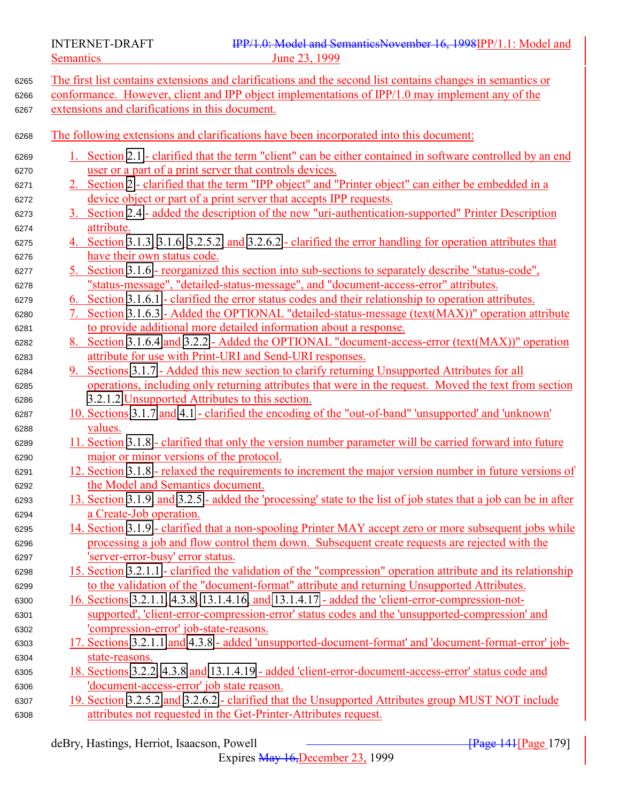The first list contains extensions and clarifications and the second list contains changes in semantics or conformance. However, client and IPP object implementations of IPP/1.0 may implement any of the extensions and clarifications in this document. The following extensions and clarifications have been incorporated into this document: 1. Section [2.1](#page-13-0) - clarified that the term "client" can be either contained in software controlled by an end user or a part of a print server that controls devices. 2. Section [2](#page-13-0) - clarified that the term "IPP object" and "Printer object" can either be embedded in a device object or part of a print server that accepts IPP requests. 3. Section [2.4](#page-18-0) - added the description of the new "uri-authentication-supported" Printer Description attribute. 4. Section [3.1.3,](#page-22-0) [3.1.6,](#page-29-0) [3.2.5.2,](#page-46-0) and [3.2.6.2](#page-48-0) - clarified the error handling for operation attributes that have their own status code. 5. Section [3.1.6](#page-29-0) - reorganized this section into sub-sections to separately describe "status-code", "status-message", "detailed-status-message", and "document-access-error" attributes. 6. Section [3.1.6.1](#page-29-0) - clarified the error status codes and their relationship to operation attributes. 7. Section [3.1.6.3](#page-30-0) - Added the OPTIONAL "detailed-status-message (text(MAX))" operation attribute to provide additional more detailed information about a response. 8. Section [3.1.6.4](#page-30-0) and [3.2.2](#page-42-0) - Added the OPTIONAL "document-access-error (text(MAX))" operation attribute for use with Print-URI and Send-URI responses. 9. Sections [3.1.7](#page-31-0) - Added this new section to clarify returning Unsupported Attributes for all operations, including only returning attributes that were in the request. Moved the text from section [3.2.1.2](#page-40-0) Unsupported Attributes to this section. 10. Sections [3.1.7](#page-31-0) and [4.1](#page-66-0) - clarified the encoding of the "out-of-band" 'unsupported' and 'unknown' values. 11. Section [3.1.8](#page-32-0) - clarified that only the version number parameter will be carried forward into future major or minor versions of the protocol. 12. Section [3.1.8](#page-32-0) - relaxed the requirements to increment the major version number in future versions of the Model and Semantics document. 13. Section [3.1.9,](#page-34-0) and [3.2.5](#page-43-0) - added the 'processing' state to the list of job states that a job can be in after a Create-Job operation. 14. Section [3.1.9](#page-34-0) - clarified that a non-spooling Printer MAY accept zero or more subsequent jobs while processing a job and flow control them down. Subsequent create requests are rejected with the 'server-error-busy' error status. 6298 15. Section [3.2.1.1](#page-36-0) - clarified the validation of the "compression" operation attribute and its relationship to the validation of the "document-format" attribute and returning Unsupported Attributes. 16. Sections [3.2.1.1,](#page-36-0) [4.3.8,](#page-94-0) [13.1.4.16,](#page-160-0) and [13.1.4.17](#page-160-0) - added the 'client-error-compression-not- supported', 'client-error-compression-error' status codes and the 'unsupported-compression' and 'compression-error' job-state-reasons. 17. Sections [3.2.1.1](#page-36-0) and [4.3.8](#page-94-0) - added 'unsupported-document-format' and 'document-format-error' job- state-reasons. 18. Sections [3.2.2,](#page-42-0) [4.3.8](#page-94-0) and [13.1.4.19](#page-160-0) - added 'client-error-document-access-error' status code and 'document-access-error' job state reason. 6307 19. Section [3.2.5.2](#page-46-0) and [3.2.6.2](#page-48-0) - clarified that the Unsupported Attributes group MUST NOT include attributes not requested in the Get-Printer-Attributes request.

Expires May 16,December 23, 1999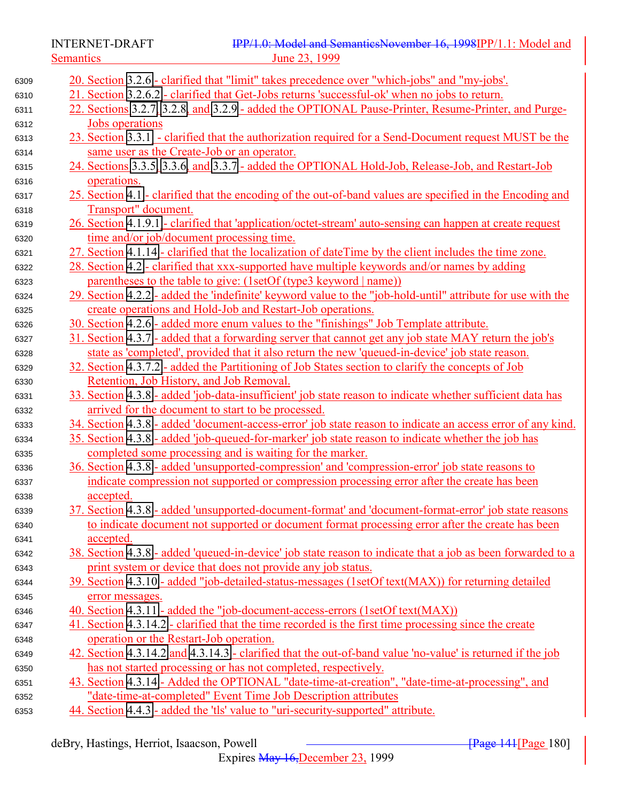| 6309 | 20. Section 3.2.6 - clarified that "limit" takes precedence over "which-jobs" and "my-jobs'.                |
|------|-------------------------------------------------------------------------------------------------------------|
| 6310 | 21. Section 3.2.6.2 - clarified that Get-Jobs returns 'successful-ok' when no jobs to return.               |
| 6311 | 22. Sections 3.2.7. 3.2.8. and 3.2.9 - added the OPTIONAL Pause-Printer, Resume-Printer, and Purge-         |
| 6312 | <b>Jobs</b> operations                                                                                      |
| 6313 | 23. Section 3.3.1 - clarified that the authorization required for a Send-Document request MUST be the       |
| 6314 | same user as the Create-Job or an operator.                                                                 |
| 6315 | 24. Sections 3.3.5, 3.3.6, and 3.3.7 - added the OPTIONAL Hold-Job, Release-Job, and Restart-Job            |
| 6316 | operations.                                                                                                 |
| 6317 | 25. Section 4.1 - clarified that the encoding of the out-of-band values are specified in the Encoding and   |
|      | Transport" document.                                                                                        |
|      | 26. Section 4.1.9.1 - clarified that 'application/octet-stream' auto-sensing can happen at create request   |
|      | time and/or job/document processing time.                                                                   |
|      | 27. Section 4.1.14 - clarified that the localization of dateTime by the client includes the time zone.      |
|      | 28. Section 4.2 - clarified that xxx-supported have multiple keywords and/or names by adding                |
|      | parentheses to the table to give: (1setOf (type3 keyword   name))                                           |
|      | 29. Section 4.2.2 - added the 'indefinite' keyword value to the "job-hold-until" attribute for use with the |
|      | create operations and Hold-Job and Restart-Job operations.                                                  |
|      | 30. Section 4.2.6 - added more enum values to the "finishings" Job Template attribute.                      |
|      | 31. Section 4.3.7 - added that a forwarding server that cannot get any job state MAY return the job's       |
|      | state as 'completed', provided that it also return the new 'queued-in-device' job state reason.             |
|      | 32. Section 4.3.7.2 - added the Partitioning of Job States section to clarify the concepts of Job           |
|      | Retention, Job History, and Job Removal.                                                                    |
|      | 33. Section 4.3.8 - added 'job-data-insufficient' job state reason to indicate whether sufficient data has  |
|      | arrived for the document to start to be processed.                                                          |
|      | 34. Section 4.3.8 - added 'document-access-error' job state reason to indicate an access error of any kind. |
|      | 35. Section 4.3.8 - added 'job-queued-for-marker' job state reason to indicate whether the job has          |
|      | completed some processing and is waiting for the marker.                                                    |
|      | 36. Section 4.3.8 - added 'unsupported-compression' and 'compression-error' job state reasons to            |
|      | indicate compression not supported or compression processing error after the create has been                |
|      | accepted.                                                                                                   |
|      | 37. Section 4.3.8 - added 'unsupported-document-format' and 'document-format-error' job state reasons       |
|      | to indicate document not supported or document format processing error after the create has been            |
|      | <u>accepted.</u>                                                                                            |
|      | 38. Section 4.3.8 - added 'queued-in-device' job state reason to indicate that a job as been forwarded to a |
|      | print system or device that does not provide any job status.                                                |
|      | 39. Section 4.3.10 - added "job-detailed-status-messages (1setOf text(MAX)) for returning detailed          |
|      | error messages.                                                                                             |
|      | 40. Section 4.3.11 - added the "job-document-access-errors (1setOf text(MAX))                               |
|      | 41. Section 4.3.14.2 - clarified that the time recorded is the first time processing since the create       |
|      | operation or the Restart-Job operation.                                                                     |
|      | 42. Section 4.3.14.2 and 4.3.14.3 - clarified that the out-of-band value 'no-value' is returned if the job  |
|      | has not started processing or has not completed, respectively.                                              |
|      | 43. Section 4.3.14 - Added the OPTIONAL "date-time-at-creation", "date-time-at-processing", and             |
|      | "date-time-at-completed" Event Time Job Description attributes                                              |
|      | 44. Section 4.4.3 - added the 'tls' value to "uri-security-supported" attribute.                            |
|      |                                                                                                             |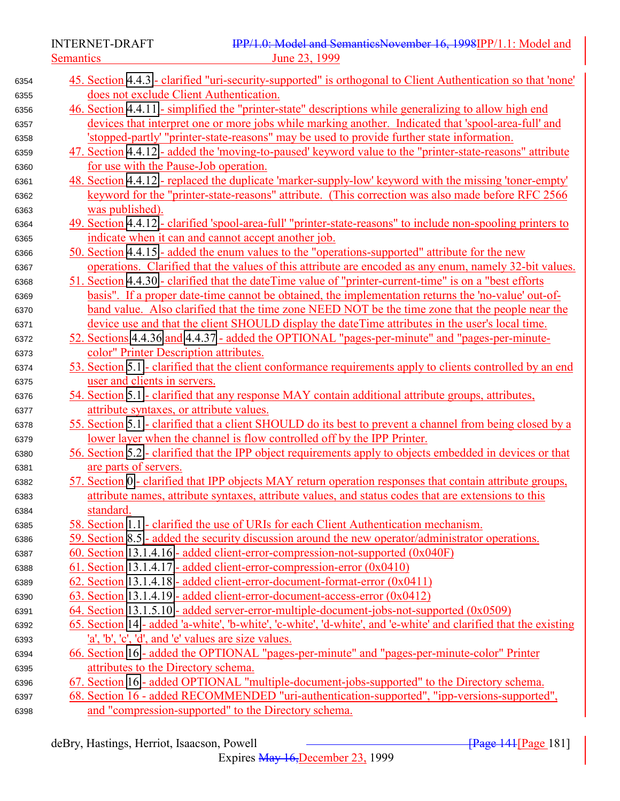Semantics 23, 1999

| 6354 | 45. Section 4.4.3 - clarified "uri-security-supported" is orthogonal to Client Authentication so that 'none'     |  |  |
|------|------------------------------------------------------------------------------------------------------------------|--|--|
| 6355 | does not exclude Client Authentication.                                                                          |  |  |
| 6356 | 46. Section 4.4.11 - simplified the "printer-state" descriptions while generalizing to allow high end            |  |  |
| 6357 | devices that interpret one or more jobs while marking another. Indicated that 'spool-area-full' and              |  |  |
| 6358 | 'stopped-partly' "printer-state-reasons" may be used to provide further state information.                       |  |  |
| 6359 | 47. Section 4.4.12 - added the 'moving-to-paused' keyword value to the "printer-state-reasons" attribute         |  |  |
| 6360 | for use with the Pause-Job operation.                                                                            |  |  |
| 6361 | 48. Section 4.4.12 - replaced the duplicate 'marker-supply-low' keyword with the missing 'toner-empty'           |  |  |
| 6362 | keyword for the "printer-state-reasons" attribute. (This correction was also made before RFC 2566                |  |  |
| 6363 | was published).                                                                                                  |  |  |
| 6364 | 49. Section 4.4.12 - clarified 'spool-area-full' "printer-state-reasons" to include non-spooling printers to     |  |  |
| 6365 | indicate when it can and cannot accept another job.                                                              |  |  |
| 6366 | 50. Section 4.4.15 - added the enum values to the "operations-supported" attribute for the new                   |  |  |
| 6367 | operations. Clarified that the values of this attribute are encoded as any enum, namely 32-bit values.           |  |  |
| 6368 | 51. Section 4.4.30 - clarified that the date Time value of "printer-current-time" is on a "best efforts"         |  |  |
| 6369 | basis". If a proper date-time cannot be obtained, the implementation returns the 'no-value' out-of-              |  |  |
| 6370 | band value. Also clarified that the time zone NEED NOT be the time zone that the people near the                 |  |  |
| 6371 | device use and that the client SHOULD display the dateTime attributes in the user's local time.                  |  |  |
| 6372 | 52. Sections 4.4.36 and 4.4.37 - added the OPTIONAL "pages-per-minute" and "pages-per-minute-                    |  |  |
| 6373 | color" Printer Description attributes.                                                                           |  |  |
| 6374 | 53. Section 5.1 - clarified that the client conformance requirements apply to clients controlled by an end       |  |  |
| 6375 | user and clients in servers.                                                                                     |  |  |
| 6376 | 54. Section 5.1 - clarified that any response MAY contain additional attribute groups, attributes,               |  |  |
| 6377 | attribute syntaxes, or attribute values.                                                                         |  |  |
| 6378 | 55. Section 5.1 - clarified that a client SHOULD do its best to prevent a channel from being closed by a         |  |  |
| 6379 | lower layer when the channel is flow controlled off by the IPP Printer.                                          |  |  |
| 6380 | 56. Section 5.2 - clarified that the IPP object requirements apply to objects embedded in devices or that        |  |  |
| 6381 | are parts of servers.                                                                                            |  |  |
| 6382 | 57. Section 0 - clarified that IPP objects MAY return operation responses that contain attribute groups,         |  |  |
| 6383 | attribute names, attribute syntaxes, attribute values, and status codes that are extensions to this              |  |  |
| 6384 | standard.                                                                                                        |  |  |
| 6385 | 58. Section 1.1 - clarified the use of URIs for each Client Authentication mechanism.                            |  |  |
| 6386 | 59. Section 8.5 - added the security discussion around the new operator/administrator operations.                |  |  |
| 6387 | 60. Section 13.1.4.16 - added client-error-compression-not-supported (0x040F)                                    |  |  |
| 6388 | 61. Section 13.1.4.17 - added client-error-compression-error $(0x0410)$                                          |  |  |
| 6389 | 62. Section 13.1.4.18 - added client-error-document-format-error (0x0411)                                        |  |  |
| 6390 | 63. Section 13.1.4.19 - added client-error-document-access-error (0x0412)                                        |  |  |
| 6391 | 64. Section 13.1.5.10 - added server-error-multiple-document-jobs-not-supported (0x0509)                         |  |  |
| 6392 | 65. Section 14 - added 'a-white', 'b-white', 'c-white', 'd-white', and 'e-white' and clarified that the existing |  |  |
| 6393 | 'a', 'b', 'c', 'd', and 'e' values are size values.                                                              |  |  |
| 6394 | 66. Section 16 - added the OPTIONAL "pages-per-minute" and "pages-per-minute-color" Printer                      |  |  |
| 6395 | attributes to the Directory schema.                                                                              |  |  |
| 6396 | 67. Section 16 - added OPTIONAL "multiple-document-jobs-supported" to the Directory schema.                      |  |  |
| 6397 | 68. Section 16 - added RECOMMENDED "uri-authentication-supported", "ipp-versions-supported",                     |  |  |
| 6398 | and "compression-supported" to the Directory schema.                                                             |  |  |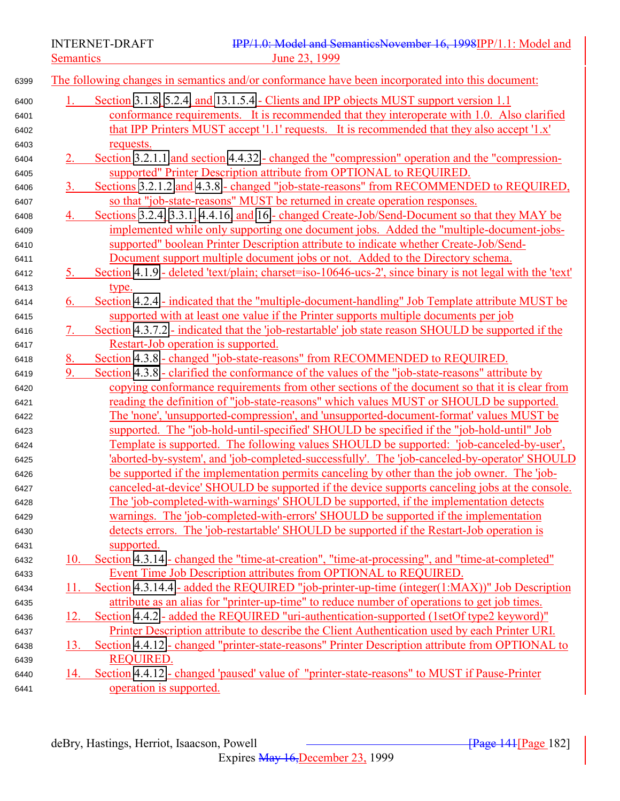INTERNET-DRAFT **IPP/1.0:** Model and SemanticsNovember 16, 1998IPP/1.1: Model and Semantics June 23, 1999

## 1. Section [3.1.8,](#page-32-0) [5.2.4,](#page-123-0) and [13.1.5.4](#page-161-0) - Clients and IPP objects MUST support version 1.1 conformance requirements. It is recommended that they interoperate with 1.0. Also clarified that IPP Printers MUST accept '1.1' requests. It is recommended that they also accept '1.x' requests. 2. Section [3.2.1.1](#page-36-0) and section [4.4.32](#page-119-0) - changed the "compression" operation and the "compression- supported" Printer Description attribute from OPTIONAL to REQUIRED. 3. Sections [3.2.1.2](#page-40-0) and [4.3.8](#page-94-0) - changed "job-state-reasons" from RECOMMENDED to REQUIRED, so that "job-state-reasons" MUST be returned in create operation responses. 4. Sections [3.2.4,](#page-43-0) [3.3.1,](#page-53-0) [4.4.16,](#page-114-0) and [16](#page-173-0) - changed Create-Job/Send-Document so that they MAY be implemented while only supporting one document jobs. Added the "multiple-document-jobs- supported" boolean Printer Description attribute to indicate whether Create-Job/Send- Document support multiple document jobs or not. Added to the Directory schema. 5. Section [4.1.9](#page-72-0) - deleted 'text/plain; charset=iso-10646-ucs-2', since binary is not legal with the 'text' 6413 type. 6. Section [4.2.4](#page-80-0) - indicated that the "multiple-document-handling" Job Template attribute MUST be supported with at least one value if the Printer supports multiple documents per job 7. Section [4.3.7.2](#page-93-0) - indicated that the 'job-restartable' job state reason SHOULD be supported if the Restart-Job operation is supported. 8. Section [4.3.8](#page-94-0) - changed "job-state-reasons" from RECOMMENDED to REQUIRED. 9. Section [4.3.8](#page-94-0) - clarified the conformance of the values of the "job-state-reasons" attribute by copying conformance requirements from other sections of the document so that it is clear from reading the definition of "job-state-reasons" which values MUST or SHOULD be supported. The 'none', 'unsupported-compression', and 'unsupported-document-format' values MUST be supported. The ''job-hold-until-specified' SHOULD be specified if the "job-hold-until" Job Template is supported. The following values SHOULD be supported: 'job-canceled-by-user', 'aborted-by-system', and 'job-completed-successfully'. The 'job-canceled-by-operator' SHOULD be supported if the implementation permits canceling by other than the job owner. The 'job- canceled-at-device' SHOULD be supported if the device supports canceling jobs at the console. The 'job-completed-with-warnings' SHOULD be supported, if the implementation detects warnings. The 'job-completed-with-errors' SHOULD be supported if the implementation detects errors. The 'job-restartable' SHOULD be supported if the Restart-Job operation is supported. 10. Section [4.3.14](#page-98-0) - changed the "time-at-creation", "time-at-processing", and "time-at-completed" Event Time Job Description attributes from OPTIONAL to REQUIRED. 11. Section [4.3.14.4](#page-99-0) - added the REQUIRED "job-printer-up-time (integer(1:MAX))" Job Description attribute as an alias for "printer-up-time" to reduce number of operations to get job times. 12. Section [4.4.2](#page-106-0) - added the REQUIRED "uri-authentication-supported (1setOf type2 keyword)" Printer Description attribute to describe the Client Authentication used by each Printer URI. 13. Section [4.4.12](#page-111-0) - changed "printer-state-reasons" Printer Description attribute from OPTIONAL to REQUIRED.

The following changes in semantics and/or conformance have been incorporated into this document:

 14. Section [4.4.12](#page-111-0) - changed 'paused' value of "printer-state-reasons" to MUST if Pause-Printer operation is supported.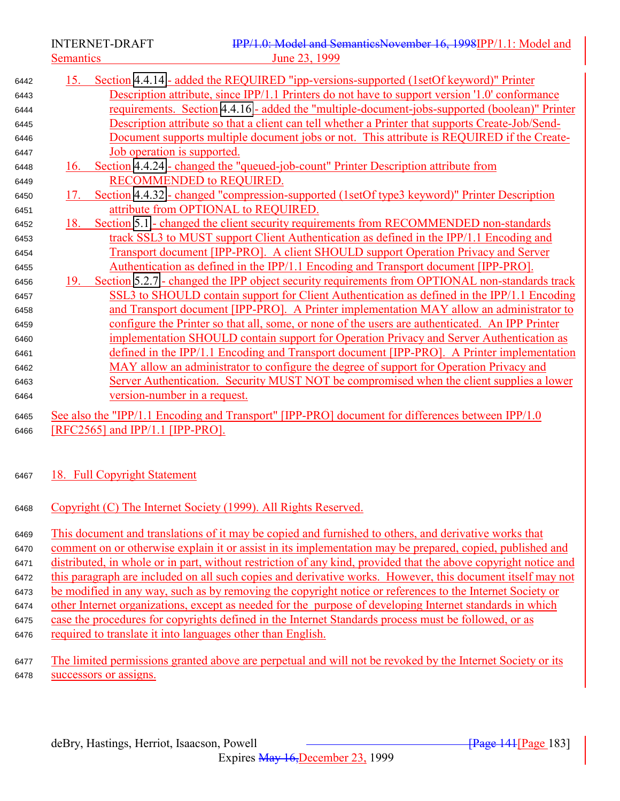INTERNET-DRAFT **IPP/1.0:** Model and SemanticsNovember 16, 1998IPP/1.1: Model and Semantics June 23, 1999

| 6442 | Section 4.4.14 - added the REQUIRED "ipp-versions-supported (1setOf keyword)" Printer<br>15.          |
|------|-------------------------------------------------------------------------------------------------------|
| 6443 | Description attribute, since IPP/1.1 Printers do not have to support version '1.0' conformance        |
| 6444 | <u>requirements. Section 4.4.16 - added the "multiple-document-jobs-supported (boolean)" Printer</u>  |
| 6445 | Description attribute so that a client can tell whether a Printer that supports Create-Job/Send-      |
| 6446 | Document supports multiple document jobs or not. This attribute is REQUIRED if the Create-            |
| 6447 | Job operation is supported.                                                                           |
| 6448 | Section 4.4.24 - changed the "queued-job-count" Printer Description attribute from<br>16.             |
| 6449 | <b>RECOMMENDED to REQUIRED.</b>                                                                       |
| 6450 | Section 4.4.32 - changed "compression-supported (1setOf type3 keyword)" Printer Description<br>17.    |
| 6451 | attribute from OPTIONAL to REQUIRED.                                                                  |
| 6452 | Section 5.1 - changed the client security requirements from RECOMMENDED non-standards<br>18.          |
| 6453 | track SSL3 to MUST support Client Authentication as defined in the IPP/1.1 Encoding and               |
| 6454 | Transport document [IPP-PRO]. A client SHOULD support Operation Privacy and Server                    |
| 6455 | Authentication as defined in the IPP/1.1 Encoding and Transport document [IPP-PRO].                   |
| 6456 | Section 5.2.7 - changed the IPP object security requirements from OPTIONAL non-standards track<br>19. |
| 6457 | SSL3 to SHOULD contain support for Client Authentication as defined in the IPP/1.1 Encoding           |
| 6458 | and Transport document [IPP-PRO]. A Printer implementation MAY allow an administrator to              |
| 6459 | configure the Printer so that all, some, or none of the users are authenticated. An IPP Printer       |
| 6460 | implementation SHOULD contain support for Operation Privacy and Server Authentication as              |
| 6461 | defined in the IPP/1.1 Encoding and Transport document [IPP-PRO]. A Printer implementation            |
| 6462 | MAY allow an administrator to configure the degree of support for Operation Privacy and               |
| 6463 | Server Authentication. Security MUST NOT be compromised when the client supplies a lower              |
| 6464 | <u>version-number in a request.</u>                                                                   |
| 6465 | See also the "IPP/1.1 Encoding and Transport" [IPP-PRO] document for differences between IPP/1.0      |

[RFC2565] and IPP/1.1 [IPP-PRO].

18. Full Copyright Statement

6468 Copyright (C) The Internet Society (1999). All Rights Reserved.

 This document and translations of it may be copied and furnished to others, and derivative works that comment on or otherwise explain it or assist in its implementation may be prepared, copied, published and distributed, in whole or in part, without restriction of any kind, provided that the above copyright notice and this paragraph are included on all such copies and derivative works. However, this document itself may not be modified in any way, such as by removing the copyright notice or references to the Internet Society or other Internet organizations, except as needed for the purpose of developing Internet standards in which case the procedures for copyrights defined in the Internet Standards process must be followed, or as required to translate it into languages other than English.

6477 The limited permissions granted above are perpetual and will not be revoked by the Internet Society or its successors or assigns.